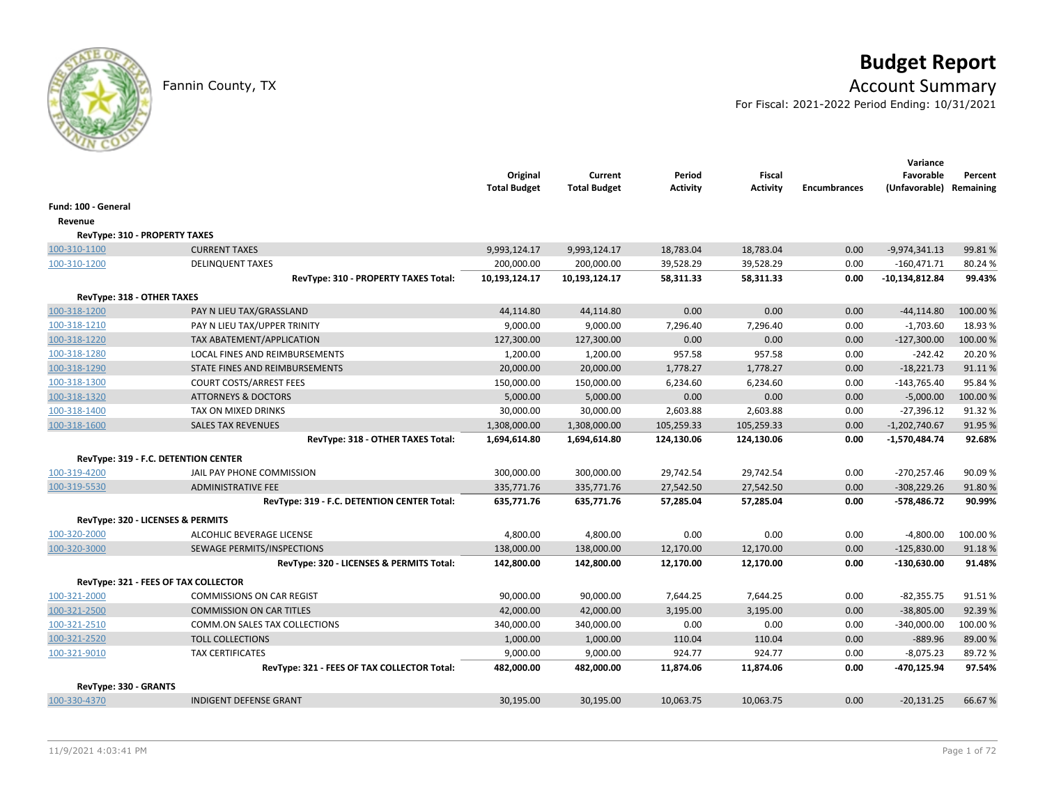# **Budget Report**

## Fannin County, TX **Account Summary**

For Fiscal: 2021-2022 Period Ending: 10/31/2021

|                                   |                                             | Original<br><b>Total Budget</b> | Current<br><b>Total Budget</b> | Period<br><b>Activity</b> | <b>Fiscal</b><br><b>Activity</b> | <b>Encumbrances</b> | Variance<br>Favorable<br>(Unfavorable) Remaining | Percent  |
|-----------------------------------|---------------------------------------------|---------------------------------|--------------------------------|---------------------------|----------------------------------|---------------------|--------------------------------------------------|----------|
| Fund: 100 - General               |                                             |                                 |                                |                           |                                  |                     |                                                  |          |
| Revenue                           |                                             |                                 |                                |                           |                                  |                     |                                                  |          |
| RevType: 310 - PROPERTY TAXES     |                                             |                                 |                                |                           |                                  |                     |                                                  |          |
| 100-310-1100                      | <b>CURRENT TAXES</b>                        | 9,993,124.17                    | 9,993,124.17                   | 18,783.04                 | 18,783.04                        | 0.00                | $-9,974,341.13$                                  | 99.81%   |
| 100-310-1200                      | <b>DELINQUENT TAXES</b>                     | 200,000.00                      | 200,000.00                     | 39,528.29                 | 39,528.29                        | 0.00                | $-160,471.71$                                    | 80.24%   |
|                                   | RevType: 310 - PROPERTY TAXES Total:        | 10,193,124.17                   | 10,193,124.17                  | 58,311.33                 | 58,311.33                        | 0.00                | $-10,134,812.84$                                 | 99.43%   |
| <b>RevType: 318 - OTHER TAXES</b> |                                             |                                 |                                |                           |                                  |                     |                                                  |          |
| 100-318-1200                      | PAY N LIEU TAX/GRASSLAND                    | 44,114.80                       | 44,114.80                      | 0.00                      | 0.00                             | 0.00                | $-44, 114.80$                                    | 100.00 % |
| 100-318-1210                      | PAY N LIEU TAX/UPPER TRINITY                | 9,000.00                        | 9,000.00                       | 7,296.40                  | 7,296.40                         | 0.00                | $-1,703.60$                                      | 18.93%   |
| 100-318-1220                      | TAX ABATEMENT/APPLICATION                   | 127,300.00                      | 127,300.00                     | 0.00                      | 0.00                             | 0.00                | $-127,300.00$                                    | 100.00%  |
| 100-318-1280                      | <b>LOCAL FINES AND REIMBURSEMENTS</b>       | 1,200.00                        | 1,200.00                       | 957.58                    | 957.58                           | 0.00                | $-242.42$                                        | 20.20%   |
| 100-318-1290                      | STATE FINES AND REIMBURSEMENTS              | 20,000.00                       | 20,000.00                      | 1,778.27                  | 1,778.27                         | 0.00                | $-18,221.73$                                     | 91.11%   |
| 100-318-1300                      | <b>COURT COSTS/ARREST FEES</b>              | 150,000.00                      | 150,000.00                     | 6,234.60                  | 6,234.60                         | 0.00                | $-143,765.40$                                    | 95.84%   |
| 100-318-1320                      | <b>ATTORNEYS &amp; DOCTORS</b>              | 5,000.00                        | 5,000.00                       | 0.00                      | 0.00                             | 0.00                | $-5,000.00$                                      | 100.00%  |
| 100-318-1400                      | TAX ON MIXED DRINKS                         | 30,000.00                       | 30,000.00                      | 2,603.88                  | 2,603.88                         | 0.00                | $-27,396.12$                                     | 91.32%   |
| 100-318-1600                      | <b>SALES TAX REVENUES</b>                   | 1,308,000.00                    | 1,308,000.00                   | 105,259.33                | 105,259.33                       | 0.00                | $-1,202,740.67$                                  | 91.95%   |
|                                   | RevType: 318 - OTHER TAXES Total:           | 1,694,614.80                    | 1,694,614.80                   | 124,130.06                | 124,130.06                       | 0.00                | $-1,570,484.74$                                  | 92.68%   |
|                                   | RevType: 319 - F.C. DETENTION CENTER        |                                 |                                |                           |                                  |                     |                                                  |          |
| 100-319-4200                      | JAIL PAY PHONE COMMISSION                   | 300,000.00                      | 300,000.00                     | 29,742.54                 | 29,742.54                        | 0.00                | $-270,257.46$                                    | 90.09%   |
| 100-319-5530                      | <b>ADMINISTRATIVE FEE</b>                   | 335,771.76                      | 335,771.76                     | 27,542.50                 | 27,542.50                        | 0.00                | $-308,229.26$                                    | 91.80%   |
|                                   | RevType: 319 - F.C. DETENTION CENTER Total: | 635,771.76                      | 635,771.76                     | 57,285.04                 | 57,285.04                        | 0.00                | -578,486.72                                      | 90.99%   |
|                                   | RevType: 320 - LICENSES & PERMITS           |                                 |                                |                           |                                  |                     |                                                  |          |
| 100-320-2000                      | ALCOHLIC BEVERAGE LICENSE                   | 4,800.00                        | 4,800.00                       | 0.00                      | 0.00                             | 0.00                | $-4,800.00$                                      | 100.00%  |
| 100-320-3000                      | SEWAGE PERMITS/INSPECTIONS                  | 138,000.00                      | 138,000.00                     | 12,170.00                 | 12,170.00                        | 0.00                | $-125,830.00$                                    | 91.18%   |
|                                   | RevType: 320 - LICENSES & PERMITS Total:    | 142,800.00                      | 142,800.00                     | 12,170.00                 | 12,170.00                        | 0.00                | $-130,630.00$                                    | 91.48%   |
|                                   | RevType: 321 - FEES OF TAX COLLECTOR        |                                 |                                |                           |                                  |                     |                                                  |          |
| 100-321-2000                      | <b>COMMISSIONS ON CAR REGIST</b>            | 90,000.00                       | 90,000.00                      | 7,644.25                  | 7,644.25                         | 0.00                | $-82,355.75$                                     | 91.51%   |
| 100-321-2500                      | <b>COMMISSION ON CAR TITLES</b>             | 42,000.00                       | 42,000.00                      | 3,195.00                  | 3,195.00                         | 0.00                | $-38,805.00$                                     | 92.39%   |
| 100-321-2510                      | <b>COMM.ON SALES TAX COLLECTIONS</b>        | 340,000.00                      | 340,000.00                     | 0.00                      | 0.00                             | 0.00                | $-340,000.00$                                    | 100.00 % |
| 100-321-2520                      | <b>TOLL COLLECTIONS</b>                     | 1,000.00                        | 1,000.00                       | 110.04                    | 110.04                           | 0.00                | $-889.96$                                        | 89.00 %  |
| 100-321-9010                      | <b>TAX CERTIFICATES</b>                     | 9,000.00                        | 9,000.00                       | 924.77                    | 924.77                           | 0.00                | $-8,075.23$                                      | 89.72%   |
|                                   | RevType: 321 - FEES OF TAX COLLECTOR Total: | 482,000.00                      | 482,000.00                     | 11,874.06                 | 11,874.06                        | 0.00                | -470,125.94                                      | 97.54%   |
| RevType: 330 - GRANTS             |                                             |                                 |                                |                           |                                  |                     |                                                  |          |
| 100-330-4370                      | <b>INDIGENT DEFENSE GRANT</b>               | 30,195.00                       | 30,195.00                      | 10,063.75                 | 10,063.75                        | 0.00                | $-20,131.25$                                     | 66.67%   |
|                                   |                                             |                                 |                                |                           |                                  |                     |                                                  |          |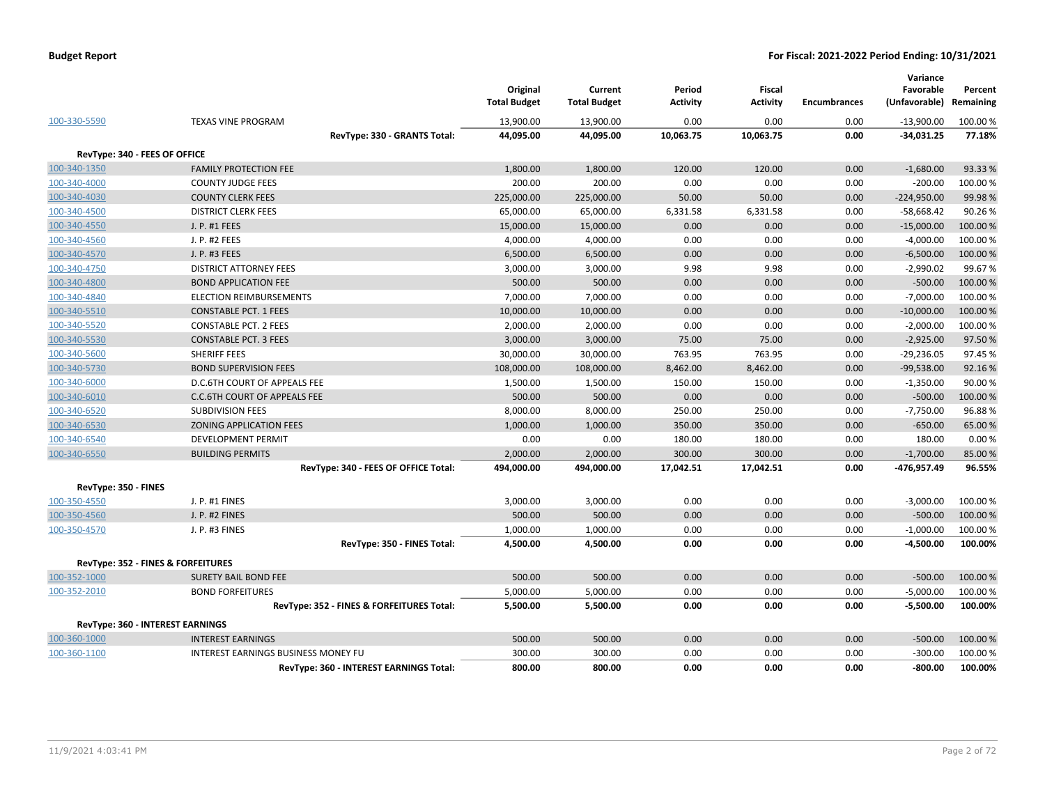|                               |                                            | Original<br><b>Total Budget</b> | Current<br><b>Total Budget</b> | Period<br><b>Activity</b> | <b>Fiscal</b><br><b>Activity</b> | <b>Encumbrances</b> | Variance<br>Favorable<br>(Unfavorable) | Percent<br>Remaining |
|-------------------------------|--------------------------------------------|---------------------------------|--------------------------------|---------------------------|----------------------------------|---------------------|----------------------------------------|----------------------|
| 100-330-5590                  | <b>TEXAS VINE PROGRAM</b>                  | 13,900.00                       | 13,900.00                      | 0.00                      | 0.00                             | 0.00                | $-13,900.00$                           | 100.00 %             |
|                               | RevType: 330 - GRANTS Total:               | 44,095.00                       | 44,095.00                      | 10,063.75                 | 10,063.75                        | 0.00                | $-34,031.25$                           | 77.18%               |
| RevType: 340 - FEES OF OFFICE |                                            |                                 |                                |                           |                                  |                     |                                        |                      |
| 100-340-1350                  | <b>FAMILY PROTECTION FEE</b>               | 1,800.00                        | 1,800.00                       | 120.00                    | 120.00                           | 0.00                | $-1,680.00$                            | 93.33 %              |
| 100-340-4000                  | <b>COUNTY JUDGE FEES</b>                   | 200.00                          | 200.00                         | 0.00                      | 0.00                             | 0.00                | $-200.00$                              | 100.00 %             |
| 100-340-4030                  | <b>COUNTY CLERK FEES</b>                   | 225,000.00                      | 225,000.00                     | 50.00                     | 50.00                            | 0.00                | $-224,950.00$                          | 99.98%               |
| 100-340-4500                  | <b>DISTRICT CLERK FEES</b>                 | 65,000.00                       | 65,000.00                      | 6,331.58                  | 6,331.58                         | 0.00                | $-58,668.42$                           | 90.26%               |
| 100-340-4550                  | J. P. #1 FEES                              | 15,000.00                       | 15,000.00                      | 0.00                      | 0.00                             | 0.00                | $-15,000.00$                           | 100.00%              |
| 100-340-4560                  | J. P. #2 FEES                              | 4,000.00                        | 4,000.00                       | 0.00                      | 0.00                             | 0.00                | $-4,000.00$                            | 100.00%              |
| 100-340-4570                  | J. P. #3 FEES                              | 6,500.00                        | 6,500.00                       | 0.00                      | 0.00                             | 0.00                | $-6,500.00$                            | 100.00%              |
| 100-340-4750                  | <b>DISTRICT ATTORNEY FEES</b>              | 3,000.00                        | 3,000.00                       | 9.98                      | 9.98                             | 0.00                | $-2,990.02$                            | 99.67%               |
| 100-340-4800                  | <b>BOND APPLICATION FEE</b>                | 500.00                          | 500.00                         | 0.00                      | 0.00                             | 0.00                | $-500.00$                              | 100.00%              |
| 100-340-4840                  | ELECTION REIMBURSEMENTS                    | 7,000.00                        | 7,000.00                       | 0.00                      | 0.00                             | 0.00                | $-7,000.00$                            | 100.00%              |
| 100-340-5510                  | <b>CONSTABLE PCT. 1 FEES</b>               | 10,000.00                       | 10,000.00                      | 0.00                      | 0.00                             | 0.00                | $-10,000.00$                           | 100.00%              |
| 100-340-5520                  | <b>CONSTABLE PCT. 2 FEES</b>               | 2,000.00                        | 2,000.00                       | 0.00                      | 0.00                             | 0.00                | $-2,000.00$                            | 100.00%              |
| 100-340-5530                  | <b>CONSTABLE PCT. 3 FEES</b>               | 3,000.00                        | 3,000.00                       | 75.00                     | 75.00                            | 0.00                | $-2,925.00$                            | 97.50%               |
| 100-340-5600                  | SHERIFF FEES                               | 30,000.00                       | 30,000.00                      | 763.95                    | 763.95                           | 0.00                | $-29,236.05$                           | 97.45%               |
| 100-340-5730                  | <b>BOND SUPERVISION FEES</b>               | 108,000.00                      | 108,000.00                     | 8,462.00                  | 8,462.00                         | 0.00                | $-99,538.00$                           | 92.16%               |
| 100-340-6000                  | D.C.6TH COURT OF APPEALS FEE               | 1,500.00                        | 1,500.00                       | 150.00                    | 150.00                           | 0.00                | $-1,350.00$                            | 90.00%               |
| 100-340-6010                  | <b>C.C.6TH COURT OF APPEALS FEE</b>        | 500.00                          | 500.00                         | 0.00                      | 0.00                             | 0.00                | $-500.00$                              | 100.00%              |
| 100-340-6520                  | <b>SUBDIVISION FEES</b>                    | 8,000.00                        | 8,000.00                       | 250.00                    | 250.00                           | 0.00                | $-7,750.00$                            | 96.88%               |
| 100-340-6530                  | ZONING APPLICATION FEES                    | 1,000.00                        | 1,000.00                       | 350.00                    | 350.00                           | 0.00                | $-650.00$                              | 65.00 %              |
| 100-340-6540                  | DEVELOPMENT PERMIT                         | 0.00                            | 0.00                           | 180.00                    | 180.00                           | 0.00                | 180.00                                 | 0.00%                |
| 100-340-6550                  | <b>BUILDING PERMITS</b>                    | 2,000.00                        | 2,000.00                       | 300.00                    | 300.00                           | 0.00                | $-1,700.00$                            | 85.00 %              |
|                               | RevType: 340 - FEES OF OFFICE Total:       | 494,000.00                      | 494,000.00                     | 17,042.51                 | 17,042.51                        | 0.00                | -476,957.49                            | 96.55%               |
| RevType: 350 - FINES          |                                            |                                 |                                |                           |                                  |                     |                                        |                      |
| 100-350-4550                  | J. P. #1 FINES                             | 3,000.00                        | 3,000.00                       | 0.00                      | 0.00                             | 0.00                | $-3,000.00$                            | 100.00%              |
| 100-350-4560                  | J. P. #2 FINES                             | 500.00                          | 500.00                         | 0.00                      | 0.00                             | 0.00                | $-500.00$                              | 100.00 %             |
| 100-350-4570                  | J. P. #3 FINES                             | 1,000.00                        | 1,000.00                       | 0.00                      | 0.00                             | 0.00                | $-1,000.00$                            | 100.00%              |
|                               | RevType: 350 - FINES Total:                | 4,500.00                        | 4,500.00                       | 0.00                      | 0.00                             | 0.00                | $-4,500.00$                            | 100.00%              |
|                               | RevType: 352 - FINES & FORFEITURES         |                                 |                                |                           |                                  |                     |                                        |                      |
| 100-352-1000                  | <b>SURETY BAIL BOND FEE</b>                | 500.00                          | 500.00                         | 0.00                      | 0.00                             | 0.00                | $-500.00$                              | 100.00%              |
| 100-352-2010                  | <b>BOND FORFEITURES</b>                    | 5,000.00                        | 5,000.00                       | 0.00                      | 0.00                             | 0.00                | $-5,000.00$                            | 100.00 %             |
|                               | RevType: 352 - FINES & FORFEITURES Total:  | 5,500.00                        | 5,500.00                       | 0.00                      | 0.00                             | 0.00                | $-5,500.00$                            | 100.00%              |
|                               |                                            |                                 |                                |                           |                                  |                     |                                        |                      |
|                               | RevType: 360 - INTEREST EARNINGS           |                                 |                                |                           |                                  |                     |                                        |                      |
| 100-360-1000                  | <b>INTEREST EARNINGS</b>                   | 500.00                          | 500.00                         | 0.00                      | 0.00                             | 0.00                | $-500.00$                              | 100.00%              |
| 100-360-1100                  | <b>INTEREST EARNINGS BUSINESS MONEY FU</b> | 300.00                          | 300.00                         | 0.00                      | 0.00                             | 0.00                | $-300.00$                              | 100.00 %             |
|                               | RevType: 360 - INTEREST EARNINGS Total:    | 800.00                          | 800.00                         | 0.00                      | 0.00                             | 0.00                | -800.00                                | 100.00%              |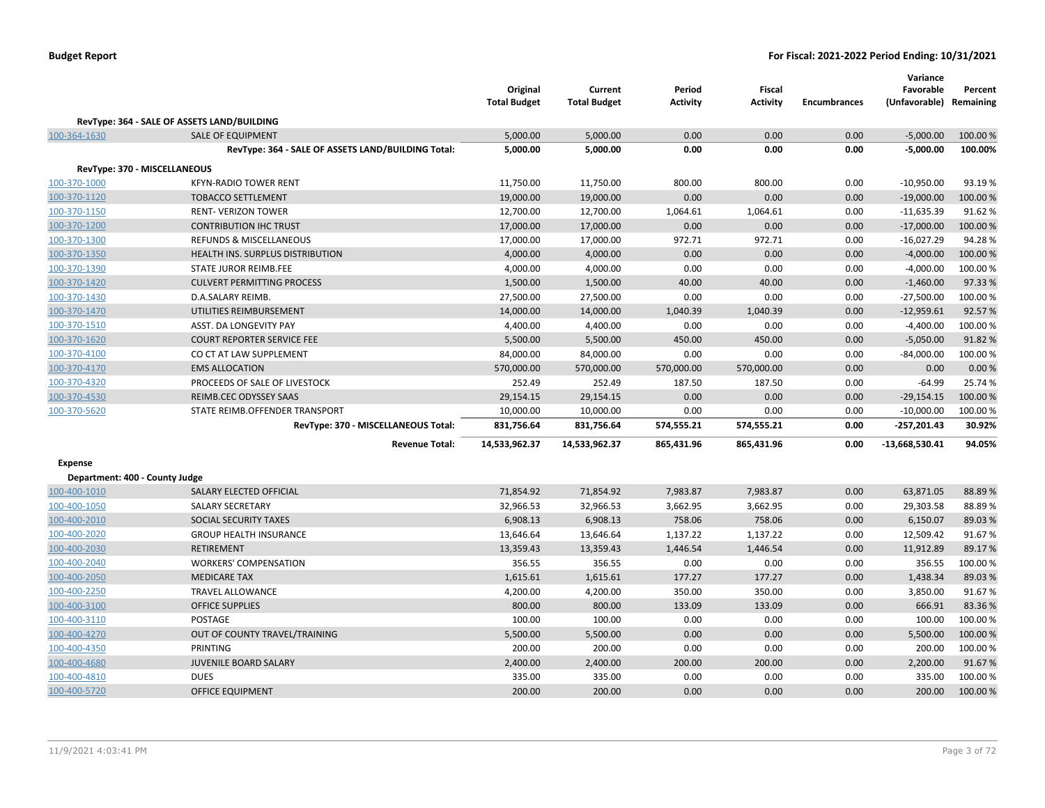|                                |                                                        | Original<br><b>Total Budget</b> | Current<br><b>Total Budget</b> | Period<br>Activity | <b>Fiscal</b><br><b>Activity</b> | <b>Encumbrances</b> | Variance<br>Favorable<br>(Unfavorable) Remaining | Percent             |
|--------------------------------|--------------------------------------------------------|---------------------------------|--------------------------------|--------------------|----------------------------------|---------------------|--------------------------------------------------|---------------------|
|                                | RevType: 364 - SALE OF ASSETS LAND/BUILDING            |                                 |                                |                    |                                  |                     |                                                  |                     |
| 100-364-1630                   | <b>SALE OF EQUIPMENT</b>                               | 5,000.00                        | 5,000.00                       | 0.00               | 0.00                             | 0.00                | $-5,000.00$                                      | 100.00 %            |
|                                | RevType: 364 - SALE OF ASSETS LAND/BUILDING Total:     | 5,000.00                        | 5,000.00                       | 0.00               | 0.00                             | 0.00                | $-5,000.00$                                      | 100.00%             |
|                                | RevType: 370 - MISCELLANEOUS                           |                                 |                                |                    |                                  |                     |                                                  |                     |
|                                | <b>KFYN-RADIO TOWER RENT</b>                           |                                 |                                | 800.00             | 800.00                           | 0.00                | $-10,950.00$                                     | 93.19%              |
| 100-370-1000                   | <b>TOBACCO SETTLEMENT</b>                              | 11,750.00                       | 11,750.00                      | 0.00               | 0.00                             | 0.00                |                                                  |                     |
| 100-370-1120<br>100-370-1150   | <b>RENT- VERIZON TOWER</b>                             | 19,000.00<br>12,700.00          | 19,000.00<br>12,700.00         | 1,064.61           | 1,064.61                         | 0.00                | $-19,000.00$<br>$-11,635.39$                     | 100.00 %<br>91.62%  |
| 100-370-1200                   | <b>CONTRIBUTION IHC TRUST</b>                          | 17,000.00                       | 17,000.00                      | 0.00               | 0.00                             | 0.00                | $-17,000.00$                                     | 100.00 %            |
|                                | REFUNDS & MISCELLANEOUS                                | 17,000.00                       |                                | 972.71             | 972.71                           | 0.00                | $-16,027.29$                                     | 94.28%              |
| 100-370-1300                   |                                                        |                                 | 17,000.00                      |                    | 0.00                             |                     |                                                  |                     |
| 100-370-1350                   | HEALTH INS. SURPLUS DISTRIBUTION                       | 4,000.00                        | 4,000.00                       | 0.00               |                                  | 0.00                | $-4,000.00$                                      | 100.00 %            |
| 100-370-1390                   | <b>STATE JUROR REIMB.FEE</b>                           | 4,000.00                        | 4,000.00                       | 0.00               | 0.00                             | 0.00                | $-4,000.00$                                      | 100.00 %            |
| 100-370-1420                   | <b>CULVERT PERMITTING PROCESS</b><br>D.A.SALARY REIMB. | 1,500.00                        | 1,500.00                       | 40.00<br>0.00      | 40.00<br>0.00                    | 0.00<br>0.00        | $-1,460.00$                                      | 97.33 %<br>100.00 % |
| 100-370-1430                   |                                                        | 27,500.00                       | 27,500.00                      |                    |                                  |                     | $-27,500.00$                                     |                     |
| 100-370-1470                   | UTILITIES REIMBURSEMENT                                | 14,000.00                       | 14,000.00                      | 1,040.39           | 1,040.39                         | 0.00                | $-12,959.61$                                     | 92.57%              |
| 100-370-1510                   | ASST. DA LONGEVITY PAY                                 | 4,400.00                        | 4,400.00                       | 0.00               | 0.00                             | 0.00                | $-4,400.00$                                      | 100.00%             |
| 100-370-1620                   | <b>COURT REPORTER SERVICE FEE</b>                      | 5,500.00                        | 5,500.00                       | 450.00             | 450.00                           | 0.00                | $-5,050.00$                                      | 91.82%              |
| 100-370-4100                   | CO CT AT LAW SUPPLEMENT                                | 84,000.00                       | 84,000.00                      | 0.00               | 0.00                             | 0.00                | $-84,000.00$                                     | 100.00%             |
| 100-370-4170                   | <b>EMS ALLOCATION</b>                                  | 570,000.00                      | 570,000.00                     | 570,000.00         | 570,000.00                       | 0.00                | 0.00                                             | 0.00%               |
| 100-370-4320                   | PROCEEDS OF SALE OF LIVESTOCK                          | 252.49                          | 252.49                         | 187.50             | 187.50                           | 0.00                | $-64.99$                                         | 25.74 %             |
| 100-370-4530                   | <b>REIMB.CEC ODYSSEY SAAS</b>                          | 29,154.15                       | 29,154.15                      | 0.00               | 0.00                             | 0.00                | $-29,154.15$                                     | 100.00 %            |
| 100-370-5620                   | STATE REIMB.OFFENDER TRANSPORT                         | 10,000.00                       | 10,000.00                      | 0.00               | 0.00                             | 0.00                | $-10,000.00$                                     | 100.00%             |
|                                | RevType: 370 - MISCELLANEOUS Total:                    | 831,756.64                      | 831,756.64                     | 574,555.21         | 574,555.21                       | 0.00                | $-257,201.43$                                    | 30.92%              |
|                                | <b>Revenue Total:</b>                                  | 14,533,962.37                   | 14,533,962.37                  | 865,431.96         | 865,431.96                       | 0.00                | $-13,668,530.41$                                 | 94.05%              |
| <b>Expense</b>                 |                                                        |                                 |                                |                    |                                  |                     |                                                  |                     |
| Department: 400 - County Judge |                                                        |                                 |                                |                    |                                  |                     |                                                  |                     |
| 100-400-1010                   | SALARY ELECTED OFFICIAL                                | 71,854.92                       | 71,854.92                      | 7,983.87           | 7,983.87                         | 0.00                | 63,871.05                                        | 88.89%              |
| 100-400-1050                   | <b>SALARY SECRETARY</b>                                | 32,966.53                       | 32,966.53                      | 3,662.95           | 3,662.95                         | 0.00                | 29,303.58                                        | 88.89%              |
| 100-400-2010                   | SOCIAL SECURITY TAXES                                  | 6,908.13                        | 6,908.13                       | 758.06             | 758.06                           | 0.00                | 6,150.07                                         | 89.03%              |
| 100-400-2020                   | <b>GROUP HEALTH INSURANCE</b>                          | 13,646.64                       | 13,646.64                      | 1,137.22           | 1,137.22                         | 0.00                | 12,509.42                                        | 91.67%              |
| 100-400-2030                   | <b>RETIREMENT</b>                                      | 13,359.43                       | 13,359.43                      | 1,446.54           | 1,446.54                         | 0.00                | 11,912.89                                        | 89.17%              |
| 100-400-2040                   | <b>WORKERS' COMPENSATION</b>                           | 356.55                          | 356.55                         | 0.00               | 0.00                             | 0.00                | 356.55                                           | 100.00 %            |
| 100-400-2050                   | <b>MEDICARE TAX</b>                                    | 1,615.61                        | 1,615.61                       | 177.27             | 177.27                           | 0.00                | 1,438.34                                         | 89.03%              |
| 100-400-2250                   | <b>TRAVEL ALLOWANCE</b>                                | 4,200.00                        | 4,200.00                       | 350.00             | 350.00                           | 0.00                | 3,850.00                                         | 91.67%              |
| 100-400-3100                   | <b>OFFICE SUPPLIES</b>                                 | 800.00                          | 800.00                         | 133.09             | 133.09                           | 0.00                | 666.91                                           | 83.36%              |
| 100-400-3110                   | <b>POSTAGE</b>                                         | 100.00                          | 100.00                         | 0.00               | 0.00                             | 0.00                | 100.00                                           | 100.00%             |
| 100-400-4270                   | OUT OF COUNTY TRAVEL/TRAINING                          | 5,500.00                        | 5,500.00                       | 0.00               | 0.00                             | 0.00                | 5,500.00                                         | 100.00 %            |
| 100-400-4350                   | PRINTING                                               | 200.00                          | 200.00                         | 0.00               | 0.00                             | 0.00                | 200.00                                           | 100.00%             |
| 100-400-4680                   | JUVENILE BOARD SALARY                                  | 2,400.00                        | 2,400.00                       | 200.00             | 200.00                           | 0.00                | 2,200.00                                         | 91.67%              |
| 100-400-4810                   | <b>DUES</b>                                            | 335.00                          | 335.00                         | 0.00               | 0.00                             | 0.00                | 335.00                                           | 100.00 %            |
| 100-400-5720                   | <b>OFFICE EQUIPMENT</b>                                | 200.00                          | 200.00                         | 0.00               | 0.00                             | 0.00                | 200.00                                           | 100.00 %            |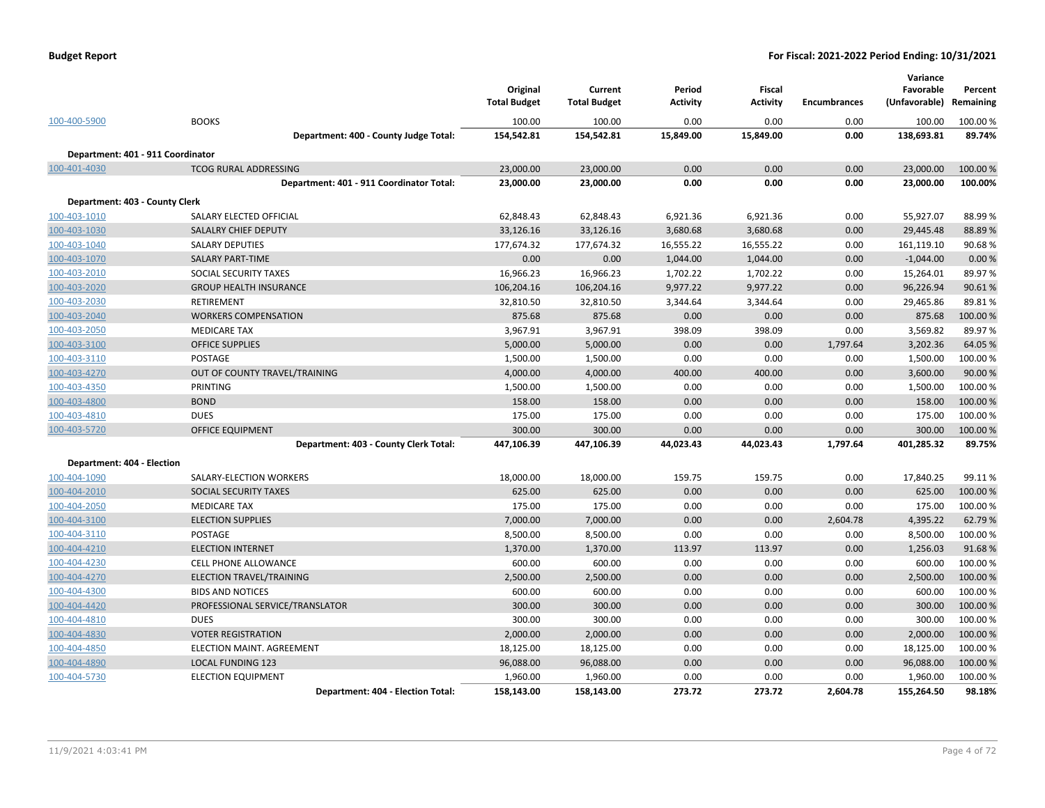|  | <b>Budget Report</b> |
|--|----------------------|
|--|----------------------|

|                                   |                                          | Original            | Current             | Period          | <b>Fiscal</b>   |                     | Variance<br>Favorable | Percent   |
|-----------------------------------|------------------------------------------|---------------------|---------------------|-----------------|-----------------|---------------------|-----------------------|-----------|
|                                   |                                          | <b>Total Budget</b> | <b>Total Budget</b> | <b>Activity</b> | <b>Activity</b> | <b>Encumbrances</b> | (Unfavorable)         | Remaining |
| 100-400-5900                      | <b>BOOKS</b>                             | 100.00              | 100.00              | 0.00            | 0.00            | 0.00                | 100.00                | 100.00 %  |
|                                   | Department: 400 - County Judge Total:    | 154,542.81          | 154,542.81          | 15,849.00       | 15,849.00       | 0.00                | 138,693.81            | 89.74%    |
| Department: 401 - 911 Coordinator |                                          |                     |                     |                 |                 |                     |                       |           |
| 100-401-4030                      | <b>TCOG RURAL ADDRESSING</b>             | 23,000.00           | 23,000.00           | 0.00            | 0.00            | 0.00                | 23,000.00             | 100.00 %  |
|                                   | Department: 401 - 911 Coordinator Total: | 23,000.00           | 23,000.00           | 0.00            | 0.00            | 0.00                | 23,000.00             | 100.00%   |
| Department: 403 - County Clerk    |                                          |                     |                     |                 |                 |                     |                       |           |
| 100-403-1010                      | SALARY ELECTED OFFICIAL                  | 62,848.43           | 62,848.43           | 6,921.36        | 6,921.36        | 0.00                | 55,927.07             | 88.99%    |
| 100-403-1030                      | <b>SALALRY CHIEF DEPUTY</b>              | 33,126.16           | 33,126.16           | 3,680.68        | 3,680.68        | 0.00                | 29,445.48             | 88.89%    |
| 100-403-1040                      | <b>SALARY DEPUTIES</b>                   | 177,674.32          | 177,674.32          | 16,555.22       | 16,555.22       | 0.00                | 161,119.10            | 90.68%    |
| 100-403-1070                      | <b>SALARY PART-TIME</b>                  | 0.00                | 0.00                | 1,044.00        | 1,044.00        | 0.00                | $-1,044.00$           | 0.00%     |
| 100-403-2010                      | SOCIAL SECURITY TAXES                    | 16,966.23           | 16,966.23           | 1,702.22        | 1,702.22        | 0.00                | 15,264.01             | 89.97%    |
| 100-403-2020                      | <b>GROUP HEALTH INSURANCE</b>            | 106,204.16          | 106,204.16          | 9,977.22        | 9,977.22        | 0.00                | 96,226.94             | 90.61%    |
| 100-403-2030                      | <b>RETIREMENT</b>                        | 32,810.50           | 32,810.50           | 3,344.64        | 3,344.64        | 0.00                | 29,465.86             | 89.81%    |
| 100-403-2040                      | <b>WORKERS COMPENSATION</b>              | 875.68              | 875.68              | 0.00            | 0.00            | 0.00                | 875.68                | 100.00 %  |
| 100-403-2050                      | <b>MEDICARE TAX</b>                      | 3,967.91            | 3,967.91            | 398.09          | 398.09          | 0.00                | 3,569.82              | 89.97%    |
| 100-403-3100                      | <b>OFFICE SUPPLIES</b>                   | 5,000.00            | 5,000.00            | 0.00            | 0.00            | 1,797.64            | 3,202.36              | 64.05%    |
| 100-403-3110                      | <b>POSTAGE</b>                           | 1,500.00            | 1,500.00            | 0.00            | 0.00            | 0.00                | 1,500.00              | 100.00%   |
| 100-403-4270                      | OUT OF COUNTY TRAVEL/TRAINING            | 4,000.00            | 4,000.00            | 400.00          | 400.00          | 0.00                | 3,600.00              | 90.00%    |
| 100-403-4350                      | <b>PRINTING</b>                          | 1,500.00            | 1,500.00            | 0.00            | 0.00            | 0.00                | 1,500.00              | 100.00%   |
| 100-403-4800                      | <b>BOND</b>                              | 158.00              | 158.00              | 0.00            | 0.00            | 0.00                | 158.00                | 100.00 %  |
| 100-403-4810                      | <b>DUES</b>                              | 175.00              | 175.00              | 0.00            | 0.00            | 0.00                | 175.00                | 100.00%   |
| 100-403-5720                      | <b>OFFICE EQUIPMENT</b>                  | 300.00              | 300.00              | 0.00            | 0.00            | 0.00                | 300.00                | 100.00 %  |
|                                   | Department: 403 - County Clerk Total:    | 447,106.39          | 447,106.39          | 44,023.43       | 44,023.43       | 1,797.64            | 401,285.32            | 89.75%    |
| Department: 404 - Election        |                                          |                     |                     |                 |                 |                     |                       |           |
| 100-404-1090                      | SALARY-ELECTION WORKERS                  | 18,000.00           | 18,000.00           | 159.75          | 159.75          | 0.00                | 17,840.25             | 99.11%    |
| 100-404-2010                      | SOCIAL SECURITY TAXES                    | 625.00              | 625.00              | 0.00            | 0.00            | 0.00                | 625.00                | 100.00 %  |
| 100-404-2050                      | <b>MEDICARE TAX</b>                      | 175.00              | 175.00              | 0.00            | 0.00            | 0.00                | 175.00                | 100.00%   |
| 100-404-3100                      | <b>ELECTION SUPPLIES</b>                 | 7,000.00            | 7,000.00            | 0.00            | 0.00            | 2,604.78            | 4,395.22              | 62.79%    |
| 100-404-3110                      | POSTAGE                                  | 8,500.00            | 8,500.00            | 0.00            | 0.00            | 0.00                | 8,500.00              | 100.00%   |
| 100-404-4210                      | <b>ELECTION INTERNET</b>                 | 1,370.00            | 1,370.00            | 113.97          | 113.97          | 0.00                | 1,256.03              | 91.68%    |
| 100-404-4230                      | CELL PHONE ALLOWANCE                     | 600.00              | 600.00              | 0.00            | 0.00            | 0.00                | 600.00                | 100.00%   |
| 100-404-4270                      | ELECTION TRAVEL/TRAINING                 | 2,500.00            | 2,500.00            | 0.00            | 0.00            | 0.00                | 2,500.00              | 100.00%   |
| 100-404-4300                      | <b>BIDS AND NOTICES</b>                  | 600.00              | 600.00              | 0.00            | 0.00            | 0.00                | 600.00                | 100.00 %  |
| 100-404-4420                      | PROFESSIONAL SERVICE/TRANSLATOR          | 300.00              | 300.00              | 0.00            | 0.00            | 0.00                | 300.00                | 100.00 %  |
| 100-404-4810                      | <b>DUES</b>                              | 300.00              | 300.00              | 0.00            | 0.00            | 0.00                | 300.00                | 100.00%   |
| 100-404-4830                      | <b>VOTER REGISTRATION</b>                | 2,000.00            | 2,000.00            | 0.00            | 0.00            | 0.00                | 2,000.00              | 100.00 %  |
| 100-404-4850                      | ELECTION MAINT. AGREEMENT                | 18,125.00           | 18,125.00           | 0.00            | 0.00            | 0.00                | 18,125.00             | 100.00 %  |
| 100-404-4890                      | <b>LOCAL FUNDING 123</b>                 | 96,088.00           | 96,088.00           | 0.00            | 0.00            | 0.00                | 96,088.00             | 100.00 %  |
| 100-404-5730                      | <b>ELECTION EQUIPMENT</b>                | 1,960.00            | 1,960.00            | 0.00            | 0.00            | 0.00                | 1,960.00              | 100.00%   |
|                                   | Department: 404 - Election Total:        | 158,143.00          | 158,143.00          | 273.72          | 273.72          | 2,604.78            | 155,264.50            | 98.18%    |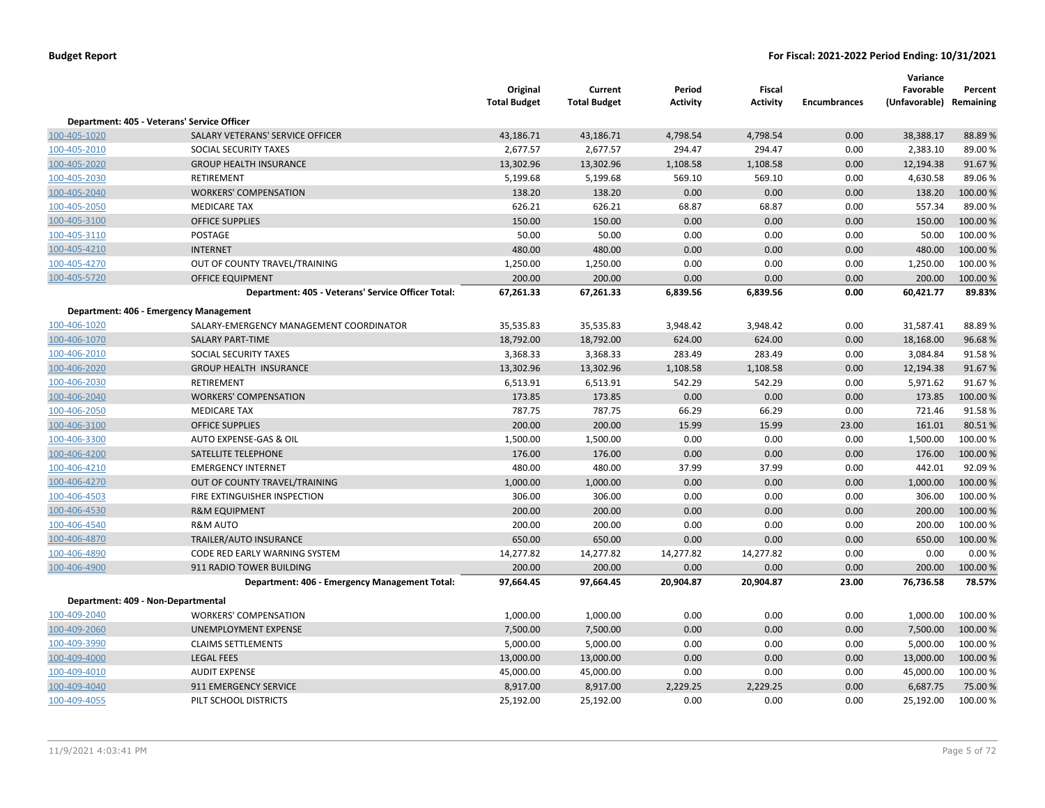|              |                                                    | Original<br><b>Total Budget</b> | Current<br><b>Total Budget</b> | Period<br><b>Activity</b> | <b>Fiscal</b><br><b>Activity</b> | <b>Encumbrances</b> | Variance<br>Favorable<br>(Unfavorable) Remaining | Percent  |
|--------------|----------------------------------------------------|---------------------------------|--------------------------------|---------------------------|----------------------------------|---------------------|--------------------------------------------------|----------|
|              | Department: 405 - Veterans' Service Officer        |                                 |                                |                           |                                  |                     |                                                  |          |
| 100-405-1020 | SALARY VETERANS' SERVICE OFFICER                   | 43,186.71                       | 43,186.71                      | 4,798.54                  | 4,798.54                         | 0.00                | 38,388.17                                        | 88.89%   |
| 100-405-2010 | SOCIAL SECURITY TAXES                              | 2,677.57                        | 2,677.57                       | 294.47                    | 294.47                           | 0.00                | 2,383.10                                         | 89.00%   |
| 100-405-2020 | <b>GROUP HEALTH INSURANCE</b>                      | 13,302.96                       | 13,302.96                      | 1,108.58                  | 1,108.58                         | 0.00                | 12,194.38                                        | 91.67%   |
| 100-405-2030 | RETIREMENT                                         | 5,199.68                        | 5,199.68                       | 569.10                    | 569.10                           | 0.00                | 4,630.58                                         | 89.06%   |
| 100-405-2040 | <b>WORKERS' COMPENSATION</b>                       | 138.20                          | 138.20                         | 0.00                      | 0.00                             | 0.00                | 138.20                                           | 100.00%  |
| 100-405-2050 | <b>MEDICARE TAX</b>                                | 626.21                          | 626.21                         | 68.87                     | 68.87                            | 0.00                | 557.34                                           | 89.00%   |
| 100-405-3100 | <b>OFFICE SUPPLIES</b>                             | 150.00                          | 150.00                         | 0.00                      | 0.00                             | 0.00                | 150.00                                           | 100.00 % |
| 100-405-3110 | POSTAGE                                            | 50.00                           | 50.00                          | 0.00                      | 0.00                             | 0.00                | 50.00                                            | 100.00%  |
| 100-405-4210 | <b>INTERNET</b>                                    | 480.00                          | 480.00                         | 0.00                      | 0.00                             | 0.00                | 480.00                                           | 100.00 % |
| 100-405-4270 | OUT OF COUNTY TRAVEL/TRAINING                      | 1,250.00                        | 1,250.00                       | 0.00                      | 0.00                             | 0.00                | 1,250.00                                         | 100.00%  |
| 100-405-5720 | OFFICE EQUIPMENT                                   | 200.00                          | 200.00                         | 0.00                      | 0.00                             | 0.00                | 200.00                                           | 100.00 % |
|              | Department: 405 - Veterans' Service Officer Total: | 67,261.33                       | 67,261.33                      | 6,839.56                  | 6,839.56                         | 0.00                | 60,421.77                                        | 89.83%   |
|              | Department: 406 - Emergency Management             |                                 |                                |                           |                                  |                     |                                                  |          |
| 100-406-1020 | SALARY-EMERGENCY MANAGEMENT COORDINATOR            | 35,535.83                       | 35,535.83                      | 3,948.42                  | 3,948.42                         | 0.00                | 31,587.41                                        | 88.89%   |
| 100-406-1070 | <b>SALARY PART-TIME</b>                            | 18,792.00                       | 18,792.00                      | 624.00                    | 624.00                           | 0.00                | 18,168.00                                        | 96.68%   |
| 100-406-2010 | SOCIAL SECURITY TAXES                              | 3,368.33                        | 3,368.33                       | 283.49                    | 283.49                           | 0.00                | 3,084.84                                         | 91.58%   |
| 100-406-2020 | <b>GROUP HEALTH INSURANCE</b>                      | 13,302.96                       | 13,302.96                      | 1,108.58                  | 1,108.58                         | 0.00                | 12,194.38                                        | 91.67%   |
| 100-406-2030 | RETIREMENT                                         | 6,513.91                        | 6,513.91                       | 542.29                    | 542.29                           | 0.00                | 5,971.62                                         | 91.67%   |
| 100-406-2040 | <b>WORKERS' COMPENSATION</b>                       | 173.85                          | 173.85                         | 0.00                      | 0.00                             | 0.00                | 173.85                                           | 100.00%  |
| 100-406-2050 | <b>MEDICARE TAX</b>                                | 787.75                          | 787.75                         | 66.29                     | 66.29                            | 0.00                | 721.46                                           | 91.58%   |
| 100-406-3100 | <b>OFFICE SUPPLIES</b>                             | 200.00                          | 200.00                         | 15.99                     | 15.99                            | 23.00               | 161.01                                           | 80.51%   |
| 100-406-3300 | AUTO EXPENSE-GAS & OIL                             | 1,500.00                        | 1,500.00                       | 0.00                      | 0.00                             | 0.00                | 1,500.00                                         | 100.00%  |
| 100-406-4200 | SATELLITE TELEPHONE                                | 176.00                          | 176.00                         | 0.00                      | 0.00                             | 0.00                | 176.00                                           | 100.00 % |
| 100-406-4210 | <b>EMERGENCY INTERNET</b>                          | 480.00                          | 480.00                         | 37.99                     | 37.99                            | 0.00                | 442.01                                           | 92.09%   |
| 100-406-4270 | OUT OF COUNTY TRAVEL/TRAINING                      | 1,000.00                        | 1,000.00                       | 0.00                      | 0.00                             | 0.00                | 1,000.00                                         | 100.00 % |
| 100-406-4503 | FIRE EXTINGUISHER INSPECTION                       | 306.00                          | 306.00                         | 0.00                      | 0.00                             | 0.00                | 306.00                                           | 100.00%  |
| 100-406-4530 | <b>R&amp;M EQUIPMENT</b>                           | 200.00                          | 200.00                         | 0.00                      | 0.00                             | 0.00                | 200.00                                           | 100.00%  |
| 100-406-4540 | <b>R&amp;M AUTO</b>                                | 200.00                          | 200.00                         | 0.00                      | 0.00                             | 0.00                | 200.00                                           | 100.00%  |
| 100-406-4870 | TRAILER/AUTO INSURANCE                             | 650.00                          | 650.00                         | 0.00                      | 0.00                             | 0.00                | 650.00                                           | 100.00 % |
| 100-406-4890 | CODE RED EARLY WARNING SYSTEM                      | 14,277.82                       | 14,277.82                      | 14,277.82                 | 14,277.82                        | 0.00                | 0.00                                             | 0.00%    |
| 100-406-4900 | 911 RADIO TOWER BUILDING                           | 200.00                          | 200.00                         | 0.00                      | 0.00                             | 0.00                | 200.00                                           | 100.00%  |
|              | Department: 406 - Emergency Management Total:      | 97,664.45                       | 97,664.45                      | 20,904.87                 | 20,904.87                        | 23.00               | 76,736.58                                        | 78.57%   |
|              | Department: 409 - Non-Departmental                 |                                 |                                |                           |                                  |                     |                                                  |          |
| 100-409-2040 | <b>WORKERS' COMPENSATION</b>                       | 1,000.00                        | 1,000.00                       | 0.00                      | 0.00                             | 0.00                | 1,000.00                                         | 100.00%  |
| 100-409-2060 | UNEMPLOYMENT EXPENSE                               | 7,500.00                        | 7,500.00                       | 0.00                      | 0.00                             | 0.00                | 7,500.00                                         | 100.00%  |
| 100-409-3990 | <b>CLAIMS SETTLEMENTS</b>                          | 5,000.00                        | 5,000.00                       | 0.00                      | 0.00                             | 0.00                | 5,000.00                                         | 100.00 % |
| 100-409-4000 | <b>LEGAL FEES</b>                                  | 13,000.00                       | 13,000.00                      | 0.00                      | 0.00                             | 0.00                | 13,000.00                                        | 100.00 % |
| 100-409-4010 | <b>AUDIT EXPENSE</b>                               | 45,000.00                       | 45,000.00                      | 0.00                      | 0.00                             | 0.00                | 45,000.00                                        | 100.00%  |
| 100-409-4040 | 911 EMERGENCY SERVICE                              | 8,917.00                        | 8,917.00                       | 2,229.25                  | 2,229.25                         | 0.00                | 6,687.75                                         | 75.00 %  |
| 100-409-4055 | PILT SCHOOL DISTRICTS                              | 25,192.00                       | 25,192.00                      | 0.00                      | 0.00                             | 0.00                | 25,192.00                                        | 100.00%  |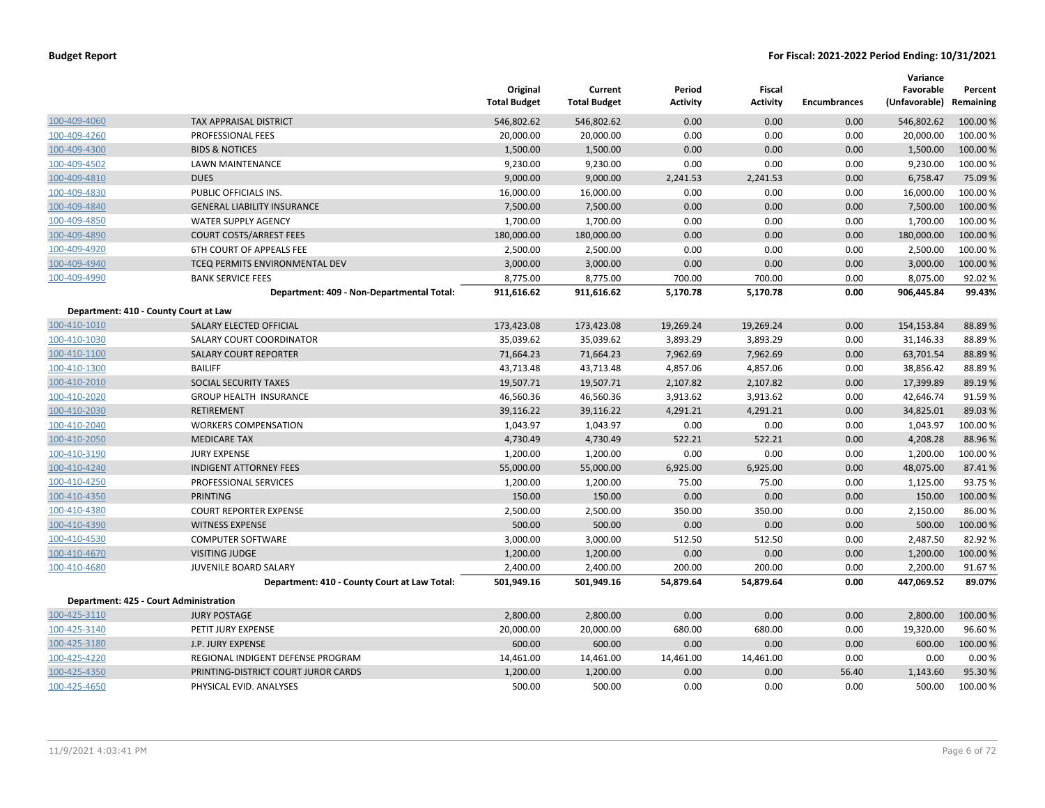|              |                                              | Original<br><b>Total Budget</b> | Current<br><b>Total Budget</b> | Period<br><b>Activity</b> | Fiscal<br><b>Activity</b> | <b>Encumbrances</b> | Variance<br>Favorable<br>(Unfavorable) | Percent<br>Remaining |
|--------------|----------------------------------------------|---------------------------------|--------------------------------|---------------------------|---------------------------|---------------------|----------------------------------------|----------------------|
| 100-409-4060 | <b>TAX APPRAISAL DISTRICT</b>                | 546,802.62                      | 546,802.62                     | 0.00                      | 0.00                      | 0.00                | 546,802.62                             | 100.00 %             |
| 100-409-4260 | PROFESSIONAL FEES                            | 20,000.00                       | 20,000.00                      | 0.00                      | 0.00                      | 0.00                | 20,000.00                              | 100.00 %             |
| 100-409-4300 | <b>BIDS &amp; NOTICES</b>                    | 1,500.00                        | 1,500.00                       | 0.00                      | 0.00                      | 0.00                | 1,500.00                               | 100.00 %             |
| 100-409-4502 | <b>LAWN MAINTENANCE</b>                      | 9,230.00                        | 9,230.00                       | 0.00                      | 0.00                      | 0.00                | 9,230.00                               | 100.00%              |
| 100-409-4810 | <b>DUES</b>                                  | 9,000.00                        | 9,000.00                       | 2,241.53                  | 2,241.53                  | 0.00                | 6,758.47                               | 75.09%               |
| 100-409-4830 | PUBLIC OFFICIALS INS.                        | 16,000.00                       | 16,000.00                      | 0.00                      | 0.00                      | 0.00                | 16,000.00                              | 100.00%              |
| 100-409-4840 | <b>GENERAL LIABILITY INSURANCE</b>           | 7,500.00                        | 7,500.00                       | 0.00                      | 0.00                      | 0.00                | 7,500.00                               | 100.00%              |
| 100-409-4850 | <b>WATER SUPPLY AGENCY</b>                   | 1,700.00                        | 1,700.00                       | 0.00                      | 0.00                      | 0.00                | 1,700.00                               | 100.00 %             |
| 100-409-4890 | <b>COURT COSTS/ARREST FEES</b>               | 180,000.00                      | 180,000.00                     | 0.00                      | 0.00                      | 0.00                | 180,000.00                             | 100.00 %             |
| 100-409-4920 | <b>6TH COURT OF APPEALS FEE</b>              | 2,500.00                        | 2,500.00                       | 0.00                      | 0.00                      | 0.00                | 2,500.00                               | 100.00 %             |
| 100-409-4940 | TCEQ PERMITS ENVIRONMENTAL DEV               | 3,000.00                        | 3,000.00                       | 0.00                      | 0.00                      | 0.00                | 3,000.00                               | 100.00%              |
| 100-409-4990 | <b>BANK SERVICE FEES</b>                     | 8,775.00                        | 8,775.00                       | 700.00                    | 700.00                    | 0.00                | 8,075.00                               | 92.02%               |
|              | Department: 409 - Non-Departmental Total:    | 911,616.62                      | 911,616.62                     | 5,170.78                  | 5,170.78                  | 0.00                | 906,445.84                             | 99.43%               |
|              | Department: 410 - County Court at Law        |                                 |                                |                           |                           |                     |                                        |                      |
| 100-410-1010 | SALARY ELECTED OFFICIAL                      | 173,423.08                      | 173,423.08                     | 19,269.24                 | 19,269.24                 | 0.00                | 154,153.84                             | 88.89%               |
| 100-410-1030 | SALARY COURT COORDINATOR                     | 35,039.62                       | 35,039.62                      | 3,893.29                  | 3,893.29                  | 0.00                | 31,146.33                              | 88.89%               |
| 100-410-1100 | <b>SALARY COURT REPORTER</b>                 | 71,664.23                       | 71,664.23                      | 7,962.69                  | 7,962.69                  | 0.00                | 63,701.54                              | 88.89%               |
| 100-410-1300 | <b>BAILIFF</b>                               | 43,713.48                       | 43,713.48                      | 4,857.06                  | 4,857.06                  | 0.00                | 38,856.42                              | 88.89%               |
| 100-410-2010 | SOCIAL SECURITY TAXES                        | 19,507.71                       | 19,507.71                      | 2,107.82                  | 2,107.82                  | 0.00                | 17,399.89                              | 89.19%               |
| 100-410-2020 | <b>GROUP HEALTH INSURANCE</b>                | 46,560.36                       | 46,560.36                      | 3,913.62                  | 3,913.62                  | 0.00                | 42,646.74                              | 91.59%               |
| 100-410-2030 | <b>RETIREMENT</b>                            | 39,116.22                       | 39,116.22                      | 4,291.21                  | 4,291.21                  | 0.00                | 34,825.01                              | 89.03 %              |
| 100-410-2040 | <b>WORKERS COMPENSATION</b>                  | 1,043.97                        | 1,043.97                       | 0.00                      | 0.00                      | 0.00                | 1,043.97                               | 100.00%              |
| 100-410-2050 | <b>MEDICARE TAX</b>                          | 4,730.49                        | 4,730.49                       | 522.21                    | 522.21                    | 0.00                | 4,208.28                               | 88.96%               |
| 100-410-3190 | <b>JURY EXPENSE</b>                          | 1,200.00                        | 1,200.00                       | 0.00                      | 0.00                      | 0.00                | 1,200.00                               | 100.00%              |
| 100-410-4240 | <b>INDIGENT ATTORNEY FEES</b>                | 55,000.00                       | 55,000.00                      | 6,925.00                  | 6,925.00                  | 0.00                | 48,075.00                              | 87.41%               |
| 100-410-4250 | PROFESSIONAL SERVICES                        | 1,200.00                        | 1,200.00                       | 75.00                     | 75.00                     | 0.00                | 1,125.00                               | 93.75%               |
| 100-410-4350 | <b>PRINTING</b>                              | 150.00                          | 150.00                         | 0.00                      | 0.00                      | 0.00                | 150.00                                 | 100.00 %             |
| 100-410-4380 | <b>COURT REPORTER EXPENSE</b>                | 2,500.00                        | 2,500.00                       | 350.00                    | 350.00                    | 0.00                | 2,150.00                               | 86.00%               |
| 100-410-4390 | <b>WITNESS EXPENSE</b>                       | 500.00                          | 500.00                         | 0.00                      | 0.00                      | 0.00                | 500.00                                 | 100.00 %             |
| 100-410-4530 | <b>COMPUTER SOFTWARE</b>                     | 3,000.00                        | 3,000.00                       | 512.50                    | 512.50                    | 0.00                | 2,487.50                               | 82.92%               |
| 100-410-4670 | <b>VISITING JUDGE</b>                        | 1,200.00                        | 1,200.00                       | 0.00                      | 0.00                      | 0.00                | 1,200.00                               | 100.00%              |
| 100-410-4680 | JUVENILE BOARD SALARY                        | 2,400.00                        | 2,400.00                       | 200.00                    | 200.00                    | 0.00                | 2,200.00                               | 91.67%               |
|              | Department: 410 - County Court at Law Total: | 501,949.16                      | 501,949.16                     | 54,879.64                 | 54,879.64                 | 0.00                | 447,069.52                             | 89.07%               |
|              | Department: 425 - Court Administration       |                                 |                                |                           |                           |                     |                                        |                      |
| 100-425-3110 | <b>JURY POSTAGE</b>                          | 2,800.00                        | 2,800.00                       | 0.00                      | 0.00                      | 0.00                | 2,800.00                               | 100.00%              |
| 100-425-3140 | PETIT JURY EXPENSE                           | 20,000.00                       | 20,000.00                      | 680.00                    | 680.00                    | 0.00                | 19,320.00                              | 96.60%               |
| 100-425-3180 | J.P. JURY EXPENSE                            | 600.00                          | 600.00                         | 0.00                      | 0.00                      | 0.00                | 600.00                                 | 100.00 %             |
| 100-425-4220 | REGIONAL INDIGENT DEFENSE PROGRAM            | 14,461.00                       | 14,461.00                      | 14,461.00                 | 14,461.00                 | 0.00                | 0.00                                   | 0.00%                |
| 100-425-4350 | PRINTING-DISTRICT COURT JUROR CARDS          | 1,200.00                        | 1,200.00                       | 0.00                      | 0.00                      | 56.40               | 1,143.60                               | 95.30%               |
| 100-425-4650 | PHYSICAL EVID. ANALYSES                      | 500.00                          | 500.00                         | 0.00                      | 0.00                      | 0.00                | 500.00                                 | 100.00 %             |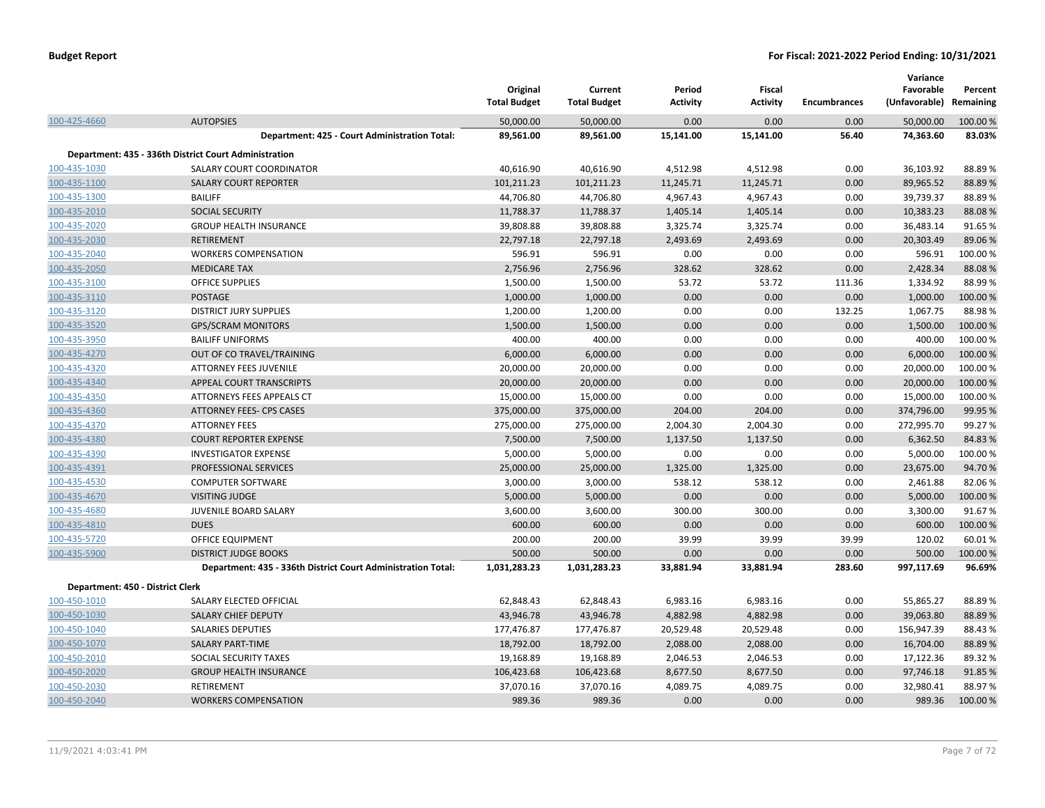|                                  |                                                              | Original<br><b>Total Budget</b> | Current<br><b>Total Budget</b> | Period<br><b>Activity</b> | <b>Fiscal</b><br><b>Activity</b> | <b>Encumbrances</b> | Variance<br>Favorable<br>(Unfavorable) | Percent<br>Remaining |
|----------------------------------|--------------------------------------------------------------|---------------------------------|--------------------------------|---------------------------|----------------------------------|---------------------|----------------------------------------|----------------------|
| 100-425-4660                     | <b>AUTOPSIES</b>                                             | 50,000.00                       | 50,000.00                      | 0.00                      | 0.00                             | 0.00                | 50,000.00                              | 100.00 %             |
|                                  | Department: 425 - Court Administration Total:                | 89,561.00                       | 89,561.00                      | 15,141.00                 | 15,141.00                        | 56.40               | 74,363.60                              | 83.03%               |
|                                  | Department: 435 - 336th District Court Administration        |                                 |                                |                           |                                  |                     |                                        |                      |
| 100-435-1030                     | SALARY COURT COORDINATOR                                     | 40,616.90                       | 40,616.90                      | 4,512.98                  | 4,512.98                         | 0.00                | 36,103.92                              | 88.89%               |
| 100-435-1100                     | <b>SALARY COURT REPORTER</b>                                 | 101,211.23                      | 101,211.23                     | 11,245.71                 | 11,245.71                        | 0.00                | 89,965.52                              | 88.89%               |
| 100-435-1300                     | <b>BAILIFF</b>                                               | 44,706.80                       | 44,706.80                      | 4,967.43                  | 4,967.43                         | 0.00                | 39,739.37                              | 88.89%               |
| 100-435-2010                     | SOCIAL SECURITY                                              | 11,788.37                       | 11,788.37                      | 1,405.14                  | 1,405.14                         | 0.00                | 10,383.23                              | 88.08%               |
| 100-435-2020                     | <b>GROUP HEALTH INSURANCE</b>                                | 39,808.88                       | 39,808.88                      | 3,325.74                  | 3,325.74                         | 0.00                | 36,483.14                              | 91.65%               |
| 100-435-2030                     | <b>RETIREMENT</b>                                            | 22,797.18                       | 22,797.18                      | 2,493.69                  | 2,493.69                         | 0.00                | 20,303.49                              | 89.06%               |
| 100-435-2040                     | <b>WORKERS COMPENSATION</b>                                  | 596.91                          | 596.91                         | 0.00                      | 0.00                             | 0.00                | 596.91                                 | 100.00%              |
| 100-435-2050                     | <b>MEDICARE TAX</b>                                          | 2,756.96                        | 2,756.96                       | 328.62                    | 328.62                           | 0.00                | 2,428.34                               | 88.08%               |
| 100-435-3100                     | <b>OFFICE SUPPLIES</b>                                       | 1,500.00                        | 1,500.00                       | 53.72                     | 53.72                            | 111.36              | 1,334.92                               | 88.99%               |
| 100-435-3110                     | POSTAGE                                                      | 1,000.00                        | 1,000.00                       | 0.00                      | 0.00                             | 0.00                | 1,000.00                               | 100.00 %             |
| 100-435-3120                     | <b>DISTRICT JURY SUPPLIES</b>                                | 1,200.00                        | 1,200.00                       | 0.00                      | 0.00                             | 132.25              | 1,067.75                               | 88.98%               |
| 100-435-3520                     | <b>GPS/SCRAM MONITORS</b>                                    | 1,500.00                        | 1,500.00                       | 0.00                      | 0.00                             | 0.00                | 1,500.00                               | 100.00 %             |
| 100-435-3950                     | <b>BAILIFF UNIFORMS</b>                                      | 400.00                          | 400.00                         | 0.00                      | 0.00                             | 0.00                | 400.00                                 | 100.00%              |
| 100-435-4270                     | OUT OF CO TRAVEL/TRAINING                                    | 6,000.00                        | 6,000.00                       | 0.00                      | 0.00                             | 0.00                | 6,000.00                               | 100.00 %             |
| 100-435-4320                     | ATTORNEY FEES JUVENILE                                       | 20,000.00                       | 20,000.00                      | 0.00                      | 0.00                             | 0.00                | 20,000.00                              | 100.00 %             |
| 100-435-4340                     | <b>APPEAL COURT TRANSCRIPTS</b>                              | 20,000.00                       | 20,000.00                      | 0.00                      | 0.00                             | 0.00                | 20,000.00                              | 100.00 %             |
| 100-435-4350                     | ATTORNEYS FEES APPEALS CT                                    | 15,000.00                       | 15,000.00                      | 0.00                      | 0.00                             | 0.00                | 15,000.00                              | 100.00%              |
| 100-435-4360                     | <b>ATTORNEY FEES- CPS CASES</b>                              | 375,000.00                      | 375,000.00                     | 204.00                    | 204.00                           | 0.00                | 374,796.00                             | 99.95 %              |
| 100-435-4370                     | <b>ATTORNEY FEES</b>                                         | 275,000.00                      | 275,000.00                     | 2,004.30                  | 2,004.30                         | 0.00                | 272,995.70                             | 99.27%               |
| 100-435-4380                     | <b>COURT REPORTER EXPENSE</b>                                | 7,500.00                        | 7,500.00                       | 1,137.50                  | 1,137.50                         | 0.00                | 6,362.50                               | 84.83%               |
| 100-435-4390                     | <b>INVESTIGATOR EXPENSE</b>                                  | 5,000.00                        | 5,000.00                       | 0.00                      | 0.00                             | 0.00                | 5,000.00                               | 100.00%              |
| 100-435-4391                     | PROFESSIONAL SERVICES                                        | 25,000.00                       | 25,000.00                      | 1,325.00                  | 1,325.00                         | 0.00                | 23,675.00                              | 94.70%               |
| 100-435-4530                     | <b>COMPUTER SOFTWARE</b>                                     | 3,000.00                        | 3,000.00                       | 538.12                    | 538.12                           | 0.00                | 2,461.88                               | 82.06%               |
| 100-435-4670                     | <b>VISITING JUDGE</b>                                        | 5,000.00                        | 5,000.00                       | 0.00                      | 0.00                             | 0.00                | 5,000.00                               | 100.00%              |
| 100-435-4680                     | JUVENILE BOARD SALARY                                        | 3,600.00                        | 3,600.00                       | 300.00                    | 300.00                           | 0.00                | 3,300.00                               | 91.67%               |
| 100-435-4810                     | <b>DUES</b>                                                  | 600.00                          | 600.00                         | 0.00                      | 0.00                             | 0.00                | 600.00                                 | 100.00 %             |
| 100-435-5720                     | OFFICE EQUIPMENT                                             | 200.00                          | 200.00                         | 39.99                     | 39.99                            | 39.99               | 120.02                                 | 60.01%               |
| 100-435-5900                     | <b>DISTRICT JUDGE BOOKS</b>                                  | 500.00                          | 500.00                         | 0.00                      | 0.00                             | 0.00                | 500.00                                 | 100.00%              |
|                                  | Department: 435 - 336th District Court Administration Total: | 1,031,283.23                    | 1,031,283.23                   | 33,881.94                 | 33,881.94                        | 283.60              | 997,117.69                             | 96.69%               |
| Department: 450 - District Clerk |                                                              |                                 |                                |                           |                                  |                     |                                        |                      |
| 100-450-1010                     | SALARY ELECTED OFFICIAL                                      | 62,848.43                       | 62,848.43                      | 6,983.16                  | 6,983.16                         | 0.00                | 55,865.27                              | 88.89%               |
| 100-450-1030                     | <b>SALARY CHIEF DEPUTY</b>                                   | 43,946.78                       | 43,946.78                      | 4,882.98                  | 4,882.98                         | 0.00                | 39,063.80                              | 88.89%               |
| 100-450-1040                     | <b>SALARIES DEPUTIES</b>                                     | 177,476.87                      | 177,476.87                     | 20,529.48                 | 20,529.48                        | 0.00                | 156,947.39                             | 88.43%               |
| 100-450-1070                     | <b>SALARY PART-TIME</b>                                      | 18,792.00                       | 18,792.00                      | 2,088.00                  | 2,088.00                         | 0.00                | 16,704.00                              | 88.89%               |
| 100-450-2010                     | SOCIAL SECURITY TAXES                                        | 19,168.89                       | 19,168.89                      | 2,046.53                  | 2,046.53                         | 0.00                | 17,122.36                              | 89.32 %              |
| 100-450-2020                     | <b>GROUP HEALTH INSURANCE</b>                                | 106,423.68                      | 106,423.68                     | 8,677.50                  | 8,677.50                         | 0.00                | 97,746.18                              | 91.85%               |
| 100-450-2030                     | <b>RETIREMENT</b>                                            | 37,070.16                       | 37,070.16                      | 4,089.75                  | 4,089.75                         | 0.00                | 32,980.41                              | 88.97%               |
| 100-450-2040                     | <b>WORKERS COMPENSATION</b>                                  | 989.36                          | 989.36                         | 0.00                      | 0.00                             | 0.00                | 989.36                                 | 100.00%              |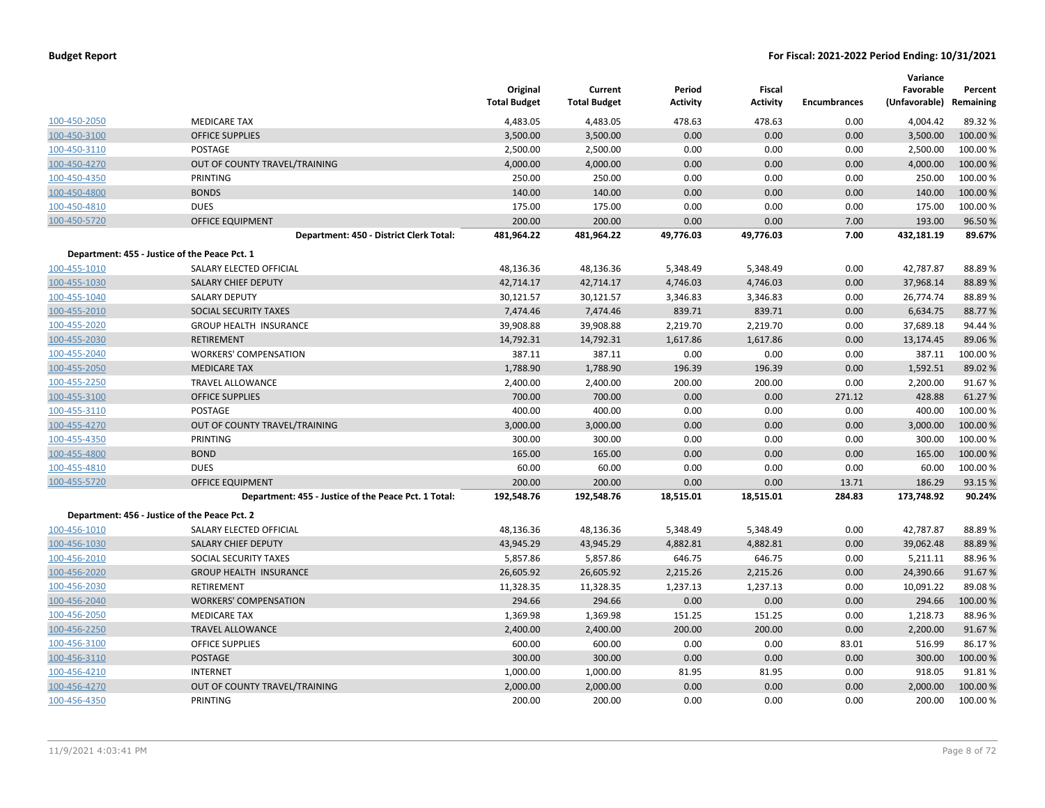|              |                                                      | Original<br><b>Total Budget</b> | Current<br><b>Total Budget</b> | Period<br><b>Activity</b> | <b>Fiscal</b><br><b>Activity</b> | <b>Encumbrances</b> | Variance<br>Favorable<br>(Unfavorable) | Percent<br>Remaining |
|--------------|------------------------------------------------------|---------------------------------|--------------------------------|---------------------------|----------------------------------|---------------------|----------------------------------------|----------------------|
| 100-450-2050 | <b>MEDICARE TAX</b>                                  | 4,483.05                        | 4,483.05                       | 478.63                    | 478.63                           | 0.00                | 4,004.42                               | 89.32%               |
| 100-450-3100 | <b>OFFICE SUPPLIES</b>                               | 3,500.00                        | 3,500.00                       | 0.00                      | 0.00                             | 0.00                | 3,500.00                               | 100.00 %             |
| 100-450-3110 | <b>POSTAGE</b>                                       | 2,500.00                        | 2,500.00                       | 0.00                      | 0.00                             | 0.00                | 2,500.00                               | 100.00%              |
| 100-450-4270 | OUT OF COUNTY TRAVEL/TRAINING                        | 4,000.00                        | 4,000.00                       | 0.00                      | 0.00                             | 0.00                | 4,000.00                               | 100.00%              |
| 100-450-4350 | <b>PRINTING</b>                                      | 250.00                          | 250.00                         | 0.00                      | 0.00                             | 0.00                | 250.00                                 | 100.00 %             |
| 100-450-4800 | <b>BONDS</b>                                         | 140.00                          | 140.00                         | 0.00                      | 0.00                             | 0.00                | 140.00                                 | 100.00 %             |
| 100-450-4810 | <b>DUES</b>                                          | 175.00                          | 175.00                         | 0.00                      | 0.00                             | 0.00                | 175.00                                 | 100.00%              |
| 100-450-5720 | <b>OFFICE EQUIPMENT</b>                              | 200.00                          | 200.00                         | 0.00                      | 0.00                             | 7.00                | 193.00                                 | 96.50%               |
|              | Department: 450 - District Clerk Total:              | 481,964.22                      | 481,964.22                     | 49,776.03                 | 49,776.03                        | 7.00                | 432,181.19                             | 89.67%               |
|              | Department: 455 - Justice of the Peace Pct. 1        |                                 |                                |                           |                                  |                     |                                        |                      |
| 100-455-1010 | SALARY ELECTED OFFICIAL                              | 48,136.36                       | 48,136.36                      | 5,348.49                  | 5,348.49                         | 0.00                | 42,787.87                              | 88.89%               |
| 100-455-1030 | <b>SALARY CHIEF DEPUTY</b>                           | 42,714.17                       | 42,714.17                      | 4,746.03                  | 4,746.03                         | 0.00                | 37,968.14                              | 88.89%               |
| 100-455-1040 | <b>SALARY DEPUTY</b>                                 | 30,121.57                       | 30,121.57                      | 3,346.83                  | 3,346.83                         | 0.00                | 26,774.74                              | 88.89%               |
| 100-455-2010 | SOCIAL SECURITY TAXES                                | 7,474.46                        | 7,474.46                       | 839.71                    | 839.71                           | 0.00                | 6,634.75                               | 88.77%               |
| 100-455-2020 | <b>GROUP HEALTH INSURANCE</b>                        | 39,908.88                       | 39,908.88                      | 2,219.70                  | 2,219.70                         | 0.00                | 37,689.18                              | 94.44 %              |
| 100-455-2030 | <b>RETIREMENT</b>                                    | 14,792.31                       | 14,792.31                      | 1,617.86                  | 1,617.86                         | 0.00                | 13,174.45                              | 89.06%               |
| 100-455-2040 | <b>WORKERS' COMPENSATION</b>                         | 387.11                          | 387.11                         | 0.00                      | 0.00                             | 0.00                | 387.11                                 | 100.00 %             |
| 100-455-2050 | <b>MEDICARE TAX</b>                                  | 1,788.90                        | 1,788.90                       | 196.39                    | 196.39                           | 0.00                | 1,592.51                               | 89.02%               |
| 100-455-2250 | TRAVEL ALLOWANCE                                     | 2,400.00                        | 2,400.00                       | 200.00                    | 200.00                           | 0.00                | 2,200.00                               | 91.67%               |
| 100-455-3100 | <b>OFFICE SUPPLIES</b>                               | 700.00                          | 700.00                         | 0.00                      | 0.00                             | 271.12              | 428.88                                 | 61.27%               |
| 100-455-3110 | POSTAGE                                              | 400.00                          | 400.00                         | 0.00                      | 0.00                             | 0.00                | 400.00                                 | 100.00%              |
| 100-455-4270 | OUT OF COUNTY TRAVEL/TRAINING                        | 3,000.00                        | 3,000.00                       | 0.00                      | 0.00                             | 0.00                | 3,000.00                               | 100.00 %             |
| 100-455-4350 | PRINTING                                             | 300.00                          | 300.00                         | 0.00                      | 0.00                             | 0.00                | 300.00                                 | 100.00%              |
| 100-455-4800 | <b>BOND</b>                                          | 165.00                          | 165.00                         | 0.00                      | 0.00                             | 0.00                | 165.00                                 | 100.00%              |
| 100-455-4810 | <b>DUES</b>                                          | 60.00                           | 60.00                          | 0.00                      | 0.00                             | 0.00                | 60.00                                  | 100.00%              |
| 100-455-5720 | <b>OFFICE EQUIPMENT</b>                              | 200.00                          | 200.00                         | 0.00                      | 0.00                             | 13.71               | 186.29                                 | 93.15 %              |
|              | Department: 455 - Justice of the Peace Pct. 1 Total: | 192,548.76                      | 192,548.76                     | 18,515.01                 | 18,515.01                        | 284.83              | 173,748.92                             | 90.24%               |
|              | Department: 456 - Justice of the Peace Pct. 2        |                                 |                                |                           |                                  |                     |                                        |                      |
| 100-456-1010 | SALARY ELECTED OFFICIAL                              | 48,136.36                       | 48,136.36                      | 5,348.49                  | 5,348.49                         | 0.00                | 42,787.87                              | 88.89%               |
| 100-456-1030 | SALARY CHIEF DEPUTY                                  | 43,945.29                       | 43,945.29                      | 4,882.81                  | 4,882.81                         | 0.00                | 39,062.48                              | 88.89%               |
| 100-456-2010 | SOCIAL SECURITY TAXES                                | 5,857.86                        | 5,857.86                       | 646.75                    | 646.75                           | 0.00                | 5,211.11                               | 88.96%               |
| 100-456-2020 | <b>GROUP HEALTH INSURANCE</b>                        | 26,605.92                       | 26,605.92                      | 2,215.26                  | 2,215.26                         | 0.00                | 24,390.66                              | 91.67%               |
| 100-456-2030 | RETIREMENT                                           | 11,328.35                       | 11,328.35                      | 1,237.13                  | 1,237.13                         | 0.00                | 10,091.22                              | 89.08%               |
| 100-456-2040 | <b>WORKERS' COMPENSATION</b>                         | 294.66                          | 294.66                         | 0.00                      | 0.00                             | 0.00                | 294.66                                 | 100.00 %             |
| 100-456-2050 | <b>MEDICARE TAX</b>                                  | 1,369.98                        | 1,369.98                       | 151.25                    | 151.25                           | 0.00                | 1,218.73                               | 88.96%               |
| 100-456-2250 | <b>TRAVEL ALLOWANCE</b>                              | 2,400.00                        | 2,400.00                       | 200.00                    | 200.00                           | 0.00                | 2,200.00                               | 91.67%               |
| 100-456-3100 | <b>OFFICE SUPPLIES</b>                               | 600.00                          | 600.00                         | 0.00                      | 0.00                             | 83.01               | 516.99                                 | 86.17%               |
| 100-456-3110 | <b>POSTAGE</b>                                       | 300.00                          | 300.00                         | 0.00                      | 0.00                             | 0.00                | 300.00                                 | 100.00%              |
| 100-456-4210 | <b>INTERNET</b>                                      | 1,000.00                        | 1,000.00                       | 81.95                     | 81.95                            | 0.00                | 918.05                                 | 91.81%               |
| 100-456-4270 | OUT OF COUNTY TRAVEL/TRAINING                        | 2,000.00                        | 2,000.00                       | 0.00                      | 0.00                             | 0.00                | 2,000.00                               | 100.00%              |
| 100-456-4350 | PRINTING                                             | 200.00                          | 200.00                         | 0.00                      | 0.00                             | 0.00                | 200.00                                 | 100.00%              |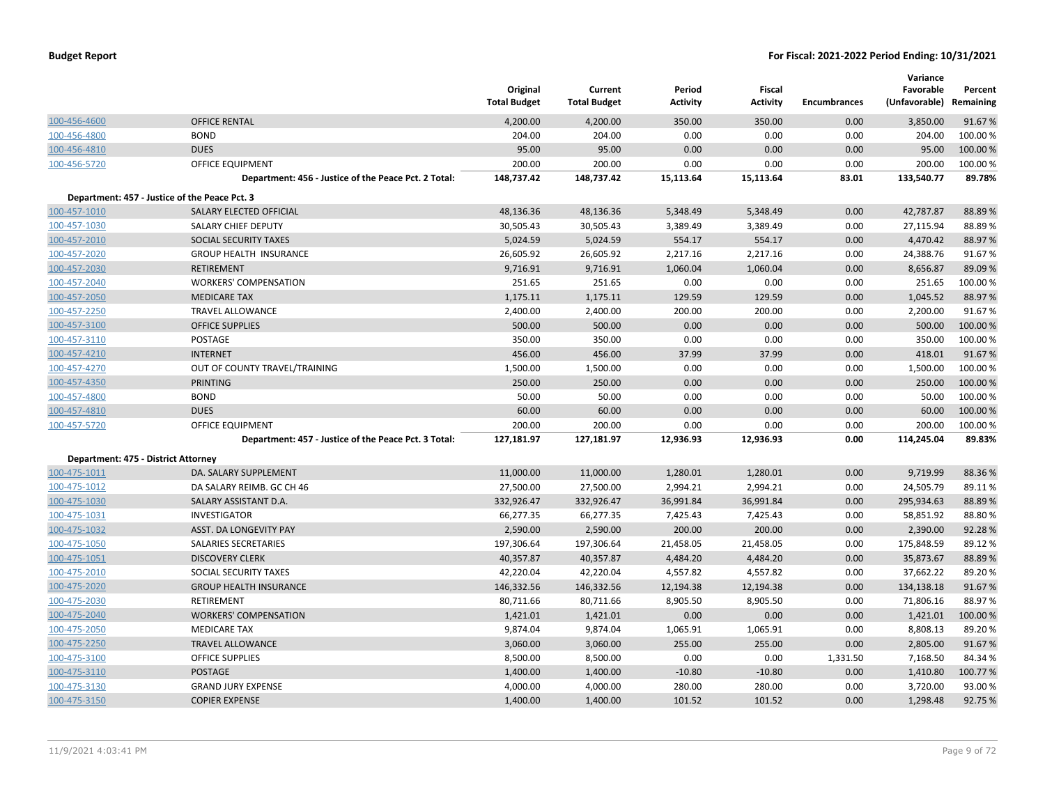|                                     |                                                      | Original<br><b>Total Budget</b> | Current<br><b>Total Budget</b> | Period<br><b>Activity</b> | <b>Fiscal</b><br><b>Activity</b> | <b>Encumbrances</b> | Variance<br>Favorable<br>(Unfavorable) | Percent<br>Remaining |
|-------------------------------------|------------------------------------------------------|---------------------------------|--------------------------------|---------------------------|----------------------------------|---------------------|----------------------------------------|----------------------|
| 100-456-4600                        | <b>OFFICE RENTAL</b>                                 | 4,200.00                        | 4,200.00                       | 350.00                    | 350.00                           | 0.00                | 3,850.00                               | 91.67%               |
| 100-456-4800                        | <b>BOND</b>                                          | 204.00                          | 204.00                         | 0.00                      | 0.00                             | 0.00                | 204.00                                 | 100.00%              |
| 100-456-4810                        | <b>DUES</b>                                          | 95.00                           | 95.00                          | 0.00                      | 0.00                             | 0.00                | 95.00                                  | 100.00%              |
| 100-456-5720                        | <b>OFFICE EQUIPMENT</b>                              | 200.00                          | 200.00                         | 0.00                      | 0.00                             | 0.00                | 200.00                                 | 100.00%              |
|                                     | Department: 456 - Justice of the Peace Pct. 2 Total: | 148,737.42                      | 148,737.42                     | 15,113.64                 | 15,113.64                        | 83.01               | 133,540.77                             | 89.78%               |
|                                     | Department: 457 - Justice of the Peace Pct. 3        |                                 |                                |                           |                                  |                     |                                        |                      |
| 100-457-1010                        | SALARY ELECTED OFFICIAL                              | 48,136.36                       | 48,136.36                      | 5,348.49                  | 5,348.49                         | 0.00                | 42,787.87                              | 88.89%               |
| 100-457-1030                        | SALARY CHIEF DEPUTY                                  | 30,505.43                       | 30,505.43                      | 3,389.49                  | 3,389.49                         | 0.00                | 27,115.94                              | 88.89%               |
| 100-457-2010                        | SOCIAL SECURITY TAXES                                | 5,024.59                        | 5,024.59                       | 554.17                    | 554.17                           | 0.00                | 4,470.42                               | 88.97%               |
| 100-457-2020                        | <b>GROUP HEALTH INSURANCE</b>                        | 26,605.92                       | 26,605.92                      | 2,217.16                  | 2,217.16                         | 0.00                | 24,388.76                              | 91.67%               |
| 100-457-2030                        | <b>RETIREMENT</b>                                    | 9,716.91                        | 9,716.91                       | 1,060.04                  | 1,060.04                         | 0.00                | 8,656.87                               | 89.09%               |
| 100-457-2040                        | <b>WORKERS' COMPENSATION</b>                         | 251.65                          | 251.65                         | 0.00                      | 0.00                             | 0.00                | 251.65                                 | 100.00%              |
| 100-457-2050                        | <b>MEDICARE TAX</b>                                  | 1,175.11                        | 1,175.11                       | 129.59                    | 129.59                           | 0.00                | 1,045.52                               | 88.97%               |
| 100-457-2250                        | <b>TRAVEL ALLOWANCE</b>                              | 2,400.00                        | 2,400.00                       | 200.00                    | 200.00                           | 0.00                | 2,200.00                               | 91.67%               |
| 100-457-3100                        | <b>OFFICE SUPPLIES</b>                               | 500.00                          | 500.00                         | 0.00                      | 0.00                             | 0.00                | 500.00                                 | 100.00%              |
| 100-457-3110                        | POSTAGE                                              | 350.00                          | 350.00                         | 0.00                      | 0.00                             | 0.00                | 350.00                                 | 100.00%              |
| 100-457-4210                        | <b>INTERNET</b>                                      | 456.00                          | 456.00                         | 37.99                     | 37.99                            | 0.00                | 418.01                                 | 91.67%               |
| 100-457-4270                        | OUT OF COUNTY TRAVEL/TRAINING                        | 1,500.00                        | 1,500.00                       | 0.00                      | 0.00                             | 0.00                | 1,500.00                               | 100.00 %             |
| 100-457-4350                        | <b>PRINTING</b>                                      | 250.00                          | 250.00                         | 0.00                      | 0.00                             | 0.00                | 250.00                                 | 100.00%              |
| 100-457-4800                        | <b>BOND</b>                                          | 50.00                           | 50.00                          | 0.00                      | 0.00                             | 0.00                | 50.00                                  | 100.00%              |
| 100-457-4810                        | <b>DUES</b>                                          | 60.00                           | 60.00                          | 0.00                      | 0.00                             | 0.00                | 60.00                                  | 100.00%              |
| 100-457-5720                        | <b>OFFICE EQUIPMENT</b>                              | 200.00                          | 200.00                         | 0.00                      | 0.00                             | 0.00                | 200.00                                 | 100.00%              |
|                                     | Department: 457 - Justice of the Peace Pct. 3 Total: | 127,181.97                      | 127,181.97                     | 12,936.93                 | 12,936.93                        | 0.00                | 114,245.04                             | 89.83%               |
| Department: 475 - District Attorney |                                                      |                                 |                                |                           |                                  |                     |                                        |                      |
| 100-475-1011                        | DA. SALARY SUPPLEMENT                                | 11,000.00                       | 11,000.00                      | 1,280.01                  | 1,280.01                         | 0.00                | 9,719.99                               | 88.36%               |
| 100-475-1012                        | DA SALARY REIMB. GC CH 46                            | 27,500.00                       | 27,500.00                      | 2,994.21                  | 2,994.21                         | 0.00                | 24,505.79                              | 89.11%               |
| 100-475-1030                        | SALARY ASSISTANT D.A.                                | 332,926.47                      | 332,926.47                     | 36,991.84                 | 36,991.84                        | 0.00                | 295,934.63                             | 88.89%               |
| 100-475-1031                        | <b>INVESTIGATOR</b>                                  | 66,277.35                       | 66,277.35                      | 7,425.43                  | 7,425.43                         | 0.00                | 58,851.92                              | 88.80%               |
| 100-475-1032                        | ASST. DA LONGEVITY PAY                               | 2,590.00                        | 2,590.00                       | 200.00                    | 200.00                           | 0.00                | 2,390.00                               | 92.28%               |
| 100-475-1050                        | SALARIES SECRETARIES                                 | 197,306.64                      | 197,306.64                     | 21,458.05                 | 21,458.05                        | 0.00                | 175,848.59                             | 89.12%               |
| 100-475-1051                        | <b>DISCOVERY CLERK</b>                               | 40,357.87                       | 40,357.87                      | 4,484.20                  | 4,484.20                         | 0.00                | 35,873.67                              | 88.89%               |
| 100-475-2010                        | SOCIAL SECURITY TAXES                                | 42,220.04                       | 42,220.04                      | 4,557.82                  | 4,557.82                         | 0.00                | 37,662.22                              | 89.20%               |
| 100-475-2020                        | <b>GROUP HEALTH INSURANCE</b>                        | 146,332.56                      | 146,332.56                     | 12,194.38                 | 12,194.38                        | 0.00                | 134,138.18                             | 91.67%               |
| 100-475-2030                        | <b>RETIREMENT</b>                                    | 80,711.66                       | 80,711.66                      | 8,905.50                  | 8,905.50                         | 0.00                | 71,806.16                              | 88.97%               |
| 100-475-2040                        | <b>WORKERS' COMPENSATION</b>                         | 1,421.01                        | 1,421.01                       | 0.00                      | 0.00                             | 0.00                | 1,421.01                               | 100.00 %             |
| 100-475-2050                        | <b>MEDICARE TAX</b>                                  | 9,874.04                        | 9,874.04                       | 1,065.91                  | 1,065.91                         | 0.00                | 8,808.13                               | 89.20%               |
| 100-475-2250                        | <b>TRAVEL ALLOWANCE</b>                              | 3,060.00                        | 3,060.00                       | 255.00                    | 255.00                           | 0.00                | 2,805.00                               | 91.67%               |
| 100-475-3100                        | <b>OFFICE SUPPLIES</b>                               | 8,500.00                        | 8,500.00                       | 0.00                      | 0.00                             | 1,331.50            | 7,168.50                               | 84.34%               |
| 100-475-3110                        | <b>POSTAGE</b>                                       | 1,400.00                        | 1,400.00                       | $-10.80$                  | $-10.80$                         | 0.00                | 1,410.80                               | 100.77%              |
| 100-475-3130                        | <b>GRAND JURY EXPENSE</b>                            | 4,000.00                        | 4,000.00                       | 280.00                    | 280.00                           | 0.00                | 3,720.00                               | 93.00%               |
| 100-475-3150                        | <b>COPIER EXPENSE</b>                                | 1,400.00                        | 1,400.00                       | 101.52                    | 101.52                           | 0.00                | 1,298.48                               | 92.75 %              |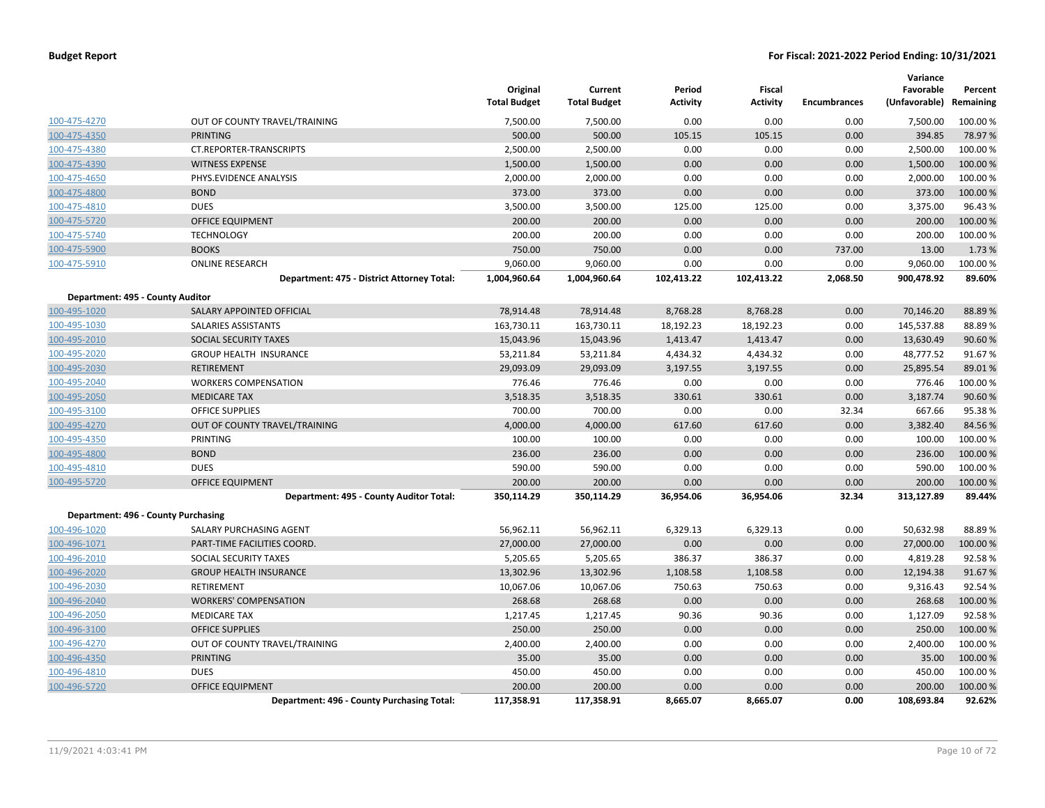|                                  |                                            | Original<br><b>Total Budget</b> | Current<br><b>Total Budget</b> | Period<br><b>Activity</b> | Fiscal<br><b>Activity</b> | <b>Encumbrances</b> | Variance<br>Favorable<br>(Unfavorable) | Percent<br>Remaining |
|----------------------------------|--------------------------------------------|---------------------------------|--------------------------------|---------------------------|---------------------------|---------------------|----------------------------------------|----------------------|
| 100-475-4270                     | OUT OF COUNTY TRAVEL/TRAINING              | 7,500.00                        | 7,500.00                       | 0.00                      | 0.00                      | 0.00                | 7,500.00                               | 100.00 %             |
| 100-475-4350                     | <b>PRINTING</b>                            | 500.00                          | 500.00                         | 105.15                    | 105.15                    | 0.00                | 394.85                                 | 78.97%               |
| 100-475-4380                     | CT.REPORTER-TRANSCRIPTS                    | 2,500.00                        | 2,500.00                       | 0.00                      | 0.00                      | 0.00                | 2,500.00                               | 100.00 %             |
| 100-475-4390                     | <b>WITNESS EXPENSE</b>                     | 1,500.00                        | 1,500.00                       | 0.00                      | 0.00                      | 0.00                | 1,500.00                               | 100.00 %             |
| 100-475-4650                     | PHYS.EVIDENCE ANALYSIS                     | 2,000.00                        | 2,000.00                       | 0.00                      | 0.00                      | 0.00                | 2,000.00                               | 100.00 %             |
| 100-475-4800                     | <b>BOND</b>                                | 373.00                          | 373.00                         | 0.00                      | 0.00                      | 0.00                | 373.00                                 | 100.00%              |
| 100-475-4810                     | <b>DUES</b>                                | 3,500.00                        | 3,500.00                       | 125.00                    | 125.00                    | 0.00                | 3,375.00                               | 96.43%               |
| 100-475-5720                     | <b>OFFICE EQUIPMENT</b>                    | 200.00                          | 200.00                         | 0.00                      | 0.00                      | 0.00                | 200.00                                 | 100.00%              |
| 100-475-5740                     | <b>TECHNOLOGY</b>                          | 200.00                          | 200.00                         | 0.00                      | 0.00                      | 0.00                | 200.00                                 | 100.00 %             |
| 100-475-5900                     | <b>BOOKS</b>                               | 750.00                          | 750.00                         | 0.00                      | 0.00                      | 737.00              | 13.00                                  | 1.73 %               |
| 100-475-5910                     | <b>ONLINE RESEARCH</b>                     | 9,060.00                        | 9,060.00                       | 0.00                      | 0.00                      | 0.00                | 9,060.00                               | 100.00%              |
|                                  | Department: 475 - District Attorney Total: | 1,004,960.64                    | 1,004,960.64                   | 102,413.22                | 102,413.22                | 2,068.50            | 900,478.92                             | 89.60%               |
| Department: 495 - County Auditor |                                            |                                 |                                |                           |                           |                     |                                        |                      |
| 100-495-1020                     | SALARY APPOINTED OFFICIAL                  | 78,914.48                       | 78,914.48                      | 8,768.28                  | 8,768.28                  | 0.00                | 70,146.20                              | 88.89%               |
| 100-495-1030                     | SALARIES ASSISTANTS                        | 163,730.11                      | 163,730.11                     | 18,192.23                 | 18,192.23                 | 0.00                | 145,537.88                             | 88.89%               |
| 100-495-2010                     | <b>SOCIAL SECURITY TAXES</b>               | 15,043.96                       | 15,043.96                      | 1,413.47                  | 1,413.47                  | 0.00                | 13,630.49                              | 90.60%               |
| 100-495-2020                     | <b>GROUP HEALTH INSURANCE</b>              | 53,211.84                       | 53,211.84                      | 4,434.32                  | 4,434.32                  | 0.00                | 48,777.52                              | 91.67%               |
| 100-495-2030                     | <b>RETIREMENT</b>                          | 29,093.09                       | 29,093.09                      | 3,197.55                  | 3,197.55                  | 0.00                | 25,895.54                              | 89.01%               |
| 100-495-2040                     | <b>WORKERS COMPENSATION</b>                | 776.46                          | 776.46                         | 0.00                      | 0.00                      | 0.00                | 776.46                                 | 100.00%              |
| 100-495-2050                     | <b>MEDICARE TAX</b>                        | 3,518.35                        | 3,518.35                       | 330.61                    | 330.61                    | 0.00                | 3,187.74                               | 90.60%               |
| 100-495-3100                     | <b>OFFICE SUPPLIES</b>                     | 700.00                          | 700.00                         | 0.00                      | 0.00                      | 32.34               | 667.66                                 | 95.38%               |
| 100-495-4270                     | OUT OF COUNTY TRAVEL/TRAINING              | 4,000.00                        | 4,000.00                       | 617.60                    | 617.60                    | 0.00                | 3,382.40                               | 84.56%               |
| 100-495-4350                     | <b>PRINTING</b>                            | 100.00                          | 100.00                         | 0.00                      | 0.00                      | 0.00                | 100.00                                 | 100.00 %             |
| 100-495-4800                     | <b>BOND</b>                                | 236.00                          | 236.00                         | 0.00                      | 0.00                      | 0.00                | 236.00                                 | 100.00 %             |
| 100-495-4810                     | <b>DUES</b>                                | 590.00                          | 590.00                         | 0.00                      | 0.00                      | 0.00                | 590.00                                 | 100.00%              |
| 100-495-5720                     | <b>OFFICE EQUIPMENT</b>                    | 200.00                          | 200.00                         | 0.00                      | 0.00                      | 0.00                | 200.00                                 | 100.00%              |
|                                  | Department: 495 - County Auditor Total:    | 350,114.29                      | 350,114.29                     | 36,954.06                 | 36,954.06                 | 32.34               | 313,127.89                             | 89.44%               |
|                                  | Department: 496 - County Purchasing        |                                 |                                |                           |                           |                     |                                        |                      |
| 100-496-1020                     | SALARY PURCHASING AGENT                    | 56,962.11                       | 56,962.11                      | 6,329.13                  | 6,329.13                  | 0.00                | 50,632.98                              | 88.89%               |
| 100-496-1071                     | PART-TIME FACILITIES COORD.                | 27,000.00                       | 27,000.00                      | 0.00                      | 0.00                      | 0.00                | 27,000.00                              | 100.00 %             |
| 100-496-2010                     | <b>SOCIAL SECURITY TAXES</b>               | 5,205.65                        | 5,205.65                       | 386.37                    | 386.37                    | 0.00                | 4,819.28                               | 92.58%               |
| 100-496-2020                     | <b>GROUP HEALTH INSURANCE</b>              | 13,302.96                       | 13,302.96                      | 1,108.58                  | 1,108.58                  | 0.00                | 12,194.38                              | 91.67%               |
| 100-496-2030                     | RETIREMENT                                 | 10,067.06                       | 10,067.06                      | 750.63                    | 750.63                    | 0.00                | 9,316.43                               | 92.54%               |
| 100-496-2040                     | <b>WORKERS' COMPENSATION</b>               | 268.68                          | 268.68                         | 0.00                      | 0.00                      | 0.00                | 268.68                                 | 100.00%              |
| 100-496-2050                     | <b>MEDICARE TAX</b>                        | 1,217.45                        | 1,217.45                       | 90.36                     | 90.36                     | 0.00                | 1,127.09                               | 92.58%               |
| 100-496-3100                     | <b>OFFICE SUPPLIES</b>                     | 250.00                          | 250.00                         | 0.00                      | 0.00                      | 0.00                | 250.00                                 | 100.00%              |
| 100-496-4270                     | OUT OF COUNTY TRAVEL/TRAINING              | 2,400.00                        | 2,400.00                       | 0.00                      | 0.00                      | 0.00                | 2,400.00                               | 100.00 %             |
| 100-496-4350                     | <b>PRINTING</b>                            | 35.00                           | 35.00                          | 0.00                      | 0.00                      | 0.00                | 35.00                                  | 100.00 %             |
| 100-496-4810                     | <b>DUES</b>                                | 450.00                          | 450.00                         | 0.00                      | 0.00                      | 0.00                | 450.00                                 | 100.00 %             |
| 100-496-5720                     | <b>OFFICE EQUIPMENT</b>                    | 200.00                          | 200.00                         | 0.00                      | 0.00                      | 0.00                | 200.00                                 | 100.00 %             |
|                                  | Department: 496 - County Purchasing Total: | 117,358.91                      | 117,358.91                     | 8,665.07                  | 8,665.07                  | 0.00                | 108,693.84                             | 92.62%               |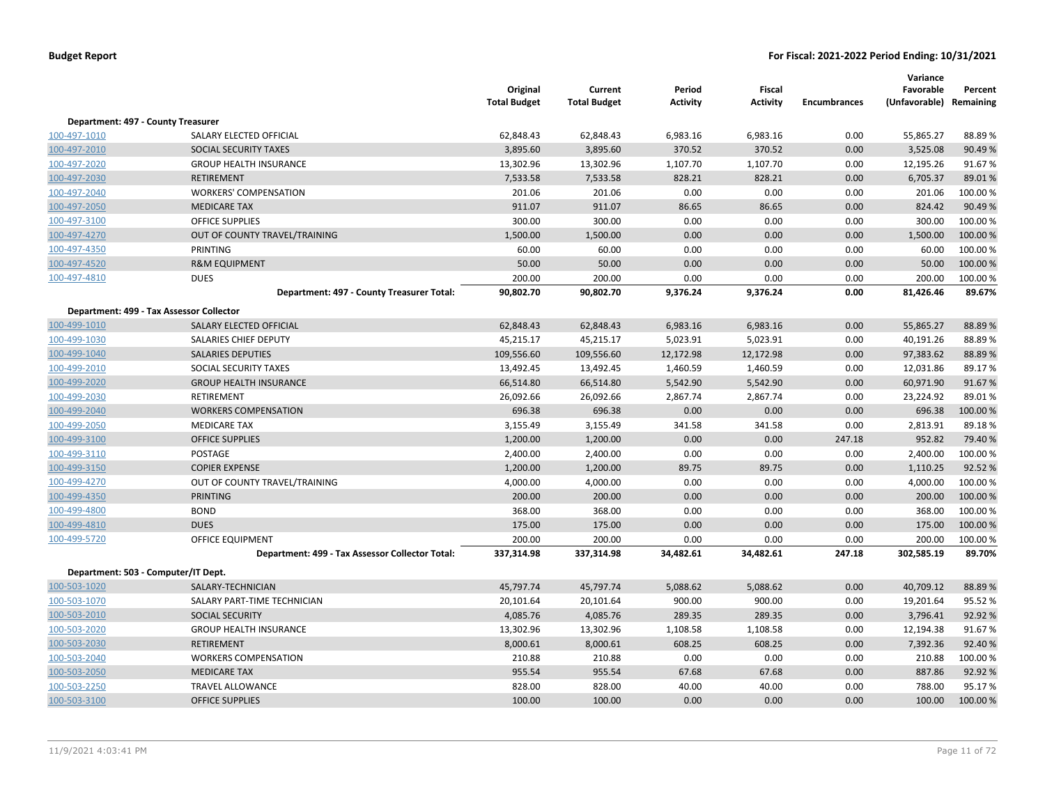|                                    |                                                 | Original<br><b>Total Budget</b> | Current<br><b>Total Budget</b> | Period<br><b>Activity</b> | <b>Fiscal</b><br><b>Activity</b> | <b>Encumbrances</b> | Variance<br>Favorable<br>(Unfavorable) Remaining | Percent  |
|------------------------------------|-------------------------------------------------|---------------------------------|--------------------------------|---------------------------|----------------------------------|---------------------|--------------------------------------------------|----------|
| Department: 497 - County Treasurer |                                                 |                                 |                                |                           |                                  |                     |                                                  |          |
| 100-497-1010                       | SALARY ELECTED OFFICIAL                         | 62,848.43                       | 62,848.43                      | 6,983.16                  | 6,983.16                         | 0.00                | 55,865.27                                        | 88.89%   |
| 100-497-2010                       | <b>SOCIAL SECURITY TAXES</b>                    | 3,895.60                        | 3,895.60                       | 370.52                    | 370.52                           | 0.00                | 3,525.08                                         | 90.49%   |
| 100-497-2020                       | <b>GROUP HEALTH INSURANCE</b>                   | 13,302.96                       | 13,302.96                      | 1,107.70                  | 1,107.70                         | 0.00                | 12,195.26                                        | 91.67%   |
| 100-497-2030                       | <b>RETIREMENT</b>                               | 7,533.58                        | 7,533.58                       | 828.21                    | 828.21                           | 0.00                | 6,705.37                                         | 89.01%   |
| 100-497-2040                       | <b>WORKERS' COMPENSATION</b>                    | 201.06                          | 201.06                         | 0.00                      | 0.00                             | 0.00                | 201.06                                           | 100.00%  |
| 100-497-2050                       | <b>MEDICARE TAX</b>                             | 911.07                          | 911.07                         | 86.65                     | 86.65                            | 0.00                | 824.42                                           | 90.49 %  |
| 100-497-3100                       | <b>OFFICE SUPPLIES</b>                          | 300.00                          | 300.00                         | 0.00                      | 0.00                             | 0.00                | 300.00                                           | 100.00%  |
| 100-497-4270                       | OUT OF COUNTY TRAVEL/TRAINING                   | 1,500.00                        | 1,500.00                       | 0.00                      | 0.00                             | 0.00                | 1,500.00                                         | 100.00 % |
| 100-497-4350                       | PRINTING                                        | 60.00                           | 60.00                          | 0.00                      | 0.00                             | 0.00                | 60.00                                            | 100.00%  |
| 100-497-4520                       | <b>R&amp;M EQUIPMENT</b>                        | 50.00                           | 50.00                          | 0.00                      | 0.00                             | 0.00                | 50.00                                            | 100.00 % |
| 100-497-4810                       | <b>DUES</b>                                     | 200.00                          | 200.00                         | 0.00                      | 0.00                             | 0.00                | 200.00                                           | 100.00%  |
|                                    | Department: 497 - County Treasurer Total:       | 90,802.70                       | 90,802.70                      | 9,376.24                  | 9,376.24                         | 0.00                | 81,426.46                                        | 89.67%   |
|                                    | Department: 499 - Tax Assessor Collector        |                                 |                                |                           |                                  |                     |                                                  |          |
| 100-499-1010                       | SALARY ELECTED OFFICIAL                         | 62,848.43                       | 62,848.43                      | 6,983.16                  | 6,983.16                         | 0.00                | 55,865.27                                        | 88.89%   |
| 100-499-1030                       | SALARIES CHIEF DEPUTY                           | 45,215.17                       | 45,215.17                      | 5,023.91                  | 5,023.91                         | 0.00                | 40,191.26                                        | 88.89%   |
| 100-499-1040                       | <b>SALARIES DEPUTIES</b>                        | 109,556.60                      | 109,556.60                     | 12,172.98                 | 12,172.98                        | 0.00                | 97,383.62                                        | 88.89%   |
| 100-499-2010                       | SOCIAL SECURITY TAXES                           | 13,492.45                       | 13,492.45                      | 1,460.59                  | 1,460.59                         | 0.00                | 12,031.86                                        | 89.17%   |
| 100-499-2020                       | <b>GROUP HEALTH INSURANCE</b>                   | 66,514.80                       | 66,514.80                      | 5,542.90                  | 5,542.90                         | 0.00                | 60,971.90                                        | 91.67%   |
| 100-499-2030                       | RETIREMENT                                      | 26,092.66                       | 26,092.66                      | 2,867.74                  | 2,867.74                         | 0.00                | 23,224.92                                        | 89.01%   |
| 100-499-2040                       | <b>WORKERS COMPENSATION</b>                     | 696.38                          | 696.38                         | 0.00                      | 0.00                             | 0.00                | 696.38                                           | 100.00%  |
| 100-499-2050                       | <b>MEDICARE TAX</b>                             | 3,155.49                        | 3,155.49                       | 341.58                    | 341.58                           | 0.00                | 2,813.91                                         | 89.18%   |
| 100-499-3100                       | <b>OFFICE SUPPLIES</b>                          | 1,200.00                        | 1,200.00                       | 0.00                      | 0.00                             | 247.18              | 952.82                                           | 79.40 %  |
| 100-499-3110                       | POSTAGE                                         | 2,400.00                        | 2,400.00                       | 0.00                      | 0.00                             | 0.00                | 2,400.00                                         | 100.00%  |
| 100-499-3150                       | <b>COPIER EXPENSE</b>                           | 1,200.00                        | 1,200.00                       | 89.75                     | 89.75                            | 0.00                | 1,110.25                                         | 92.52%   |
| 100-499-4270                       | OUT OF COUNTY TRAVEL/TRAINING                   | 4,000.00                        | 4,000.00                       | 0.00                      | 0.00                             | 0.00                | 4,000.00                                         | 100.00%  |
| 100-499-4350                       | PRINTING                                        | 200.00                          | 200.00                         | 0.00                      | 0.00                             | 0.00                | 200.00                                           | 100.00%  |
| 100-499-4800                       | <b>BOND</b>                                     | 368.00                          | 368.00                         | 0.00                      | 0.00                             | 0.00                | 368.00                                           | 100.00%  |
| 100-499-4810                       | <b>DUES</b>                                     | 175.00                          | 175.00                         | 0.00                      | 0.00                             | 0.00                | 175.00                                           | 100.00 % |
| 100-499-5720                       | OFFICE EQUIPMENT                                | 200.00                          | 200.00                         | 0.00                      | 0.00                             | 0.00                | 200.00                                           | 100.00%  |
|                                    | Department: 499 - Tax Assessor Collector Total: | 337,314.98                      | 337,314.98                     | 34,482.61                 | 34,482.61                        | 247.18              | 302,585.19                                       | 89.70%   |
|                                    | Department: 503 - Computer/IT Dept.             |                                 |                                |                           |                                  |                     |                                                  |          |
| 100-503-1020                       | SALARY-TECHNICIAN                               | 45,797.74                       | 45,797.74                      | 5,088.62                  | 5,088.62                         | 0.00                | 40,709.12                                        | 88.89%   |
| 100-503-1070                       | SALARY PART-TIME TECHNICIAN                     | 20,101.64                       | 20,101.64                      | 900.00                    | 900.00                           | 0.00                | 19,201.64                                        | 95.52%   |
| 100-503-2010                       | <b>SOCIAL SECURITY</b>                          | 4,085.76                        | 4,085.76                       | 289.35                    | 289.35                           | 0.00                | 3,796.41                                         | 92.92 %  |
| 100-503-2020                       | <b>GROUP HEALTH INSURANCE</b>                   | 13,302.96                       | 13,302.96                      | 1,108.58                  | 1,108.58                         | 0.00                | 12,194.38                                        | 91.67%   |
| 100-503-2030                       | <b>RETIREMENT</b>                               | 8,000.61                        | 8,000.61                       | 608.25                    | 608.25                           | 0.00                | 7,392.36                                         | 92.40 %  |
| 100-503-2040                       | <b>WORKERS COMPENSATION</b>                     | 210.88                          | 210.88                         | 0.00                      | 0.00                             | 0.00                | 210.88                                           | 100.00 % |
| 100-503-2050                       | <b>MEDICARE TAX</b>                             | 955.54                          | 955.54                         | 67.68                     | 67.68                            | 0.00                | 887.86                                           | 92.92 %  |
| 100-503-2250                       | <b>TRAVEL ALLOWANCE</b>                         | 828.00                          | 828.00                         | 40.00                     | 40.00                            | 0.00                | 788.00                                           | 95.17%   |
| 100-503-3100                       | <b>OFFICE SUPPLIES</b>                          | 100.00                          | 100.00                         | 0.00                      | 0.00                             | 0.00                | 100.00                                           | 100.00%  |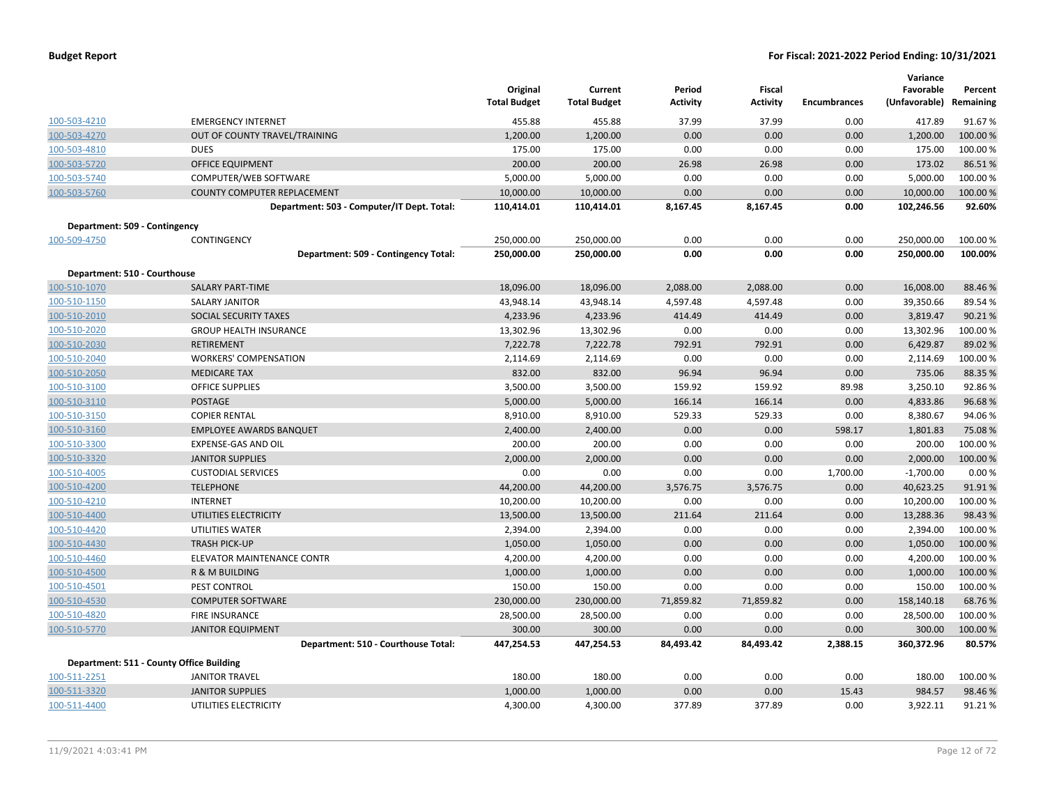|                               |                                            | Original<br><b>Total Budget</b> | Current<br><b>Total Budget</b> | Period<br><b>Activity</b> | Fiscal<br><b>Activity</b> | <b>Encumbrances</b> | Variance<br>Favorable<br>(Unfavorable) | Percent<br>Remaining |
|-------------------------------|--------------------------------------------|---------------------------------|--------------------------------|---------------------------|---------------------------|---------------------|----------------------------------------|----------------------|
| 100-503-4210                  | <b>EMERGENCY INTERNET</b>                  | 455.88                          | 455.88                         | 37.99                     | 37.99                     | 0.00                | 417.89                                 | 91.67%               |
| 100-503-4270                  | OUT OF COUNTY TRAVEL/TRAINING              | 1,200.00                        | 1,200.00                       | 0.00                      | 0.00                      | 0.00                | 1,200.00                               | 100.00 %             |
| 100-503-4810                  | <b>DUES</b>                                | 175.00                          | 175.00                         | 0.00                      | 0.00                      | 0.00                | 175.00                                 | 100.00%              |
| 100-503-5720                  | <b>OFFICE EQUIPMENT</b>                    | 200.00                          | 200.00                         | 26.98                     | 26.98                     | 0.00                | 173.02                                 | 86.51%               |
| 100-503-5740                  | COMPUTER/WEB SOFTWARE                      | 5,000.00                        | 5,000.00                       | 0.00                      | 0.00                      | 0.00                | 5,000.00                               | 100.00%              |
| 100-503-5760                  | <b>COUNTY COMPUTER REPLACEMENT</b>         | 10,000.00                       | 10,000.00                      | 0.00                      | 0.00                      | 0.00                | 10,000.00                              | 100.00%              |
|                               | Department: 503 - Computer/IT Dept. Total: | 110,414.01                      | 110,414.01                     | 8,167.45                  | 8,167.45                  | 0.00                | 102,246.56                             | 92.60%               |
| Department: 509 - Contingency |                                            |                                 |                                |                           |                           |                     |                                        |                      |
| 100-509-4750                  | CONTINGENCY                                | 250,000.00                      | 250,000.00                     | 0.00                      | 0.00                      | 0.00                | 250,000.00                             | 100.00 %             |
|                               | Department: 509 - Contingency Total:       | 250,000.00                      | 250,000.00                     | 0.00                      | 0.00                      | 0.00                | 250,000.00                             | 100.00%              |
| Department: 510 - Courthouse  |                                            |                                 |                                |                           |                           |                     |                                        |                      |
| 100-510-1070                  | <b>SALARY PART-TIME</b>                    | 18,096.00                       | 18,096.00                      | 2,088.00                  | 2,088.00                  | 0.00                | 16,008.00                              | 88.46%               |
| 100-510-1150                  | <b>SALARY JANITOR</b>                      | 43,948.14                       | 43,948.14                      | 4,597.48                  | 4,597.48                  | 0.00                | 39,350.66                              | 89.54 %              |
| 100-510-2010                  | SOCIAL SECURITY TAXES                      | 4,233.96                        | 4,233.96                       | 414.49                    | 414.49                    | 0.00                | 3,819.47                               | 90.21%               |
| 100-510-2020                  | <b>GROUP HEALTH INSURANCE</b>              | 13,302.96                       | 13,302.96                      | 0.00                      | 0.00                      | 0.00                | 13,302.96                              | 100.00%              |
| 100-510-2030                  | RETIREMENT                                 | 7,222.78                        | 7,222.78                       | 792.91                    | 792.91                    | 0.00                | 6,429.87                               | 89.02 %              |
| 100-510-2040                  | <b>WORKERS' COMPENSATION</b>               | 2,114.69                        | 2,114.69                       | 0.00                      | 0.00                      | 0.00                | 2,114.69                               | 100.00 %             |
| 100-510-2050                  | <b>MEDICARE TAX</b>                        | 832.00                          | 832.00                         | 96.94                     | 96.94                     | 0.00                | 735.06                                 | 88.35 %              |
| 100-510-3100                  | <b>OFFICE SUPPLIES</b>                     | 3,500.00                        | 3,500.00                       | 159.92                    | 159.92                    | 89.98               | 3,250.10                               | 92.86%               |
| 100-510-3110                  | <b>POSTAGE</b>                             | 5,000.00                        | 5,000.00                       | 166.14                    | 166.14                    | 0.00                | 4,833.86                               | 96.68%               |
| 100-510-3150                  | <b>COPIER RENTAL</b>                       | 8,910.00                        | 8,910.00                       | 529.33                    | 529.33                    | 0.00                | 8,380.67                               | 94.06%               |
| 100-510-3160                  | <b>EMPLOYEE AWARDS BANQUET</b>             | 2,400.00                        | 2,400.00                       | 0.00                      | 0.00                      | 598.17              | 1,801.83                               | 75.08%               |
| 100-510-3300                  | EXPENSE-GAS AND OIL                        | 200.00                          | 200.00                         | 0.00                      | 0.00                      | 0.00                | 200.00                                 | 100.00%              |
| 100-510-3320                  | <b>JANITOR SUPPLIES</b>                    | 2,000.00                        | 2,000.00                       | 0.00                      | 0.00                      | 0.00                | 2,000.00                               | 100.00 %             |
| 100-510-4005                  | <b>CUSTODIAL SERVICES</b>                  | 0.00                            | 0.00                           | 0.00                      | 0.00                      | 1,700.00            | $-1,700.00$                            | 0.00%                |
| 100-510-4200                  | <b>TELEPHONE</b>                           | 44,200.00                       | 44,200.00                      | 3,576.75                  | 3,576.75                  | 0.00                | 40,623.25                              | 91.91%               |
| 100-510-4210                  | <b>INTERNET</b>                            | 10,200.00                       | 10,200.00                      | 0.00                      | 0.00                      | 0.00                | 10,200.00                              | 100.00%              |
| 100-510-4400                  | UTILITIES ELECTRICITY                      | 13,500.00                       | 13,500.00                      | 211.64                    | 211.64                    | 0.00                | 13,288.36                              | 98.43 %              |
| 100-510-4420                  | UTILITIES WATER                            | 2,394.00                        | 2,394.00                       | 0.00                      | 0.00                      | 0.00                | 2,394.00                               | 100.00%              |
| 100-510-4430                  | <b>TRASH PICK-UP</b>                       | 1,050.00                        | 1,050.00                       | 0.00                      | 0.00                      | 0.00                | 1,050.00                               | 100.00%              |
| 100-510-4460                  | <b>ELEVATOR MAINTENANCE CONTR</b>          | 4,200.00                        | 4,200.00                       | 0.00                      | 0.00                      | 0.00                | 4,200.00                               | 100.00%              |
| 100-510-4500                  | <b>R &amp; M BUILDING</b>                  | 1,000.00                        | 1,000.00                       | 0.00                      | 0.00                      | 0.00                | 1,000.00                               | 100.00 %             |
| 100-510-4501                  | PEST CONTROL                               | 150.00                          | 150.00                         | 0.00                      | 0.00                      | 0.00                | 150.00                                 | 100.00%              |
| 100-510-4530                  | <b>COMPUTER SOFTWARE</b>                   | 230,000.00                      | 230,000.00                     | 71,859.82                 | 71,859.82                 | 0.00                | 158,140.18                             | 68.76%               |
| 100-510-4820                  | <b>FIRE INSURANCE</b>                      | 28,500.00                       | 28,500.00                      | 0.00                      | 0.00                      | 0.00                | 28,500.00                              | 100.00 %             |
| 100-510-5770                  | <b>JANITOR EQUIPMENT</b>                   | 300.00                          | 300.00                         | 0.00                      | 0.00                      | 0.00                | 300.00                                 | 100.00 %             |
|                               | Department: 510 - Courthouse Total:        | 447,254.53                      | 447,254.53                     | 84,493.42                 | 84,493.42                 | 2,388.15            | 360,372.96                             | 80.57%               |
|                               | Department: 511 - County Office Building   |                                 |                                |                           |                           |                     |                                        |                      |
| 100-511-2251                  | <b>JANITOR TRAVEL</b>                      | 180.00                          | 180.00                         | 0.00                      | 0.00                      | 0.00                | 180.00                                 | 100.00 %             |
| 100-511-3320                  | <b>JANITOR SUPPLIES</b>                    | 1,000.00                        | 1,000.00                       | 0.00                      | 0.00                      | 15.43               | 984.57                                 | 98.46%               |
| 100-511-4400                  | UTILITIES ELECTRICITY                      | 4,300.00                        | 4,300.00                       | 377.89                    | 377.89                    | 0.00                | 3,922.11                               | 91.21%               |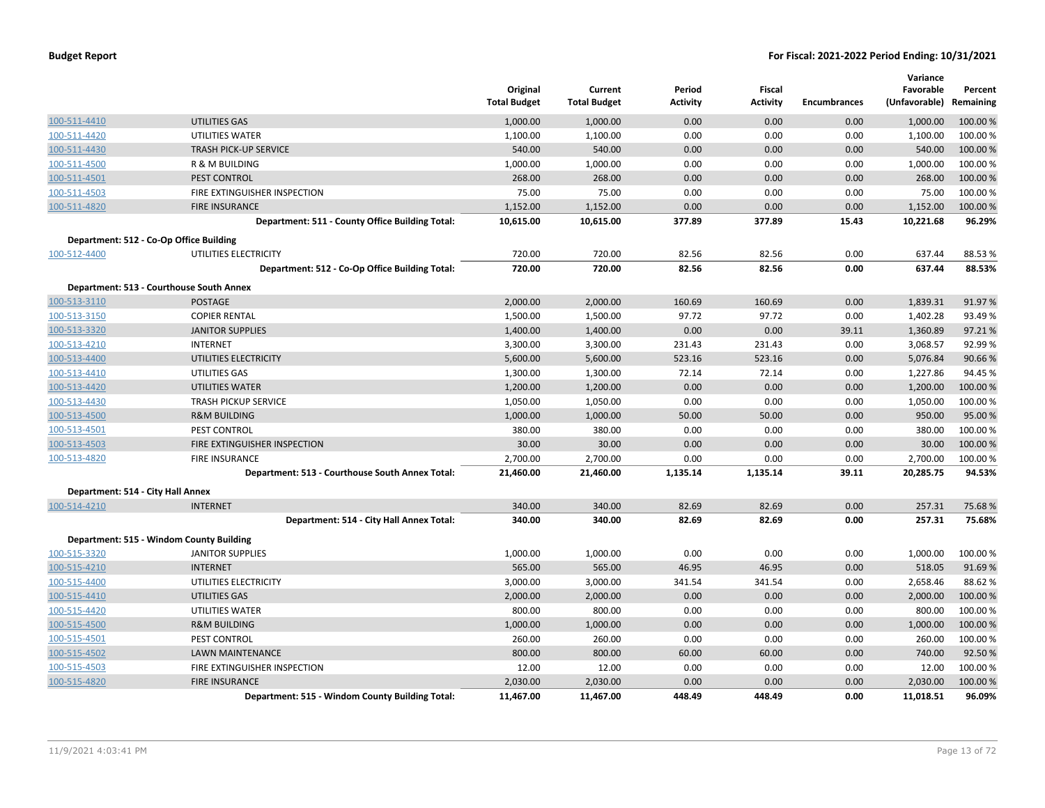|                                   |                                                 | Original<br><b>Total Budget</b> | Current<br><b>Total Budget</b> | Period<br><b>Activity</b> | Fiscal<br><b>Activity</b> | <b>Encumbrances</b> | Variance<br>Favorable<br>(Unfavorable) Remaining | Percent  |
|-----------------------------------|-------------------------------------------------|---------------------------------|--------------------------------|---------------------------|---------------------------|---------------------|--------------------------------------------------|----------|
| 100-511-4410                      | <b>UTILITIES GAS</b>                            | 1,000.00                        | 1,000.00                       | 0.00                      | 0.00                      | 0.00                | 1,000.00                                         | 100.00 % |
| 100-511-4420                      | UTILITIES WATER                                 | 1,100.00                        | 1,100.00                       | 0.00                      | 0.00                      | 0.00                | 1,100.00                                         | 100.00%  |
| 100-511-4430                      | <b>TRASH PICK-UP SERVICE</b>                    | 540.00                          | 540.00                         | 0.00                      | 0.00                      | 0.00                | 540.00                                           | 100.00 % |
| 100-511-4500                      | R & M BUILDING                                  | 1,000.00                        | 1,000.00                       | 0.00                      | 0.00                      | 0.00                | 1,000.00                                         | 100.00%  |
| 100-511-4501                      | PEST CONTROL                                    | 268.00                          | 268.00                         | 0.00                      | 0.00                      | 0.00                | 268.00                                           | 100.00%  |
| 100-511-4503                      | FIRE EXTINGUISHER INSPECTION                    | 75.00                           | 75.00                          | 0.00                      | 0.00                      | 0.00                | 75.00                                            | 100.00%  |
| 100-511-4820                      | <b>FIRE INSURANCE</b>                           | 1,152.00                        | 1,152.00                       | 0.00                      | 0.00                      | 0.00                | 1,152.00                                         | 100.00%  |
|                                   | Department: 511 - County Office Building Total: | 10,615.00                       | 10,615.00                      | 377.89                    | 377.89                    | 15.43               | 10,221.68                                        | 96.29%   |
|                                   | Department: 512 - Co-Op Office Building         |                                 |                                |                           |                           |                     |                                                  |          |
| 100-512-4400                      | UTILITIES ELECTRICITY                           | 720.00                          | 720.00                         | 82.56                     | 82.56                     | 0.00                | 637.44                                           | 88.53 %  |
|                                   | Department: 512 - Co-Op Office Building Total:  | 720.00                          | 720.00                         | 82.56                     | 82.56                     | 0.00                | 637.44                                           | 88.53%   |
|                                   | Department: 513 - Courthouse South Annex        |                                 |                                |                           |                           |                     |                                                  |          |
| 100-513-3110                      | <b>POSTAGE</b>                                  | 2,000.00                        | 2,000.00                       | 160.69                    | 160.69                    | 0.00                | 1,839.31                                         | 91.97%   |
| 100-513-3150                      | <b>COPIER RENTAL</b>                            | 1,500.00                        | 1,500.00                       | 97.72                     | 97.72                     | 0.00                | 1,402.28                                         | 93.49%   |
| 100-513-3320                      | <b>JANITOR SUPPLIES</b>                         | 1,400.00                        | 1,400.00                       | 0.00                      | 0.00                      | 39.11               | 1,360.89                                         | 97.21%   |
| 100-513-4210                      | <b>INTERNET</b>                                 | 3,300.00                        | 3,300.00                       | 231.43                    | 231.43                    | 0.00                | 3,068.57                                         | 92.99%   |
| 100-513-4400                      | UTILITIES ELECTRICITY                           | 5,600.00                        | 5,600.00                       | 523.16                    | 523.16                    | 0.00                | 5,076.84                                         | 90.66%   |
| 100-513-4410                      | UTILITIES GAS                                   | 1,300.00                        | 1,300.00                       | 72.14                     | 72.14                     | 0.00                | 1,227.86                                         | 94.45 %  |
| 100-513-4420                      | <b>UTILITIES WATER</b>                          | 1,200.00                        | 1,200.00                       | 0.00                      | 0.00                      | 0.00                | 1,200.00                                         | 100.00%  |
| 100-513-4430                      | <b>TRASH PICKUP SERVICE</b>                     | 1,050.00                        | 1,050.00                       | 0.00                      | 0.00                      | 0.00                | 1,050.00                                         | 100.00%  |
| 100-513-4500                      | <b>R&amp;M BUILDING</b>                         | 1,000.00                        | 1,000.00                       | 50.00                     | 50.00                     | 0.00                | 950.00                                           | 95.00 %  |
| 100-513-4501                      | PEST CONTROL                                    | 380.00                          | 380.00                         | 0.00                      | 0.00                      | 0.00                | 380.00                                           | 100.00%  |
| 100-513-4503                      | FIRE EXTINGUISHER INSPECTION                    | 30.00                           | 30.00                          | 0.00                      | 0.00                      | 0.00                | 30.00                                            | 100.00%  |
| 100-513-4820                      | FIRE INSURANCE                                  | 2,700.00                        | 2,700.00                       | 0.00                      | 0.00                      | 0.00                | 2,700.00                                         | 100.00%  |
|                                   | Department: 513 - Courthouse South Annex Total: | 21,460.00                       | 21,460.00                      | 1,135.14                  | 1,135.14                  | 39.11               | 20,285.75                                        | 94.53%   |
| Department: 514 - City Hall Annex |                                                 |                                 |                                |                           |                           |                     |                                                  |          |
| 100-514-4210                      | <b>INTERNET</b>                                 | 340.00                          | 340.00                         | 82.69                     | 82.69                     | 0.00                | 257.31                                           | 75.68%   |
|                                   | Department: 514 - City Hall Annex Total:        | 340.00                          | 340.00                         | 82.69                     | 82.69                     | 0.00                | 257.31                                           | 75.68%   |
|                                   | Department: 515 - Windom County Building        |                                 |                                |                           |                           |                     |                                                  |          |
| 100-515-3320                      | <b>JANITOR SUPPLIES</b>                         | 1,000.00                        | 1,000.00                       | 0.00                      | 0.00                      | 0.00                | 1,000.00                                         | 100.00%  |
| 100-515-4210                      | <b>INTERNET</b>                                 | 565.00                          | 565.00                         | 46.95                     | 46.95                     | 0.00                | 518.05                                           | 91.69%   |
| 100-515-4400                      | UTILITIES ELECTRICITY                           | 3,000.00                        | 3,000.00                       | 341.54                    | 341.54                    | 0.00                | 2,658.46                                         | 88.62 %  |
| 100-515-4410                      | UTILITIES GAS                                   | 2,000.00                        | 2,000.00                       | 0.00                      | 0.00                      | 0.00                | 2,000.00                                         | 100.00%  |
| 100-515-4420                      | UTILITIES WATER                                 | 800.00                          | 800.00                         | 0.00                      | 0.00                      | 0.00                | 800.00                                           | 100.00%  |
| 100-515-4500                      | <b>R&amp;M BUILDING</b>                         | 1,000.00                        | 1,000.00                       | 0.00                      | 0.00                      | 0.00                | 1,000.00                                         | 100.00 % |
| 100-515-4501                      | PEST CONTROL                                    | 260.00                          | 260.00                         | 0.00                      | 0.00                      | 0.00                | 260.00                                           | 100.00%  |
| 100-515-4502                      | <b>LAWN MAINTENANCE</b>                         | 800.00                          | 800.00                         | 60.00                     | 60.00                     | 0.00                | 740.00                                           | 92.50%   |
| 100-515-4503                      | FIRE EXTINGUISHER INSPECTION                    | 12.00                           | 12.00                          | 0.00                      | 0.00                      | 0.00                | 12.00                                            | 100.00%  |
| 100-515-4820                      | <b>FIRE INSURANCE</b>                           | 2,030.00                        | 2,030.00                       | 0.00                      | 0.00                      | 0.00                | 2,030.00                                         | 100.00 % |
|                                   | Department: 515 - Windom County Building Total: | 11,467.00                       | 11,467.00                      | 448.49                    | 448.49                    | 0.00                | 11,018.51                                        | 96.09%   |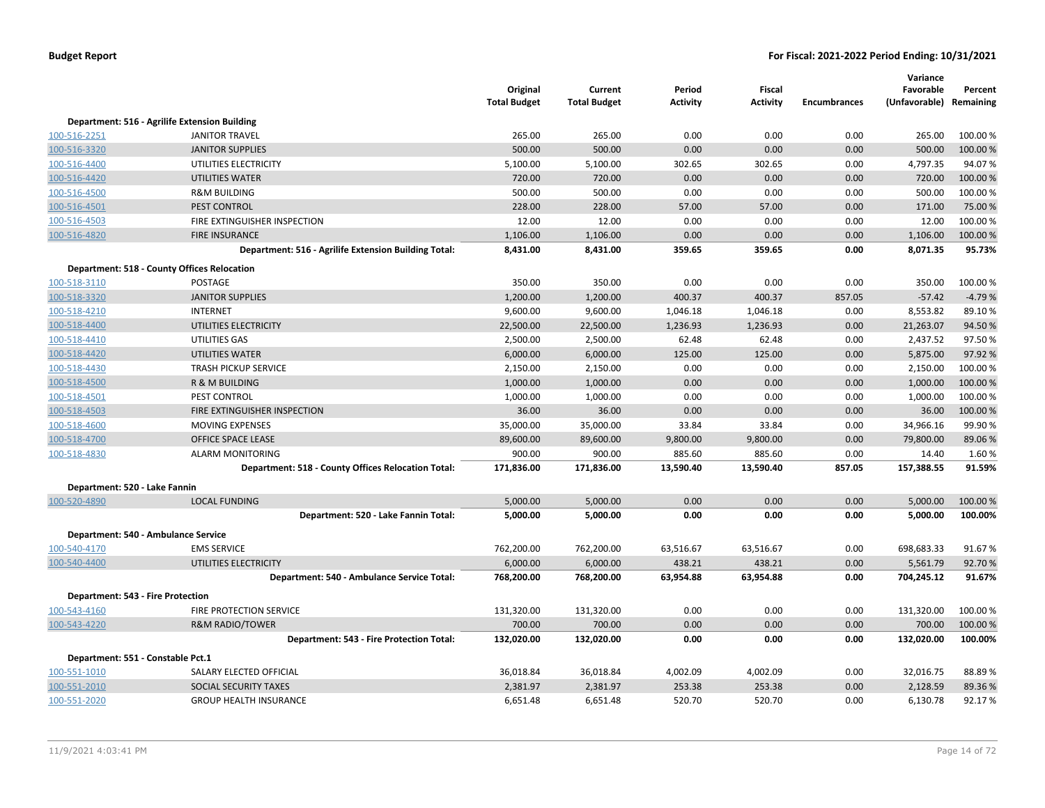|                                          |                                                      | Original<br><b>Total Budget</b> | Current<br><b>Total Budget</b> | Period<br><b>Activity</b> | <b>Fiscal</b><br><b>Activity</b> | <b>Encumbrances</b> | Variance<br>Favorable<br>(Unfavorable) Remaining | Percent  |
|------------------------------------------|------------------------------------------------------|---------------------------------|--------------------------------|---------------------------|----------------------------------|---------------------|--------------------------------------------------|----------|
|                                          | Department: 516 - Agrilife Extension Building        |                                 |                                |                           |                                  |                     |                                                  |          |
| 100-516-2251                             | <b>JANITOR TRAVEL</b>                                | 265.00                          | 265.00                         | 0.00                      | 0.00                             | 0.00                | 265.00                                           | 100.00%  |
| 100-516-3320                             | <b>JANITOR SUPPLIES</b>                              | 500.00                          | 500.00                         | 0.00                      | 0.00                             | 0.00                | 500.00                                           | 100.00 % |
| 100-516-4400                             | UTILITIES ELECTRICITY                                | 5,100.00                        | 5,100.00                       | 302.65                    | 302.65                           | 0.00                | 4,797.35                                         | 94.07%   |
| 100-516-4420                             | <b>UTILITIES WATER</b>                               | 720.00                          | 720.00                         | 0.00                      | 0.00                             | 0.00                | 720.00                                           | 100.00 % |
| 100-516-4500                             | <b>R&amp;M BUILDING</b>                              | 500.00                          | 500.00                         | 0.00                      | 0.00                             | 0.00                | 500.00                                           | 100.00 % |
| 100-516-4501                             | <b>PEST CONTROL</b>                                  | 228.00                          | 228.00                         | 57.00                     | 57.00                            | 0.00                | 171.00                                           | 75.00 %  |
| 100-516-4503                             | FIRE EXTINGUISHER INSPECTION                         | 12.00                           | 12.00                          | 0.00                      | 0.00                             | 0.00                | 12.00                                            | 100.00%  |
| 100-516-4820                             | <b>FIRE INSURANCE</b>                                | 1,106.00                        | 1,106.00                       | 0.00                      | 0.00                             | 0.00                | 1,106.00                                         | 100.00%  |
|                                          | Department: 516 - Agrilife Extension Building Total: | 8,431.00                        | 8,431.00                       | 359.65                    | 359.65                           | 0.00                | 8,071.35                                         | 95.73%   |
|                                          | <b>Department: 518 - County Offices Relocation</b>   |                                 |                                |                           |                                  |                     |                                                  |          |
| 100-518-3110                             | <b>POSTAGE</b>                                       | 350.00                          | 350.00                         | 0.00                      | 0.00                             | 0.00                | 350.00                                           | 100.00%  |
| 100-518-3320                             | <b>JANITOR SUPPLIES</b>                              | 1,200.00                        | 1,200.00                       | 400.37                    | 400.37                           | 857.05              | $-57.42$                                         | $-4.79%$ |
| 100-518-4210                             | <b>INTERNET</b>                                      | 9,600.00                        | 9,600.00                       | 1,046.18                  | 1,046.18                         | 0.00                | 8,553.82                                         | 89.10%   |
| 100-518-4400                             | UTILITIES ELECTRICITY                                | 22,500.00                       | 22,500.00                      | 1,236.93                  | 1,236.93                         | 0.00                | 21,263.07                                        | 94.50%   |
| 100-518-4410                             | UTILITIES GAS                                        | 2,500.00                        | 2,500.00                       | 62.48                     | 62.48                            | 0.00                | 2,437.52                                         | 97.50%   |
| 100-518-4420                             | UTILITIES WATER                                      | 6,000.00                        | 6,000.00                       | 125.00                    | 125.00                           | 0.00                | 5,875.00                                         | 97.92 %  |
| 100-518-4430                             | <b>TRASH PICKUP SERVICE</b>                          | 2,150.00                        | 2,150.00                       | 0.00                      | 0.00                             | 0.00                | 2,150.00                                         | 100.00%  |
| 100-518-4500                             | R & M BUILDING                                       | 1,000.00                        | 1,000.00                       | 0.00                      | 0.00                             | 0.00                | 1,000.00                                         | 100.00 % |
| 100-518-4501                             | PEST CONTROL                                         | 1,000.00                        | 1,000.00                       | 0.00                      | 0.00                             | 0.00                | 1,000.00                                         | 100.00%  |
| 100-518-4503                             | FIRE EXTINGUISHER INSPECTION                         | 36.00                           | 36.00                          | 0.00                      | 0.00                             | 0.00                | 36.00                                            | 100.00 % |
| 100-518-4600                             | MOVING EXPENSES                                      | 35,000.00                       | 35,000.00                      | 33.84                     | 33.84                            | 0.00                | 34,966.16                                        | 99.90%   |
| 100-518-4700                             | OFFICE SPACE LEASE                                   | 89,600.00                       | 89,600.00                      | 9,800.00                  | 9,800.00                         | 0.00                | 79,800.00                                        | 89.06 %  |
| 100-518-4830                             | <b>ALARM MONITORING</b>                              | 900.00                          | 900.00                         | 885.60                    | 885.60                           | 0.00                | 14.40                                            | 1.60%    |
|                                          | Department: 518 - County Offices Relocation Total:   | 171,836.00                      | 171,836.00                     | 13,590.40                 | 13,590.40                        | 857.05              | 157,388.55                                       | 91.59%   |
| Department: 520 - Lake Fannin            |                                                      |                                 |                                |                           |                                  |                     |                                                  |          |
| 100-520-4890                             | <b>LOCAL FUNDING</b>                                 | 5,000.00                        | 5,000.00                       | 0.00                      | 0.00                             | 0.00                | 5,000.00                                         | 100.00 % |
|                                          | Department: 520 - Lake Fannin Total:                 | 5,000.00                        | 5,000.00                       | 0.00                      | 0.00                             | 0.00                | 5,000.00                                         | 100.00%  |
| Department: 540 - Ambulance Service      |                                                      |                                 |                                |                           |                                  |                     |                                                  |          |
| 100-540-4170                             | <b>EMS SERVICE</b>                                   | 762,200.00                      | 762,200.00                     | 63,516.67                 | 63,516.67                        | 0.00                | 698,683.33                                       | 91.67%   |
| 100-540-4400                             | UTILITIES ELECTRICITY                                | 6,000.00                        | 6,000.00                       | 438.21                    | 438.21                           | 0.00                | 5,561.79                                         | 92.70%   |
|                                          | Department: 540 - Ambulance Service Total:           | 768,200.00                      | 768,200.00                     | 63,954.88                 | 63,954.88                        | 0.00                | 704,245.12                                       | 91.67%   |
| <b>Department: 543 - Fire Protection</b> |                                                      |                                 |                                |                           |                                  |                     |                                                  |          |
| 100-543-4160                             | FIRE PROTECTION SERVICE                              | 131,320.00                      | 131,320.00                     | 0.00                      | 0.00                             | 0.00                | 131,320.00                                       | 100.00 % |
| 100-543-4220                             | <b>R&amp;M RADIO/TOWER</b>                           | 700.00                          | 700.00                         | 0.00                      | 0.00                             | 0.00                | 700.00                                           | 100.00%  |
|                                          | Department: 543 - Fire Protection Total:             | 132,020.00                      | 132,020.00                     | 0.00                      | 0.00                             | 0.00                | 132,020.00                                       | 100.00%  |
| Department: 551 - Constable Pct.1        |                                                      |                                 |                                |                           |                                  |                     |                                                  |          |
| 100-551-1010                             | SALARY ELECTED OFFICIAL                              | 36,018.84                       | 36,018.84                      | 4,002.09                  | 4,002.09                         | 0.00                | 32,016.75                                        | 88.89%   |
| 100-551-2010                             | SOCIAL SECURITY TAXES                                | 2,381.97                        | 2,381.97                       | 253.38                    | 253.38                           | 0.00                | 2,128.59                                         | 89.36%   |
| 100-551-2020                             | <b>GROUP HEALTH INSURANCE</b>                        | 6,651.48                        | 6,651.48                       | 520.70                    | 520.70                           | 0.00                | 6,130.78                                         | 92.17%   |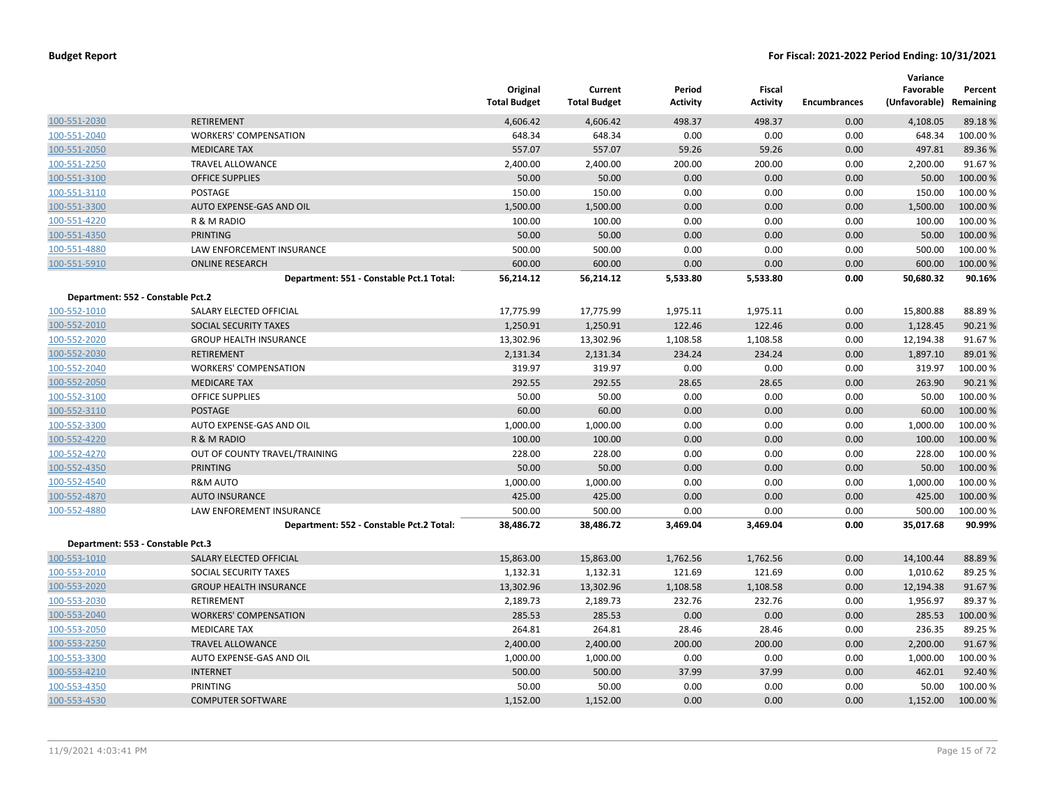|                                   |                                          | Original<br><b>Total Budget</b> | Current<br><b>Total Budget</b> | Period<br><b>Activity</b> | Fiscal<br><b>Activity</b> | <b>Encumbrances</b> | Variance<br>Favorable<br>(Unfavorable) Remaining | Percent            |
|-----------------------------------|------------------------------------------|---------------------------------|--------------------------------|---------------------------|---------------------------|---------------------|--------------------------------------------------|--------------------|
| 100-551-2030                      | <b>RETIREMENT</b>                        | 4,606.42                        | 4,606.42                       | 498.37                    | 498.37                    | 0.00                | 4,108.05                                         | 89.18%             |
| 100-551-2040                      | <b>WORKERS' COMPENSATION</b>             | 648.34                          | 648.34                         | 0.00                      | 0.00                      | 0.00                | 648.34                                           | 100.00%            |
| 100-551-2050                      | <b>MEDICARE TAX</b>                      | 557.07                          | 557.07                         | 59.26                     | 59.26                     | 0.00                | 497.81                                           | 89.36%             |
| 100-551-2250                      | <b>TRAVEL ALLOWANCE</b>                  | 2,400.00                        | 2,400.00                       | 200.00                    | 200.00                    | 0.00                | 2,200.00                                         | 91.67%             |
| 100-551-3100                      | <b>OFFICE SUPPLIES</b>                   | 50.00                           | 50.00                          | 0.00                      | 0.00                      | 0.00                | 50.00                                            | 100.00%            |
| 100-551-3110                      | POSTAGE                                  | 150.00                          | 150.00                         | 0.00                      | 0.00                      | 0.00                | 150.00                                           | 100.00 %           |
| 100-551-3300                      | AUTO EXPENSE-GAS AND OIL                 | 1,500.00                        | 1,500.00                       | 0.00                      | 0.00                      | 0.00                | 1,500.00                                         | 100.00 %           |
| 100-551-4220                      | R & M RADIO                              | 100.00                          | 100.00                         | 0.00                      | 0.00                      | 0.00                | 100.00                                           | 100.00%            |
| 100-551-4350                      | <b>PRINTING</b>                          | 50.00                           | 50.00                          | 0.00                      | 0.00                      | 0.00                | 50.00                                            | 100.00 %           |
| 100-551-4880                      | LAW ENFORCEMENT INSURANCE                | 500.00                          | 500.00                         | 0.00                      | 0.00                      | 0.00                | 500.00                                           | 100.00%            |
| 100-551-5910                      | <b>ONLINE RESEARCH</b>                   | 600.00                          | 600.00                         | 0.00                      | 0.00                      | 0.00                | 600.00                                           | 100.00 %           |
|                                   | Department: 551 - Constable Pct.1 Total: | 56,214.12                       | 56,214.12                      | 5,533.80                  | 5,533.80                  | 0.00                | 50,680.32                                        | 90.16%             |
| Department: 552 - Constable Pct.2 |                                          |                                 |                                |                           |                           |                     |                                                  |                    |
| 100-552-1010                      | SALARY ELECTED OFFICIAL                  | 17,775.99                       | 17,775.99                      | 1,975.11                  | 1,975.11                  | 0.00                | 15,800.88                                        | 88.89%             |
| 100-552-2010                      | SOCIAL SECURITY TAXES                    | 1,250.91                        | 1,250.91                       | 122.46                    | 122.46                    | 0.00                | 1,128.45                                         | 90.21%             |
| 100-552-2020                      | <b>GROUP HEALTH INSURANCE</b>            | 13,302.96                       | 13,302.96                      | 1,108.58                  | 1,108.58                  | 0.00                | 12,194.38                                        | 91.67%             |
| 100-552-2030                      | <b>RETIREMENT</b>                        | 2,131.34                        | 2,131.34                       | 234.24                    | 234.24                    | 0.00                | 1,897.10                                         | 89.01%             |
| 100-552-2040                      | <b>WORKERS' COMPENSATION</b>             | 319.97                          | 319.97                         | 0.00                      | 0.00                      | 0.00                | 319.97                                           | 100.00 %           |
| 100-552-2050                      | <b>MEDICARE TAX</b>                      | 292.55                          | 292.55                         | 28.65                     | 28.65                     | 0.00                | 263.90                                           | 90.21%             |
| 100-552-3100                      | <b>OFFICE SUPPLIES</b>                   | 50.00                           | 50.00                          | 0.00                      | 0.00                      | 0.00                | 50.00                                            | 100.00 %           |
| 100-552-3110                      | <b>POSTAGE</b>                           | 60.00                           | 60.00                          | 0.00                      | 0.00                      | 0.00                | 60.00                                            | 100.00 %           |
| 100-552-3300                      | AUTO EXPENSE-GAS AND OIL                 | 1,000.00                        | 1,000.00                       | 0.00                      | 0.00                      | 0.00                | 1,000.00                                         | 100.00%            |
| 100-552-4220                      | R & M RADIO                              | 100.00                          | 100.00                         | 0.00                      | 0.00                      | 0.00                | 100.00                                           | 100.00 %           |
| 100-552-4270                      | OUT OF COUNTY TRAVEL/TRAINING            | 228.00                          | 228.00                         | 0.00                      | 0.00                      | 0.00                | 228.00                                           | 100.00%            |
| 100-552-4350                      | <b>PRINTING</b>                          | 50.00                           | 50.00                          | 0.00                      | 0.00                      | 0.00                | 50.00                                            | 100.00 %           |
| 100-552-4540                      | <b>R&amp;M AUTO</b>                      | 1,000.00                        | 1,000.00                       | 0.00                      | 0.00                      | 0.00                | 1,000.00                                         | 100.00 %           |
| 100-552-4870                      | <b>AUTO INSURANCE</b>                    | 425.00                          | 425.00                         | 0.00                      | 0.00                      | 0.00                | 425.00                                           | 100.00%            |
| 100-552-4880                      | LAW ENFOREMENT INSURANCE                 | 500.00                          | 500.00                         | 0.00                      | 0.00                      | 0.00                | 500.00                                           | 100.00%            |
|                                   | Department: 552 - Constable Pct.2 Total: | 38,486.72                       | 38,486.72                      | 3,469.04                  | 3,469.04                  | 0.00                | 35,017.68                                        | 90.99%             |
| Department: 553 - Constable Pct.3 |                                          |                                 |                                |                           |                           |                     |                                                  |                    |
| 100-553-1010                      | SALARY ELECTED OFFICIAL                  | 15,863.00                       | 15,863.00                      | 1,762.56                  | 1,762.56                  | 0.00                | 14,100.44                                        | 88.89%             |
|                                   | SOCIAL SECURITY TAXES                    | 1,132.31                        | 1,132.31                       | 121.69                    | 121.69                    |                     |                                                  |                    |
| 100-553-2010<br>100-553-2020      | <b>GROUP HEALTH INSURANCE</b>            | 13,302.96                       | 13,302.96                      | 1,108.58                  | 1,108.58                  | 0.00<br>0.00        | 1,010.62<br>12,194.38                            | 89.25 %<br>91.67%  |
| 100-553-2030                      | <b>RETIREMENT</b>                        |                                 |                                | 232.76                    | 232.76                    | 0.00                | 1,956.97                                         | 89.37%             |
|                                   | <b>WORKERS' COMPENSATION</b>             | 2,189.73<br>285.53              | 2,189.73<br>285.53             | 0.00                      | 0.00                      | 0.00                | 285.53                                           | 100.00 %           |
| 100-553-2040                      | <b>MEDICARE TAX</b>                      | 264.81                          | 264.81                         | 28.46                     | 28.46                     | 0.00                | 236.35                                           | 89.25 %            |
| 100-553-2050                      |                                          |                                 |                                |                           |                           |                     |                                                  |                    |
| 100-553-2250                      | <b>TRAVEL ALLOWANCE</b>                  | 2,400.00                        | 2,400.00                       | 200.00                    | 200.00                    | 0.00                | 2,200.00                                         | 91.67%             |
| 100-553-3300                      | AUTO EXPENSE-GAS AND OIL                 | 1,000.00                        | 1,000.00                       | 0.00                      | 0.00                      | 0.00                | 1,000.00                                         | 100.00 %           |
| 100-553-4210<br>100-553-4350      | <b>INTERNET</b><br><b>PRINTING</b>       | 500.00<br>50.00                 | 500.00<br>50.00                | 37.99<br>0.00             | 37.99<br>0.00             | 0.00<br>0.00        | 462.01<br>50.00                                  | 92.40 %<br>100.00% |
| 100-553-4530                      | <b>COMPUTER SOFTWARE</b>                 | 1,152.00                        | 1,152.00                       | 0.00                      | 0.00                      | 0.00                | 1,152.00                                         | 100.00 %           |
|                                   |                                          |                                 |                                |                           |                           |                     |                                                  |                    |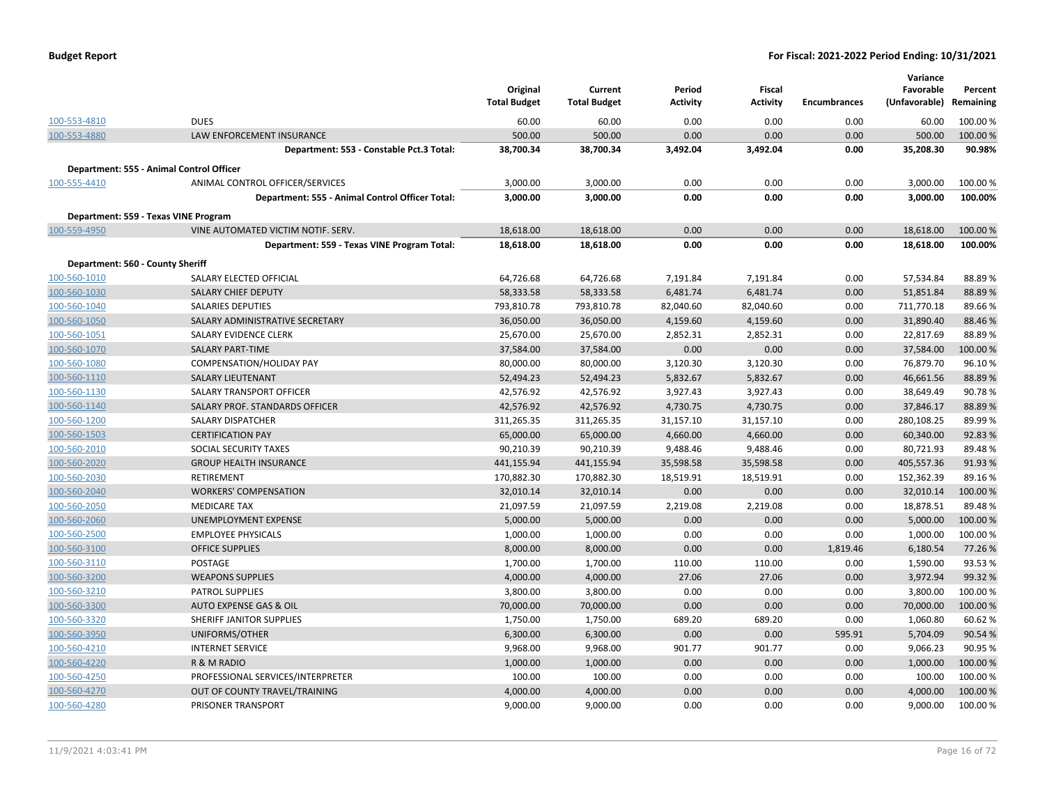| <b>Budget Report</b> |  |  |
|----------------------|--|--|
|----------------------|--|--|

|                                          |                                                 |                     |                     |                 |                 |                     | Variance      |           |
|------------------------------------------|-------------------------------------------------|---------------------|---------------------|-----------------|-----------------|---------------------|---------------|-----------|
|                                          |                                                 | Original            | Current             | Period          | <b>Fiscal</b>   |                     | Favorable     | Percent   |
|                                          |                                                 | <b>Total Budget</b> | <b>Total Budget</b> | <b>Activity</b> | <b>Activity</b> | <b>Encumbrances</b> | (Unfavorable) | Remaining |
| 100-553-4810                             | <b>DUES</b>                                     | 60.00               | 60.00               | 0.00            | 0.00            | 0.00                | 60.00         | 100.00 %  |
| 100-553-4880                             | <b>LAW ENFORCEMENT INSURANCE</b>                | 500.00              | 500.00              | 0.00            | 0.00            | 0.00                | 500.00        | 100.00 %  |
|                                          | Department: 553 - Constable Pct.3 Total:        | 38,700.34           | 38,700.34           | 3,492.04        | 3,492.04        | 0.00                | 35,208.30     | 90.98%    |
| Department: 555 - Animal Control Officer |                                                 |                     |                     |                 |                 |                     |               |           |
| 100-555-4410                             | ANIMAL CONTROL OFFICER/SERVICES                 | 3,000.00            | 3,000.00            | 0.00            | 0.00            | 0.00                | 3,000.00      | 100.00%   |
|                                          | Department: 555 - Animal Control Officer Total: | 3,000.00            | 3,000.00            | 0.00            | 0.00            | 0.00                | 3,000.00      | 100.00%   |
| Department: 559 - Texas VINE Program     |                                                 |                     |                     |                 |                 |                     |               |           |
| 100-559-4950                             | VINE AUTOMATED VICTIM NOTIF. SERV.              | 18,618.00           | 18,618.00           | 0.00            | 0.00            | 0.00                | 18,618.00     | 100.00 %  |
|                                          | Department: 559 - Texas VINE Program Total:     | 18,618.00           | 18,618.00           | 0.00            | 0.00            | 0.00                | 18,618.00     | 100.00%   |
|                                          |                                                 |                     |                     |                 |                 |                     |               |           |
| Department: 560 - County Sheriff         |                                                 |                     |                     |                 |                 |                     |               |           |
| 100-560-1010                             | SALARY ELECTED OFFICIAL                         | 64,726.68           | 64,726.68           | 7,191.84        | 7,191.84        | 0.00                | 57,534.84     | 88.89%    |
| 100-560-1030                             | <b>SALARY CHIEF DEPUTY</b>                      | 58,333.58           | 58,333.58           | 6,481.74        | 6,481.74        | 0.00                | 51,851.84     | 88.89%    |
| 100-560-1040                             | <b>SALARIES DEPUTIES</b>                        | 793,810.78          | 793,810.78          | 82,040.60       | 82,040.60       | 0.00                | 711,770.18    | 89.66%    |
| 100-560-1050                             | SALARY ADMINISTRATIVE SECRETARY                 | 36,050.00           | 36,050.00           | 4,159.60        | 4,159.60        | 0.00                | 31,890.40     | 88.46%    |
| 100-560-1051                             | SALARY EVIDENCE CLERK                           | 25,670.00           | 25,670.00           | 2,852.31        | 2,852.31        | 0.00                | 22,817.69     | 88.89%    |
| 100-560-1070                             | <b>SALARY PART-TIME</b>                         | 37,584.00           | 37,584.00           | 0.00            | 0.00            | 0.00                | 37,584.00     | 100.00%   |
| 100-560-1080                             | COMPENSATION/HOLIDAY PAY                        | 80,000.00           | 80,000.00           | 3,120.30        | 3,120.30        | 0.00                | 76,879.70     | 96.10%    |
| 100-560-1110                             | <b>SALARY LIEUTENANT</b>                        | 52,494.23           | 52,494.23           | 5,832.67        | 5,832.67        | 0.00                | 46,661.56     | 88.89%    |
| 100-560-1130                             | SALARY TRANSPORT OFFICER                        | 42,576.92           | 42,576.92           | 3,927.43        | 3,927.43        | 0.00                | 38,649.49     | 90.78%    |
| 100-560-1140                             | SALARY PROF. STANDARDS OFFICER                  | 42,576.92           | 42,576.92           | 4,730.75        | 4,730.75        | 0.00                | 37,846.17     | 88.89%    |
| 100-560-1200                             | <b>SALARY DISPATCHER</b>                        | 311,265.35          | 311,265.35          | 31,157.10       | 31,157.10       | 0.00                | 280,108.25    | 89.99%    |
| 100-560-1503                             | <b>CERTIFICATION PAY</b>                        | 65,000.00           | 65,000.00           | 4,660.00        | 4,660.00        | 0.00                | 60,340.00     | 92.83%    |
| 100-560-2010                             | SOCIAL SECURITY TAXES                           | 90,210.39           | 90,210.39           | 9,488.46        | 9,488.46        | 0.00                | 80,721.93     | 89.48%    |
| 100-560-2020                             | <b>GROUP HEALTH INSURANCE</b>                   | 441,155.94          | 441,155.94          | 35,598.58       | 35,598.58       | 0.00                | 405,557.36    | 91.93%    |
| 100-560-2030                             | <b>RETIREMENT</b>                               | 170,882.30          | 170,882.30          | 18,519.91       | 18,519.91       | 0.00                | 152,362.39    | 89.16%    |
| 100-560-2040                             | <b>WORKERS' COMPENSATION</b>                    | 32,010.14           | 32,010.14           | 0.00            | 0.00            | 0.00                | 32,010.14     | 100.00%   |
| 100-560-2050                             | <b>MEDICARE TAX</b>                             | 21,097.59           | 21,097.59           | 2,219.08        | 2,219.08        | 0.00                | 18,878.51     | 89.48%    |
| 100-560-2060                             | UNEMPLOYMENT EXPENSE                            | 5,000.00            | 5,000.00            | 0.00            | 0.00            | 0.00                | 5,000.00      | 100.00%   |
| 100-560-2500                             | <b>EMPLOYEE PHYSICALS</b>                       | 1,000.00            | 1,000.00            | 0.00            | 0.00            | 0.00                | 1,000.00      | 100.00%   |
| 100-560-3100                             | <b>OFFICE SUPPLIES</b>                          | 8,000.00            | 8,000.00            | 0.00            | 0.00            | 1,819.46            | 6,180.54      | 77.26 %   |
| 100-560-3110                             | POSTAGE                                         | 1,700.00            | 1,700.00            | 110.00          | 110.00          | 0.00                | 1,590.00      | 93.53%    |
| 100-560-3200                             | <b>WEAPONS SUPPLIES</b>                         | 4,000.00            | 4,000.00            | 27.06           | 27.06           | 0.00                | 3,972.94      | 99.32%    |
| 100-560-3210                             | <b>PATROL SUPPLIES</b>                          | 3,800.00            | 3,800.00            | 0.00            | 0.00            | 0.00                | 3,800.00      | 100.00 %  |
| 100-560-3300                             | AUTO EXPENSE GAS & OIL                          | 70,000.00           | 70,000.00           | 0.00            | 0.00            | 0.00                | 70,000.00     | 100.00%   |
| 100-560-3320                             | SHERIFF JANITOR SUPPLIES                        | 1,750.00            | 1,750.00            | 689.20          | 689.20          | 0.00                | 1,060.80      | 60.62%    |
| 100-560-3950                             | UNIFORMS/OTHER                                  | 6,300.00            | 6,300.00            | 0.00            | 0.00            | 595.91              | 5,704.09      | 90.54 %   |
| 100-560-4210                             | <b>INTERNET SERVICE</b>                         | 9,968.00            | 9,968.00            | 901.77          | 901.77          | 0.00                | 9,066.23      | 90.95%    |
| 100-560-4220                             | R & M RADIO                                     | 1,000.00            | 1,000.00            | 0.00            | 0.00            | 0.00                | 1,000.00      | 100.00 %  |
| 100-560-4250                             | PROFESSIONAL SERVICES/INTERPRETER               | 100.00              | 100.00              | 0.00            | 0.00            | 0.00                | 100.00        | 100.00%   |
| 100-560-4270                             | OUT OF COUNTY TRAVEL/TRAINING                   | 4,000.00            | 4,000.00            | 0.00            | 0.00            | 0.00                | 4,000.00      | 100.00%   |
| 100-560-4280                             | PRISONER TRANSPORT                              | 9,000.00            | 9,000.00            | 0.00            | 0.00            | 0.00                | 9,000.00      | 100.00 %  |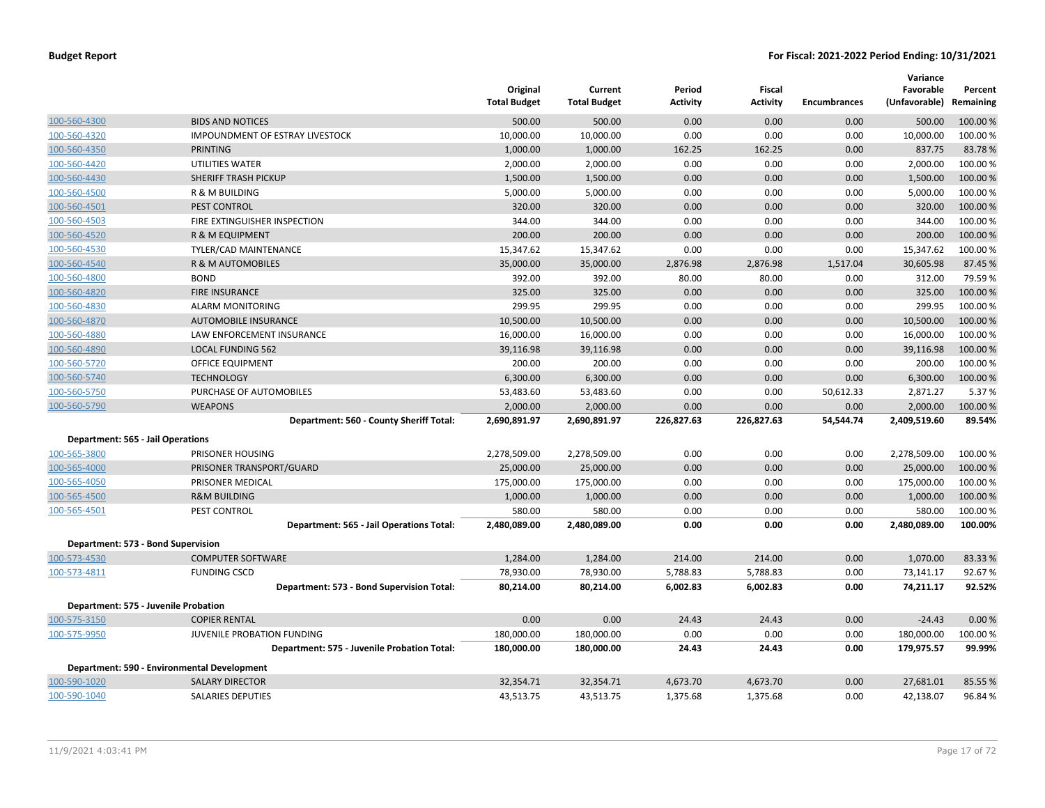|                                    |                                             | Original<br><b>Total Budget</b> | Current<br><b>Total Budget</b> | Period<br>Activity | <b>Fiscal</b><br><b>Activity</b> | <b>Encumbrances</b> | Variance<br>Favorable<br>(Unfavorable) | Percent<br>Remaining |
|------------------------------------|---------------------------------------------|---------------------------------|--------------------------------|--------------------|----------------------------------|---------------------|----------------------------------------|----------------------|
| 100-560-4300                       | <b>BIDS AND NOTICES</b>                     | 500.00                          | 500.00                         | 0.00               | 0.00                             | 0.00                | 500.00                                 | 100.00 %             |
| 100-560-4320                       | IMPOUNDMENT OF ESTRAY LIVESTOCK             | 10,000.00                       | 10,000.00                      | 0.00               | 0.00                             | 0.00                | 10,000.00                              | 100.00%              |
| 100-560-4350                       | <b>PRINTING</b>                             | 1,000.00                        | 1,000.00                       | 162.25             | 162.25                           | 0.00                | 837.75                                 | 83.78%               |
| 100-560-4420                       | UTILITIES WATER                             | 2,000.00                        | 2,000.00                       | 0.00               | 0.00                             | 0.00                | 2,000.00                               | 100.00%              |
| 100-560-4430                       | SHERIFF TRASH PICKUP                        | 1,500.00                        | 1,500.00                       | 0.00               | 0.00                             | 0.00                | 1,500.00                               | 100.00%              |
| 100-560-4500                       | R & M BUILDING                              | 5,000.00                        | 5,000.00                       | 0.00               | 0.00                             | 0.00                | 5,000.00                               | 100.00%              |
| 100-560-4501                       | <b>PEST CONTROL</b>                         | 320.00                          | 320.00                         | 0.00               | 0.00                             | 0.00                | 320.00                                 | 100.00 %             |
| 100-560-4503                       | FIRE EXTINGUISHER INSPECTION                | 344.00                          | 344.00                         | 0.00               | 0.00                             | 0.00                | 344.00                                 | 100.00%              |
| 100-560-4520                       | R & M EQUIPMENT                             | 200.00                          | 200.00                         | 0.00               | 0.00                             | 0.00                | 200.00                                 | 100.00%              |
| 100-560-4530                       | TYLER/CAD MAINTENANCE                       | 15,347.62                       | 15,347.62                      | 0.00               | 0.00                             | 0.00                | 15,347.62                              | 100.00 %             |
| 100-560-4540                       | R & M AUTOMOBILES                           | 35,000.00                       | 35,000.00                      | 2,876.98           | 2,876.98                         | 1,517.04            | 30,605.98                              | 87.45 %              |
| 100-560-4800                       | <b>BOND</b>                                 | 392.00                          | 392.00                         | 80.00              | 80.00                            | 0.00                | 312.00                                 | 79.59%               |
| 100-560-4820                       | <b>FIRE INSURANCE</b>                       | 325.00                          | 325.00                         | 0.00               | 0.00                             | 0.00                | 325.00                                 | 100.00%              |
| 100-560-4830                       | <b>ALARM MONITORING</b>                     | 299.95                          | 299.95                         | 0.00               | 0.00                             | 0.00                | 299.95                                 | 100.00%              |
| 100-560-4870                       | <b>AUTOMOBILE INSURANCE</b>                 | 10,500.00                       | 10,500.00                      | 0.00               | 0.00                             | 0.00                | 10,500.00                              | 100.00%              |
| 100-560-4880                       | LAW ENFORCEMENT INSURANCE                   | 16,000.00                       | 16,000.00                      | 0.00               | 0.00                             | 0.00                | 16,000.00                              | 100.00%              |
| 100-560-4890                       | <b>LOCAL FUNDING 562</b>                    | 39,116.98                       | 39,116.98                      | 0.00               | 0.00                             | 0.00                | 39,116.98                              | 100.00%              |
| 100-560-5720                       | OFFICE EQUIPMENT                            | 200.00                          | 200.00                         | 0.00               | 0.00                             | 0.00                | 200.00                                 | 100.00%              |
| 100-560-5740                       | <b>TECHNOLOGY</b>                           | 6,300.00                        | 6,300.00                       | 0.00               | 0.00                             | 0.00                | 6,300.00                               | 100.00%              |
| 100-560-5750                       | PURCHASE OF AUTOMOBILES                     | 53,483.60                       | 53,483.60                      | 0.00               | 0.00                             | 50,612.33           | 2,871.27                               | 5.37 %               |
| 100-560-5790                       | <b>WEAPONS</b>                              | 2,000.00                        | 2,000.00                       | 0.00               | 0.00                             | 0.00                | 2,000.00                               | 100.00 %             |
|                                    | Department: 560 - County Sheriff Total:     | 2,690,891.97                    | 2,690,891.97                   | 226,827.63         | 226,827.63                       | 54,544.74           | 2,409,519.60                           | 89.54%               |
| Department: 565 - Jail Operations  |                                             |                                 |                                |                    |                                  |                     |                                        |                      |
| 100-565-3800                       | PRISONER HOUSING                            | 2,278,509.00                    | 2,278,509.00                   | 0.00               | 0.00                             | 0.00                | 2,278,509.00                           | 100.00%              |
| 100-565-4000                       | PRISONER TRANSPORT/GUARD                    | 25,000.00                       | 25,000.00                      | 0.00               | 0.00                             | 0.00                | 25,000.00                              | 100.00%              |
| 100-565-4050                       | PRISONER MEDICAL                            | 175,000.00                      | 175,000.00                     | 0.00               | 0.00                             | 0.00                | 175,000.00                             | 100.00 %             |
| 100-565-4500                       | <b>R&amp;M BUILDING</b>                     | 1,000.00                        | 1,000.00                       | 0.00               | 0.00                             | 0.00                | 1,000.00                               | 100.00%              |
| 100-565-4501                       | PEST CONTROL                                | 580.00                          | 580.00                         | 0.00               | 0.00                             | 0.00                | 580.00                                 | 100.00%              |
|                                    | Department: 565 - Jail Operations Total:    | 2,480,089.00                    | 2,480,089.00                   | 0.00               | 0.00                             | 0.00                | 2,480,089.00                           | 100.00%              |
| Department: 573 - Bond Supervision |                                             |                                 |                                |                    |                                  |                     |                                        |                      |
| 100-573-4530                       | <b>COMPUTER SOFTWARE</b>                    | 1,284.00                        | 1,284.00                       | 214.00             | 214.00                           | 0.00                | 1,070.00                               | 83.33 %              |
| 100-573-4811                       | <b>FUNDING CSCD</b>                         | 78,930.00                       | 78,930.00                      | 5,788.83           | 5,788.83                         | 0.00                | 73,141.17                              | 92.67%               |
|                                    | Department: 573 - Bond Supervision Total:   | 80,214.00                       | 80,214.00                      | 6,002.83           | 6,002.83                         | 0.00                | 74,211.17                              | 92.52%               |
|                                    | Department: 575 - Juvenile Probation        |                                 |                                |                    |                                  |                     |                                        |                      |
| 100-575-3150                       | <b>COPIER RENTAL</b>                        | 0.00                            | 0.00                           | 24.43              | 24.43                            | 0.00                | $-24.43$                               | 0.00%                |
| 100-575-9950                       | JUVENILE PROBATION FUNDING                  | 180,000.00                      | 180,000.00                     | 0.00               | 0.00                             | 0.00                | 180,000.00                             | 100.00%              |
|                                    | Department: 575 - Juvenile Probation Total: | 180,000.00                      | 180,000.00                     | 24.43              | 24.43                            | 0.00                | 179,975.57                             | 99.99%               |
|                                    | Department: 590 - Environmental Development |                                 |                                |                    |                                  |                     |                                        |                      |
| 100-590-1020                       | <b>SALARY DIRECTOR</b>                      | 32,354.71                       | 32,354.71                      | 4,673.70           | 4,673.70                         | 0.00                | 27,681.01                              | 85.55 %              |
| 100-590-1040                       | <b>SALARIES DEPUTIES</b>                    | 43,513.75                       | 43,513.75                      | 1,375.68           | 1,375.68                         | 0.00                | 42,138.07                              | 96.84%               |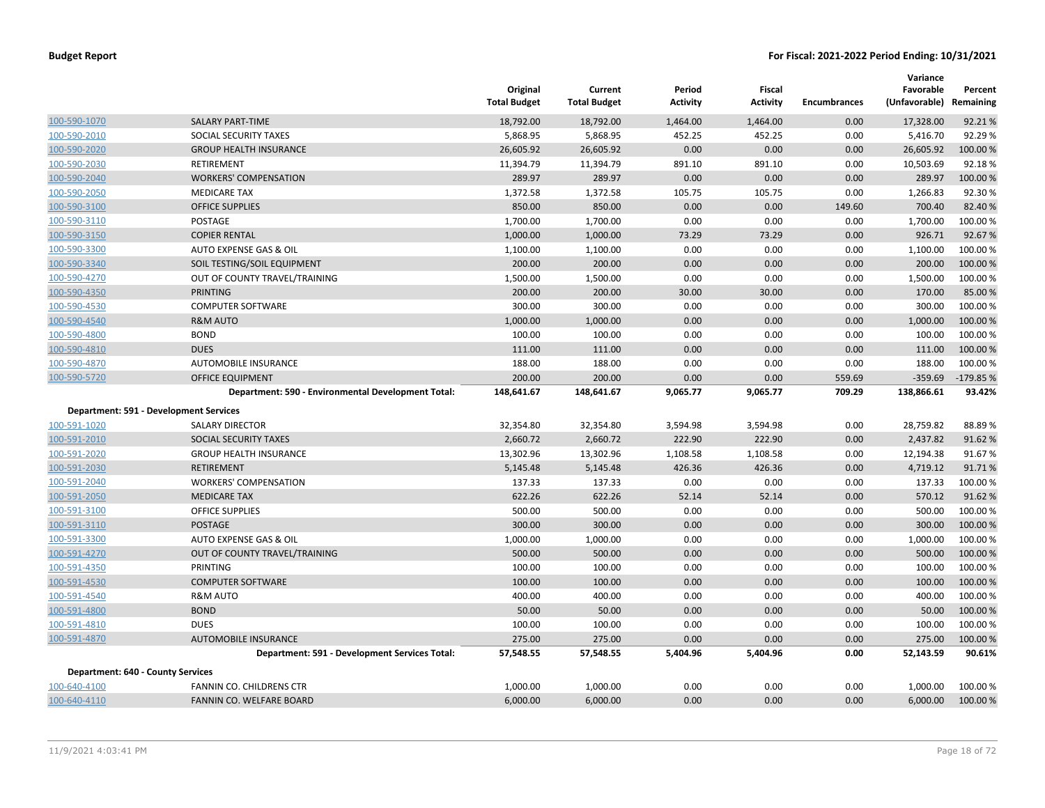|                                          |                                                    | Original<br><b>Total Budget</b> | Current<br><b>Total Budget</b> | Period<br><b>Activity</b> | <b>Fiscal</b><br><b>Activity</b> | <b>Encumbrances</b> | Variance<br>Favorable<br>(Unfavorable) | Percent<br>Remaining |
|------------------------------------------|----------------------------------------------------|---------------------------------|--------------------------------|---------------------------|----------------------------------|---------------------|----------------------------------------|----------------------|
| 100-590-1070                             | <b>SALARY PART-TIME</b>                            | 18,792.00                       | 18,792.00                      | 1,464.00                  | 1,464.00                         | 0.00                | 17,328.00                              | 92.21%               |
| 100-590-2010                             | SOCIAL SECURITY TAXES                              | 5,868.95                        | 5,868.95                       | 452.25                    | 452.25                           | 0.00                | 5,416.70                               | 92.29%               |
| 100-590-2020                             | <b>GROUP HEALTH INSURANCE</b>                      | 26,605.92                       | 26,605.92                      | 0.00                      | 0.00                             | 0.00                | 26,605.92                              | 100.00%              |
| 100-590-2030                             | RETIREMENT                                         | 11,394.79                       | 11,394.79                      | 891.10                    | 891.10                           | 0.00                | 10,503.69                              | 92.18%               |
| 100-590-2040                             | <b>WORKERS' COMPENSATION</b>                       | 289.97                          | 289.97                         | 0.00                      | 0.00                             | 0.00                | 289.97                                 | 100.00%              |
| 100-590-2050                             | <b>MEDICARE TAX</b>                                | 1,372.58                        | 1,372.58                       | 105.75                    | 105.75                           | 0.00                | 1,266.83                               | 92.30%               |
| 100-590-3100                             | <b>OFFICE SUPPLIES</b>                             | 850.00                          | 850.00                         | 0.00                      | 0.00                             | 149.60              | 700.40                                 | 82.40%               |
| 100-590-3110                             | POSTAGE                                            | 1,700.00                        | 1,700.00                       | 0.00                      | 0.00                             | 0.00                | 1,700.00                               | 100.00%              |
| 100-590-3150                             | <b>COPIER RENTAL</b>                               | 1,000.00                        | 1,000.00                       | 73.29                     | 73.29                            | 0.00                | 926.71                                 | 92.67%               |
| 100-590-3300                             | AUTO EXPENSE GAS & OIL                             | 1,100.00                        | 1,100.00                       | 0.00                      | 0.00                             | 0.00                | 1,100.00                               | 100.00%              |
| 100-590-3340                             | SOIL TESTING/SOIL EQUIPMENT                        | 200.00                          | 200.00                         | 0.00                      | 0.00                             | 0.00                | 200.00                                 | 100.00%              |
| 100-590-4270                             | OUT OF COUNTY TRAVEL/TRAINING                      | 1,500.00                        | 1,500.00                       | 0.00                      | 0.00                             | 0.00                | 1,500.00                               | 100.00%              |
| 100-590-4350                             | <b>PRINTING</b>                                    | 200.00                          | 200.00                         | 30.00                     | 30.00                            | 0.00                | 170.00                                 | 85.00 %              |
| 100-590-4530                             | <b>COMPUTER SOFTWARE</b>                           | 300.00                          | 300.00                         | 0.00                      | 0.00                             | 0.00                | 300.00                                 | 100.00%              |
| 100-590-4540                             | R&M AUTO                                           | 1,000.00                        | 1,000.00                       | 0.00                      | 0.00                             | 0.00                | 1,000.00                               | 100.00%              |
| 100-590-4800                             | <b>BOND</b>                                        | 100.00                          | 100.00                         | 0.00                      | 0.00                             | 0.00                | 100.00                                 | 100.00%              |
| 100-590-4810                             | <b>DUES</b>                                        | 111.00                          | 111.00                         | 0.00                      | 0.00                             | 0.00                | 111.00                                 | 100.00%              |
| 100-590-4870                             | AUTOMOBILE INSURANCE                               | 188.00                          | 188.00                         | 0.00                      | 0.00                             | 0.00                | 188.00                                 | 100.00%              |
| 100-590-5720                             | <b>OFFICE EQUIPMENT</b>                            | 200.00                          | 200.00                         | 0.00                      | 0.00                             | 559.69              | $-359.69$                              | $-179.85%$           |
|                                          | Department: 590 - Environmental Development Total: | 148,641.67                      | 148,641.67                     | 9,065.77                  | 9,065.77                         | 709.29              | 138,866.61                             | 93.42%               |
|                                          | <b>Department: 591 - Development Services</b>      |                                 |                                |                           |                                  |                     |                                        |                      |
| 100-591-1020                             | <b>SALARY DIRECTOR</b>                             | 32,354.80                       | 32,354.80                      | 3,594.98                  | 3,594.98                         | 0.00                | 28,759.82                              | 88.89%               |
| 100-591-2010                             | SOCIAL SECURITY TAXES                              | 2,660.72                        | 2,660.72                       | 222.90                    | 222.90                           | 0.00                | 2,437.82                               | 91.62%               |
| 100-591-2020                             | <b>GROUP HEALTH INSURANCE</b>                      | 13,302.96                       | 13,302.96                      | 1,108.58                  | 1,108.58                         | 0.00                | 12,194.38                              | 91.67%               |
| 100-591-2030                             | <b>RETIREMENT</b>                                  | 5,145.48                        | 5,145.48                       | 426.36                    | 426.36                           | 0.00                | 4,719.12                               | 91.71%               |
| 100-591-2040                             | <b>WORKERS' COMPENSATION</b>                       | 137.33                          | 137.33                         | 0.00                      | 0.00                             | 0.00                | 137.33                                 | 100.00%              |
| 100-591-2050                             | <b>MEDICARE TAX</b>                                | 622.26                          | 622.26                         | 52.14                     | 52.14                            | 0.00                | 570.12                                 | 91.62%               |
| 100-591-3100                             | <b>OFFICE SUPPLIES</b>                             | 500.00                          | 500.00                         | 0.00                      | 0.00                             | 0.00                | 500.00                                 | 100.00%              |
| 100-591-3110                             | <b>POSTAGE</b>                                     | 300.00                          | 300.00                         | 0.00                      | 0.00                             | 0.00                | 300.00                                 | 100.00 %             |
| 100-591-3300                             | AUTO EXPENSE GAS & OIL                             | 1,000.00                        | 1,000.00                       | 0.00                      | 0.00                             | 0.00                | 1,000.00                               | 100.00%              |
| 100-591-4270                             | OUT OF COUNTY TRAVEL/TRAINING                      | 500.00                          | 500.00                         | 0.00                      | 0.00                             | 0.00                | 500.00                                 | 100.00 %             |
| 100-591-4350                             | PRINTING                                           | 100.00                          | 100.00                         | 0.00                      | 0.00                             | 0.00                | 100.00                                 | 100.00 %             |
| 100-591-4530                             | <b>COMPUTER SOFTWARE</b>                           | 100.00                          | 100.00                         | 0.00                      | 0.00                             | 0.00                | 100.00                                 | 100.00%              |
| 100-591-4540                             | <b>R&amp;M AUTO</b>                                | 400.00                          | 400.00                         | 0.00                      | 0.00                             | 0.00                | 400.00                                 | 100.00%              |
| 100-591-4800                             | <b>BOND</b>                                        | 50.00                           | 50.00                          | 0.00                      | 0.00                             | 0.00                | 50.00                                  | 100.00%              |
| 100-591-4810                             | <b>DUES</b>                                        | 100.00                          | 100.00                         | 0.00                      | 0.00                             | 0.00                | 100.00                                 | 100.00%              |
| 100-591-4870                             | <b>AUTOMOBILE INSURANCE</b>                        | 275.00                          | 275.00                         | 0.00                      | 0.00                             | 0.00                | 275.00                                 | 100.00 %             |
|                                          | Department: 591 - Development Services Total:      | 57,548.55                       | 57,548.55                      | 5,404.96                  | 5,404.96                         | 0.00                | 52,143.59                              | 90.61%               |
| <b>Department: 640 - County Services</b> |                                                    |                                 |                                |                           |                                  |                     |                                        |                      |
| 100-640-4100                             | <b>FANNIN CO. CHILDRENS CTR</b>                    | 1,000.00                        | 1,000.00                       | 0.00                      | 0.00                             | 0.00                | 1,000.00                               | 100.00 %             |
| 100-640-4110                             | <b>FANNIN CO. WELFARE BOARD</b>                    | 6,000.00                        | 6,000.00                       | 0.00                      | 0.00                             | 0.00                | 6,000.00                               | 100.00 %             |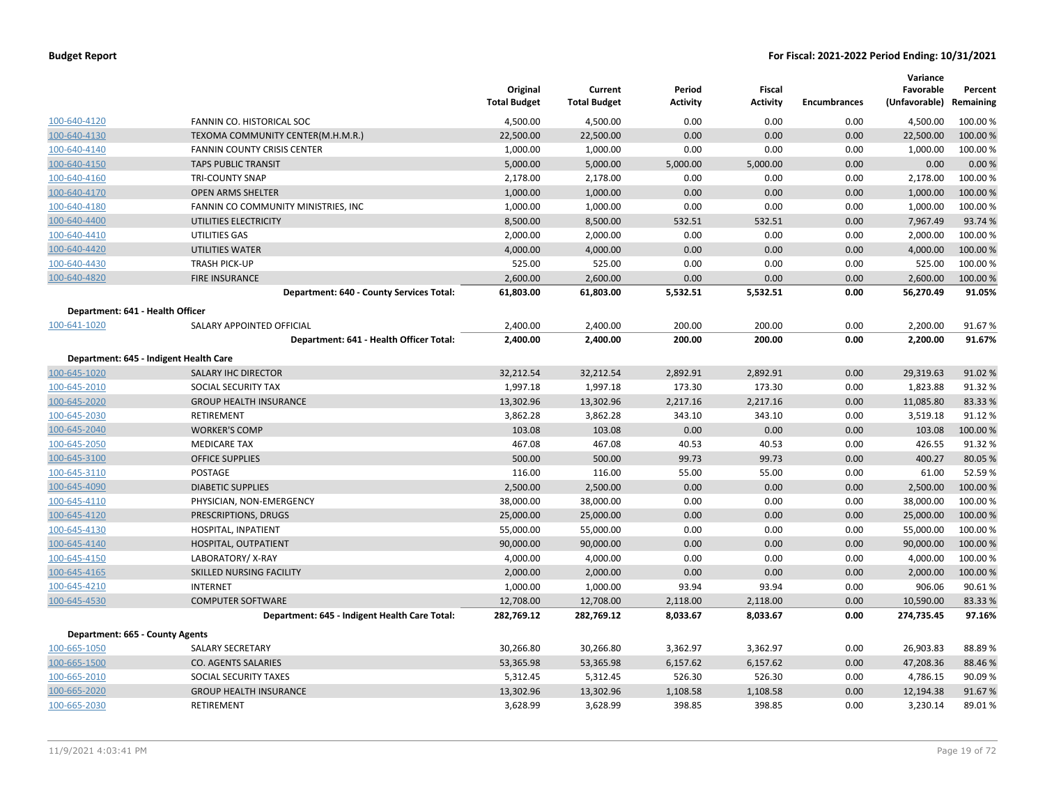|                                  |                                               | Original<br><b>Total Budget</b> | Current<br><b>Total Budget</b> | Period<br><b>Activity</b> | Fiscal<br><b>Activity</b> | <b>Encumbrances</b> | Variance<br>Favorable<br>(Unfavorable) Remaining | Percent  |
|----------------------------------|-----------------------------------------------|---------------------------------|--------------------------------|---------------------------|---------------------------|---------------------|--------------------------------------------------|----------|
| 100-640-4120                     | FANNIN CO. HISTORICAL SOC                     | 4,500.00                        | 4,500.00                       | 0.00                      | 0.00                      | 0.00                | 4,500.00                                         | 100.00 % |
| 100-640-4130                     | TEXOMA COMMUNITY CENTER(M.H.M.R.)             | 22,500.00                       | 22,500.00                      | 0.00                      | 0.00                      | 0.00                | 22,500.00                                        | 100.00 % |
| 100-640-4140                     | <b>FANNIN COUNTY CRISIS CENTER</b>            | 1,000.00                        | 1,000.00                       | 0.00                      | 0.00                      | 0.00                | 1,000.00                                         | 100.00%  |
| 100-640-4150                     | <b>TAPS PUBLIC TRANSIT</b>                    | 5,000.00                        | 5,000.00                       | 5,000.00                  | 5,000.00                  | 0.00                | 0.00                                             | 0.00%    |
| 100-640-4160                     | <b>TRI-COUNTY SNAP</b>                        | 2,178.00                        | 2,178.00                       | 0.00                      | 0.00                      | 0.00                | 2,178.00                                         | 100.00%  |
| 100-640-4170                     | <b>OPEN ARMS SHELTER</b>                      | 1,000.00                        | 1,000.00                       | 0.00                      | 0.00                      | 0.00                | 1,000.00                                         | 100.00%  |
| 100-640-4180                     | FANNIN CO COMMUNITY MINISTRIES, INC           | 1,000.00                        | 1,000.00                       | 0.00                      | 0.00                      | 0.00                | 1,000.00                                         | 100.00%  |
| 100-640-4400                     | UTILITIES ELECTRICITY                         | 8,500.00                        | 8,500.00                       | 532.51                    | 532.51                    | 0.00                | 7,967.49                                         | 93.74 %  |
| 100-640-4410                     | UTILITIES GAS                                 | 2,000.00                        | 2,000.00                       | 0.00                      | 0.00                      | 0.00                | 2,000.00                                         | 100.00 % |
| 100-640-4420                     | UTILITIES WATER                               | 4,000.00                        | 4,000.00                       | 0.00                      | 0.00                      | 0.00                | 4,000.00                                         | 100.00 % |
| 100-640-4430                     | <b>TRASH PICK-UP</b>                          | 525.00                          | 525.00                         | 0.00                      | 0.00                      | 0.00                | 525.00                                           | 100.00 % |
| 100-640-4820                     | <b>FIRE INSURANCE</b>                         | 2,600.00                        | 2,600.00                       | 0.00                      | 0.00                      | 0.00                | 2,600.00                                         | 100.00 % |
|                                  | Department: 640 - County Services Total:      | 61,803.00                       | 61,803.00                      | 5,532.51                  | 5,532.51                  | 0.00                | 56,270.49                                        | 91.05%   |
| Department: 641 - Health Officer |                                               |                                 |                                |                           |                           |                     |                                                  |          |
| 100-641-1020                     | SALARY APPOINTED OFFICIAL                     | 2,400.00                        | 2,400.00                       | 200.00                    | 200.00                    | 0.00                | 2,200.00                                         | 91.67%   |
|                                  | Department: 641 - Health Officer Total:       | 2,400.00                        | 2,400.00                       | 200.00                    | 200.00                    | 0.00                | 2,200.00                                         | 91.67%   |
|                                  | Department: 645 - Indigent Health Care        |                                 |                                |                           |                           |                     |                                                  |          |
| 100-645-1020                     | SALARY IHC DIRECTOR                           | 32,212.54                       | 32,212.54                      | 2,892.91                  | 2,892.91                  | 0.00                | 29,319.63                                        | 91.02%   |
| 100-645-2010                     | SOCIAL SECURITY TAX                           | 1,997.18                        | 1,997.18                       | 173.30                    | 173.30                    | 0.00                | 1,823.88                                         | 91.32%   |
| 100-645-2020                     | <b>GROUP HEALTH INSURANCE</b>                 | 13,302.96                       | 13,302.96                      | 2,217.16                  | 2,217.16                  | 0.00                | 11,085.80                                        | 83.33 %  |
| 100-645-2030                     | RETIREMENT                                    | 3,862.28                        | 3,862.28                       | 343.10                    | 343.10                    | 0.00                | 3,519.18                                         | 91.12%   |
| 100-645-2040                     | <b>WORKER'S COMP</b>                          | 103.08                          | 103.08                         | 0.00                      | 0.00                      | 0.00                | 103.08                                           | 100.00 % |
| 100-645-2050                     | <b>MEDICARE TAX</b>                           | 467.08                          | 467.08                         | 40.53                     | 40.53                     | 0.00                | 426.55                                           | 91.32%   |
| 100-645-3100                     | <b>OFFICE SUPPLIES</b>                        | 500.00                          | 500.00                         | 99.73                     | 99.73                     | 0.00                | 400.27                                           | 80.05 %  |
| 100-645-3110                     | POSTAGE                                       | 116.00                          | 116.00                         | 55.00                     | 55.00                     | 0.00                | 61.00                                            | 52.59 %  |
| 100-645-4090                     | <b>DIABETIC SUPPLIES</b>                      | 2,500.00                        | 2,500.00                       | 0.00                      | 0.00                      | 0.00                | 2,500.00                                         | 100.00 % |
| 100-645-4110                     | PHYSICIAN, NON-EMERGENCY                      | 38,000.00                       | 38,000.00                      | 0.00                      | 0.00                      | 0.00                | 38,000.00                                        | 100.00%  |
| 100-645-4120                     | PRESCRIPTIONS, DRUGS                          | 25,000.00                       | 25,000.00                      | 0.00                      | 0.00                      | 0.00                | 25,000.00                                        | 100.00 % |
| 100-645-4130                     | HOSPITAL, INPATIENT                           | 55,000.00                       | 55,000.00                      | 0.00                      | 0.00                      | 0.00                | 55,000.00                                        | 100.00 % |
| 100-645-4140                     | HOSPITAL, OUTPATIENT                          | 90,000.00                       | 90,000.00                      | 0.00                      | 0.00                      | 0.00                | 90,000.00                                        | 100.00 % |
| 100-645-4150                     | LABORATORY/X-RAY                              | 4,000.00                        | 4,000.00                       | 0.00                      | 0.00                      | 0.00                | 4,000.00                                         | 100.00%  |
| 100-645-4165                     | SKILLED NURSING FACILITY                      | 2,000.00                        | 2,000.00                       | 0.00                      | 0.00                      | 0.00                | 2,000.00                                         | 100.00 % |
| 100-645-4210                     | <b>INTERNET</b>                               | 1,000.00                        | 1,000.00                       | 93.94                     | 93.94                     | 0.00                | 906.06                                           | 90.61%   |
| 100-645-4530                     | <b>COMPUTER SOFTWARE</b>                      | 12,708.00                       | 12,708.00                      | 2,118.00                  | 2,118.00                  | 0.00                | 10,590.00                                        | 83.33 %  |
|                                  | Department: 645 - Indigent Health Care Total: | 282,769.12                      | 282,769.12                     | 8,033.67                  | 8,033.67                  | 0.00                | 274,735.45                                       | 97.16%   |
| Department: 665 - County Agents  |                                               |                                 |                                |                           |                           |                     |                                                  |          |
| 100-665-1050                     | SALARY SECRETARY                              | 30,266.80                       | 30,266.80                      | 3,362.97                  | 3,362.97                  | 0.00                | 26,903.83                                        | 88.89%   |
| 100-665-1500                     | <b>CO. AGENTS SALARIES</b>                    | 53,365.98                       | 53,365.98                      | 6,157.62                  | 6,157.62                  | 0.00                | 47,208.36                                        | 88.46 %  |
| 100-665-2010                     | SOCIAL SECURITY TAXES                         | 5,312.45                        | 5,312.45                       | 526.30                    | 526.30                    | 0.00                | 4,786.15                                         | 90.09%   |
| 100-665-2020                     | <b>GROUP HEALTH INSURANCE</b>                 | 13,302.96                       | 13,302.96                      | 1,108.58                  | 1,108.58                  | 0.00                | 12,194.38                                        | 91.67%   |
| 100-665-2030                     | RETIREMENT                                    | 3,628.99                        | 3,628.99                       | 398.85                    | 398.85                    | 0.00                | 3,230.14                                         | 89.01%   |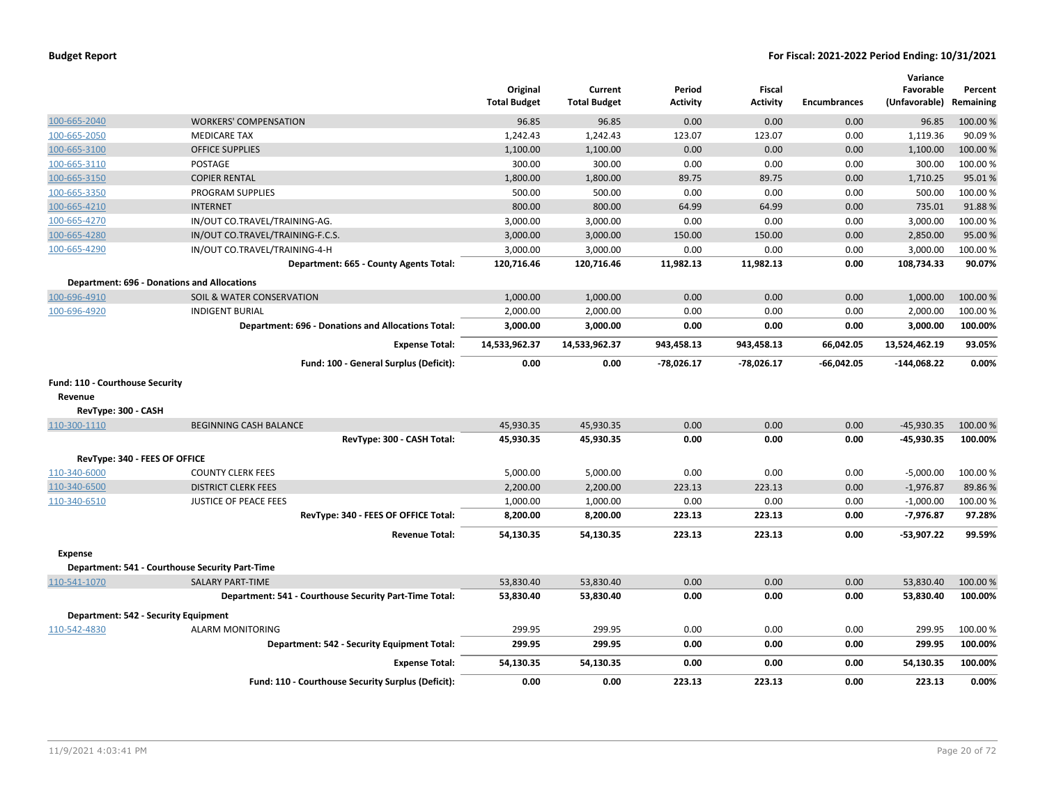|                                 |                                                           | Original<br><b>Total Budget</b> | Current<br><b>Total Budget</b> | Period<br>Activity | Fiscal<br><b>Activity</b> | <b>Encumbrances</b> | Variance<br>Favorable<br>(Unfavorable) | Percent<br>Remaining |
|---------------------------------|-----------------------------------------------------------|---------------------------------|--------------------------------|--------------------|---------------------------|---------------------|----------------------------------------|----------------------|
| 100-665-2040                    | <b>WORKERS' COMPENSATION</b>                              | 96.85                           | 96.85                          | 0.00               | 0.00                      | 0.00                | 96.85                                  | 100.00 %             |
| 100-665-2050                    | <b>MEDICARE TAX</b>                                       | 1,242.43                        | 1,242.43                       | 123.07             | 123.07                    | 0.00                | 1,119.36                               | 90.09%               |
| 100-665-3100                    | <b>OFFICE SUPPLIES</b>                                    | 1,100.00                        | 1,100.00                       | 0.00               | 0.00                      | 0.00                | 1,100.00                               | 100.00 %             |
| 100-665-3110                    | POSTAGE                                                   | 300.00                          | 300.00                         | 0.00               | 0.00                      | 0.00                | 300.00                                 | 100.00%              |
| 100-665-3150                    | <b>COPIER RENTAL</b>                                      | 1,800.00                        | 1,800.00                       | 89.75              | 89.75                     | 0.00                | 1,710.25                               | 95.01%               |
| 100-665-3350                    | PROGRAM SUPPLIES                                          | 500.00                          | 500.00                         | 0.00               | 0.00                      | 0.00                | 500.00                                 | 100.00%              |
| 100-665-4210                    | <b>INTERNET</b>                                           | 800.00                          | 800.00                         | 64.99              | 64.99                     | 0.00                | 735.01                                 | 91.88%               |
| 100-665-4270                    | IN/OUT CO.TRAVEL/TRAINING-AG.                             | 3,000.00                        | 3,000.00                       | 0.00               | 0.00                      | 0.00                | 3,000.00                               | 100.00%              |
| 100-665-4280                    | IN/OUT CO.TRAVEL/TRAINING-F.C.S.                          | 3,000.00                        | 3,000.00                       | 150.00             | 150.00                    | 0.00                | 2,850.00                               | 95.00 %              |
| 100-665-4290                    | IN/OUT CO.TRAVEL/TRAINING-4-H                             | 3,000.00                        | 3,000.00                       | 0.00               | 0.00                      | 0.00                | 3,000.00                               | 100.00%              |
|                                 | Department: 665 - County Agents Total:                    | 120,716.46                      | 120,716.46                     | 11,982.13          | 11,982.13                 | 0.00                | 108,734.33                             | 90.07%               |
|                                 | <b>Department: 696 - Donations and Allocations</b>        |                                 |                                |                    |                           |                     |                                        |                      |
| 100-696-4910                    | SOIL & WATER CONSERVATION                                 | 1,000.00                        | 1,000.00                       | 0.00               | 0.00                      | 0.00                | 1,000.00                               | 100.00 %             |
| 100-696-4920                    | <b>INDIGENT BURIAL</b>                                    | 2,000.00                        | 2,000.00                       | 0.00               | 0.00                      | 0.00                | 2,000.00                               | 100.00%              |
|                                 | <b>Department: 696 - Donations and Allocations Total:</b> | 3,000.00                        | 3,000.00                       | 0.00               | 0.00                      | 0.00                | 3,000.00                               | 100.00%              |
|                                 | <b>Expense Total:</b>                                     | 14,533,962.37                   | 14,533,962.37                  | 943,458.13         | 943,458.13                | 66,042.05           | 13,524,462.19                          | 93.05%               |
|                                 | Fund: 100 - General Surplus (Deficit):                    | 0.00                            | 0.00                           | $-78,026.17$       | $-78,026.17$              | $-66,042.05$        | $-144,068.22$                          | 0.00%                |
| Fund: 110 - Courthouse Security |                                                           |                                 |                                |                    |                           |                     |                                        |                      |
| Revenue                         |                                                           |                                 |                                |                    |                           |                     |                                        |                      |
| RevType: 300 - CASH             |                                                           |                                 |                                |                    |                           |                     |                                        |                      |
| 110-300-1110                    | <b>BEGINNING CASH BALANCE</b>                             | 45,930.35                       | 45,930.35                      | 0.00               | 0.00                      | 0.00                | $-45,930.35$                           | 100.00 %             |
|                                 | RevType: 300 - CASH Total:                                | 45,930.35                       | 45,930.35                      | 0.00               | 0.00                      | 0.00                | -45,930.35                             | 100.00%              |
| RevType: 340 - FEES OF OFFICE   |                                                           |                                 |                                |                    |                           |                     |                                        |                      |
| 110-340-6000                    | <b>COUNTY CLERK FEES</b>                                  | 5,000.00                        | 5,000.00                       | 0.00               | 0.00                      | 0.00                | $-5,000.00$                            | 100.00 %             |
| 110-340-6500                    | <b>DISTRICT CLERK FEES</b>                                | 2,200.00                        | 2,200.00                       | 223.13             | 223.13                    | 0.00                | $-1,976.87$                            | 89.86%               |
| 110-340-6510                    | <b>JUSTICE OF PEACE FEES</b>                              | 1,000.00                        | 1,000.00                       | 0.00               | 0.00                      | 0.00                | $-1,000.00$                            | 100.00%              |
|                                 | RevType: 340 - FEES OF OFFICE Total:                      | 8,200.00                        | 8,200.00                       | 223.13             | 223.13                    | 0.00                | $-7,976.87$                            | 97.28%               |
|                                 | <b>Revenue Total:</b>                                     | 54,130.35                       | 54,130.35                      | 223.13             | 223.13                    | 0.00                | $-53,907.22$                           | 99.59%               |
| Expense                         |                                                           |                                 |                                |                    |                           |                     |                                        |                      |
|                                 | Department: 541 - Courthouse Security Part-Time           |                                 |                                |                    |                           |                     |                                        |                      |
| 110-541-1070                    | <b>SALARY PART-TIME</b>                                   | 53,830.40                       | 53,830.40                      | 0.00               | 0.00                      | 0.00                | 53,830.40                              | 100.00 %             |
|                                 | Department: 541 - Courthouse Security Part-Time Total:    | 53,830.40                       | 53,830.40                      | 0.00               | 0.00                      | 0.00                | 53,830.40                              | 100.00%              |
|                                 | Department: 542 - Security Equipment                      |                                 |                                |                    |                           |                     |                                        |                      |
| 110-542-4830                    | <b>ALARM MONITORING</b>                                   | 299.95                          | 299.95                         | 0.00               | 0.00                      | 0.00                | 299.95                                 | 100.00 %             |
|                                 | Department: 542 - Security Equipment Total:               | 299.95                          | 299.95                         | 0.00               | 0.00                      | 0.00                | 299.95                                 | 100.00%              |
|                                 | <b>Expense Total:</b>                                     | 54,130.35                       | 54,130.35                      | 0.00               | 0.00                      | 0.00                | 54,130.35                              | 100.00%              |
|                                 | Fund: 110 - Courthouse Security Surplus (Deficit):        | 0.00                            | 0.00                           | 223.13             | 223.13                    | 0.00                | 223.13                                 | 0.00%                |
|                                 |                                                           |                                 |                                |                    |                           |                     |                                        |                      |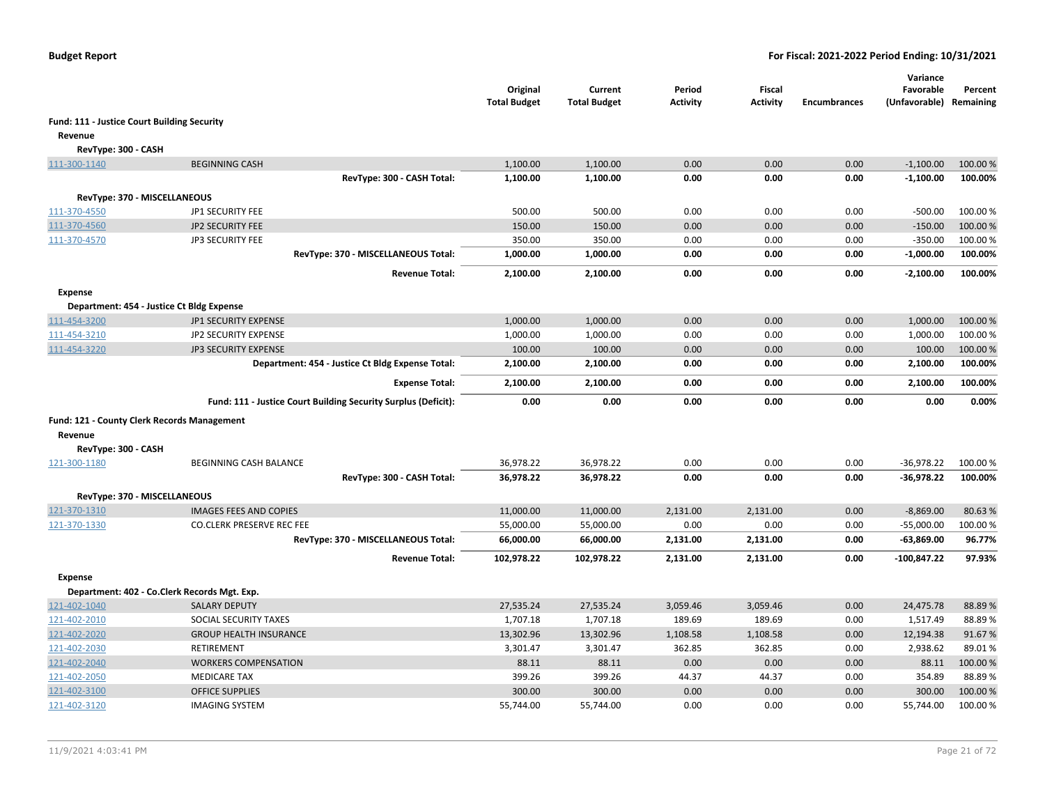|                                             |                                                                | Original<br><b>Total Budget</b> | Current<br><b>Total Budget</b> | Period<br><b>Activity</b> | <b>Fiscal</b><br><b>Activity</b> | <b>Encumbrances</b> | Variance<br>Favorable<br>(Unfavorable) | Percent<br>Remaining |
|---------------------------------------------|----------------------------------------------------------------|---------------------------------|--------------------------------|---------------------------|----------------------------------|---------------------|----------------------------------------|----------------------|
| Fund: 111 - Justice Court Building Security |                                                                |                                 |                                |                           |                                  |                     |                                        |                      |
| Revenue                                     |                                                                |                                 |                                |                           |                                  |                     |                                        |                      |
| RevType: 300 - CASH                         |                                                                |                                 |                                |                           |                                  |                     |                                        |                      |
| 111-300-1140                                | <b>BEGINNING CASH</b>                                          | 1,100.00                        | 1,100.00                       | 0.00                      | 0.00                             | 0.00                | $-1,100.00$                            | 100.00 %             |
|                                             | RevType: 300 - CASH Total:                                     | 1,100.00                        | 1,100.00                       | 0.00                      | 0.00                             | 0.00                | $-1,100.00$                            | 100.00%              |
|                                             | RevType: 370 - MISCELLANEOUS                                   |                                 |                                |                           |                                  |                     |                                        |                      |
| 111-370-4550                                | JP1 SECURITY FEE                                               | 500.00                          | 500.00                         | 0.00                      | 0.00                             | 0.00                | $-500.00$                              | 100.00%              |
| 111-370-4560                                | JP2 SECURITY FEE                                               | 150.00                          | 150.00                         | 0.00                      | 0.00                             | 0.00                | $-150.00$                              | 100.00%              |
| 111-370-4570                                | JP3 SECURITY FEE                                               | 350.00                          | 350.00                         | 0.00                      | 0.00                             | 0.00                | $-350.00$                              | 100.00 %             |
|                                             | RevType: 370 - MISCELLANEOUS Total:                            | 1,000.00                        | 1,000.00                       | 0.00                      | 0.00                             | 0.00                | $-1,000.00$                            | 100.00%              |
|                                             | <b>Revenue Total:</b>                                          | 2,100.00                        | 2,100.00                       | 0.00                      | 0.00                             | 0.00                | $-2,100.00$                            | 100.00%              |
| Expense                                     |                                                                |                                 |                                |                           |                                  |                     |                                        |                      |
|                                             | Department: 454 - Justice Ct Bldg Expense                      |                                 |                                |                           |                                  |                     |                                        |                      |
| 111-454-3200                                | JP1 SECURITY EXPENSE                                           | 1,000.00                        | 1,000.00                       | 0.00                      | 0.00                             | 0.00                | 1,000.00                               | 100.00%              |
| 111-454-3210                                | JP2 SECURITY EXPENSE                                           | 1,000.00                        | 1,000.00                       | 0.00                      | 0.00                             | 0.00                | 1,000.00                               | 100.00%              |
| 111-454-3220                                | JP3 SECURITY EXPENSE                                           | 100.00                          | 100.00                         | 0.00                      | 0.00                             | 0.00                | 100.00                                 | 100.00%              |
|                                             | Department: 454 - Justice Ct Bldg Expense Total:               | 2,100.00                        | 2,100.00                       | 0.00                      | 0.00                             | 0.00                | 2,100.00                               | 100.00%              |
|                                             | <b>Expense Total:</b>                                          | 2,100.00                        | 2,100.00                       | 0.00                      | 0.00                             | 0.00                | 2,100.00                               | 100.00%              |
|                                             | Fund: 111 - Justice Court Building Security Surplus (Deficit): | 0.00                            | 0.00                           | 0.00                      | 0.00                             | 0.00                | 0.00                                   | 0.00%                |
|                                             | Fund: 121 - County Clerk Records Management                    |                                 |                                |                           |                                  |                     |                                        |                      |
| Revenue                                     |                                                                |                                 |                                |                           |                                  |                     |                                        |                      |
| RevType: 300 - CASH                         |                                                                |                                 |                                |                           |                                  |                     |                                        |                      |
| 121-300-1180                                | BEGINNING CASH BALANCE                                         | 36,978.22                       | 36,978.22                      | 0.00                      | 0.00                             | 0.00                | $-36,978.22$                           | 100.00%              |
|                                             | RevType: 300 - CASH Total:                                     | 36,978.22                       | 36,978.22                      | 0.00                      | 0.00                             | 0.00                | $-36,978.22$                           | 100.00%              |
|                                             | RevType: 370 - MISCELLANEOUS                                   |                                 |                                |                           |                                  |                     |                                        |                      |
| 121-370-1310                                | <b>IMAGES FEES AND COPIES</b>                                  | 11,000.00                       | 11,000.00                      | 2,131.00                  | 2,131.00                         | 0.00                | $-8,869.00$                            | 80.63%               |
| 121-370-1330                                | <b>CO.CLERK PRESERVE REC FEE</b>                               | 55,000.00                       | 55,000.00                      | 0.00                      | 0.00                             | 0.00                | $-55,000.00$                           | 100.00%              |
|                                             | RevType: 370 - MISCELLANEOUS Total:                            | 66,000.00                       | 66,000.00                      | 2,131.00                  | 2,131.00                         | 0.00                | $-63,869.00$                           | 96.77%               |
|                                             | <b>Revenue Total:</b>                                          | 102,978.22                      | 102,978.22                     | 2,131.00                  | 2,131.00                         | 0.00                | $-100,847.22$                          | 97.93%               |
| <b>Expense</b>                              |                                                                |                                 |                                |                           |                                  |                     |                                        |                      |
|                                             | Department: 402 - Co.Clerk Records Mgt. Exp.                   |                                 |                                |                           |                                  |                     |                                        |                      |
| 121-402-1040                                | <b>SALARY DEPUTY</b>                                           | 27,535.24                       | 27,535.24                      | 3,059.46                  | 3,059.46                         | 0.00                | 24,475.78                              | 88.89%               |
| 121-402-2010                                | SOCIAL SECURITY TAXES                                          | 1,707.18                        | 1,707.18                       | 189.69                    | 189.69                           | 0.00                | 1,517.49                               | 88.89%               |
| 121-402-2020                                | <b>GROUP HEALTH INSURANCE</b>                                  | 13,302.96                       | 13,302.96                      | 1,108.58                  | 1,108.58                         | 0.00                | 12,194.38                              | 91.67%               |
| 121-402-2030                                | <b>RETIREMENT</b>                                              | 3,301.47                        | 3,301.47                       | 362.85                    | 362.85                           | 0.00                | 2,938.62                               | 89.01%               |
| 121-402-2040                                | <b>WORKERS COMPENSATION</b>                                    | 88.11                           | 88.11                          | 0.00                      | 0.00                             | 0.00                | 88.11                                  | 100.00%              |
| 121-402-2050                                | <b>MEDICARE TAX</b>                                            | 399.26                          | 399.26                         | 44.37                     | 44.37                            | 0.00                | 354.89                                 | 88.89%               |
| 121-402-3100                                | <b>OFFICE SUPPLIES</b>                                         | 300.00                          | 300.00                         | 0.00                      | 0.00                             | 0.00                | 300.00                                 | 100.00 %             |
| 121-402-3120                                | <b>IMAGING SYSTEM</b>                                          | 55,744.00                       | 55,744.00                      | 0.00                      | 0.00                             | 0.00                | 55,744.00                              | 100.00%              |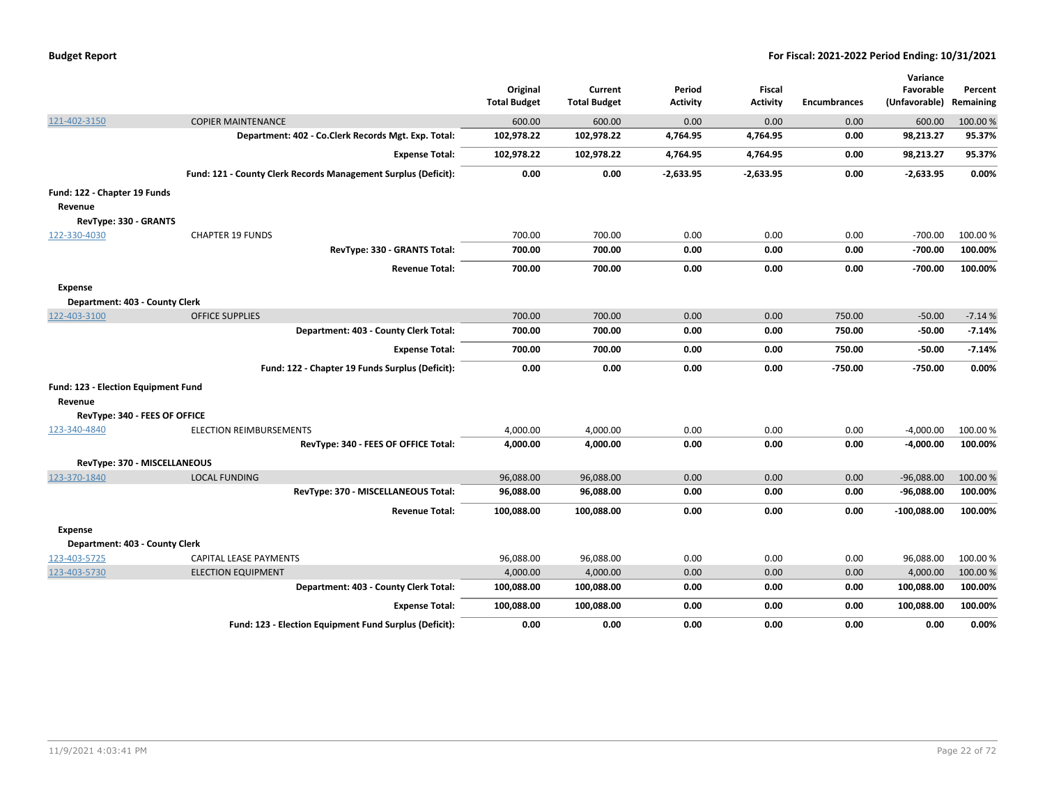|                                     |                                                                | Original<br><b>Total Budget</b> | Current<br><b>Total Budget</b> | Period<br><b>Activity</b> | Fiscal<br><b>Activity</b> | <b>Encumbrances</b> | Variance<br>Favorable<br>(Unfavorable) | Percent<br>Remaining |
|-------------------------------------|----------------------------------------------------------------|---------------------------------|--------------------------------|---------------------------|---------------------------|---------------------|----------------------------------------|----------------------|
| 121-402-3150                        | <b>COPIER MAINTENANCE</b>                                      | 600.00                          | 600.00                         | 0.00                      | 0.00                      | 0.00                | 600.00                                 | 100.00%              |
|                                     | Department: 402 - Co.Clerk Records Mgt. Exp. Total:            | 102,978.22                      | 102,978.22                     | 4,764.95                  | 4,764.95                  | 0.00                | 98,213.27                              | 95.37%               |
|                                     | <b>Expense Total:</b>                                          | 102,978.22                      | 102,978.22                     | 4,764.95                  | 4,764.95                  | 0.00                | 98,213.27                              | 95.37%               |
|                                     | Fund: 121 - County Clerk Records Management Surplus (Deficit): | 0.00                            | 0.00                           | $-2,633.95$               | $-2,633.95$               | 0.00                | $-2,633.95$                            | 0.00%                |
| Fund: 122 - Chapter 19 Funds        |                                                                |                                 |                                |                           |                           |                     |                                        |                      |
| Revenue                             |                                                                |                                 |                                |                           |                           |                     |                                        |                      |
| RevType: 330 - GRANTS               |                                                                |                                 |                                |                           |                           |                     |                                        |                      |
| 122-330-4030                        | <b>CHAPTER 19 FUNDS</b>                                        | 700.00                          | 700.00                         | 0.00                      | 0.00                      | 0.00                | $-700.00$                              | 100.00%              |
|                                     | RevType: 330 - GRANTS Total:                                   | 700.00                          | 700.00                         | 0.00                      | 0.00                      | 0.00                | $-700.00$                              | 100.00%              |
|                                     | <b>Revenue Total:</b>                                          | 700.00                          | 700.00                         | 0.00                      | 0.00                      | 0.00                | $-700.00$                              | 100.00%              |
| <b>Expense</b>                      |                                                                |                                 |                                |                           |                           |                     |                                        |                      |
| Department: 403 - County Clerk      |                                                                |                                 |                                |                           |                           |                     |                                        |                      |
| 122-403-3100                        | <b>OFFICE SUPPLIES</b>                                         | 700.00                          | 700.00                         | 0.00                      | 0.00                      | 750.00              | $-50.00$                               | $-7.14%$             |
|                                     | Department: 403 - County Clerk Total:                          | 700.00                          | 700.00                         | 0.00                      | 0.00                      | 750.00              | $-50.00$                               | $-7.14%$             |
|                                     | <b>Expense Total:</b>                                          | 700.00                          | 700.00                         | 0.00                      | 0.00                      | 750.00              | $-50.00$                               | $-7.14%$             |
|                                     | Fund: 122 - Chapter 19 Funds Surplus (Deficit):                | 0.00                            | 0.00                           | 0.00                      | 0.00                      | $-750.00$           | $-750.00$                              | 0.00%                |
| Fund: 123 - Election Equipment Fund |                                                                |                                 |                                |                           |                           |                     |                                        |                      |
| Revenue                             |                                                                |                                 |                                |                           |                           |                     |                                        |                      |
| RevType: 340 - FEES OF OFFICE       |                                                                |                                 |                                |                           |                           |                     |                                        |                      |
| 123-340-4840                        | <b>ELECTION REIMBURSEMENTS</b>                                 | 4,000.00                        | 4,000.00                       | 0.00                      | 0.00                      | 0.00                | $-4,000.00$                            | 100.00 %             |
|                                     | RevType: 340 - FEES OF OFFICE Total:                           | 4,000.00                        | 4,000.00                       | 0.00                      | 0.00                      | 0.00                | $-4,000.00$                            | 100.00%              |
| RevType: 370 - MISCELLANEOUS        |                                                                |                                 |                                |                           |                           |                     |                                        |                      |
| 123-370-1840                        | <b>LOCAL FUNDING</b>                                           | 96,088.00                       | 96,088.00                      | 0.00                      | 0.00                      | 0.00                | $-96,088.00$                           | 100.00%              |
|                                     | RevType: 370 - MISCELLANEOUS Total:                            | 96,088.00                       | 96,088.00                      | 0.00                      | 0.00                      | 0.00                | $-96,088.00$                           | 100.00%              |
|                                     | <b>Revenue Total:</b>                                          | 100,088.00                      | 100,088.00                     | 0.00                      | 0.00                      | 0.00                | -100,088.00                            | 100.00%              |
| <b>Expense</b>                      |                                                                |                                 |                                |                           |                           |                     |                                        |                      |
| Department: 403 - County Clerk      |                                                                |                                 |                                |                           |                           |                     |                                        |                      |
| 123-403-5725                        | <b>CAPITAL LEASE PAYMENTS</b>                                  | 96,088.00                       | 96,088.00                      | 0.00                      | 0.00                      | 0.00                | 96,088.00                              | 100.00%              |
| 123-403-5730                        | <b>ELECTION EQUIPMENT</b>                                      | 4,000.00                        | 4,000.00                       | 0.00                      | 0.00                      | 0.00                | 4,000.00                               | 100.00%              |
|                                     | Department: 403 - County Clerk Total:                          | 100,088.00                      | 100,088.00                     | 0.00                      | 0.00                      | 0.00                | 100,088.00                             | 100.00%              |
|                                     | <b>Expense Total:</b>                                          | 100,088.00                      | 100,088.00                     | 0.00                      | 0.00                      | 0.00                | 100,088.00                             | 100.00%              |

**Fund: 123 - Election Equipment Fund Surplus (Deficit): 0.00 0.00 0.00 0.00 0.00 0.00 0.00%**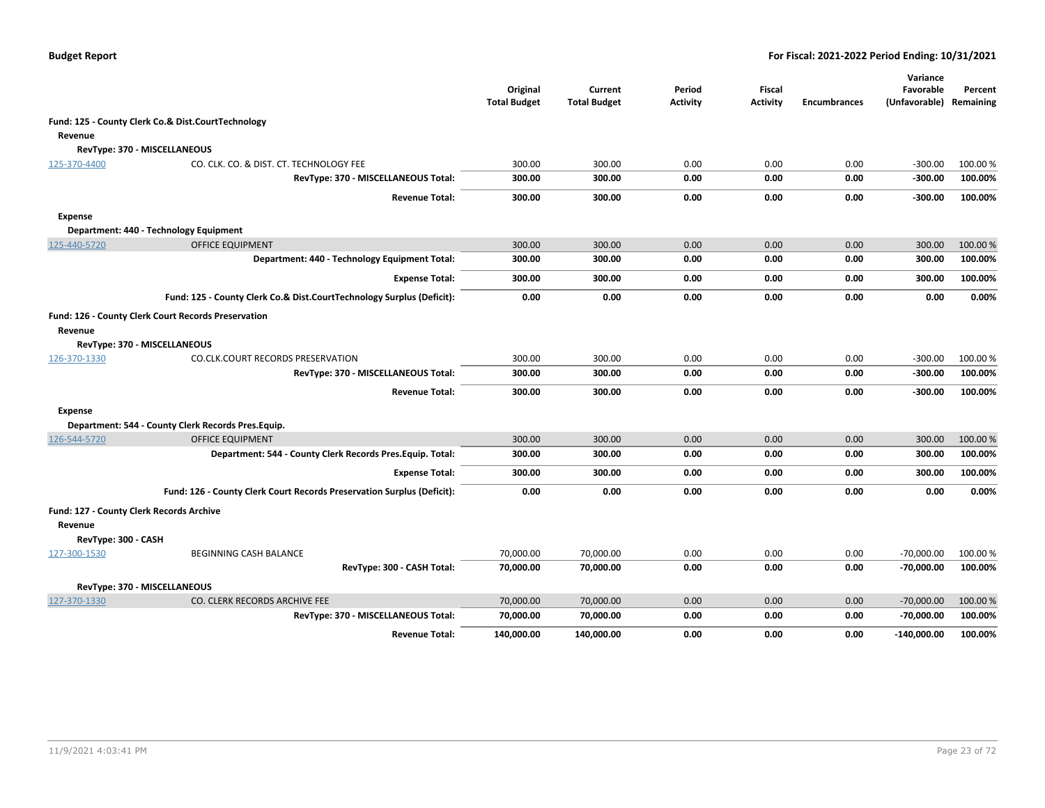|                     |                                                                        | Original<br><b>Total Budget</b> | Current<br><b>Total Budget</b> | Period<br>Activity | <b>Fiscal</b><br><b>Activity</b> | <b>Encumbrances</b> | Variance<br>Favorable<br>(Unfavorable) | Percent<br>Remaining |
|---------------------|------------------------------------------------------------------------|---------------------------------|--------------------------------|--------------------|----------------------------------|---------------------|----------------------------------------|----------------------|
|                     | Fund: 125 - County Clerk Co.& Dist.CourtTechnology                     |                                 |                                |                    |                                  |                     |                                        |                      |
| Revenue             |                                                                        |                                 |                                |                    |                                  |                     |                                        |                      |
|                     | RevType: 370 - MISCELLANEOUS                                           |                                 |                                |                    |                                  |                     |                                        |                      |
| 125-370-4400        | CO. CLK. CO. & DIST. CT. TECHNOLOGY FEE                                | 300.00                          | 300.00                         | 0.00               | 0.00                             | 0.00                | $-300.00$                              | 100.00%              |
|                     | RevType: 370 - MISCELLANEOUS Total:                                    | 300.00                          | 300.00                         | 0.00               | 0.00                             | 0.00                | $-300.00$                              | 100.00%              |
|                     | <b>Revenue Total:</b>                                                  | 300.00                          | 300.00                         | 0.00               | 0.00                             | 0.00                | $-300.00$                              | 100.00%              |
| <b>Expense</b>      |                                                                        |                                 |                                |                    |                                  |                     |                                        |                      |
|                     | Department: 440 - Technology Equipment                                 |                                 |                                |                    |                                  |                     |                                        |                      |
| 125-440-5720        | <b>OFFICE EQUIPMENT</b>                                                | 300.00                          | 300.00                         | 0.00               | 0.00                             | 0.00                | 300.00                                 | 100.00 %             |
|                     | Department: 440 - Technology Equipment Total:                          | 300.00                          | 300.00                         | 0.00               | 0.00                             | 0.00                | 300.00                                 | 100.00%              |
|                     | <b>Expense Total:</b>                                                  | 300.00                          | 300.00                         | 0.00               | 0.00                             | 0.00                | 300.00                                 | 100.00%              |
|                     | Fund: 125 - County Clerk Co.& Dist.CourtTechnology Surplus (Deficit):  | 0.00                            | 0.00                           | 0.00               | 0.00                             | 0.00                | 0.00                                   | 0.00%                |
|                     | Fund: 126 - County Clerk Court Records Preservation                    |                                 |                                |                    |                                  |                     |                                        |                      |
| Revenue             |                                                                        |                                 |                                |                    |                                  |                     |                                        |                      |
|                     | RevType: 370 - MISCELLANEOUS                                           |                                 |                                |                    |                                  |                     |                                        |                      |
| 126-370-1330        | CO.CLK.COURT RECORDS PRESERVATION                                      | 300.00                          | 300.00                         | 0.00               | 0.00                             | 0.00                | $-300.00$                              | 100.00%              |
|                     | RevType: 370 - MISCELLANEOUS Total:                                    | 300.00                          | 300.00                         | 0.00               | 0.00                             | 0.00                | $-300.00$                              | 100.00%              |
|                     | <b>Revenue Total:</b>                                                  | 300.00                          | 300.00                         | 0.00               | 0.00                             | 0.00                | $-300.00$                              | 100.00%              |
| <b>Expense</b>      |                                                                        |                                 |                                |                    |                                  |                     |                                        |                      |
|                     | Department: 544 - County Clerk Records Pres. Equip.                    |                                 |                                |                    |                                  |                     |                                        |                      |
| 126-544-5720        | <b>OFFICE EQUIPMENT</b>                                                | 300.00                          | 300.00                         | 0.00               | 0.00                             | 0.00                | 300.00                                 | 100.00%              |
|                     | Department: 544 - County Clerk Records Pres. Equip. Total:             | 300.00                          | 300.00                         | 0.00               | 0.00                             | 0.00                | 300.00                                 | 100.00%              |
|                     | <b>Expense Total:</b>                                                  | 300.00                          | 300.00                         | 0.00               | 0.00                             | 0.00                | 300.00                                 | 100.00%              |
|                     | Fund: 126 - County Clerk Court Records Preservation Surplus (Deficit): | 0.00                            | 0.00                           | 0.00               | 0.00                             | 0.00                | 0.00                                   | 0.00%                |
|                     | Fund: 127 - County Clerk Records Archive                               |                                 |                                |                    |                                  |                     |                                        |                      |
| Revenue             |                                                                        |                                 |                                |                    |                                  |                     |                                        |                      |
| RevType: 300 - CASH |                                                                        |                                 |                                |                    |                                  |                     |                                        |                      |
| 127-300-1530        | <b>BEGINNING CASH BALANCE</b>                                          | 70,000.00                       | 70,000.00                      | 0.00               | 0.00                             | 0.00                | $-70,000.00$                           | 100.00 %             |
|                     | RevType: 300 - CASH Total:                                             | 70,000.00                       | 70,000.00                      | 0.00               | 0.00                             | 0.00                | -70,000.00                             | 100.00%              |
|                     | RevType: 370 - MISCELLANEOUS                                           |                                 |                                |                    |                                  |                     |                                        |                      |
| 127-370-1330        | CO. CLERK RECORDS ARCHIVE FEE                                          | 70,000.00                       | 70,000.00                      | 0.00               | 0.00                             | 0.00                | $-70,000.00$                           | 100.00 %             |
|                     | RevType: 370 - MISCELLANEOUS Total:                                    | 70,000.00                       | 70,000.00                      | 0.00               | 0.00                             | 0.00                | $-70,000.00$                           | 100.00%              |
|                     | <b>Revenue Total:</b>                                                  | 140,000.00                      | 140,000.00                     | 0.00               | 0.00                             | 0.00                | $-140,000.00$                          | 100.00%              |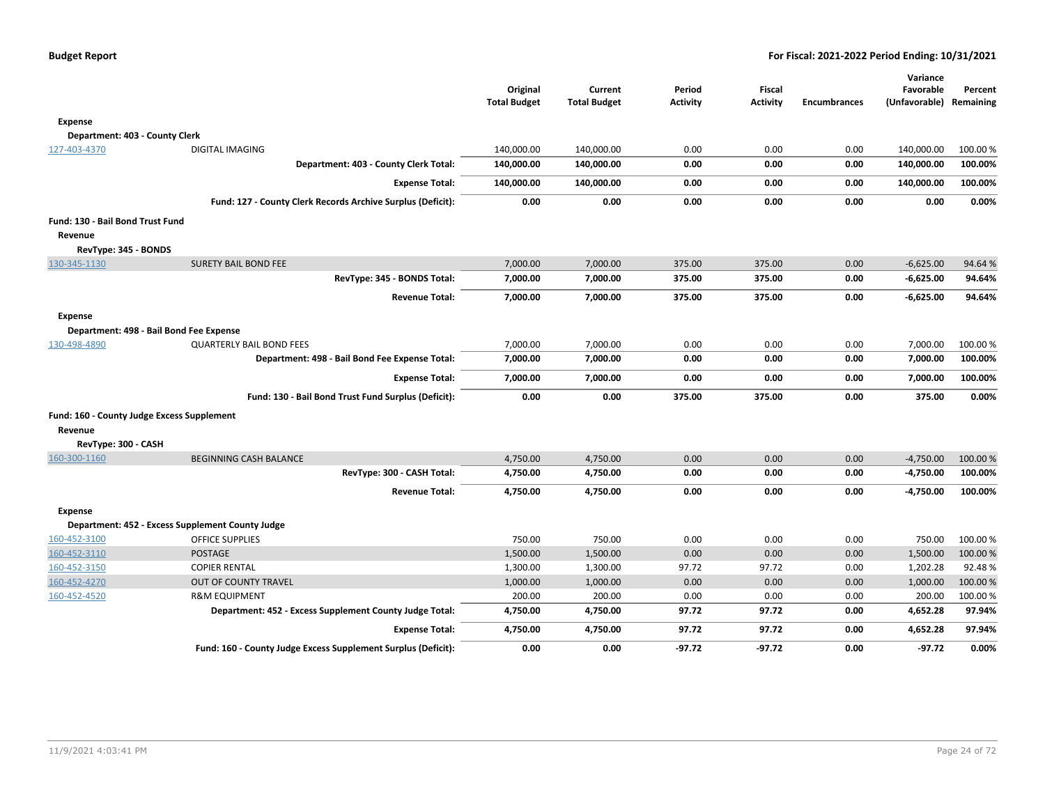|                                            |                                                               |                     |                     |                 |                 |                     | Variance                |          |
|--------------------------------------------|---------------------------------------------------------------|---------------------|---------------------|-----------------|-----------------|---------------------|-------------------------|----------|
|                                            |                                                               | Original            | Current             | Period          | <b>Fiscal</b>   |                     | Favorable               | Percent  |
|                                            |                                                               | <b>Total Budget</b> | <b>Total Budget</b> | <b>Activity</b> | <b>Activity</b> | <b>Encumbrances</b> | (Unfavorable) Remaining |          |
| <b>Expense</b>                             |                                                               |                     |                     |                 |                 |                     |                         |          |
| Department: 403 - County Clerk             |                                                               |                     |                     |                 |                 |                     |                         |          |
| 127-403-4370                               | <b>DIGITAL IMAGING</b>                                        | 140,000.00          | 140,000.00          | 0.00            | 0.00            | 0.00                | 140,000.00              | 100.00 % |
|                                            | Department: 403 - County Clerk Total:                         | 140,000.00          | 140,000.00          | 0.00            | 0.00            | 0.00                | 140,000.00              | 100.00%  |
|                                            | <b>Expense Total:</b>                                         | 140,000.00          | 140,000.00          | 0.00            | 0.00            | 0.00                | 140,000.00              | 100.00%  |
|                                            | Fund: 127 - County Clerk Records Archive Surplus (Deficit):   | 0.00                | 0.00                | 0.00            | 0.00            | 0.00                | 0.00                    | 0.00%    |
| Fund: 130 - Bail Bond Trust Fund           |                                                               |                     |                     |                 |                 |                     |                         |          |
| Revenue                                    |                                                               |                     |                     |                 |                 |                     |                         |          |
| RevType: 345 - BONDS                       |                                                               |                     |                     |                 |                 |                     |                         |          |
| 130-345-1130                               | <b>SURETY BAIL BOND FEE</b>                                   | 7,000.00            | 7,000.00            | 375.00          | 375.00          | 0.00                | $-6,625.00$             | 94.64%   |
|                                            | RevType: 345 - BONDS Total:                                   | 7,000.00            | 7,000.00            | 375.00          | 375.00          | 0.00                | $-6,625.00$             | 94.64%   |
|                                            | <b>Revenue Total:</b>                                         | 7,000.00            | 7,000.00            | 375.00          | 375.00          | 0.00                | $-6,625.00$             | 94.64%   |
| <b>Expense</b>                             |                                                               |                     |                     |                 |                 |                     |                         |          |
|                                            | Department: 498 - Bail Bond Fee Expense                       |                     |                     |                 |                 |                     |                         |          |
| 130-498-4890                               | <b>QUARTERLY BAIL BOND FEES</b>                               | 7,000.00            | 7,000.00            | 0.00            | 0.00            | 0.00                | 7,000.00                | 100.00 % |
|                                            | Department: 498 - Bail Bond Fee Expense Total:                | 7,000.00            | 7,000.00            | 0.00            | 0.00            | 0.00                | 7,000.00                | 100.00%  |
|                                            | <b>Expense Total:</b>                                         | 7,000.00            | 7,000.00            | 0.00            | 0.00            | 0.00                | 7,000.00                | 100.00%  |
|                                            | Fund: 130 - Bail Bond Trust Fund Surplus (Deficit):           | 0.00                | 0.00                | 375.00          | 375.00          | 0.00                | 375.00                  | 0.00%    |
| Fund: 160 - County Judge Excess Supplement |                                                               |                     |                     |                 |                 |                     |                         |          |
| Revenue                                    |                                                               |                     |                     |                 |                 |                     |                         |          |
| RevType: 300 - CASH                        |                                                               |                     |                     |                 |                 |                     |                         |          |
| 160-300-1160                               | <b>BEGINNING CASH BALANCE</b>                                 | 4,750.00            | 4,750.00            | 0.00            | 0.00            | 0.00                | $-4,750.00$             | 100.00 % |
|                                            | RevType: 300 - CASH Total:                                    | 4,750.00            | 4,750.00            | 0.00            | 0.00            | 0.00                | $-4,750.00$             | 100.00%  |
|                                            | <b>Revenue Total:</b>                                         | 4,750.00            | 4,750.00            | 0.00            | 0.00            | 0.00                | $-4,750.00$             | 100.00%  |
| Expense                                    |                                                               |                     |                     |                 |                 |                     |                         |          |
|                                            | Department: 452 - Excess Supplement County Judge              |                     |                     |                 |                 |                     |                         |          |
| 160-452-3100                               | <b>OFFICE SUPPLIES</b>                                        | 750.00              | 750.00              | 0.00            | 0.00            | 0.00                | 750.00                  | 100.00%  |
| 160-452-3110                               | <b>POSTAGE</b>                                                | 1,500.00            | 1,500.00            | 0.00            | 0.00            | 0.00                | 1,500.00                | 100.00 % |
| 160-452-3150                               | <b>COPIER RENTAL</b>                                          | 1,300.00            | 1,300.00            | 97.72           | 97.72           | 0.00                | 1,202.28                | 92.48%   |
| 160-452-4270                               | <b>OUT OF COUNTY TRAVEL</b>                                   | 1,000.00            | 1,000.00            | 0.00            | 0.00            | 0.00                | 1,000.00                | 100.00 % |
| 160-452-4520                               | <b>R&amp;M EQUIPMENT</b>                                      | 200.00              | 200.00              | 0.00            | 0.00            | 0.00                | 200.00                  | 100.00 % |
|                                            | Department: 452 - Excess Supplement County Judge Total:       | 4,750.00            | 4,750.00            | 97.72           | 97.72           | 0.00                | 4,652.28                | 97.94%   |
|                                            | <b>Expense Total:</b>                                         | 4,750.00            | 4,750.00            | 97.72           | 97.72           | 0.00                | 4,652.28                | 97.94%   |
|                                            |                                                               |                     |                     |                 |                 |                     |                         |          |
|                                            | Fund: 160 - County Judge Excess Supplement Surplus (Deficit): | 0.00                | 0.00                | $-97.72$        | -97.72          | 0.00                | $-97.72$                | 0.00%    |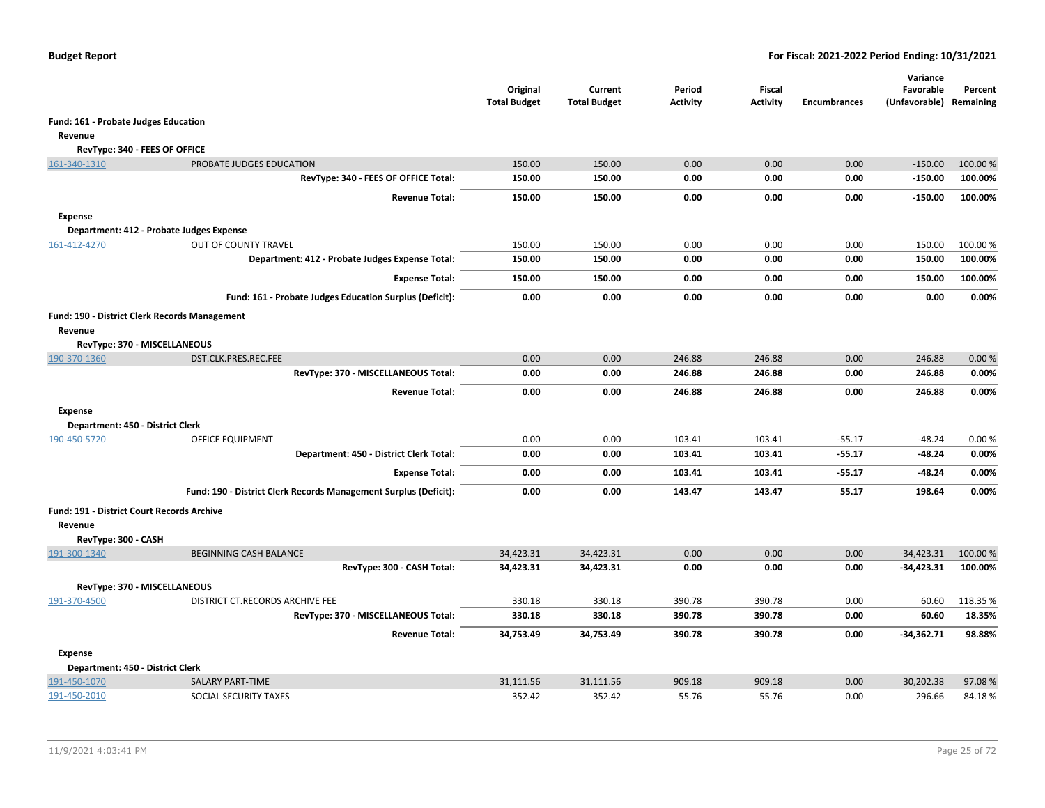|                                                   |                                                                  | Original<br><b>Total Budget</b> | Current<br><b>Total Budget</b> | Period<br><b>Activity</b> | Fiscal<br><b>Activity</b> | <b>Encumbrances</b> | Variance<br>Favorable<br>(Unfavorable) Remaining | Percent  |
|---------------------------------------------------|------------------------------------------------------------------|---------------------------------|--------------------------------|---------------------------|---------------------------|---------------------|--------------------------------------------------|----------|
| Fund: 161 - Probate Judges Education              |                                                                  |                                 |                                |                           |                           |                     |                                                  |          |
| Revenue                                           |                                                                  |                                 |                                |                           |                           |                     |                                                  |          |
| RevType: 340 - FEES OF OFFICE                     |                                                                  |                                 |                                |                           |                           |                     |                                                  |          |
| 161-340-1310                                      | PROBATE JUDGES EDUCATION                                         | 150.00                          | 150.00                         | 0.00                      | 0.00                      | 0.00                | $-150.00$                                        | 100.00 % |
|                                                   | RevType: 340 - FEES OF OFFICE Total:                             | 150.00                          | 150.00                         | 0.00                      | 0.00                      | 0.00                | $-150.00$                                        | 100.00%  |
|                                                   | <b>Revenue Total:</b>                                            | 150.00                          | 150.00                         | 0.00                      | 0.00                      | 0.00                | $-150.00$                                        | 100.00%  |
| Expense                                           |                                                                  |                                 |                                |                           |                           |                     |                                                  |          |
|                                                   | Department: 412 - Probate Judges Expense                         |                                 |                                |                           |                           |                     |                                                  |          |
| 161-412-4270                                      | OUT OF COUNTY TRAVEL                                             | 150.00                          | 150.00                         | 0.00                      | 0.00                      | 0.00                | 150.00                                           | 100.00 % |
|                                                   | Department: 412 - Probate Judges Expense Total:                  | 150.00                          | 150.00                         | 0.00                      | 0.00                      | 0.00                | 150.00                                           | 100.00%  |
|                                                   | <b>Expense Total:</b>                                            | 150.00                          | 150.00                         | 0.00                      | 0.00                      | 0.00                | 150.00                                           | 100.00%  |
|                                                   | Fund: 161 - Probate Judges Education Surplus (Deficit):          | 0.00                            | 0.00                           | 0.00                      | 0.00                      | 0.00                | 0.00                                             | 0.00%    |
| Fund: 190 - District Clerk Records Management     |                                                                  |                                 |                                |                           |                           |                     |                                                  |          |
| Revenue                                           |                                                                  |                                 |                                |                           |                           |                     |                                                  |          |
| RevType: 370 - MISCELLANEOUS                      |                                                                  |                                 |                                |                           |                           |                     |                                                  |          |
| 190-370-1360                                      | DST.CLK.PRES.REC.FEE                                             | 0.00                            | 0.00                           | 246.88                    | 246.88                    | 0.00                | 246.88                                           | 0.00%    |
|                                                   | RevType: 370 - MISCELLANEOUS Total:                              | 0.00                            | 0.00                           | 246.88                    | 246.88                    | 0.00                | 246.88                                           | 0.00%    |
|                                                   | <b>Revenue Total:</b>                                            | 0.00                            | 0.00                           | 246.88                    | 246.88                    | 0.00                | 246.88                                           | 0.00%    |
| Expense                                           |                                                                  |                                 |                                |                           |                           |                     |                                                  |          |
| Department: 450 - District Clerk                  |                                                                  |                                 |                                |                           |                           |                     |                                                  |          |
| 190-450-5720                                      | OFFICE EQUIPMENT                                                 | 0.00                            | 0.00                           | 103.41                    | 103.41                    | $-55.17$            | $-48.24$                                         | 0.00%    |
|                                                   | Department: 450 - District Clerk Total:                          | 0.00                            | 0.00                           | 103.41                    | 103.41                    | $-55.17$            | -48.24                                           | 0.00%    |
|                                                   | <b>Expense Total:</b>                                            | 0.00                            | 0.00                           | 103.41                    | 103.41                    | $-55.17$            | $-48.24$                                         | 0.00%    |
|                                                   | Fund: 190 - District Clerk Records Management Surplus (Deficit): | 0.00                            | 0.00                           | 143.47                    | 143.47                    | 55.17               | 198.64                                           | 0.00%    |
| <b>Fund: 191 - District Court Records Archive</b> |                                                                  |                                 |                                |                           |                           |                     |                                                  |          |
| Revenue                                           |                                                                  |                                 |                                |                           |                           |                     |                                                  |          |
| RevType: 300 - CASH                               |                                                                  |                                 |                                |                           |                           |                     |                                                  |          |
| 191-300-1340                                      | <b>BEGINNING CASH BALANCE</b>                                    | 34,423.31                       | 34,423.31                      | 0.00                      | 0.00                      | 0.00                | $-34,423.31$                                     | 100.00%  |
|                                                   | RevType: 300 - CASH Total:                                       | 34,423.31                       | 34,423.31                      | 0.00                      | 0.00                      | 0.00                | $-34,423.31$                                     | 100.00%  |
| RevType: 370 - MISCELLANEOUS                      |                                                                  |                                 |                                |                           |                           |                     |                                                  |          |
| 191-370-4500                                      | DISTRICT CT.RECORDS ARCHIVE FEE                                  | 330.18                          | 330.18                         | 390.78                    | 390.78                    | 0.00                | 60.60                                            | 118.35 % |
|                                                   | RevType: 370 - MISCELLANEOUS Total:                              | 330.18                          | 330.18                         | 390.78                    | 390.78                    | 0.00                | 60.60                                            | 18.35%   |
|                                                   | <b>Revenue Total:</b>                                            | 34,753.49                       | 34,753.49                      | 390.78                    | 390.78                    | 0.00                | $-34,362.71$                                     | 98.88%   |
| <b>Expense</b>                                    |                                                                  |                                 |                                |                           |                           |                     |                                                  |          |
| Department: 450 - District Clerk                  |                                                                  |                                 |                                |                           |                           |                     |                                                  |          |
| 191-450-1070                                      | <b>SALARY PART-TIME</b>                                          | 31,111.56                       | 31,111.56                      | 909.18                    | 909.18                    | 0.00                | 30,202.38                                        | 97.08%   |
| 191-450-2010                                      | SOCIAL SECURITY TAXES                                            | 352.42                          | 352.42                         | 55.76                     | 55.76                     | 0.00                | 296.66                                           | 84.18%   |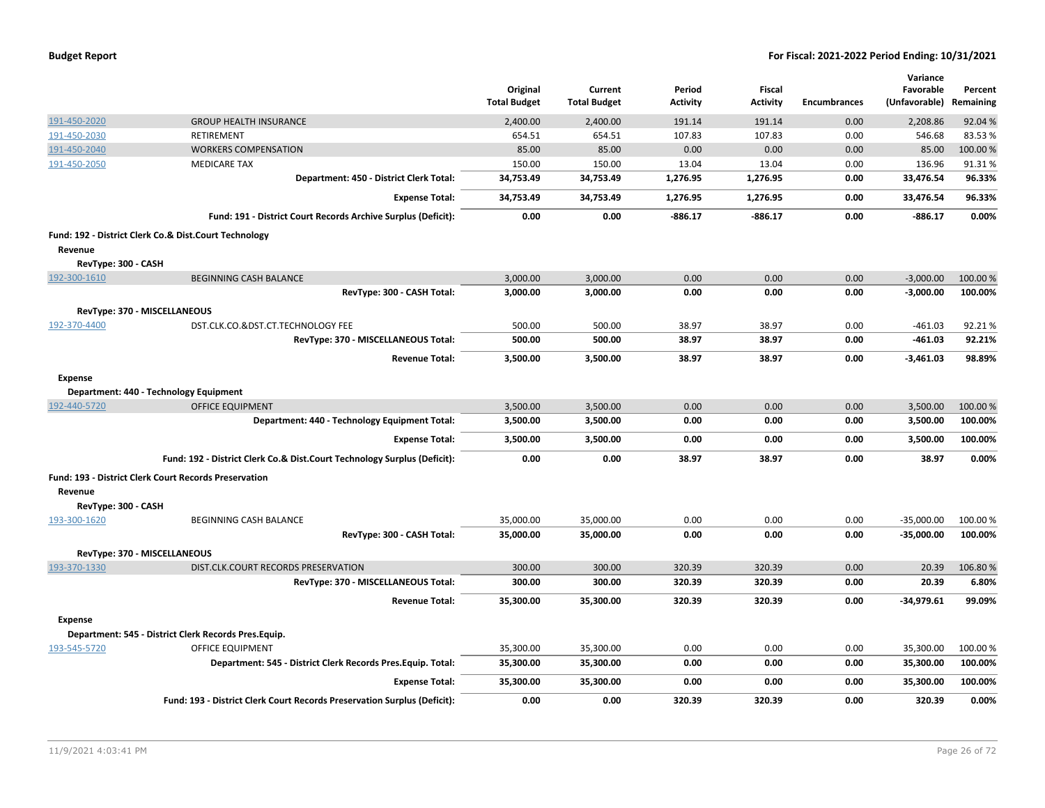| <b>Budget Report</b> |  |
|----------------------|--|
|----------------------|--|

|                              |                                                                          |                                 |                                |                           |                                  |                     | Variance                             |          |
|------------------------------|--------------------------------------------------------------------------|---------------------------------|--------------------------------|---------------------------|----------------------------------|---------------------|--------------------------------------|----------|
|                              |                                                                          | Original<br><b>Total Budget</b> | Current<br><b>Total Budget</b> | Period<br><b>Activity</b> | <b>Fiscal</b><br><b>Activity</b> | <b>Encumbrances</b> | Favorable<br>(Unfavorable) Remaining | Percent  |
| 191-450-2020                 | <b>GROUP HEALTH INSURANCE</b>                                            | 2,400.00                        | 2,400.00                       | 191.14                    | 191.14                           | 0.00                | 2,208.86                             | 92.04 %  |
| 191-450-2030                 | RETIREMENT                                                               | 654.51                          | 654.51                         | 107.83                    | 107.83                           | 0.00                | 546.68                               | 83.53%   |
| 191-450-2040                 | <b>WORKERS COMPENSATION</b>                                              | 85.00                           | 85.00                          | 0.00                      | 0.00                             | 0.00                | 85.00                                | 100.00 % |
| 191-450-2050                 | <b>MEDICARE TAX</b>                                                      | 150.00                          | 150.00                         | 13.04                     | 13.04                            | 0.00                | 136.96                               | 91.31%   |
|                              | Department: 450 - District Clerk Total:                                  | 34,753.49                       | 34,753.49                      | 1,276.95                  | 1,276.95                         | 0.00                | 33,476.54                            | 96.33%   |
|                              | <b>Expense Total:</b>                                                    | 34,753.49                       | 34,753.49                      | 1,276.95                  | 1,276.95                         | 0.00                | 33,476.54                            | 96.33%   |
|                              | Fund: 191 - District Court Records Archive Surplus (Deficit):            | 0.00                            | 0.00                           | $-886.17$                 | $-886.17$                        | 0.00                | -886.17                              | 0.00%    |
|                              | Fund: 192 - District Clerk Co.& Dist.Court Technology                    |                                 |                                |                           |                                  |                     |                                      |          |
| Revenue                      |                                                                          |                                 |                                |                           |                                  |                     |                                      |          |
| RevType: 300 - CASH          |                                                                          |                                 |                                |                           |                                  |                     |                                      |          |
| 192-300-1610                 | <b>BEGINNING CASH BALANCE</b>                                            | 3,000.00                        | 3,000.00                       | 0.00                      | 0.00                             | 0.00                | $-3,000.00$                          | 100.00 % |
|                              | RevType: 300 - CASH Total:                                               | 3,000.00                        | 3,000.00                       | 0.00                      | 0.00                             | 0.00                | $-3,000.00$                          | 100.00%  |
| RevType: 370 - MISCELLANEOUS |                                                                          |                                 |                                |                           |                                  |                     |                                      |          |
| 192-370-4400                 | DST.CLK.CO.&DST.CT.TECHNOLOGY FEE                                        | 500.00                          | 500.00                         | 38.97                     | 38.97                            | 0.00                | $-461.03$                            | 92.21%   |
|                              | RevType: 370 - MISCELLANEOUS Total:                                      | 500.00                          | 500.00                         | 38.97                     | 38.97                            | 0.00                | $-461.03$                            | 92.21%   |
|                              | <b>Revenue Total:</b>                                                    | 3,500.00                        | 3,500.00                       | 38.97                     | 38.97                            | 0.00                | $-3,461.03$                          | 98.89%   |
| <b>Expense</b>               |                                                                          |                                 |                                |                           |                                  |                     |                                      |          |
|                              | Department: 440 - Technology Equipment                                   |                                 |                                |                           |                                  |                     |                                      |          |
| 192-440-5720                 | <b>OFFICE EQUIPMENT</b>                                                  | 3,500.00                        | 3,500.00                       | 0.00                      | 0.00                             | 0.00                | 3,500.00                             | 100.00 % |
|                              | Department: 440 - Technology Equipment Total:                            | 3,500.00                        | 3,500.00                       | 0.00                      | 0.00                             | 0.00                | 3,500.00                             | 100.00%  |
|                              | <b>Expense Total:</b>                                                    | 3,500.00                        | 3,500.00                       | 0.00                      | 0.00                             | 0.00                | 3,500.00                             | 100.00%  |
|                              | Fund: 192 - District Clerk Co.& Dist.Court Technology Surplus (Deficit): | 0.00                            | 0.00                           | 38.97                     | 38.97                            | 0.00                | 38.97                                | 0.00%    |
|                              | Fund: 193 - District Clerk Court Records Preservation                    |                                 |                                |                           |                                  |                     |                                      |          |
| Revenue                      |                                                                          |                                 |                                |                           |                                  |                     |                                      |          |
| RevType: 300 - CASH          |                                                                          |                                 |                                |                           |                                  |                     |                                      |          |
| 193-300-1620                 | BEGINNING CASH BALANCE                                                   | 35,000.00                       | 35,000.00                      | 0.00                      | 0.00                             | 0.00                | $-35,000.00$                         | 100.00%  |
|                              | RevType: 300 - CASH Total:                                               | 35,000.00                       | 35,000.00                      | 0.00                      | 0.00                             | 0.00                | $-35,000.00$                         | 100.00%  |
| RevType: 370 - MISCELLANEOUS |                                                                          |                                 |                                |                           |                                  |                     |                                      |          |
| 193-370-1330                 | DIST.CLK.COURT RECORDS PRESERVATION                                      | 300.00                          | 300.00                         | 320.39                    | 320.39                           | 0.00                | 20.39                                | 106.80%  |
|                              | RevType: 370 - MISCELLANEOUS Total:                                      | 300.00                          | 300.00                         | 320.39                    | 320.39                           | 0.00                | 20.39                                | 6.80%    |
|                              | <b>Revenue Total:</b>                                                    | 35,300.00                       | 35,300.00                      | 320.39                    | 320.39                           | 0.00                | $-34,979.61$                         | 99.09%   |
| <b>Expense</b>               |                                                                          |                                 |                                |                           |                                  |                     |                                      |          |
|                              | Department: 545 - District Clerk Records Pres.Equip.                     |                                 |                                |                           |                                  |                     |                                      |          |
| 193-545-5720                 | <b>OFFICE EQUIPMENT</b>                                                  | 35,300.00                       | 35,300.00                      | 0.00                      | 0.00                             | 0.00                | 35,300.00                            | 100.00 % |
|                              | Department: 545 - District Clerk Records Pres. Equip. Total:             | 35,300.00                       | 35,300.00                      | 0.00                      | 0.00                             | 0.00                | 35,300.00                            | 100.00%  |
|                              | <b>Expense Total:</b>                                                    | 35,300.00                       | 35,300.00                      | 0.00                      | 0.00                             | 0.00                | 35,300.00                            | 100.00%  |
|                              | Fund: 193 - District Clerk Court Records Preservation Surplus (Deficit): | 0.00                            | 0.00                           | 320.39                    | 320.39                           | 0.00                | 320.39                               | 0.00%    |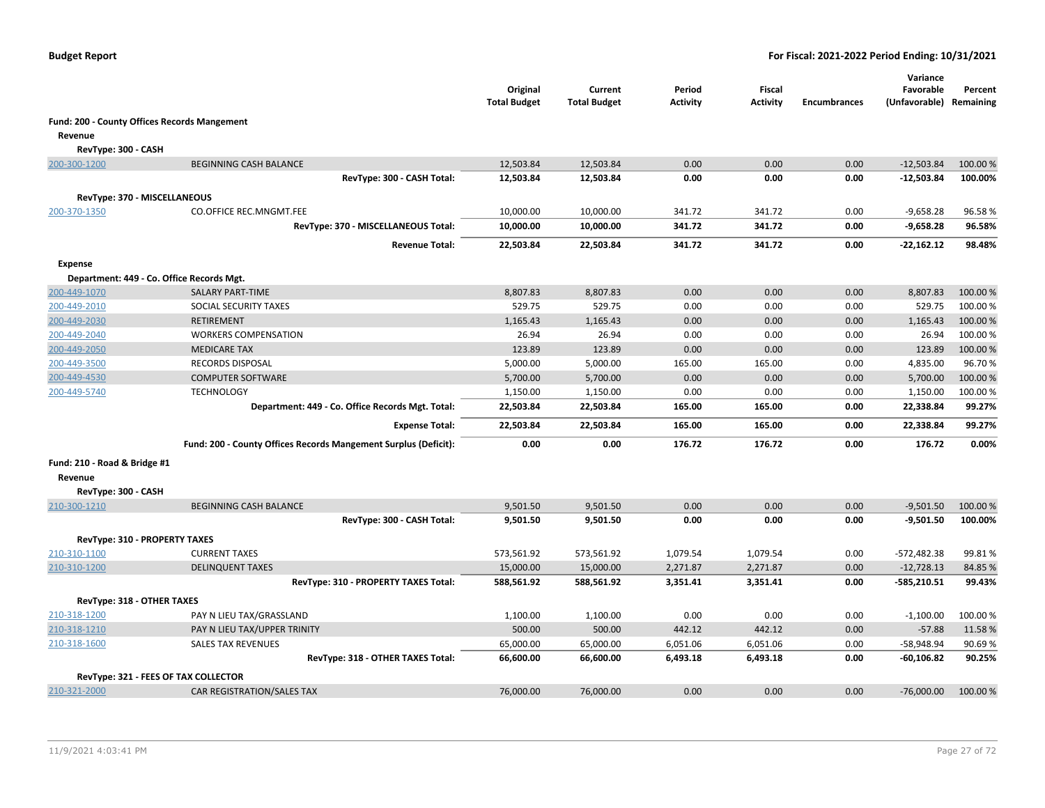|                               |                                                                 | Original<br><b>Total Budget</b> | Current<br><b>Total Budget</b> | Period<br><b>Activity</b> | <b>Fiscal</b><br><b>Activity</b> | <b>Encumbrances</b> | Variance<br>Favorable<br>(Unfavorable) Remaining | Percent  |
|-------------------------------|-----------------------------------------------------------------|---------------------------------|--------------------------------|---------------------------|----------------------------------|---------------------|--------------------------------------------------|----------|
|                               | Fund: 200 - County Offices Records Mangement                    |                                 |                                |                           |                                  |                     |                                                  |          |
| Revenue                       |                                                                 |                                 |                                |                           |                                  |                     |                                                  |          |
| RevType: 300 - CASH           |                                                                 |                                 |                                |                           |                                  |                     |                                                  |          |
| 200-300-1200                  | <b>BEGINNING CASH BALANCE</b>                                   | 12,503.84                       | 12,503.84                      | 0.00                      | 0.00                             | 0.00                | $-12,503.84$                                     | 100.00 % |
|                               | RevType: 300 - CASH Total:                                      | 12,503.84                       | 12,503.84                      | 0.00                      | 0.00                             | 0.00                | $-12,503.84$                                     | 100.00%  |
|                               |                                                                 |                                 |                                |                           |                                  |                     |                                                  |          |
| RevType: 370 - MISCELLANEOUS  |                                                                 |                                 |                                |                           |                                  |                     |                                                  |          |
| 200-370-1350                  | <b>CO.OFFICE REC.MNGMT.FEE</b>                                  | 10,000.00                       | 10,000.00                      | 341.72                    | 341.72                           | 0.00                | $-9,658.28$                                      | 96.58%   |
|                               | RevType: 370 - MISCELLANEOUS Total:                             | 10,000.00                       | 10,000.00                      | 341.72                    | 341.72                           | 0.00                | $-9,658.28$                                      | 96.58%   |
|                               | <b>Revenue Total:</b>                                           | 22,503.84                       | 22,503.84                      | 341.72                    | 341.72                           | 0.00                | $-22,162.12$                                     | 98.48%   |
| <b>Expense</b>                |                                                                 |                                 |                                |                           |                                  |                     |                                                  |          |
|                               | Department: 449 - Co. Office Records Mgt.                       |                                 |                                |                           |                                  |                     |                                                  |          |
| 200-449-1070                  | <b>SALARY PART-TIME</b>                                         | 8,807.83                        | 8,807.83                       | 0.00                      | 0.00                             | 0.00                | 8,807.83                                         | 100.00 % |
| 200-449-2010                  | SOCIAL SECURITY TAXES                                           | 529.75                          | 529.75                         | 0.00                      | 0.00                             | 0.00                | 529.75                                           | 100.00%  |
| 200-449-2030                  | <b>RETIREMENT</b>                                               | 1,165.43                        | 1,165.43                       | 0.00                      | 0.00                             | 0.00                | 1,165.43                                         | 100.00%  |
| 200-449-2040                  | <b>WORKERS COMPENSATION</b>                                     | 26.94                           | 26.94                          | 0.00                      | 0.00                             | 0.00                | 26.94                                            | 100.00 % |
| 200-449-2050                  | <b>MEDICARE TAX</b>                                             | 123.89                          | 123.89                         | 0.00                      | 0.00                             | 0.00                | 123.89                                           | 100.00%  |
| 200-449-3500                  | RECORDS DISPOSAL                                                | 5,000.00                        | 5,000.00                       | 165.00                    | 165.00                           | 0.00                | 4,835.00                                         | 96.70%   |
| 200-449-4530                  | <b>COMPUTER SOFTWARE</b>                                        | 5,700.00                        | 5,700.00                       | 0.00                      | 0.00                             | 0.00                | 5,700.00                                         | 100.00 % |
| 200-449-5740                  | <b>TECHNOLOGY</b>                                               | 1,150.00                        | 1,150.00                       | 0.00                      | 0.00                             | 0.00                | 1,150.00                                         | 100.00%  |
|                               | Department: 449 - Co. Office Records Mgt. Total:                | 22,503.84                       | 22,503.84                      | 165.00                    | 165.00                           | 0.00                | 22,338.84                                        | 99.27%   |
|                               | <b>Expense Total:</b>                                           | 22,503.84                       | 22,503.84                      | 165.00                    | 165.00                           | 0.00                | 22,338.84                                        | 99.27%   |
|                               | Fund: 200 - County Offices Records Mangement Surplus (Deficit): | 0.00                            | 0.00                           | 176.72                    | 176.72                           | 0.00                | 176.72                                           | 0.00%    |
| Fund: 210 - Road & Bridge #1  |                                                                 |                                 |                                |                           |                                  |                     |                                                  |          |
| Revenue                       |                                                                 |                                 |                                |                           |                                  |                     |                                                  |          |
| RevType: 300 - CASH           |                                                                 |                                 |                                |                           |                                  |                     |                                                  |          |
| 210-300-1210                  | <b>BEGINNING CASH BALANCE</b>                                   | 9,501.50                        | 9,501.50                       | 0.00                      | 0.00                             | 0.00                | $-9,501.50$                                      | 100.00 % |
|                               | RevType: 300 - CASH Total:                                      | 9,501.50                        | 9,501.50                       | 0.00                      | 0.00                             | 0.00                | $-9,501.50$                                      | 100.00%  |
| RevType: 310 - PROPERTY TAXES |                                                                 |                                 |                                |                           |                                  |                     |                                                  |          |
| 210-310-1100                  | <b>CURRENT TAXES</b>                                            | 573,561.92                      | 573,561.92                     | 1,079.54                  | 1,079.54                         | 0.00                | $-572,482.38$                                    | 99.81%   |
| 210-310-1200                  | <b>DELINQUENT TAXES</b>                                         | 15,000.00                       | 15,000.00                      | 2,271.87                  | 2,271.87                         | 0.00                | $-12,728.13$                                     | 84.85%   |
|                               | RevType: 310 - PROPERTY TAXES Total:                            | 588,561.92                      | 588,561.92                     | 3,351.41                  | 3,351.41                         | 0.00                | $-585,210.51$                                    | 99.43%   |
|                               |                                                                 |                                 |                                |                           |                                  |                     |                                                  |          |
| RevType: 318 - OTHER TAXES    |                                                                 |                                 |                                |                           |                                  |                     |                                                  |          |
| 210-318-1200                  | PAY N LIEU TAX/GRASSLAND                                        | 1,100.00                        | 1,100.00                       | 0.00                      | 0.00                             | 0.00                | $-1,100.00$                                      | 100.00%  |
| 210-318-1210                  | PAY N LIEU TAX/UPPER TRINITY                                    | 500.00                          | 500.00                         | 442.12                    | 442.12                           | 0.00                | $-57.88$                                         | 11.58%   |
| 210-318-1600                  | <b>SALES TAX REVENUES</b>                                       | 65,000.00                       | 65,000.00                      | 6,051.06                  | 6,051.06                         | 0.00                | -58,948.94                                       | 90.69%   |
|                               | RevType: 318 - OTHER TAXES Total:                               | 66,600.00                       | 66,600.00                      | 6,493.18                  | 6,493.18                         | 0.00                | $-60, 106.82$                                    | 90.25%   |
|                               | RevType: 321 - FEES OF TAX COLLECTOR                            |                                 |                                |                           |                                  |                     |                                                  |          |
| 210-321-2000                  | CAR REGISTRATION/SALES TAX                                      | 76,000.00                       | 76,000.00                      | 0.00                      | 0.00                             | 0.00                | $-76,000.00$                                     | 100.00 % |
|                               |                                                                 |                                 |                                |                           |                                  |                     |                                                  |          |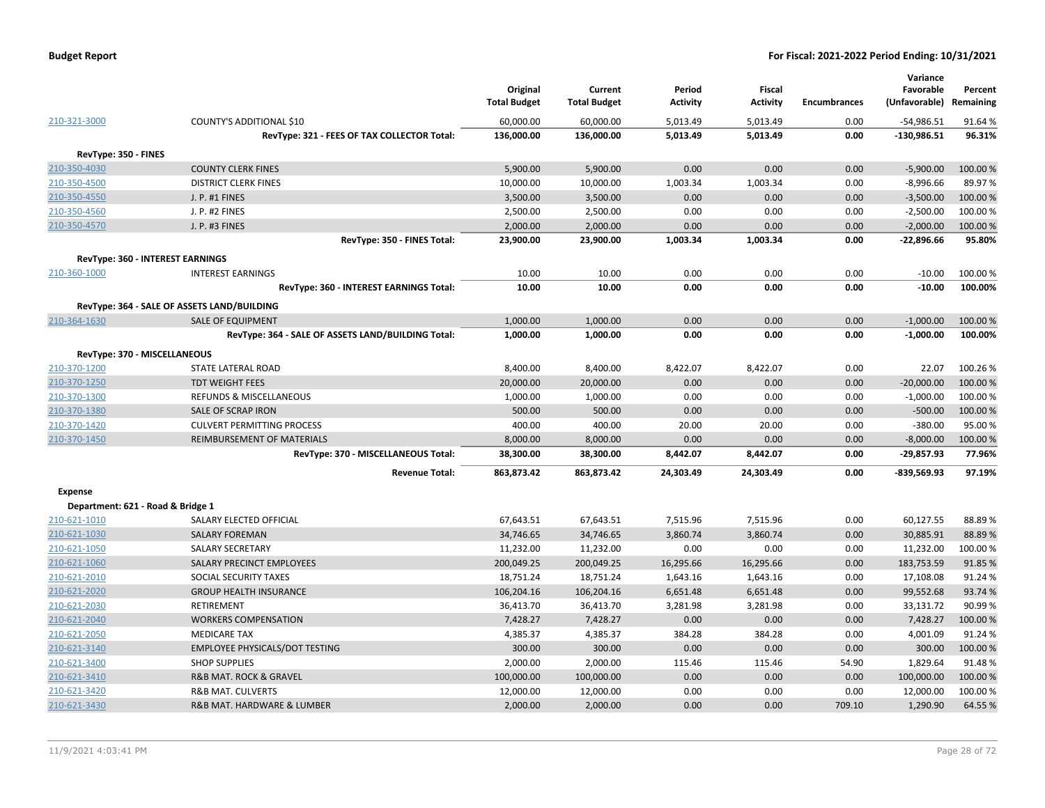| <b>Budget Report</b> |  |
|----------------------|--|
|----------------------|--|

|                                   |                                                    | Original<br><b>Total Budget</b> | Current<br><b>Total Budget</b> | Period<br><b>Activity</b> | Fiscal<br><b>Activity</b> | <b>Encumbrances</b> | Variance<br>Favorable<br>(Unfavorable) | Percent<br>Remaining |
|-----------------------------------|----------------------------------------------------|---------------------------------|--------------------------------|---------------------------|---------------------------|---------------------|----------------------------------------|----------------------|
| 210-321-3000                      | COUNTY'S ADDITIONAL \$10                           | 60,000.00                       | 60,000.00                      | 5,013.49                  | 5,013.49                  | 0.00                | $-54,986.51$                           | 91.64%               |
|                                   | RevType: 321 - FEES OF TAX COLLECTOR Total:        | 136,000.00                      | 136,000.00                     | 5,013.49                  | 5,013.49                  | 0.00                | $-130,986.51$                          | 96.31%               |
| RevType: 350 - FINES              |                                                    |                                 |                                |                           |                           |                     |                                        |                      |
| 210-350-4030                      | <b>COUNTY CLERK FINES</b>                          | 5,900.00                        | 5,900.00                       | 0.00                      | 0.00                      | 0.00                | $-5,900.00$                            | 100.00%              |
| 210-350-4500                      | <b>DISTRICT CLERK FINES</b>                        | 10,000.00                       | 10,000.00                      | 1,003.34                  | 1,003.34                  | 0.00                | $-8,996.66$                            | 89.97%               |
| 210-350-4550                      | J. P. #1 FINES                                     | 3,500.00                        | 3,500.00                       | 0.00                      | 0.00                      | 0.00                | $-3,500.00$                            | 100.00 %             |
| 210-350-4560                      | J. P. #2 FINES                                     | 2,500.00                        | 2,500.00                       | 0.00                      | 0.00                      | 0.00                | $-2,500.00$                            | 100.00%              |
| 210-350-4570                      | J. P. #3 FINES                                     | 2,000.00                        | 2,000.00                       | 0.00                      | 0.00                      | 0.00                | $-2,000.00$                            | 100.00%              |
|                                   | RevType: 350 - FINES Total:                        | 23,900.00                       | 23,900.00                      | 1,003.34                  | 1,003.34                  | 0.00                | $-22,896.66$                           | 95.80%               |
|                                   |                                                    |                                 |                                |                           |                           |                     |                                        |                      |
|                                   | <b>RevType: 360 - INTEREST EARNINGS</b>            |                                 |                                |                           |                           |                     |                                        |                      |
| 210-360-1000                      | <b>INTEREST EARNINGS</b>                           | 10.00                           | 10.00                          | 0.00                      | 0.00                      | 0.00                | $-10.00$                               | 100.00%              |
|                                   | RevType: 360 - INTEREST EARNINGS Total:            | 10.00                           | 10.00                          | 0.00                      | 0.00                      | 0.00                | $-10.00$                               | 100.00%              |
|                                   | RevType: 364 - SALE OF ASSETS LAND/BUILDING        |                                 |                                |                           |                           |                     |                                        |                      |
| 210-364-1630                      | SALE OF EQUIPMENT                                  | 1,000.00                        | 1,000.00                       | 0.00                      | 0.00                      | 0.00                | $-1,000.00$                            | 100.00%              |
|                                   | RevType: 364 - SALE OF ASSETS LAND/BUILDING Total: | 1,000.00                        | 1,000.00                       | 0.00                      | 0.00                      | 0.00                | $-1,000.00$                            | 100.00%              |
|                                   | RevType: 370 - MISCELLANEOUS                       |                                 |                                |                           |                           |                     |                                        |                      |
| 210-370-1200                      | STATE LATERAL ROAD                                 | 8,400.00                        | 8,400.00                       | 8,422.07                  | 8,422.07                  | 0.00                | 22.07                                  | 100.26%              |
| 210-370-1250                      | <b>TDT WEIGHT FEES</b>                             | 20,000.00                       | 20,000.00                      | 0.00                      | 0.00                      | 0.00                | $-20,000.00$                           | 100.00 %             |
| 210-370-1300                      | <b>REFUNDS &amp; MISCELLANEOUS</b>                 | 1,000.00                        | 1,000.00                       | 0.00                      | 0.00                      | 0.00                | $-1,000.00$                            | 100.00%              |
| 210-370-1380                      | SALE OF SCRAP IRON                                 | 500.00                          | 500.00                         | 0.00                      | 0.00                      | 0.00                | $-500.00$                              | 100.00%              |
| 210-370-1420                      | <b>CULVERT PERMITTING PROCESS</b>                  | 400.00                          | 400.00                         | 20.00                     | 20.00                     | 0.00                | $-380.00$                              | 95.00 %              |
| 210-370-1450                      | REIMBURSEMENT OF MATERIALS                         | 8,000.00                        | 8,000.00                       | 0.00                      | 0.00                      | 0.00                | $-8,000.00$                            | 100.00%              |
|                                   | RevType: 370 - MISCELLANEOUS Total:                | 38,300.00                       | 38,300.00                      | 8,442.07                  | 8,442.07                  | 0.00                | $-29,857.93$                           | 77.96%               |
|                                   | <b>Revenue Total:</b>                              | 863,873.42                      | 863,873.42                     | 24,303.49                 | 24,303.49                 | 0.00                | $-839,569.93$                          | 97.19%               |
| <b>Expense</b>                    |                                                    |                                 |                                |                           |                           |                     |                                        |                      |
| Department: 621 - Road & Bridge 1 |                                                    |                                 |                                |                           |                           |                     |                                        |                      |
| 210-621-1010                      | SALARY ELECTED OFFICIAL                            | 67,643.51                       | 67,643.51                      | 7,515.96                  | 7,515.96                  | 0.00                | 60,127.55                              | 88.89%               |
| 210-621-1030                      | <b>SALARY FOREMAN</b>                              | 34,746.65                       | 34,746.65                      | 3,860.74                  | 3,860.74                  | 0.00                | 30,885.91                              | 88.89%               |
| 210-621-1050                      | SALARY SECRETARY                                   | 11,232.00                       | 11,232.00                      | 0.00                      | 0.00                      | 0.00                | 11,232.00                              | 100.00%              |
| 210-621-1060                      | SALARY PRECINCT EMPLOYEES                          | 200,049.25                      | 200,049.25                     | 16,295.66                 | 16,295.66                 | 0.00                | 183,753.59                             | 91.85 %              |
| 210-621-2010                      | SOCIAL SECURITY TAXES                              | 18,751.24                       | 18,751.24                      | 1,643.16                  | 1,643.16                  | 0.00                | 17,108.08                              | 91.24%               |
| 210-621-2020                      | <b>GROUP HEALTH INSURANCE</b>                      | 106,204.16                      | 106,204.16                     | 6,651.48                  | 6,651.48                  | 0.00                | 99,552.68                              | 93.74 %              |
| 210-621-2030                      | RETIREMENT                                         | 36,413.70                       | 36,413.70                      | 3,281.98                  | 3,281.98                  | 0.00                | 33,131.72                              | 90.99%               |
| 210-621-2040                      | <b>WORKERS COMPENSATION</b>                        | 7,428.27                        | 7,428.27                       | 0.00                      | 0.00                      | 0.00                | 7,428.27                               | 100.00%              |
| 210-621-2050                      | <b>MEDICARE TAX</b>                                | 4,385.37                        | 4,385.37                       | 384.28                    | 384.28                    | 0.00                | 4,001.09                               | 91.24%               |
| 210-621-3140                      | <b>EMPLOYEE PHYSICALS/DOT TESTING</b>              | 300.00                          | 300.00                         | 0.00                      | 0.00                      | 0.00                | 300.00                                 | 100.00 %             |
| 210-621-3400                      | <b>SHOP SUPPLIES</b>                               | 2,000.00                        | 2,000.00                       | 115.46                    | 115.46                    | 54.90               | 1,829.64                               | 91.48%               |
| 210-621-3410                      | R&B MAT. ROCK & GRAVEL                             | 100,000.00                      | 100,000.00                     | 0.00                      | 0.00                      | 0.00                | 100,000.00                             | 100.00%              |
| 210-621-3420                      | <b>R&amp;B MAT. CULVERTS</b>                       | 12,000.00                       | 12,000.00                      | 0.00                      | 0.00                      | 0.00                | 12,000.00                              | 100.00%              |
| 210-621-3430                      | R&B MAT. HARDWARE & LUMBER                         | 2,000.00                        | 2,000.00                       | 0.00                      | 0.00                      | 709.10              | 1,290.90                               | 64.55%               |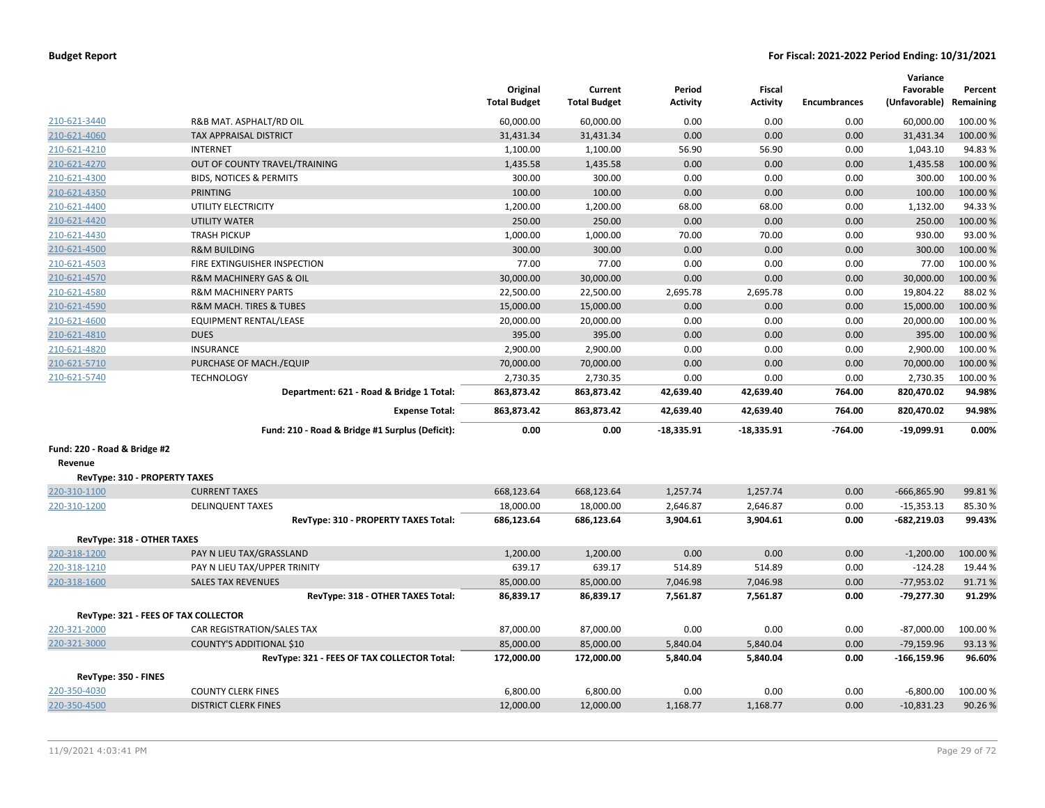|                               |                                                 | Original<br><b>Total Budget</b> | Current<br><b>Total Budget</b> | Period<br><b>Activity</b> | Fiscal<br><b>Activity</b> | <b>Encumbrances</b> | Variance<br>Favorable<br>(Unfavorable) | Percent<br>Remaining |
|-------------------------------|-------------------------------------------------|---------------------------------|--------------------------------|---------------------------|---------------------------|---------------------|----------------------------------------|----------------------|
| 210-621-3440                  | R&B MAT. ASPHALT/RD OIL                         | 60,000.00                       | 60,000.00                      | 0.00                      | 0.00                      | 0.00                | 60,000.00                              | 100.00 %             |
| 210-621-4060                  | <b>TAX APPRAISAL DISTRICT</b>                   | 31,431.34                       | 31,431.34                      | 0.00                      | 0.00                      | 0.00                | 31,431.34                              | 100.00%              |
| 210-621-4210                  | <b>INTERNET</b>                                 | 1,100.00                        | 1,100.00                       | 56.90                     | 56.90                     | 0.00                | 1,043.10                               | 94.83%               |
| 210-621-4270                  | OUT OF COUNTY TRAVEL/TRAINING                   | 1,435.58                        | 1,435.58                       | 0.00                      | 0.00                      | 0.00                | 1,435.58                               | 100.00 %             |
| 210-621-4300                  | <b>BIDS, NOTICES &amp; PERMITS</b>              | 300.00                          | 300.00                         | 0.00                      | 0.00                      | 0.00                | 300.00                                 | 100.00%              |
| 210-621-4350                  | <b>PRINTING</b>                                 | 100.00                          | 100.00                         | 0.00                      | 0.00                      | 0.00                | 100.00                                 | 100.00 %             |
| 210-621-4400                  | UTILITY ELECTRICITY                             | 1,200.00                        | 1,200.00                       | 68.00                     | 68.00                     | 0.00                | 1,132.00                               | 94.33%               |
| 210-621-4420                  | <b>UTILITY WATER</b>                            | 250.00                          | 250.00                         | 0.00                      | 0.00                      | 0.00                | 250.00                                 | 100.00 %             |
| 210-621-4430                  | <b>TRASH PICKUP</b>                             | 1,000.00                        | 1,000.00                       | 70.00                     | 70.00                     | 0.00                | 930.00                                 | 93.00 %              |
| 210-621-4500                  | <b>R&amp;M BUILDING</b>                         | 300.00                          | 300.00                         | 0.00                      | 0.00                      | 0.00                | 300.00                                 | 100.00 %             |
| 210-621-4503                  | FIRE EXTINGUISHER INSPECTION                    | 77.00                           | 77.00                          | 0.00                      | 0.00                      | 0.00                | 77.00                                  | 100.00 %             |
| 210-621-4570                  | R&M MACHINERY GAS & OIL                         | 30,000.00                       | 30,000.00                      | 0.00                      | 0.00                      | 0.00                | 30,000.00                              | 100.00 %             |
| 210-621-4580                  | <b>R&amp;M MACHINERY PARTS</b>                  | 22,500.00                       | 22,500.00                      | 2,695.78                  | 2,695.78                  | 0.00                | 19,804.22                              | 88.02%               |
| 210-621-4590                  | R&M MACH. TIRES & TUBES                         | 15,000.00                       | 15,000.00                      | 0.00                      | 0.00                      | 0.00                | 15,000.00                              | 100.00 %             |
| 210-621-4600                  | EQUIPMENT RENTAL/LEASE                          | 20,000.00                       | 20,000.00                      | 0.00                      | 0.00                      | 0.00                | 20,000.00                              | 100.00 %             |
| 210-621-4810                  | <b>DUES</b>                                     | 395.00                          | 395.00                         | 0.00                      | 0.00                      | 0.00                | 395.00                                 | 100.00 %             |
| 210-621-4820                  | <b>INSURANCE</b>                                | 2,900.00                        | 2,900.00                       | 0.00                      | 0.00                      | 0.00                | 2,900.00                               | 100.00 %             |
| 210-621-5710                  | PURCHASE OF MACH./EQUIP                         | 70,000.00                       | 70,000.00                      | 0.00                      | 0.00                      | 0.00                | 70,000.00                              | 100.00%              |
| 210-621-5740                  | <b>TECHNOLOGY</b>                               | 2,730.35                        | 2,730.35                       | 0.00                      | 0.00                      | 0.00                | 2,730.35                               | 100.00%              |
|                               | Department: 621 - Road & Bridge 1 Total:        | 863,873.42                      | 863,873.42                     | 42,639.40                 | 42,639.40                 | 764.00              | 820,470.02                             | 94.98%               |
|                               | <b>Expense Total:</b>                           | 863,873.42                      | 863,873.42                     | 42,639.40                 | 42,639.40                 | 764.00              | 820,470.02                             | 94.98%               |
|                               | Fund: 210 - Road & Bridge #1 Surplus (Deficit): | 0.00                            | 0.00                           | $-18,335.91$              | $-18,335.91$              | $-764.00$           | $-19,099.91$                           | 0.00%                |
| Fund: 220 - Road & Bridge #2  |                                                 |                                 |                                |                           |                           |                     |                                        |                      |
| Revenue                       |                                                 |                                 |                                |                           |                           |                     |                                        |                      |
| RevType: 310 - PROPERTY TAXES |                                                 |                                 |                                |                           |                           |                     |                                        |                      |
| 220-310-1100                  | <b>CURRENT TAXES</b>                            | 668,123.64                      | 668,123.64                     | 1,257.74                  | 1,257.74                  | 0.00                | $-666,865.90$                          | 99.81%               |
| 220-310-1200                  | <b>DELINQUENT TAXES</b>                         | 18,000.00                       | 18,000.00                      | 2,646.87                  | 2,646.87                  | 0.00                | $-15,353.13$                           | 85.30%               |
|                               | RevType: 310 - PROPERTY TAXES Total:            | 686,123.64                      | 686,123.64                     | 3,904.61                  | 3,904.61                  | 0.00                | $-682,219.03$                          | 99.43%               |
| RevType: 318 - OTHER TAXES    |                                                 |                                 |                                |                           |                           |                     |                                        |                      |
| 220-318-1200                  | PAY N LIEU TAX/GRASSLAND                        | 1,200.00                        | 1,200.00                       | 0.00                      | 0.00                      | 0.00                | $-1,200.00$                            | 100.00%              |
| 220-318-1210                  | PAY N LIEU TAX/UPPER TRINITY                    | 639.17                          | 639.17                         | 514.89                    | 514.89                    | 0.00                | $-124.28$                              | 19.44 %              |
| 220-318-1600                  | <b>SALES TAX REVENUES</b>                       | 85,000.00                       | 85,000.00                      | 7,046.98                  | 7,046.98                  | 0.00                | $-77,953.02$                           | 91.71%               |
|                               | RevType: 318 - OTHER TAXES Total:               | 86,839.17                       | 86,839.17                      | 7,561.87                  | 7,561.87                  | 0.00                | $-79,277.30$                           | 91.29%               |
|                               | RevType: 321 - FEES OF TAX COLLECTOR            |                                 |                                |                           |                           |                     |                                        |                      |
| 220-321-2000                  | CAR REGISTRATION/SALES TAX                      | 87,000.00                       | 87,000.00                      | 0.00                      | 0.00                      | 0.00                | $-87,000.00$                           | 100.00%              |
| 220-321-3000                  | <b>COUNTY'S ADDITIONAL \$10</b>                 | 85,000.00                       | 85,000.00                      | 5,840.04                  | 5,840.04                  | 0.00                | $-79,159.96$                           | 93.13 %              |
|                               | RevType: 321 - FEES OF TAX COLLECTOR Total:     | 172,000.00                      | 172,000.00                     | 5,840.04                  | 5,840.04                  | 0.00                | $-166, 159.96$                         | 96.60%               |
| RevType: 350 - FINES          |                                                 |                                 |                                |                           |                           |                     |                                        |                      |
| 220-350-4030                  | <b>COUNTY CLERK FINES</b>                       | 6,800.00                        | 6,800.00                       | 0.00                      | 0.00                      | 0.00                | $-6,800.00$                            | 100.00 %             |
| 220-350-4500                  | <b>DISTRICT CLERK FINES</b>                     | 12,000.00                       | 12,000.00                      | 1,168.77                  | 1,168.77                  | 0.00                | $-10,831.23$                           | 90.26%               |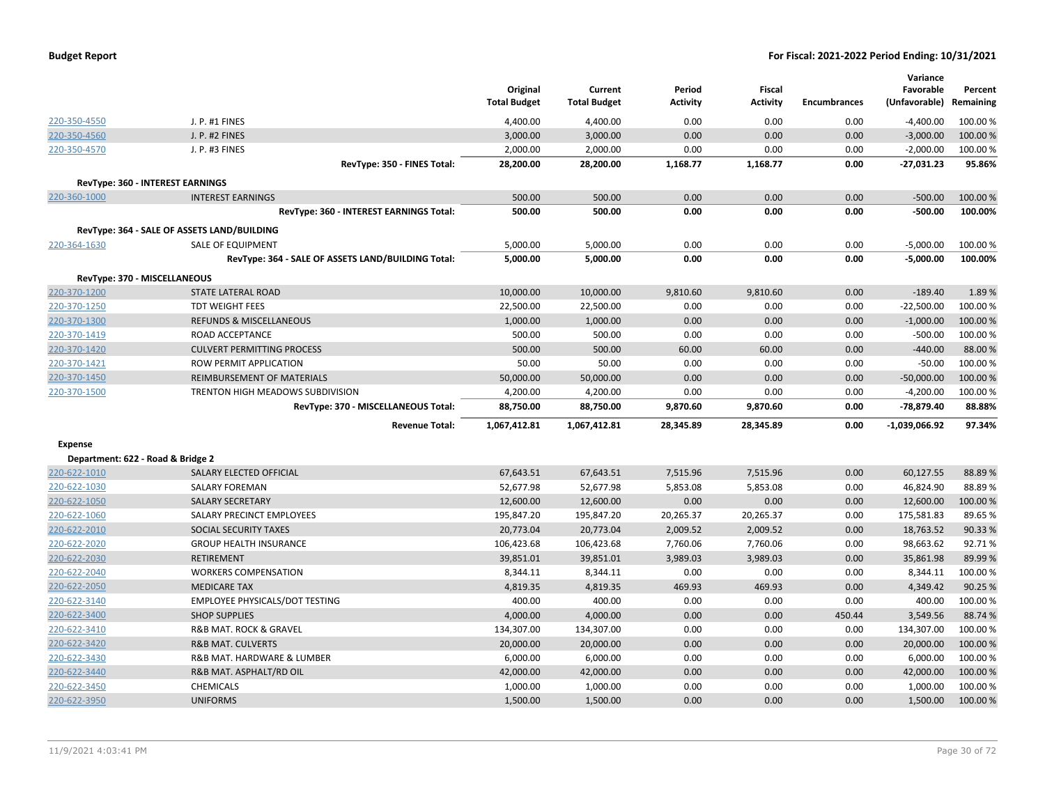| <b>Budget Report</b> |  |
|----------------------|--|
|----------------------|--|

|                                   |                                                    | Original<br><b>Total Budget</b> | Current<br><b>Total Budget</b> | Period<br><b>Activity</b> | <b>Fiscal</b><br><b>Activity</b> | <b>Encumbrances</b> | Variance<br>Favorable<br>(Unfavorable) | Percent<br>Remaining |
|-----------------------------------|----------------------------------------------------|---------------------------------|--------------------------------|---------------------------|----------------------------------|---------------------|----------------------------------------|----------------------|
| 220-350-4550                      | J. P. #1 FINES                                     | 4,400.00                        | 4,400.00                       | 0.00                      | 0.00                             | 0.00                | $-4,400.00$                            | 100.00 %             |
| 220-350-4560                      | J. P. #2 FINES                                     | 3,000.00                        | 3,000.00                       | 0.00                      | 0.00                             | 0.00                | $-3,000.00$                            | 100.00%              |
| 220-350-4570                      | J. P. #3 FINES                                     | 2,000.00                        | 2,000.00                       | 0.00                      | 0.00                             | 0.00                | $-2,000.00$                            | 100.00%              |
|                                   | RevType: 350 - FINES Total:                        | 28,200.00                       | 28,200.00                      | 1,168.77                  | 1,168.77                         | 0.00                | $-27,031.23$                           | 95.86%               |
|                                   |                                                    |                                 |                                |                           |                                  |                     |                                        |                      |
|                                   | RevType: 360 - INTEREST EARNINGS                   |                                 |                                |                           |                                  |                     |                                        |                      |
| 220-360-1000                      | <b>INTEREST EARNINGS</b>                           | 500.00                          | 500.00                         | 0.00                      | 0.00                             | 0.00                | $-500.00$                              | 100.00 %             |
|                                   | RevType: 360 - INTEREST EARNINGS Total:            | 500.00                          | 500.00                         | 0.00                      | 0.00                             | 0.00                | $-500.00$                              | 100.00%              |
|                                   | RevType: 364 - SALE OF ASSETS LAND/BUILDING        |                                 |                                |                           |                                  |                     |                                        |                      |
| 220-364-1630                      | <b>SALE OF EQUIPMENT</b>                           | 5,000.00                        | 5,000.00                       | 0.00                      | 0.00                             | 0.00                | $-5,000.00$                            | 100.00%              |
|                                   | RevType: 364 - SALE OF ASSETS LAND/BUILDING Total: | 5,000.00                        | 5,000.00                       | 0.00                      | 0.00                             | 0.00                | $-5,000.00$                            | 100.00%              |
| RevType: 370 - MISCELLANEOUS      |                                                    |                                 |                                |                           |                                  |                     |                                        |                      |
| 220-370-1200                      | STATE LATERAL ROAD                                 | 10,000.00                       | 10,000.00                      | 9,810.60                  | 9,810.60                         | 0.00                | $-189.40$                              | 1.89%                |
| 220-370-1250                      | <b>TDT WEIGHT FEES</b>                             | 22,500.00                       | 22,500.00                      | 0.00                      | 0.00                             | 0.00                | $-22,500.00$                           | 100.00%              |
| 220-370-1300                      | <b>REFUNDS &amp; MISCELLANEOUS</b>                 | 1,000.00                        | 1,000.00                       | 0.00                      | 0.00                             | 0.00                | $-1,000.00$                            | 100.00 %             |
| 220-370-1419                      | ROAD ACCEPTANCE                                    | 500.00                          | 500.00                         | 0.00                      | 0.00                             | 0.00                | $-500.00$                              | 100.00%              |
| 220-370-1420                      | <b>CULVERT PERMITTING PROCESS</b>                  | 500.00                          | 500.00                         | 60.00                     | 60.00                            | 0.00                | $-440.00$                              | 88.00 %              |
| 220-370-1421                      | ROW PERMIT APPLICATION                             | 50.00                           | 50.00                          | 0.00                      | 0.00                             | 0.00                | $-50.00$                               | 100.00%              |
| 220-370-1450                      | REIMBURSEMENT OF MATERIALS                         | 50,000.00                       | 50,000.00                      | 0.00                      | 0.00                             | 0.00                | $-50,000.00$                           | 100.00 %             |
| 220-370-1500                      | TRENTON HIGH MEADOWS SUBDIVISION                   | 4,200.00                        | 4,200.00                       | 0.00                      | 0.00                             | 0.00                | $-4,200.00$                            | 100.00%              |
|                                   | RevType: 370 - MISCELLANEOUS Total:                | 88,750.00                       | 88,750.00                      | 9,870.60                  | 9,870.60                         | 0.00                | -78,879.40                             | 88.88%               |
|                                   | <b>Revenue Total:</b>                              | 1,067,412.81                    | 1,067,412.81                   | 28,345.89                 | 28,345.89                        | 0.00                | -1,039,066.92                          | 97.34%               |
| <b>Expense</b>                    |                                                    |                                 |                                |                           |                                  |                     |                                        |                      |
| Department: 622 - Road & Bridge 2 |                                                    |                                 |                                |                           |                                  |                     |                                        |                      |
| 220-622-1010                      | SALARY ELECTED OFFICIAL                            | 67,643.51                       | 67,643.51                      | 7,515.96                  | 7,515.96                         | 0.00                | 60,127.55                              | 88.89%               |
| 220-622-1030                      | <b>SALARY FOREMAN</b>                              | 52,677.98                       | 52,677.98                      | 5,853.08                  | 5,853.08                         | 0.00                | 46,824.90                              | 88.89%               |
| 220-622-1050                      | <b>SALARY SECRETARY</b>                            | 12,600.00                       | 12,600.00                      | 0.00                      | 0.00                             | 0.00                | 12,600.00                              | 100.00 %             |
| 220-622-1060                      | SALARY PRECINCT EMPLOYEES                          | 195,847.20                      | 195,847.20                     | 20,265.37                 | 20,265.37                        | 0.00                | 175,581.83                             | 89.65%               |
| 220-622-2010                      | SOCIAL SECURITY TAXES                              | 20,773.04                       | 20,773.04                      | 2,009.52                  | 2,009.52                         | 0.00                | 18,763.52                              | 90.33%               |
| 220-622-2020                      | <b>GROUP HEALTH INSURANCE</b>                      | 106,423.68                      | 106,423.68                     | 7,760.06                  | 7,760.06                         | 0.00                | 98,663.62                              | 92.71%               |
| 220-622-2030                      | <b>RETIREMENT</b>                                  | 39,851.01                       | 39,851.01                      | 3,989.03                  | 3,989.03                         | 0.00                | 35,861.98                              | 89.99%               |
| 220-622-2040                      | <b>WORKERS COMPENSATION</b>                        | 8,344.11                        | 8,344.11                       | 0.00                      | 0.00                             | 0.00                | 8,344.11                               | 100.00%              |
| 220-622-2050                      | <b>MEDICARE TAX</b>                                | 4,819.35                        | 4,819.35                       | 469.93                    | 469.93                           | 0.00                | 4,349.42                               | 90.25 %              |
| 220-622-3140                      | <b>EMPLOYEE PHYSICALS/DOT TESTING</b>              | 400.00                          | 400.00                         | 0.00                      | 0.00                             | 0.00                | 400.00                                 | 100.00%              |
| 220-622-3400                      | <b>SHOP SUPPLIES</b>                               | 4,000.00                        | 4,000.00                       | 0.00                      | 0.00                             | 450.44              | 3,549.56                               | 88.74%               |
| 220-622-3410                      | R&B MAT. ROCK & GRAVEL                             | 134,307.00                      | 134,307.00                     | 0.00                      | 0.00                             | 0.00                | 134,307.00                             | 100.00%              |
| 220-622-3420                      | <b>R&amp;B MAT. CULVERTS</b>                       | 20,000.00                       | 20,000.00                      | 0.00                      | 0.00                             | 0.00                | 20,000.00                              | 100.00 %             |
| 220-622-3430                      | R&B MAT. HARDWARE & LUMBER                         | 6,000.00                        | 6,000.00                       | 0.00                      | 0.00                             | 0.00                | 6,000.00                               | 100.00 %             |
| 220-622-3440                      | R&B MAT. ASPHALT/RD OIL                            | 42,000.00                       | 42,000.00                      | 0.00                      | 0.00                             | 0.00                | 42,000.00                              | 100.00 %             |
| 220-622-3450                      | <b>CHEMICALS</b>                                   | 1,000.00                        | 1,000.00                       | 0.00                      | 0.00                             | 0.00                | 1,000.00                               | 100.00 %             |
| 220-622-3950                      | <b>UNIFORMS</b>                                    | 1,500.00                        | 1,500.00                       | 0.00                      | 0.00                             | 0.00                | 1,500.00                               | 100.00 %             |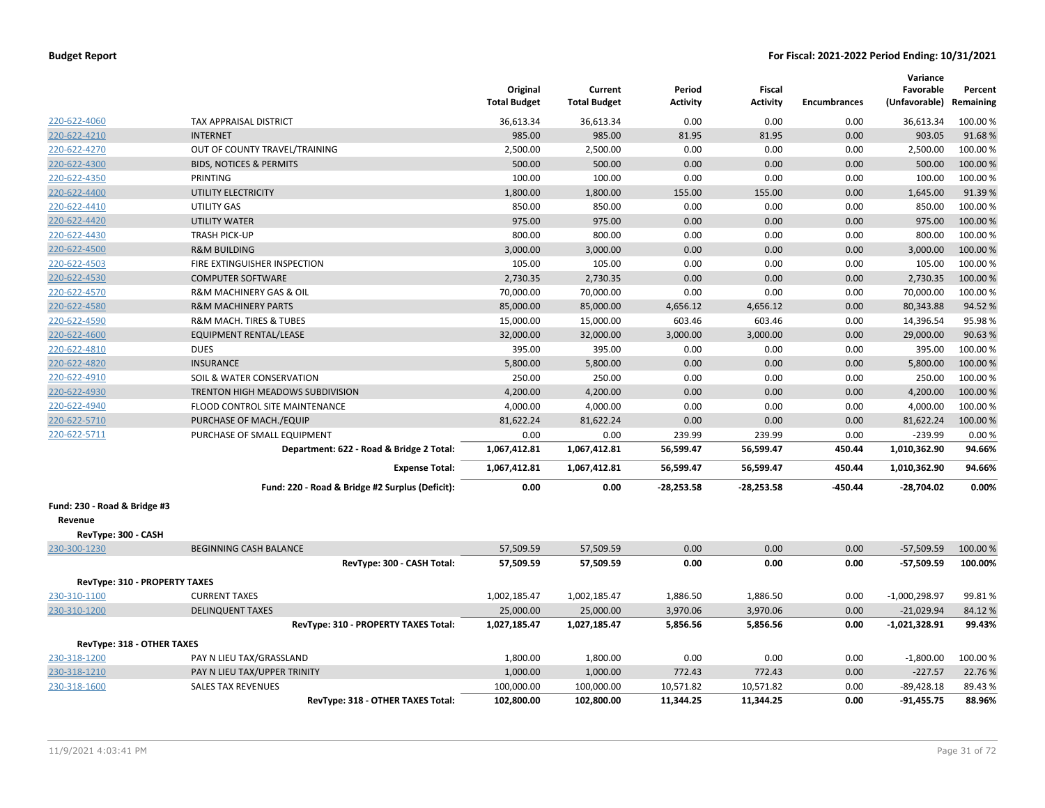|                                         |                                                 | Original<br><b>Total Budget</b> | Current<br><b>Total Budget</b> | Period<br><b>Activity</b> | <b>Fiscal</b><br><b>Activity</b> | <b>Encumbrances</b> | Variance<br>Favorable<br>(Unfavorable) Remaining | Percent  |
|-----------------------------------------|-------------------------------------------------|---------------------------------|--------------------------------|---------------------------|----------------------------------|---------------------|--------------------------------------------------|----------|
| 220-622-4060                            | TAX APPRAISAL DISTRICT                          | 36,613.34                       | 36,613.34                      | 0.00                      | 0.00                             | 0.00                | 36,613.34                                        | 100.00 % |
| 220-622-4210                            | <b>INTERNET</b>                                 | 985.00                          | 985.00                         | 81.95                     | 81.95                            | 0.00                | 903.05                                           | 91.68%   |
| 220-622-4270                            | OUT OF COUNTY TRAVEL/TRAINING                   | 2,500.00                        | 2,500.00                       | 0.00                      | 0.00                             | 0.00                | 2,500.00                                         | 100.00 % |
| 220-622-4300                            | <b>BIDS, NOTICES &amp; PERMITS</b>              | 500.00                          | 500.00                         | 0.00                      | 0.00                             | 0.00                | 500.00                                           | 100.00 % |
| 220-622-4350                            | <b>PRINTING</b>                                 | 100.00                          | 100.00                         | 0.00                      | 0.00                             | 0.00                | 100.00                                           | 100.00 % |
| 220-622-4400                            | UTILITY ELECTRICITY                             | 1,800.00                        | 1,800.00                       | 155.00                    | 155.00                           | 0.00                | 1,645.00                                         | 91.39%   |
| 220-622-4410                            | UTILITY GAS                                     | 850.00                          | 850.00                         | 0.00                      | 0.00                             | 0.00                | 850.00                                           | 100.00 % |
| 220-622-4420                            | <b>UTILITY WATER</b>                            | 975.00                          | 975.00                         | 0.00                      | 0.00                             | 0.00                | 975.00                                           | 100.00 % |
| 220-622-4430                            | <b>TRASH PICK-UP</b>                            | 800.00                          | 800.00                         | 0.00                      | 0.00                             | 0.00                | 800.00                                           | 100.00 % |
| 220-622-4500                            | <b>R&amp;M BUILDING</b>                         | 3,000.00                        | 3,000.00                       | 0.00                      | 0.00                             | 0.00                | 3,000.00                                         | 100.00 % |
| 220-622-4503                            | FIRE EXTINGUISHER INSPECTION                    | 105.00                          | 105.00                         | 0.00                      | 0.00                             | 0.00                | 105.00                                           | 100.00%  |
| 220-622-4530                            | <b>COMPUTER SOFTWARE</b>                        | 2,730.35                        | 2,730.35                       | 0.00                      | 0.00                             | 0.00                | 2,730.35                                         | 100.00 % |
| 220-622-4570                            | R&M MACHINERY GAS & OIL                         | 70,000.00                       | 70,000.00                      | 0.00                      | 0.00                             | 0.00                | 70,000.00                                        | 100.00 % |
| 220-622-4580                            | <b>R&amp;M MACHINERY PARTS</b>                  | 85,000.00                       | 85,000.00                      | 4,656.12                  | 4,656.12                         | 0.00                | 80,343.88                                        | 94.52%   |
| 220-622-4590                            | <b>R&amp;M MACH. TIRES &amp; TUBES</b>          | 15,000.00                       | 15,000.00                      | 603.46                    | 603.46                           | 0.00                | 14,396.54                                        | 95.98%   |
| 220-622-4600                            | <b>EQUIPMENT RENTAL/LEASE</b>                   | 32,000.00                       | 32,000.00                      | 3,000.00                  | 3,000.00                         | 0.00                | 29,000.00                                        | 90.63%   |
| 220-622-4810                            | <b>DUES</b>                                     | 395.00                          | 395.00                         | 0.00                      | 0.00                             | 0.00                | 395.00                                           | 100.00 % |
| 220-622-4820                            | <b>INSURANCE</b>                                | 5,800.00                        | 5,800.00                       | 0.00                      | 0.00                             | 0.00                | 5,800.00                                         | 100.00 % |
| 220-622-4910                            | SOIL & WATER CONSERVATION                       | 250.00                          | 250.00                         | 0.00                      | 0.00                             | 0.00                | 250.00                                           | 100.00 % |
| 220-622-4930                            | TRENTON HIGH MEADOWS SUBDIVISION                | 4,200.00                        | 4,200.00                       | 0.00                      | 0.00                             | 0.00                | 4,200.00                                         | 100.00%  |
| 220-622-4940                            | FLOOD CONTROL SITE MAINTENANCE                  | 4,000.00                        | 4,000.00                       | 0.00                      | 0.00                             | 0.00                | 4,000.00                                         | 100.00%  |
| 220-622-5710                            | PURCHASE OF MACH./EQUIP                         | 81,622.24                       | 81,622.24                      | 0.00                      | 0.00                             | 0.00                | 81,622.24                                        | 100.00%  |
| 220-622-5711                            | PURCHASE OF SMALL EQUIPMENT                     | 0.00                            | 0.00                           | 239.99                    | 239.99                           | 0.00                | $-239.99$                                        | 0.00%    |
|                                         | Department: 622 - Road & Bridge 2 Total:        | 1,067,412.81                    | 1,067,412.81                   | 56,599.47                 | 56,599.47                        | 450.44              | 1,010,362.90                                     | 94.66%   |
|                                         | <b>Expense Total:</b>                           | 1,067,412.81                    | 1,067,412.81                   | 56,599.47                 | 56,599.47                        | 450.44              | 1,010,362.90                                     | 94.66%   |
|                                         | Fund: 220 - Road & Bridge #2 Surplus (Deficit): | 0.00                            | 0.00                           | $-28,253.58$              | $-28,253.58$                     | -450.44             | $-28,704.02$                                     | 0.00%    |
| Fund: 230 - Road & Bridge #3<br>Revenue |                                                 |                                 |                                |                           |                                  |                     |                                                  |          |
| RevType: 300 - CASH                     |                                                 |                                 |                                |                           |                                  |                     |                                                  |          |
| 230-300-1230                            | <b>BEGINNING CASH BALANCE</b>                   | 57,509.59                       | 57,509.59                      | 0.00                      | 0.00                             | 0.00                | $-57,509.59$                                     | 100.00 % |
|                                         | RevType: 300 - CASH Total:                      | 57,509.59                       | 57,509.59                      | 0.00                      | 0.00                             | 0.00                | $-57,509.59$                                     | 100.00%  |
| RevType: 310 - PROPERTY TAXES           |                                                 |                                 |                                |                           |                                  |                     |                                                  |          |
| 230-310-1100                            | <b>CURRENT TAXES</b>                            | 1,002,185.47                    | 1,002,185.47                   | 1,886.50                  | 1,886.50                         | 0.00                | $-1,000,298.97$                                  | 99.81%   |
| 230-310-1200                            | <b>DELINQUENT TAXES</b>                         | 25,000.00                       | 25,000.00                      | 3,970.06                  | 3,970.06                         | 0.00                | $-21,029.94$                                     | 84.12%   |
|                                         | RevType: 310 - PROPERTY TAXES Total:            | 1,027,185.47                    | 1,027,185.47                   | 5,856.56                  | 5,856.56                         | 0.00                | $-1,021,328.91$                                  | 99.43%   |
| RevType: 318 - OTHER TAXES              |                                                 |                                 |                                |                           |                                  |                     |                                                  |          |
| 230-318-1200                            | PAY N LIEU TAX/GRASSLAND                        | 1,800.00                        | 1,800.00                       | 0.00                      | 0.00                             | 0.00                | $-1,800.00$                                      | 100.00 % |
| 230-318-1210                            | PAY N LIEU TAX/UPPER TRINITY                    | 1,000.00                        | 1,000.00                       | 772.43                    | 772.43                           | 0.00                | $-227.57$                                        | 22.76%   |
| 230-318-1600                            | <b>SALES TAX REVENUES</b>                       | 100,000.00                      | 100,000.00                     | 10,571.82                 | 10,571.82                        | 0.00                | $-89,428.18$                                     | 89.43%   |
|                                         | RevType: 318 - OTHER TAXES Total:               | 102,800.00                      | 102,800.00                     | 11,344.25                 | 11,344.25                        | 0.00                | $-91,455.75$                                     | 88.96%   |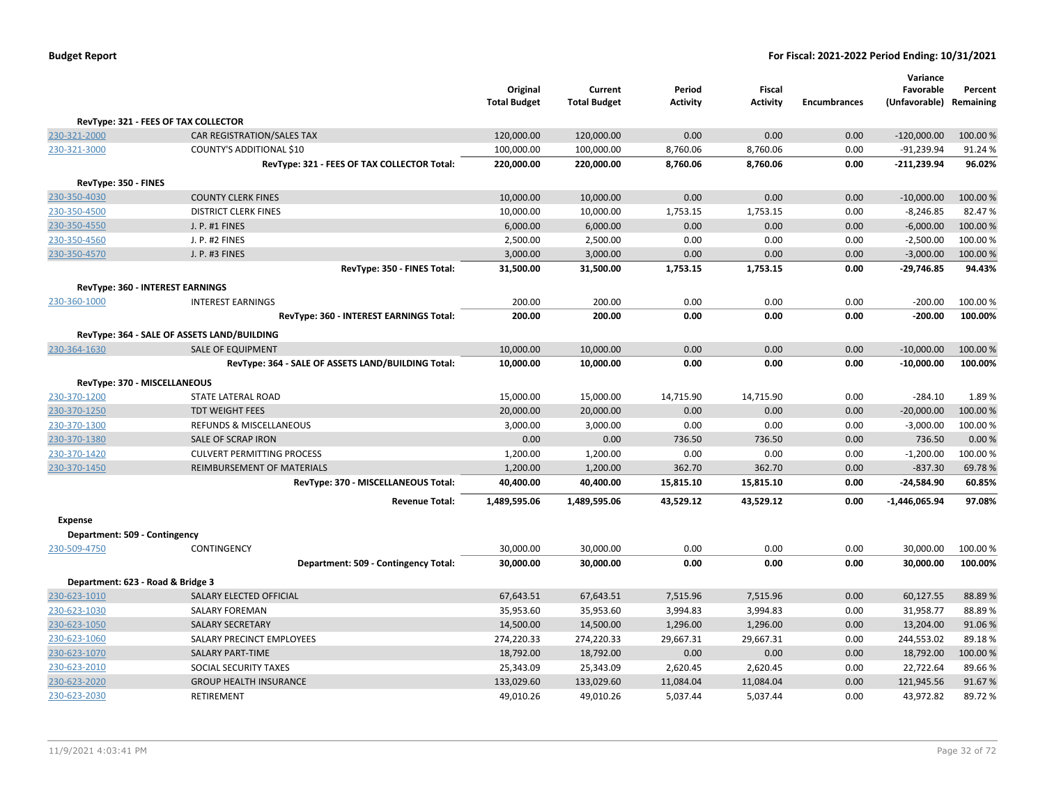|                               |                                                    |                                 |                                |                           |                                  |                     | Variance                             |          |
|-------------------------------|----------------------------------------------------|---------------------------------|--------------------------------|---------------------------|----------------------------------|---------------------|--------------------------------------|----------|
|                               |                                                    | Original<br><b>Total Budget</b> | Current<br><b>Total Budget</b> | Period<br><b>Activity</b> | <b>Fiscal</b><br><b>Activity</b> | <b>Encumbrances</b> | Favorable<br>(Unfavorable) Remaining | Percent  |
|                               | RevType: 321 - FEES OF TAX COLLECTOR               |                                 |                                |                           |                                  |                     |                                      |          |
| 230-321-2000                  | CAR REGISTRATION/SALES TAX                         | 120,000.00                      | 120,000.00                     | 0.00                      | 0.00                             | 0.00                | $-120,000.00$                        | 100.00 % |
| 230-321-3000                  | COUNTY'S ADDITIONAL \$10                           | 100,000.00                      | 100,000.00                     | 8,760.06                  | 8,760.06                         | 0.00                | $-91,239.94$                         | 91.24%   |
|                               | RevType: 321 - FEES OF TAX COLLECTOR Total:        | 220,000.00                      | 220,000.00                     | 8,760.06                  | 8,760.06                         | 0.00                | $-211,239.94$                        | 96.02%   |
| RevType: 350 - FINES          |                                                    |                                 |                                |                           |                                  |                     |                                      |          |
| 230-350-4030                  | <b>COUNTY CLERK FINES</b>                          | 10,000.00                       | 10,000.00                      | 0.00                      | 0.00                             | 0.00                | $-10,000.00$                         | 100.00 % |
| 230-350-4500                  | <b>DISTRICT CLERK FINES</b>                        | 10,000.00                       | 10,000.00                      | 1,753.15                  | 1,753.15                         | 0.00                | $-8,246.85$                          | 82.47%   |
| 230-350-4550                  | J. P. #1 FINES                                     | 6,000.00                        | 6,000.00                       | 0.00                      | 0.00                             | 0.00                | $-6,000.00$                          | 100.00%  |
| 230-350-4560                  | J. P. #2 FINES                                     | 2,500.00                        | 2,500.00                       | 0.00                      | 0.00                             | 0.00                | $-2,500.00$                          | 100.00%  |
| 230-350-4570                  | J. P. #3 FINES                                     | 3,000.00                        | 3,000.00                       | 0.00                      | 0.00                             | 0.00                | $-3,000.00$                          | 100.00 % |
|                               | RevType: 350 - FINES Total:                        | 31,500.00                       | 31,500.00                      | 1,753.15                  | 1,753.15                         | 0.00                | $-29,746.85$                         | 94.43%   |
|                               | RevType: 360 - INTEREST EARNINGS                   |                                 |                                |                           |                                  |                     |                                      |          |
| 230-360-1000                  | <b>INTEREST EARNINGS</b>                           | 200.00                          | 200.00                         | 0.00                      | 0.00                             | 0.00                | $-200.00$                            | 100.00%  |
|                               | RevType: 360 - INTEREST EARNINGS Total:            | 200.00                          | 200.00                         | 0.00                      | 0.00                             | 0.00                | $-200.00$                            | 100.00%  |
|                               | RevType: 364 - SALE OF ASSETS LAND/BUILDING        |                                 |                                |                           |                                  |                     |                                      |          |
| 230-364-1630                  | <b>SALE OF EQUIPMENT</b>                           | 10,000.00                       | 10,000.00                      | 0.00                      | 0.00                             | 0.00                | $-10,000.00$                         | 100.00%  |
|                               | RevType: 364 - SALE OF ASSETS LAND/BUILDING Total: | 10,000.00                       | 10,000.00                      | 0.00                      | 0.00                             | 0.00                | $-10,000.00$                         | 100.00%  |
|                               | RevType: 370 - MISCELLANEOUS                       |                                 |                                |                           |                                  |                     |                                      |          |
| 230-370-1200                  | <b>STATE LATERAL ROAD</b>                          | 15,000.00                       | 15,000.00                      | 14,715.90                 | 14,715.90                        | 0.00                | $-284.10$                            | 1.89%    |
| 230-370-1250                  | <b>TDT WEIGHT FEES</b>                             | 20,000.00                       | 20,000.00                      | 0.00                      | 0.00                             | 0.00                | $-20,000.00$                         | 100.00%  |
| 230-370-1300                  | REFUNDS & MISCELLANEOUS                            | 3,000.00                        | 3,000.00                       | 0.00                      | 0.00                             | 0.00                | $-3,000.00$                          | 100.00%  |
| 230-370-1380                  | SALE OF SCRAP IRON                                 | 0.00                            | 0.00                           | 736.50                    | 736.50                           | 0.00                | 736.50                               | 0.00%    |
| 230-370-1420                  | <b>CULVERT PERMITTING PROCESS</b>                  | 1,200.00                        | 1,200.00                       | 0.00                      | 0.00                             | 0.00                | $-1,200.00$                          | 100.00%  |
| 230-370-1450                  | REIMBURSEMENT OF MATERIALS                         | 1,200.00                        | 1,200.00                       | 362.70                    | 362.70                           | 0.00                | $-837.30$                            | 69.78%   |
|                               | RevType: 370 - MISCELLANEOUS Total:                | 40,400.00                       | 40,400.00                      | 15,815.10                 | 15,815.10                        | 0.00                | $-24,584.90$                         | 60.85%   |
|                               | <b>Revenue Total:</b>                              | 1,489,595.06                    | 1,489,595.06                   | 43,529.12                 | 43,529.12                        | 0.00                | $-1,446,065.94$                      | 97.08%   |
| <b>Expense</b>                |                                                    |                                 |                                |                           |                                  |                     |                                      |          |
| Department: 509 - Contingency |                                                    |                                 |                                |                           |                                  |                     |                                      |          |
| 230-509-4750                  | CONTINGENCY                                        | 30,000.00                       | 30,000.00                      | 0.00                      | 0.00                             | 0.00                | 30,000.00                            | 100.00 % |
|                               | Department: 509 - Contingency Total:               | 30,000.00                       | 30,000.00                      | 0.00                      | 0.00                             | 0.00                | 30,000.00                            | 100.00%  |
|                               | Department: 623 - Road & Bridge 3                  |                                 |                                |                           |                                  |                     |                                      |          |
| 230-623-1010                  | SALARY ELECTED OFFICIAL                            | 67,643.51                       | 67,643.51                      | 7,515.96                  | 7,515.96                         | 0.00                | 60,127.55                            | 88.89%   |
| 230-623-1030                  | <b>SALARY FOREMAN</b>                              | 35,953.60                       | 35,953.60                      | 3,994.83                  | 3,994.83                         | 0.00                | 31,958.77                            | 88.89%   |
| 230-623-1050                  | <b>SALARY SECRETARY</b>                            | 14,500.00                       | 14,500.00                      | 1,296.00                  | 1,296.00                         | 0.00                | 13,204.00                            | 91.06%   |
| 230-623-1060                  | SALARY PRECINCT EMPLOYEES                          | 274,220.33                      | 274,220.33                     | 29,667.31                 | 29,667.31                        | 0.00                | 244,553.02                           | 89.18%   |
| 230-623-1070                  | <b>SALARY PART-TIME</b>                            | 18,792.00                       | 18,792.00                      | 0.00                      | 0.00                             | 0.00                | 18,792.00                            | 100.00%  |
| 230-623-2010                  | SOCIAL SECURITY TAXES                              | 25,343.09                       | 25,343.09                      | 2,620.45                  | 2,620.45                         | 0.00                | 22,722.64                            | 89.66%   |
| 230-623-2020                  | <b>GROUP HEALTH INSURANCE</b>                      | 133,029.60                      | 133,029.60                     | 11,084.04                 | 11,084.04                        | 0.00                | 121,945.56                           | 91.67%   |
| 230-623-2030                  | <b>RETIREMENT</b>                                  | 49,010.26                       | 49,010.26                      | 5,037.44                  | 5,037.44                         | 0.00                | 43,972.82                            | 89.72%   |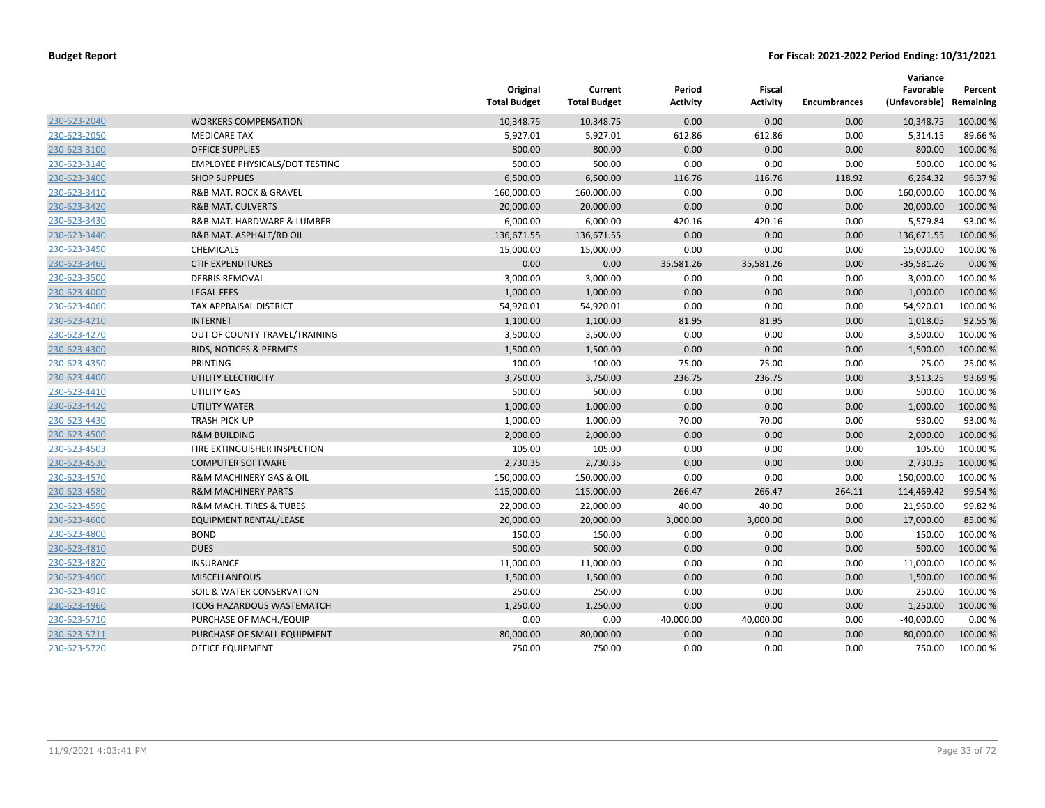|              |                                    | Original<br><b>Total Budget</b> | Current<br><b>Total Budget</b> | Period<br><b>Activity</b> | Fiscal<br><b>Activity</b> | <b>Encumbrances</b> | Variance<br>Favorable<br>(Unfavorable) | Percent<br>Remaining |
|--------------|------------------------------------|---------------------------------|--------------------------------|---------------------------|---------------------------|---------------------|----------------------------------------|----------------------|
| 230-623-2040 | <b>WORKERS COMPENSATION</b>        | 10,348.75                       | 10,348.75                      | 0.00                      | 0.00                      | 0.00                | 10,348.75                              | 100.00 %             |
| 230-623-2050 | <b>MEDICARE TAX</b>                | 5,927.01                        | 5,927.01                       | 612.86                    | 612.86                    | 0.00                | 5,314.15                               | 89.66%               |
| 230-623-3100 | <b>OFFICE SUPPLIES</b>             | 800.00                          | 800.00                         | 0.00                      | 0.00                      | 0.00                | 800.00                                 | 100.00 %             |
| 230-623-3140 | EMPLOYEE PHYSICALS/DOT TESTING     | 500.00                          | 500.00                         | 0.00                      | 0.00                      | 0.00                | 500.00                                 | 100.00%              |
| 230-623-3400 | <b>SHOP SUPPLIES</b>               | 6,500.00                        | 6,500.00                       | 116.76                    | 116.76                    | 118.92              | 6,264.32                               | 96.37%               |
| 230-623-3410 | R&B MAT. ROCK & GRAVEL             | 160,000.00                      | 160,000.00                     | 0.00                      | 0.00                      | 0.00                | 160,000.00                             | 100.00%              |
| 230-623-3420 | <b>R&amp;B MAT. CULVERTS</b>       | 20,000.00                       | 20,000.00                      | 0.00                      | 0.00                      | 0.00                | 20,000.00                              | 100.00 %             |
| 230-623-3430 | R&B MAT. HARDWARE & LUMBER         | 6,000.00                        | 6,000.00                       | 420.16                    | 420.16                    | 0.00                | 5,579.84                               | 93.00%               |
| 230-623-3440 | R&B MAT. ASPHALT/RD OIL            | 136,671.55                      | 136,671.55                     | 0.00                      | 0.00                      | 0.00                | 136,671.55                             | 100.00 %             |
| 230-623-3450 | <b>CHEMICALS</b>                   | 15,000.00                       | 15,000.00                      | 0.00                      | 0.00                      | 0.00                | 15,000.00                              | 100.00 %             |
| 230-623-3460 | <b>CTIF EXPENDITURES</b>           | 0.00                            | 0.00                           | 35,581.26                 | 35,581.26                 | 0.00                | $-35,581.26$                           | 0.00%                |
| 230-623-3500 | <b>DEBRIS REMOVAL</b>              | 3,000.00                        | 3,000.00                       | 0.00                      | 0.00                      | 0.00                | 3,000.00                               | 100.00%              |
| 230-623-4000 | <b>LEGAL FEES</b>                  | 1,000.00                        | 1,000.00                       | 0.00                      | 0.00                      | 0.00                | 1,000.00                               | 100.00 %             |
| 230-623-4060 | <b>TAX APPRAISAL DISTRICT</b>      | 54,920.01                       | 54,920.01                      | 0.00                      | 0.00                      | 0.00                | 54,920.01                              | 100.00 %             |
| 230-623-4210 | <b>INTERNET</b>                    | 1,100.00                        | 1,100.00                       | 81.95                     | 81.95                     | 0.00                | 1,018.05                               | 92.55%               |
| 230-623-4270 | OUT OF COUNTY TRAVEL/TRAINING      | 3,500.00                        | 3,500.00                       | 0.00                      | 0.00                      | 0.00                | 3,500.00                               | 100.00%              |
| 230-623-4300 | <b>BIDS, NOTICES &amp; PERMITS</b> | 1,500.00                        | 1,500.00                       | 0.00                      | 0.00                      | 0.00                | 1,500.00                               | 100.00 %             |
| 230-623-4350 | PRINTING                           | 100.00                          | 100.00                         | 75.00                     | 75.00                     | 0.00                | 25.00                                  | 25.00%               |
| 230-623-4400 | UTILITY ELECTRICITY                | 3,750.00                        | 3,750.00                       | 236.75                    | 236.75                    | 0.00                | 3,513.25                               | 93.69%               |
| 230-623-4410 | <b>UTILITY GAS</b>                 | 500.00                          | 500.00                         | 0.00                      | 0.00                      | 0.00                | 500.00                                 | 100.00%              |
| 230-623-4420 | <b>UTILITY WATER</b>               | 1,000.00                        | 1,000.00                       | 0.00                      | 0.00                      | 0.00                | 1,000.00                               | 100.00%              |
| 230-623-4430 | <b>TRASH PICK-UP</b>               | 1,000.00                        | 1,000.00                       | 70.00                     | 70.00                     | 0.00                | 930.00                                 | 93.00%               |
| 230-623-4500 | <b>R&amp;M BUILDING</b>            | 2,000.00                        | 2,000.00                       | 0.00                      | 0.00                      | 0.00                | 2,000.00                               | 100.00 %             |
| 230-623-4503 | FIRE EXTINGUISHER INSPECTION       | 105.00                          | 105.00                         | 0.00                      | 0.00                      | 0.00                | 105.00                                 | 100.00 %             |
| 230-623-4530 | <b>COMPUTER SOFTWARE</b>           | 2,730.35                        | 2,730.35                       | 0.00                      | 0.00                      | 0.00                | 2,730.35                               | 100.00 %             |
| 230-623-4570 | R&M MACHINERY GAS & OIL            | 150,000.00                      | 150,000.00                     | 0.00                      | 0.00                      | 0.00                | 150,000.00                             | 100.00%              |
| 230-623-4580 | <b>R&amp;M MACHINERY PARTS</b>     | 115,000.00                      | 115,000.00                     | 266.47                    | 266.47                    | 264.11              | 114,469.42                             | 99.54 %              |
| 230-623-4590 | R&M MACH. TIRES & TUBES            | 22,000.00                       | 22,000.00                      | 40.00                     | 40.00                     | 0.00                | 21,960.00                              | 99.82%               |
| 230-623-4600 | EQUIPMENT RENTAL/LEASE             | 20,000.00                       | 20,000.00                      | 3,000.00                  | 3,000.00                  | 0.00                | 17,000.00                              | 85.00 %              |
| 230-623-4800 | <b>BOND</b>                        | 150.00                          | 150.00                         | 0.00                      | 0.00                      | 0.00                | 150.00                                 | 100.00 %             |
| 230-623-4810 | <b>DUES</b>                        | 500.00                          | 500.00                         | 0.00                      | 0.00                      | 0.00                | 500.00                                 | 100.00 %             |
| 230-623-4820 | <b>INSURANCE</b>                   | 11,000.00                       | 11,000.00                      | 0.00                      | 0.00                      | 0.00                | 11,000.00                              | 100.00 %             |
| 230-623-4900 | <b>MISCELLANEOUS</b>               | 1,500.00                        | 1,500.00                       | 0.00                      | 0.00                      | 0.00                | 1,500.00                               | 100.00%              |
| 230-623-4910 | SOIL & WATER CONSERVATION          | 250.00                          | 250.00                         | 0.00                      | 0.00                      | 0.00                | 250.00                                 | 100.00 %             |
| 230-623-4960 | <b>TCOG HAZARDOUS WASTEMATCH</b>   | 1,250.00                        | 1,250.00                       | 0.00                      | 0.00                      | 0.00                | 1,250.00                               | 100.00 %             |
| 230-623-5710 | PURCHASE OF MACH./EQUIP            | 0.00                            | 0.00                           | 40,000.00                 | 40,000.00                 | 0.00                | $-40,000.00$                           | 0.00%                |
| 230-623-5711 | PURCHASE OF SMALL EQUIPMENT        | 80,000.00                       | 80,000.00                      | 0.00                      | 0.00                      | 0.00                | 80,000.00                              | 100.00 %             |
| 230-623-5720 | OFFICE EQUIPMENT                   | 750.00                          | 750.00                         | 0.00                      | 0.00                      | 0.00                | 750.00                                 | 100.00 %             |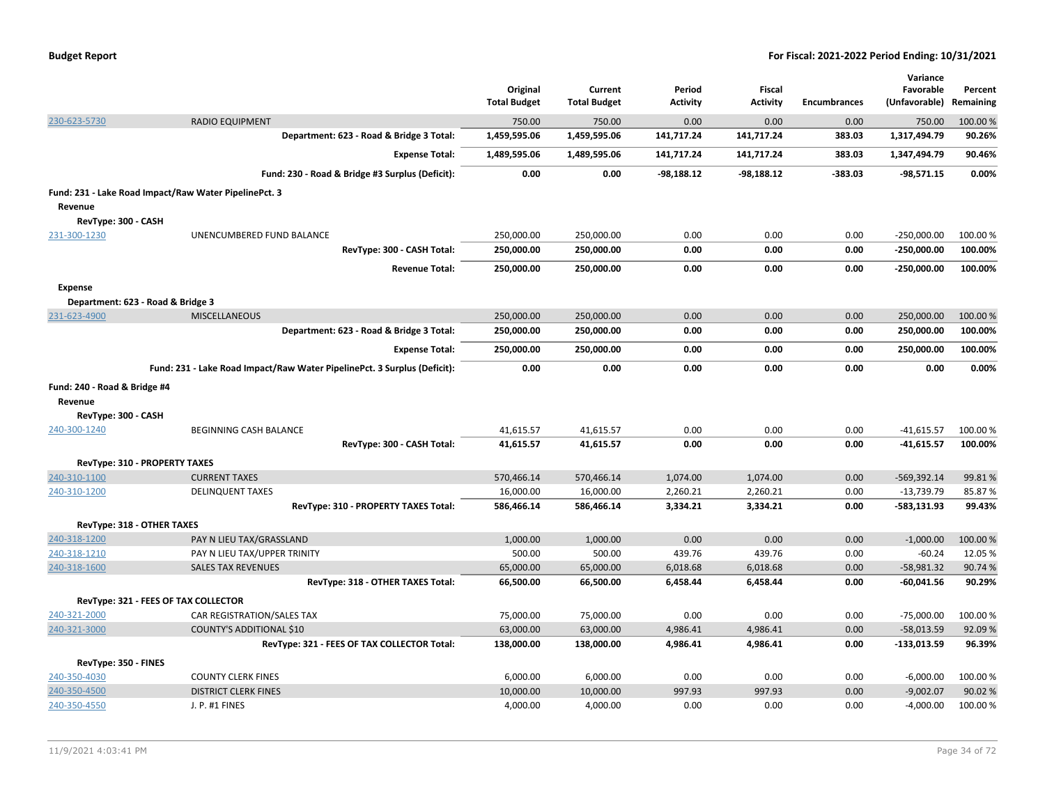| <b>Budget Report</b> |  |  |  |  |
|----------------------|--|--|--|--|
|----------------------|--|--|--|--|

|                              |                                                                          |                     |                     |                 |                 |                     | Variance      |           |
|------------------------------|--------------------------------------------------------------------------|---------------------|---------------------|-----------------|-----------------|---------------------|---------------|-----------|
|                              |                                                                          | Original            | Current             | Period          | <b>Fiscal</b>   |                     | Favorable     | Percent   |
|                              |                                                                          | <b>Total Budget</b> | <b>Total Budget</b> | <b>Activity</b> | <b>Activity</b> | <b>Encumbrances</b> | (Unfavorable) | Remaining |
| 230-623-5730                 | <b>RADIO EQUIPMENT</b>                                                   | 750.00              | 750.00              | 0.00            | 0.00            | 0.00                | 750.00        | 100.00 %  |
|                              | Department: 623 - Road & Bridge 3 Total:                                 | 1,459,595.06        | 1,459,595.06        | 141,717.24      | 141,717.24      | 383.03              | 1,317,494.79  | 90.26%    |
|                              | <b>Expense Total:</b>                                                    | 1,489,595.06        | 1,489,595.06        | 141,717.24      | 141,717.24      | 383.03              | 1,347,494.79  | 90.46%    |
|                              | Fund: 230 - Road & Bridge #3 Surplus (Deficit):                          | 0.00                | 0.00                | $-98,188.12$    | $-98,188.12$    | -383.03             | $-98,571.15$  | 0.00%     |
|                              | Fund: 231 - Lake Road Impact/Raw Water PipelinePct. 3                    |                     |                     |                 |                 |                     |               |           |
| Revenue                      |                                                                          |                     |                     |                 |                 |                     |               |           |
| RevType: 300 - CASH          |                                                                          |                     |                     |                 |                 |                     |               |           |
| 231-300-1230                 | UNENCUMBERED FUND BALANCE                                                | 250,000.00          | 250,000.00          | 0.00            | 0.00            | 0.00                | $-250,000.00$ | 100.00 %  |
|                              | RevType: 300 - CASH Total:                                               | 250,000.00          | 250,000.00          | 0.00            | 0.00            | 0.00                | $-250,000.00$ | 100.00%   |
|                              | <b>Revenue Total:</b>                                                    | 250,000.00          | 250,000.00          | 0.00            | 0.00            | 0.00                | $-250,000.00$ | 100.00%   |
| <b>Expense</b>               |                                                                          |                     |                     |                 |                 |                     |               |           |
|                              | Department: 623 - Road & Bridge 3                                        |                     |                     |                 |                 |                     |               |           |
| 231-623-4900                 | <b>MISCELLANEOUS</b>                                                     | 250,000.00          | 250,000.00          | 0.00            | 0.00            | 0.00                | 250,000.00    | 100.00%   |
|                              | Department: 623 - Road & Bridge 3 Total:                                 | 250,000.00          | 250,000.00          | 0.00            | 0.00            | 0.00                | 250,000.00    | 100.00%   |
|                              | <b>Expense Total:</b>                                                    | 250,000.00          | 250,000.00          | 0.00            | 0.00            | 0.00                | 250,000.00    | 100.00%   |
|                              | Fund: 231 - Lake Road Impact/Raw Water PipelinePct. 3 Surplus (Deficit): | 0.00                | 0.00                | 0.00            | 0.00            | 0.00                | 0.00          | 0.00%     |
| Fund: 240 - Road & Bridge #4 |                                                                          |                     |                     |                 |                 |                     |               |           |
| Revenue                      |                                                                          |                     |                     |                 |                 |                     |               |           |
| RevType: 300 - CASH          |                                                                          |                     |                     |                 |                 |                     |               |           |
| 240-300-1240                 | BEGINNING CASH BALANCE                                                   | 41,615.57           | 41,615.57           | 0.00            | 0.00            | 0.00                | $-41,615.57$  | 100.00 %  |
|                              | RevType: 300 - CASH Total:                                               | 41,615.57           | 41,615.57           | 0.00            | 0.00            | 0.00                | $-41,615.57$  | 100.00%   |
|                              | <b>RevType: 310 - PROPERTY TAXES</b>                                     |                     |                     |                 |                 |                     |               |           |
| 240-310-1100                 | <b>CURRENT TAXES</b>                                                     | 570,466.14          | 570,466.14          | 1,074.00        | 1.074.00        | 0.00                | $-569,392.14$ | 99.81%    |
| 240-310-1200                 | <b>DELINQUENT TAXES</b>                                                  | 16,000.00           | 16,000.00           | 2,260.21        | 2,260.21        | 0.00                | $-13,739.79$  | 85.87%    |
|                              | RevType: 310 - PROPERTY TAXES Total:                                     | 586,466.14          | 586,466.14          | 3,334.21        | 3,334.21        | 0.00                | $-583,131.93$ | 99.43%    |
|                              | RevType: 318 - OTHER TAXES                                               |                     |                     |                 |                 |                     |               |           |
| 240-318-1200                 | PAY N LIEU TAX/GRASSLAND                                                 | 1,000.00            | 1,000.00            | 0.00            | 0.00            | 0.00                | $-1,000.00$   | 100.00%   |
| 240-318-1210                 | PAY N LIEU TAX/UPPER TRINITY                                             | 500.00              | 500.00              | 439.76          | 439.76          | 0.00                | $-60.24$      | 12.05 %   |
| 240-318-1600                 | <b>SALES TAX REVENUES</b>                                                | 65,000.00           | 65,000.00           | 6,018.68        | 6,018.68        | 0.00                | $-58,981.32$  | 90.74 %   |
|                              | RevType: 318 - OTHER TAXES Total:                                        | 66,500.00           | 66,500.00           | 6,458.44        | 6,458.44        | 0.00                | $-60,041.56$  | 90.29%    |
|                              | RevType: 321 - FEES OF TAX COLLECTOR                                     |                     |                     |                 |                 |                     |               |           |
| 240-321-2000                 | CAR REGISTRATION/SALES TAX                                               | 75,000.00           | 75,000.00           | 0.00            | 0.00            | 0.00                | $-75,000.00$  | 100.00 %  |
| 240-321-3000                 | <b>COUNTY'S ADDITIONAL \$10</b>                                          | 63,000.00           | 63,000.00           | 4,986.41        | 4,986.41        | 0.00                | $-58,013.59$  | 92.09%    |
|                              | RevType: 321 - FEES OF TAX COLLECTOR Total:                              | 138,000.00          | 138,000.00          | 4,986.41        | 4,986.41        | 0.00                | $-133,013.59$ | 96.39%    |
| RevType: 350 - FINES         |                                                                          |                     |                     |                 |                 |                     |               |           |
| 240-350-4030                 | <b>COUNTY CLERK FINES</b>                                                | 6,000.00            | 6,000.00            | 0.00            | 0.00            | 0.00                | $-6,000.00$   | 100.00%   |
|                              |                                                                          |                     | 10,000.00           | 997.93          | 997.93          | 0.00                |               | 90.02 %   |
| 240-350-4500                 | <b>DISTRICT CLERK FINES</b>                                              | 10,000.00           |                     |                 |                 |                     | $-9,002.07$   |           |
| 240-350-4550                 | J. P. #1 FINES                                                           | 4,000.00            | 4,000.00            | 0.00            | 0.00            | 0.00                | $-4,000.00$   | 100.00%   |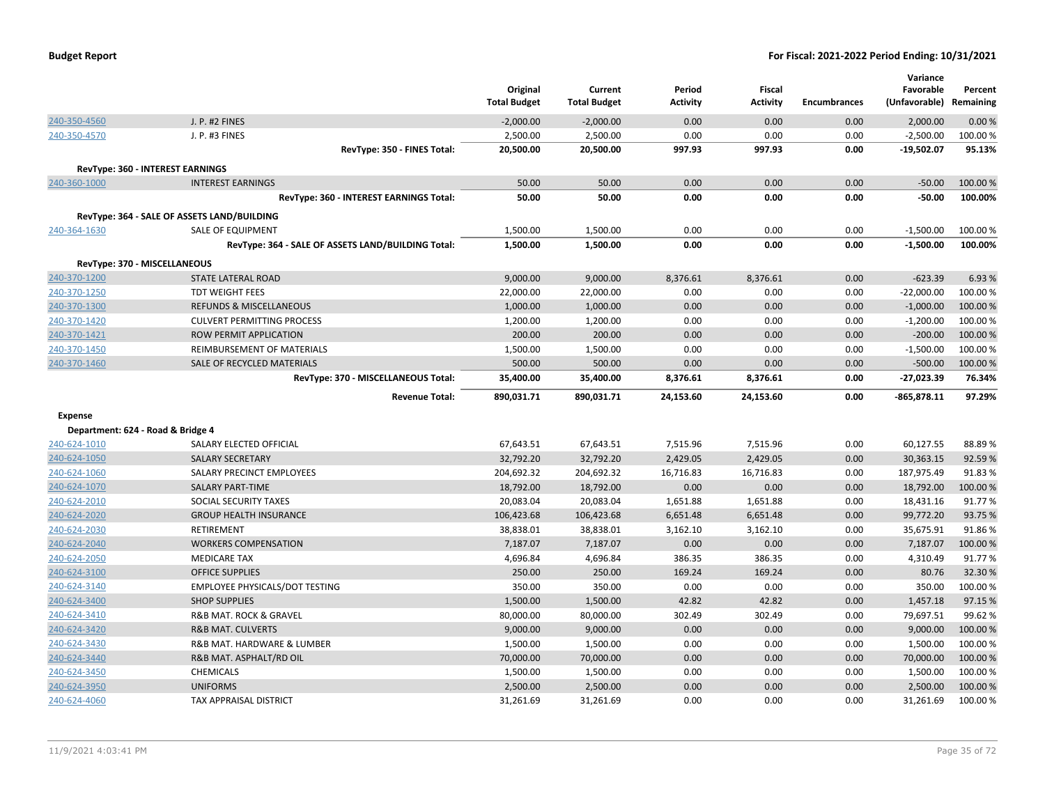|                                   |                                                    | Original<br><b>Total Budget</b> | Current<br><b>Total Budget</b> | Period<br><b>Activity</b> | <b>Fiscal</b><br><b>Activity</b> | <b>Encumbrances</b> | Variance<br>Favorable<br>(Unfavorable) Remaining | Percent  |
|-----------------------------------|----------------------------------------------------|---------------------------------|--------------------------------|---------------------------|----------------------------------|---------------------|--------------------------------------------------|----------|
| 240-350-4560                      | <b>J. P. #2 FINES</b>                              | $-2,000.00$                     | $-2,000.00$                    | 0.00                      | 0.00                             | 0.00                | 2,000.00                                         | 0.00%    |
| 240-350-4570                      | J. P. #3 FINES                                     | 2,500.00                        | 2,500.00                       | 0.00                      | 0.00                             | 0.00                | $-2,500.00$                                      | 100.00%  |
|                                   | RevType: 350 - FINES Total:                        | 20,500.00                       | 20,500.00                      | 997.93                    | 997.93                           | 0.00                | $-19,502.07$                                     | 95.13%   |
|                                   | <b>RevType: 360 - INTEREST EARNINGS</b>            |                                 |                                |                           |                                  |                     |                                                  |          |
| 240-360-1000                      | <b>INTEREST EARNINGS</b>                           | 50.00                           | 50.00                          | 0.00                      | 0.00                             | 0.00                | $-50.00$                                         | 100.00 % |
|                                   | RevType: 360 - INTEREST EARNINGS Total:            | 50.00                           | 50.00                          | 0.00                      | 0.00                             | 0.00                | $-50.00$                                         | 100.00%  |
|                                   | RevType: 364 - SALE OF ASSETS LAND/BUILDING        |                                 |                                |                           |                                  |                     |                                                  |          |
| 240-364-1630                      | <b>SALE OF EQUIPMENT</b>                           | 1,500.00                        | 1,500.00                       | 0.00                      | 0.00                             | 0.00                | $-1,500.00$                                      | 100.00%  |
|                                   | RevType: 364 - SALE OF ASSETS LAND/BUILDING Total: | 1,500.00                        | 1,500.00                       | 0.00                      | 0.00                             | 0.00                | $-1,500.00$                                      | 100.00%  |
| RevType: 370 - MISCELLANEOUS      |                                                    |                                 |                                |                           |                                  |                     |                                                  |          |
| 240-370-1200                      | STATE LATERAL ROAD                                 | 9,000.00                        | 9,000.00                       | 8,376.61                  | 8,376.61                         | 0.00                | $-623.39$                                        | 6.93 %   |
| 240-370-1250                      | <b>TDT WEIGHT FEES</b>                             | 22,000.00                       | 22,000.00                      | 0.00                      | 0.00                             | 0.00                | $-22,000.00$                                     | 100.00%  |
| 240-370-1300                      | <b>REFUNDS &amp; MISCELLANEOUS</b>                 | 1,000.00                        | 1,000.00                       | 0.00                      | 0.00                             | 0.00                | $-1,000.00$                                      | 100.00 % |
| 240-370-1420                      | <b>CULVERT PERMITTING PROCESS</b>                  | 1,200.00                        | 1,200.00                       | 0.00                      | 0.00                             | 0.00                | $-1,200.00$                                      | 100.00 % |
| 240-370-1421                      | ROW PERMIT APPLICATION                             | 200.00                          | 200.00                         | 0.00                      | 0.00                             | 0.00                | $-200.00$                                        | 100.00 % |
| 240-370-1450                      | REIMBURSEMENT OF MATERIALS                         | 1,500.00                        | 1,500.00                       | 0.00                      | 0.00                             | 0.00                | $-1,500.00$                                      | 100.00 % |
| 240-370-1460                      | SALE OF RECYCLED MATERIALS                         | 500.00                          | 500.00                         | 0.00                      | 0.00                             | 0.00                | $-500.00$                                        | 100.00 % |
|                                   | RevType: 370 - MISCELLANEOUS Total:                | 35,400.00                       | 35,400.00                      | 8,376.61                  | 8,376.61                         | 0.00                | $-27,023.39$                                     | 76.34%   |
|                                   | <b>Revenue Total:</b>                              | 890,031.71                      | 890,031.71                     | 24,153.60                 | 24,153.60                        | 0.00                | $-865,878.11$                                    | 97.29%   |
| Expense                           |                                                    |                                 |                                |                           |                                  |                     |                                                  |          |
| Department: 624 - Road & Bridge 4 |                                                    |                                 |                                |                           |                                  |                     |                                                  |          |
| 240-624-1010                      | SALARY ELECTED OFFICIAL                            | 67,643.51                       | 67,643.51                      | 7,515.96                  | 7,515.96                         | 0.00                | 60,127.55                                        | 88.89%   |
| 240-624-1050                      | <b>SALARY SECRETARY</b>                            | 32,792.20                       | 32,792.20                      | 2,429.05                  | 2,429.05                         | 0.00                | 30,363.15                                        | 92.59%   |
| 240-624-1060                      | SALARY PRECINCT EMPLOYEES                          | 204,692.32                      | 204,692.32                     | 16,716.83                 | 16,716.83                        | 0.00                | 187,975.49                                       | 91.83%   |
| 240-624-1070                      | <b>SALARY PART-TIME</b>                            | 18,792.00                       | 18,792.00                      | 0.00                      | 0.00                             | 0.00                | 18,792.00                                        | 100.00 % |
| 240-624-2010                      | SOCIAL SECURITY TAXES                              | 20,083.04                       | 20,083.04                      | 1,651.88                  | 1,651.88                         | 0.00                | 18,431.16                                        | 91.77%   |
| 240-624-2020                      | <b>GROUP HEALTH INSURANCE</b>                      | 106,423.68                      | 106,423.68                     | 6,651.48                  | 6,651.48                         | 0.00                | 99,772.20                                        | 93.75%   |
| 240-624-2030                      | RETIREMENT                                         | 38,838.01                       | 38,838.01                      | 3,162.10                  | 3,162.10                         | 0.00                | 35,675.91                                        | 91.86%   |
| 240-624-2040                      | <b>WORKERS COMPENSATION</b>                        | 7,187.07                        | 7,187.07                       | 0.00                      | 0.00                             | 0.00                | 7,187.07                                         | 100.00 % |
| 240-624-2050                      | <b>MEDICARE TAX</b>                                | 4,696.84                        | 4,696.84                       | 386.35                    | 386.35                           | 0.00                | 4,310.49                                         | 91.77%   |
| 240-624-3100                      | <b>OFFICE SUPPLIES</b>                             | 250.00                          | 250.00                         | 169.24                    | 169.24                           | 0.00                | 80.76                                            | 32.30 %  |
| 240-624-3140                      | EMPLOYEE PHYSICALS/DOT TESTING                     | 350.00                          | 350.00                         | 0.00                      | 0.00                             | 0.00                | 350.00                                           | 100.00%  |
| 240-624-3400                      | <b>SHOP SUPPLIES</b>                               | 1,500.00                        | 1,500.00                       | 42.82                     | 42.82                            | 0.00                | 1,457.18                                         | 97.15 %  |
| 240-624-3410                      | R&B MAT. ROCK & GRAVEL                             | 80,000.00                       | 80,000.00                      | 302.49                    | 302.49                           | 0.00                | 79,697.51                                        | 99.62%   |
| 240-624-3420                      | <b>R&amp;B MAT. CULVERTS</b>                       | 9,000.00                        | 9,000.00                       | 0.00                      | 0.00                             | 0.00                | 9,000.00                                         | 100.00 % |
| 240-624-3430                      | R&B MAT. HARDWARE & LUMBER                         | 1,500.00                        | 1,500.00                       | 0.00                      | 0.00                             | 0.00                | 1,500.00                                         | 100.00 % |
| 240-624-3440                      | R&B MAT. ASPHALT/RD OIL                            | 70,000.00                       | 70,000.00                      | 0.00                      | 0.00                             | 0.00                | 70,000.00                                        | 100.00 % |
| 240-624-3450                      | <b>CHEMICALS</b>                                   | 1,500.00                        | 1,500.00                       | 0.00                      | 0.00                             | 0.00                | 1,500.00                                         | 100.00 % |
| 240-624-3950                      | <b>UNIFORMS</b>                                    | 2,500.00                        | 2,500.00                       | 0.00                      | 0.00                             | 0.00                | 2,500.00                                         | 100.00 % |
| 240-624-4060                      | <b>TAX APPRAISAL DISTRICT</b>                      | 31,261.69                       | 31,261.69                      | 0.00                      | 0.00                             | 0.00                | 31,261.69                                        | 100.00 % |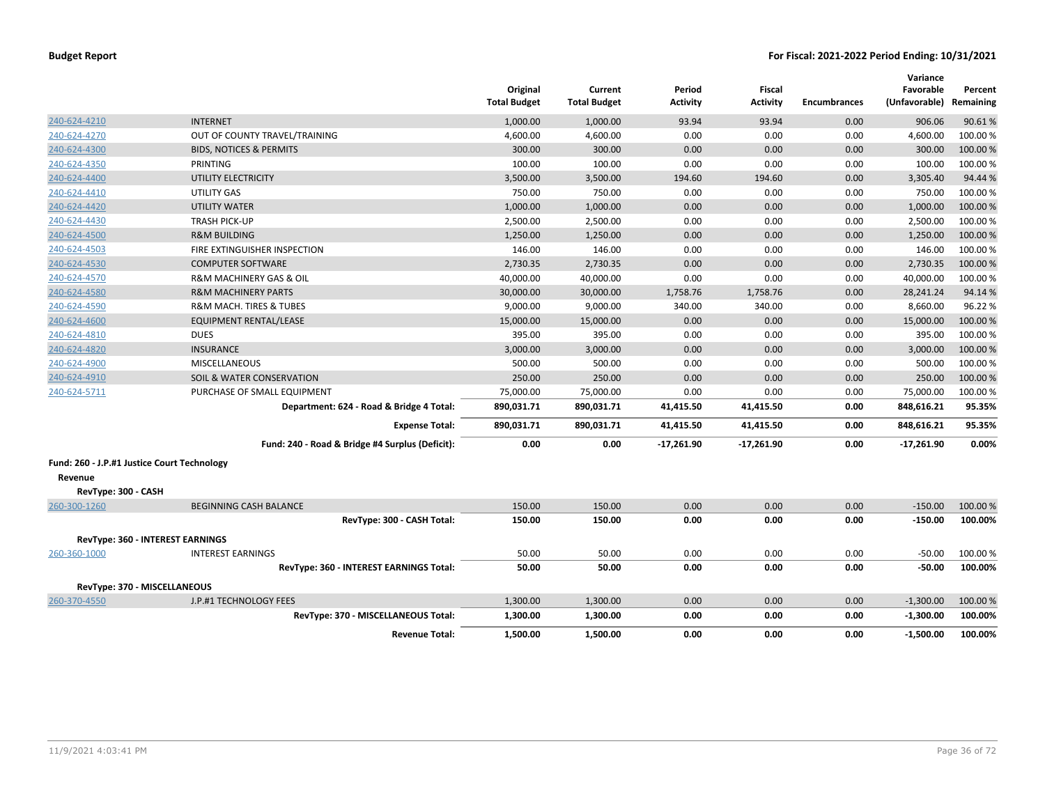|                                             |                                                 | Original<br><b>Total Budget</b> | Current<br><b>Total Budget</b> | Period<br><b>Activity</b> | Fiscal<br><b>Activity</b> | <b>Encumbrances</b> | Variance<br>Favorable<br>(Unfavorable) | Percent<br>Remaining |
|---------------------------------------------|-------------------------------------------------|---------------------------------|--------------------------------|---------------------------|---------------------------|---------------------|----------------------------------------|----------------------|
| 240-624-4210                                | <b>INTERNET</b>                                 | 1,000.00                        | 1,000.00                       | 93.94                     | 93.94                     | 0.00                | 906.06                                 | 90.61%               |
| 240-624-4270                                | OUT OF COUNTY TRAVEL/TRAINING                   | 4,600.00                        | 4,600.00                       | 0.00                      | 0.00                      | 0.00                | 4,600.00                               | 100.00 %             |
| 240-624-4300                                | <b>BIDS, NOTICES &amp; PERMITS</b>              | 300.00                          | 300.00                         | 0.00                      | 0.00                      | 0.00                | 300.00                                 | 100.00%              |
| 240-624-4350                                | PRINTING                                        | 100.00                          | 100.00                         | 0.00                      | 0.00                      | 0.00                | 100.00                                 | 100.00%              |
| 240-624-4400                                | UTILITY ELECTRICITY                             | 3,500.00                        | 3,500.00                       | 194.60                    | 194.60                    | 0.00                | 3,305.40                               | 94.44 %              |
| 240-624-4410                                | UTILITY GAS                                     | 750.00                          | 750.00                         | 0.00                      | 0.00                      | 0.00                | 750.00                                 | 100.00%              |
| 240-624-4420                                | <b>UTILITY WATER</b>                            | 1,000.00                        | 1,000.00                       | 0.00                      | 0.00                      | 0.00                | 1,000.00                               | 100.00 %             |
| 240-624-4430                                | <b>TRASH PICK-UP</b>                            | 2,500.00                        | 2,500.00                       | 0.00                      | 0.00                      | 0.00                | 2,500.00                               | 100.00%              |
| 240-624-4500                                | <b>R&amp;M BUILDING</b>                         | 1,250.00                        | 1,250.00                       | 0.00                      | 0.00                      | 0.00                | 1,250.00                               | 100.00%              |
| 240-624-4503                                | FIRE EXTINGUISHER INSPECTION                    | 146.00                          | 146.00                         | 0.00                      | 0.00                      | 0.00                | 146.00                                 | 100.00 %             |
| 240-624-4530                                | <b>COMPUTER SOFTWARE</b>                        | 2,730.35                        | 2,730.35                       | 0.00                      | 0.00                      | 0.00                | 2,730.35                               | 100.00 %             |
| 240-624-4570                                | R&M MACHINERY GAS & OIL                         | 40,000.00                       | 40,000.00                      | 0.00                      | 0.00                      | 0.00                | 40,000.00                              | 100.00%              |
| 240-624-4580                                | <b>R&amp;M MACHINERY PARTS</b>                  | 30,000.00                       | 30,000.00                      | 1,758.76                  | 1,758.76                  | 0.00                | 28,241.24                              | 94.14 %              |
| 240-624-4590                                | <b>R&amp;M MACH. TIRES &amp; TUBES</b>          | 9,000.00                        | 9,000.00                       | 340.00                    | 340.00                    | 0.00                | 8,660.00                               | 96.22%               |
| 240-624-4600                                | <b>EQUIPMENT RENTAL/LEASE</b>                   | 15,000.00                       | 15,000.00                      | 0.00                      | 0.00                      | 0.00                | 15,000.00                              | 100.00%              |
| 240-624-4810                                | <b>DUES</b>                                     | 395.00                          | 395.00                         | 0.00                      | 0.00                      | 0.00                | 395.00                                 | 100.00%              |
| 240-624-4820                                | <b>INSURANCE</b>                                | 3,000.00                        | 3,000.00                       | 0.00                      | 0.00                      | 0.00                | 3,000.00                               | 100.00%              |
| 240-624-4900                                | <b>MISCELLANEOUS</b>                            | 500.00                          | 500.00                         | 0.00                      | 0.00                      | 0.00                | 500.00                                 | 100.00%              |
| 240-624-4910                                | SOIL & WATER CONSERVATION                       | 250.00                          | 250.00                         | 0.00                      | 0.00                      | 0.00                | 250.00                                 | 100.00%              |
| 240-624-5711                                | PURCHASE OF SMALL EQUIPMENT                     | 75,000.00                       | 75,000.00                      | 0.00                      | 0.00                      | 0.00                | 75,000.00                              | 100.00%              |
|                                             | Department: 624 - Road & Bridge 4 Total:        | 890,031.71                      | 890,031.71                     | 41,415.50                 | 41,415.50                 | 0.00                | 848,616.21                             | 95.35%               |
|                                             | <b>Expense Total:</b>                           | 890,031.71                      | 890,031.71                     | 41,415.50                 | 41,415.50                 | 0.00                | 848,616.21                             | 95.35%               |
|                                             | Fund: 240 - Road & Bridge #4 Surplus (Deficit): | 0.00                            | 0.00                           | $-17,261.90$              | $-17,261.90$              | 0.00                | $-17,261.90$                           | 0.00%                |
| Fund: 260 - J.P.#1 Justice Court Technology |                                                 |                                 |                                |                           |                           |                     |                                        |                      |
| Revenue                                     |                                                 |                                 |                                |                           |                           |                     |                                        |                      |
| RevType: 300 - CASH                         |                                                 |                                 |                                |                           |                           |                     |                                        |                      |
| 260-300-1260                                | <b>BEGINNING CASH BALANCE</b>                   | 150.00                          | 150.00                         | 0.00                      | 0.00                      | 0.00                | $-150.00$                              | 100.00 %             |
|                                             | RevType: 300 - CASH Total:                      | 150.00                          | 150.00                         | 0.00                      | 0.00                      | 0.00                | $-150.00$                              | 100.00%              |
|                                             | RevType: 360 - INTEREST EARNINGS                |                                 |                                |                           |                           |                     |                                        |                      |
| 260-360-1000                                | <b>INTEREST EARNINGS</b>                        | 50.00                           | 50.00                          | 0.00                      | 0.00                      | 0.00                | $-50.00$                               | 100.00%              |
|                                             | RevType: 360 - INTEREST EARNINGS Total:         | 50.00                           | 50.00                          | 0.00                      | 0.00                      | 0.00                | $-50.00$                               | 100.00%              |
| RevType: 370 - MISCELLANEOUS                |                                                 |                                 |                                |                           |                           |                     |                                        |                      |
| 260-370-4550                                | J.P.#1 TECHNOLOGY FEES                          | 1,300.00                        | 1,300.00                       | 0.00                      | 0.00                      | 0.00                | $-1,300.00$                            | 100.00 %             |
|                                             | RevType: 370 - MISCELLANEOUS Total:             | 1,300.00                        | 1,300.00                       | 0.00                      | 0.00                      | 0.00                | $-1,300.00$                            | 100.00%              |
|                                             | <b>Revenue Total:</b>                           | 1,500.00                        | 1,500.00                       | 0.00                      | 0.00                      | 0.00                | $-1,500.00$                            | 100.00%              |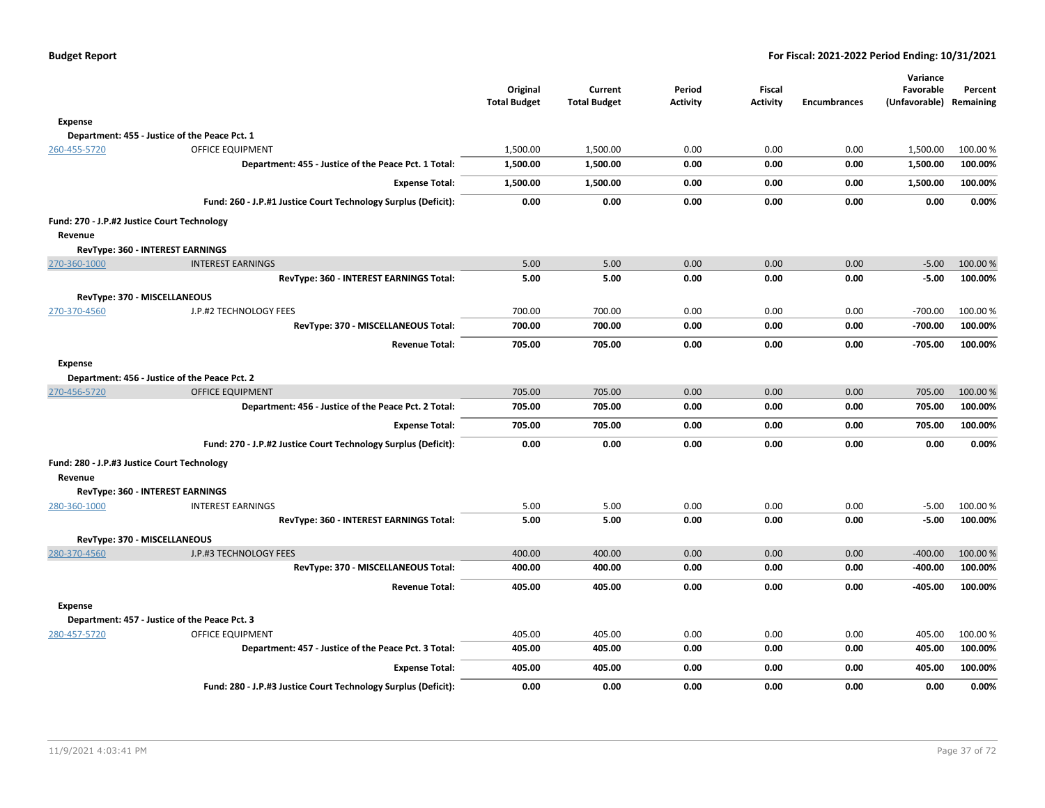**Percent**

|                |                                                                | Original<br><b>Total Budget</b> | Current<br><b>Total Budget</b> | Period<br><b>Activity</b> | Fiscal<br><b>Activity</b> | <b>Encumbrances</b> | Variance<br>Favorable<br>(Unfavorable) Remaining | Percent  |
|----------------|----------------------------------------------------------------|---------------------------------|--------------------------------|---------------------------|---------------------------|---------------------|--------------------------------------------------|----------|
| <b>Expense</b> |                                                                |                                 |                                |                           |                           |                     |                                                  |          |
|                | Department: 455 - Justice of the Peace Pct. 1                  |                                 |                                |                           |                           |                     |                                                  |          |
| 260-455-5720   | <b>OFFICE EQUIPMENT</b>                                        | 1,500.00                        | 1,500.00                       | 0.00                      | 0.00                      | 0.00                | 1,500.00                                         | 100.00 % |
|                | Department: 455 - Justice of the Peace Pct. 1 Total:           | 1,500.00                        | 1,500.00                       | 0.00                      | 0.00                      | 0.00                | 1,500.00                                         | 100.00%  |
|                | <b>Expense Total:</b>                                          | 1,500.00                        | 1,500.00                       | 0.00                      | 0.00                      | 0.00                | 1,500.00                                         | 100.00%  |
|                | Fund: 260 - J.P.#1 Justice Court Technology Surplus (Deficit): | 0.00                            | 0.00                           | 0.00                      | 0.00                      | 0.00                | 0.00                                             | 0.00%    |
|                | Fund: 270 - J.P.#2 Justice Court Technology                    |                                 |                                |                           |                           |                     |                                                  |          |
| Revenue        |                                                                |                                 |                                |                           |                           |                     |                                                  |          |
|                | RevType: 360 - INTEREST EARNINGS                               |                                 |                                |                           |                           |                     |                                                  |          |
| 270-360-1000   | <b>INTEREST EARNINGS</b>                                       | 5.00                            | 5.00                           | 0.00                      | 0.00                      | 0.00                | $-5.00$                                          | 100.00 % |
|                | RevType: 360 - INTEREST EARNINGS Total:                        | 5.00                            | 5.00                           | 0.00                      | 0.00                      | 0.00                | $-5.00$                                          | 100.00%  |
|                | RevType: 370 - MISCELLANEOUS                                   |                                 |                                |                           |                           |                     |                                                  |          |
| 270-370-4560   | J.P.#2 TECHNOLOGY FEES                                         | 700.00                          | 700.00                         | 0.00                      | 0.00                      | 0.00                | $-700.00$                                        | 100.00 % |
|                | RevType: 370 - MISCELLANEOUS Total:                            | 700.00                          | 700.00                         | 0.00                      | 0.00                      | 0.00                | $-700.00$                                        | 100.00%  |
|                | <b>Revenue Total:</b>                                          | 705.00                          | 705.00                         | 0.00                      | 0.00                      | 0.00                | $-705.00$                                        | 100.00%  |
| Expense        |                                                                |                                 |                                |                           |                           |                     |                                                  |          |
|                | Department: 456 - Justice of the Peace Pct. 2                  |                                 |                                |                           |                           |                     |                                                  |          |
| 270-456-5720   | <b>OFFICE EQUIPMENT</b>                                        | 705.00                          | 705.00                         | 0.00                      | 0.00                      | 0.00                | 705.00                                           | 100.00 % |
|                | Department: 456 - Justice of the Peace Pct. 2 Total:           | 705.00                          | 705.00                         | 0.00                      | 0.00                      | 0.00                | 705.00                                           | 100.00%  |
|                | <b>Expense Total:</b>                                          | 705.00                          | 705.00                         | 0.00                      | 0.00                      | 0.00                | 705.00                                           | 100.00%  |
|                | Fund: 270 - J.P.#2 Justice Court Technology Surplus (Deficit): | 0.00                            | 0.00                           | 0.00                      | 0.00                      | 0.00                | 0.00                                             | 0.00%    |
|                | Fund: 280 - J.P.#3 Justice Court Technology                    |                                 |                                |                           |                           |                     |                                                  |          |
| Revenue        |                                                                |                                 |                                |                           |                           |                     |                                                  |          |
|                | RevType: 360 - INTEREST EARNINGS                               |                                 |                                |                           |                           |                     |                                                  |          |
| 280-360-1000   | <b>INTEREST EARNINGS</b>                                       | 5.00                            | 5.00                           | 0.00                      | 0.00                      | 0.00                | $-5.00$                                          | 100.00 % |
|                | RevType: 360 - INTEREST EARNINGS Total:                        | 5.00                            | 5.00                           | 0.00                      | 0.00                      | 0.00                | $-5.00$                                          | 100.00%  |
|                | RevType: 370 - MISCELLANEOUS                                   |                                 |                                |                           |                           |                     |                                                  |          |
| 280-370-4560   | J.P.#3 TECHNOLOGY FEES                                         | 400.00                          | 400.00                         | 0.00                      | 0.00                      | 0.00                | $-400.00$                                        | 100.00 % |
|                | RevType: 370 - MISCELLANEOUS Total:                            | 400.00                          | 400.00                         | 0.00                      | 0.00                      | 0.00                | $-400.00$                                        | 100.00%  |
|                | <b>Revenue Total:</b>                                          | 405.00                          | 405.00                         | 0.00                      | 0.00                      | 0.00                | -405.00                                          | 100.00%  |
| <b>Expense</b> |                                                                |                                 |                                |                           |                           |                     |                                                  |          |
|                | Department: 457 - Justice of the Peace Pct. 3                  |                                 |                                |                           |                           |                     |                                                  |          |
| 280-457-5720   | OFFICE EQUIPMENT                                               | 405.00                          | 405.00                         | 0.00                      | 0.00                      | 0.00                | 405.00                                           | 100.00%  |
|                | Department: 457 - Justice of the Peace Pct. 3 Total:           | 405.00                          | 405.00                         | 0.00                      | 0.00                      | 0.00                | 405.00                                           | 100.00%  |
|                | <b>Expense Total:</b>                                          | 405.00                          | 405.00                         | 0.00                      | 0.00                      | 0.00                | 405.00                                           | 100.00%  |
|                | Fund: 280 - J.P.#3 Justice Court Technology Surplus (Deficit): | 0.00                            | 0.00                           | 0.00                      | 0.00                      | 0.00                | 0.00                                             | 0.00%    |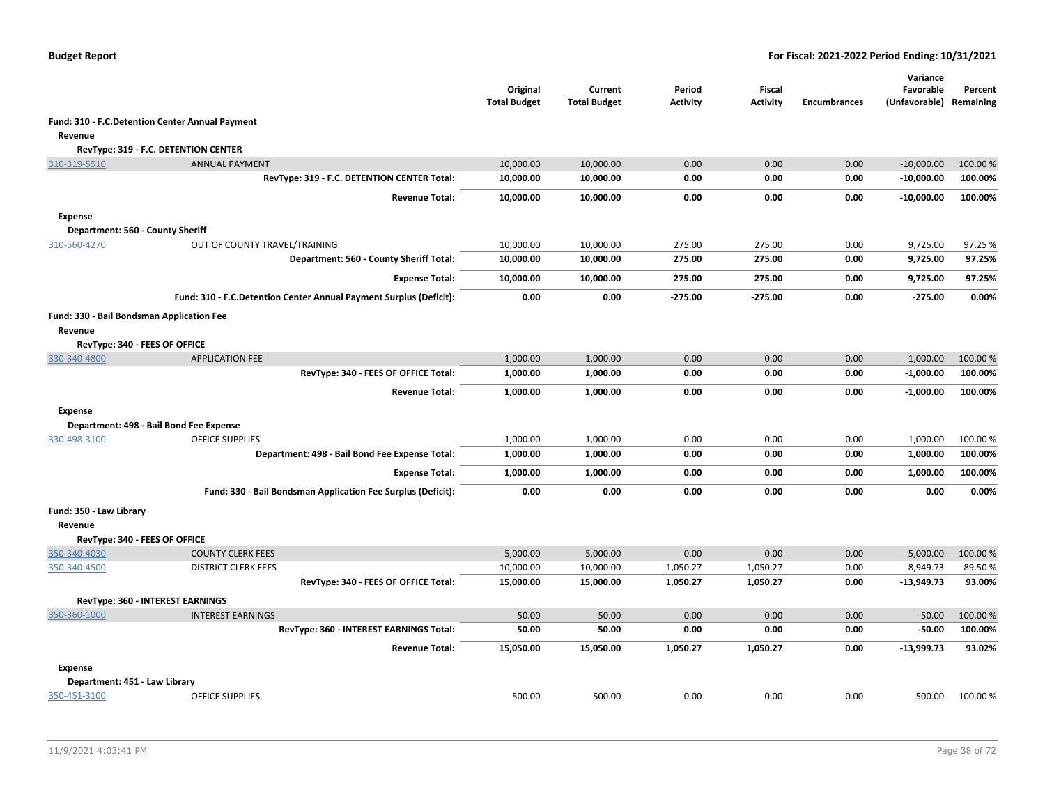|                                           |                                                                    | Original<br><b>Total Budget</b> | Current<br><b>Total Budget</b> | Period<br><b>Activity</b> | <b>Fiscal</b><br><b>Activity</b> | <b>Encumbrances</b> | Variance<br>Favorable<br>(Unfavorable) Remaining | Percent  |
|-------------------------------------------|--------------------------------------------------------------------|---------------------------------|--------------------------------|---------------------------|----------------------------------|---------------------|--------------------------------------------------|----------|
|                                           | Fund: 310 - F.C. Detention Center Annual Payment                   |                                 |                                |                           |                                  |                     |                                                  |          |
| Revenue                                   |                                                                    |                                 |                                |                           |                                  |                     |                                                  |          |
|                                           | RevType: 319 - F.C. DETENTION CENTER                               |                                 |                                |                           |                                  |                     |                                                  |          |
| 310-319-5510                              | <b>ANNUAL PAYMENT</b>                                              | 10,000.00                       | 10,000.00                      | 0.00                      | 0.00                             | 0.00                | $-10,000.00$                                     | 100.00 % |
|                                           | RevType: 319 - F.C. DETENTION CENTER Total:                        | 10,000.00                       | 10,000.00                      | 0.00                      | 0.00                             | 0.00                | $-10,000.00$                                     | 100.00%  |
|                                           | <b>Revenue Total:</b>                                              | 10,000.00                       | 10,000.00                      | 0.00                      | 0.00                             | 0.00                | $-10,000.00$                                     | 100.00%  |
| <b>Expense</b>                            |                                                                    |                                 |                                |                           |                                  |                     |                                                  |          |
| Department: 560 - County Sheriff          |                                                                    |                                 |                                |                           |                                  |                     |                                                  |          |
| 310-560-4270                              | OUT OF COUNTY TRAVEL/TRAINING                                      | 10,000.00                       | 10,000.00                      | 275.00                    | 275.00                           | 0.00                | 9,725.00                                         | 97.25 %  |
|                                           | Department: 560 - County Sheriff Total:                            | 10,000.00                       | 10,000.00                      | 275.00                    | 275.00                           | 0.00                | 9,725.00                                         | 97.25%   |
|                                           | <b>Expense Total:</b>                                              | 10,000.00                       | 10,000.00                      | 275.00                    | 275.00                           | 0.00                | 9,725.00                                         | 97.25%   |
|                                           | Fund: 310 - F.C.Detention Center Annual Payment Surplus (Deficit): | 0.00                            | 0.00                           | $-275.00$                 | $-275.00$                        | 0.00                | $-275.00$                                        | 0.00%    |
| Fund: 330 - Bail Bondsman Application Fee |                                                                    |                                 |                                |                           |                                  |                     |                                                  |          |
| Revenue                                   |                                                                    |                                 |                                |                           |                                  |                     |                                                  |          |
| RevType: 340 - FEES OF OFFICE             |                                                                    |                                 |                                |                           |                                  |                     |                                                  |          |
| 330-340-4800                              | <b>APPLICATION FEE</b>                                             | 1,000.00                        | 1,000.00                       | 0.00                      | 0.00                             | 0.00                | $-1,000.00$                                      | 100.00%  |
|                                           | RevType: 340 - FEES OF OFFICE Total:                               | 1,000.00                        | 1,000.00                       | 0.00                      | 0.00                             | 0.00                | $-1,000.00$                                      | 100.00%  |
|                                           | <b>Revenue Total:</b>                                              | 1,000.00                        | 1,000.00                       | 0.00                      | 0.00                             | 0.00                | $-1,000.00$                                      | 100.00%  |
| <b>Expense</b>                            |                                                                    |                                 |                                |                           |                                  |                     |                                                  |          |
|                                           | Department: 498 - Bail Bond Fee Expense                            |                                 |                                |                           |                                  |                     |                                                  |          |
| 330-498-3100                              | <b>OFFICE SUPPLIES</b>                                             | 1,000.00                        | 1,000.00                       | 0.00                      | 0.00                             | 0.00                | 1,000.00                                         | 100.00 % |
|                                           | Department: 498 - Bail Bond Fee Expense Total:                     | 1,000.00                        | 1,000.00                       | 0.00                      | 0.00                             | 0.00                | 1,000.00                                         | 100.00%  |
|                                           | <b>Expense Total:</b>                                              | 1,000.00                        | 1,000.00                       | 0.00                      | 0.00                             | 0.00                | 1,000.00                                         | 100.00%  |
|                                           | Fund: 330 - Bail Bondsman Application Fee Surplus (Deficit):       | 0.00                            | 0.00                           | 0.00                      | 0.00                             | 0.00                | 0.00                                             | 0.00%    |
| Fund: 350 - Law Library                   |                                                                    |                                 |                                |                           |                                  |                     |                                                  |          |
| Revenue                                   |                                                                    |                                 |                                |                           |                                  |                     |                                                  |          |
| RevType: 340 - FEES OF OFFICE             |                                                                    |                                 |                                |                           |                                  |                     |                                                  |          |
| 350-340-4030                              | <b>COUNTY CLERK FEES</b>                                           | 5,000.00                        | 5,000.00                       | 0.00                      | 0.00                             | 0.00                | $-5,000.00$                                      | 100.00%  |
| 350-340-4500                              | <b>DISTRICT CLERK FEES</b>                                         | 10,000.00                       | 10,000.00                      | 1,050.27                  | 1,050.27                         | 0.00                | $-8,949.73$                                      | 89.50%   |
|                                           | RevType: 340 - FEES OF OFFICE Total:                               | 15,000.00                       | 15,000.00                      | 1,050.27                  | 1,050.27                         | 0.00                | $-13,949.73$                                     | 93.00%   |
|                                           | RevType: 360 - INTEREST EARNINGS                                   |                                 |                                |                           |                                  |                     |                                                  |          |
| 350-360-1000                              | <b>INTEREST EARNINGS</b>                                           | 50.00                           | 50.00                          | 0.00                      | 0.00                             | 0.00                | $-50.00$                                         | 100.00 % |
|                                           | RevType: 360 - INTEREST EARNINGS Total:                            | 50.00                           | 50.00                          | 0.00                      | 0.00                             | 0.00                | $-50.00$                                         | 100.00%  |
|                                           | <b>Revenue Total:</b>                                              | 15,050.00                       | 15,050.00                      | 1,050.27                  | 1,050.27                         | 0.00                | $-13,999.73$                                     | 93.02%   |
| <b>Expense</b>                            |                                                                    |                                 |                                |                           |                                  |                     |                                                  |          |
| Department: 451 - Law Library             |                                                                    |                                 |                                |                           |                                  |                     |                                                  |          |
| 350-451-3100                              | <b>OFFICE SUPPLIES</b>                                             | 500.00                          | 500.00                         | 0.00                      | 0.00                             | 0.00                | 500.00                                           | 100.00 % |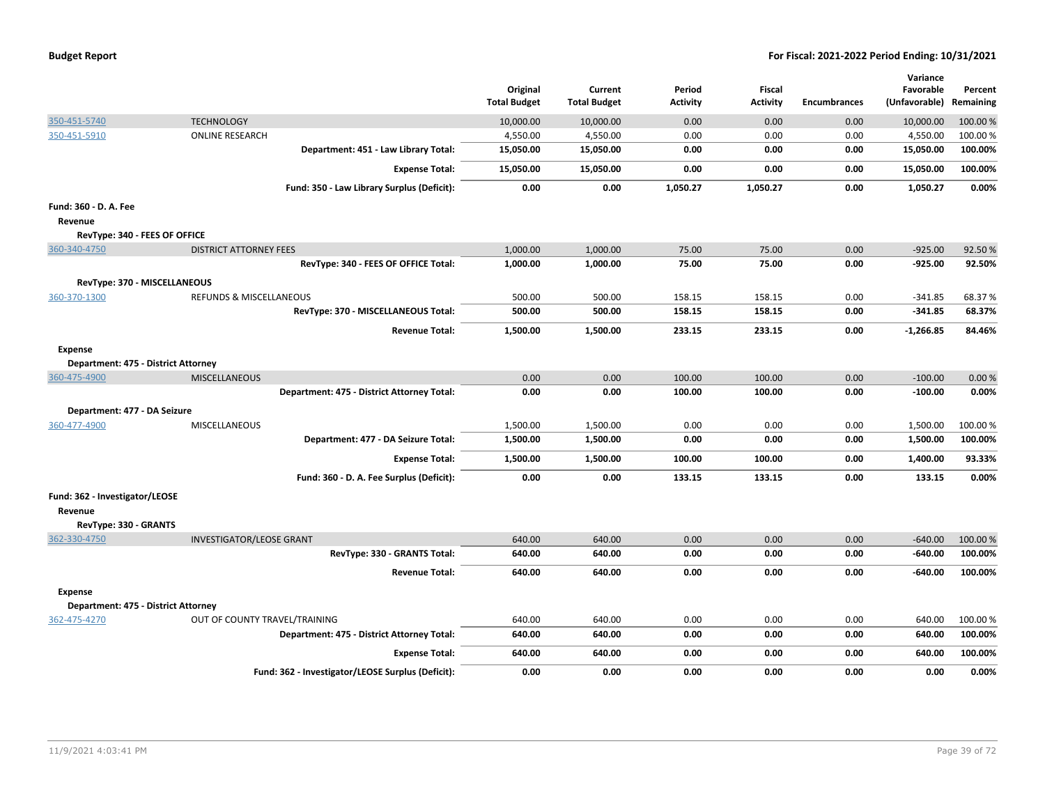| <b>Budget Report</b> |  |
|----------------------|--|
|----------------------|--|

|                                     |                                                   | Original            | Current             | Period          | <b>Fiscal</b>   |                     | Variance<br>Favorable | Percent   |
|-------------------------------------|---------------------------------------------------|---------------------|---------------------|-----------------|-----------------|---------------------|-----------------------|-----------|
|                                     |                                                   | <b>Total Budget</b> | <b>Total Budget</b> | <b>Activity</b> | <b>Activity</b> | <b>Encumbrances</b> | (Unfavorable)         | Remaining |
| 350-451-5740                        | <b>TECHNOLOGY</b>                                 | 10,000.00           | 10,000.00           | 0.00            | 0.00            | 0.00                | 10,000.00             | 100.00 %  |
| 350-451-5910                        | <b>ONLINE RESEARCH</b>                            | 4,550.00            | 4,550.00            | 0.00            | 0.00            | 0.00                | 4,550.00              | 100.00 %  |
|                                     | Department: 451 - Law Library Total:              | 15,050.00           | 15,050.00           | 0.00            | 0.00            | 0.00                | 15,050.00             | 100.00%   |
|                                     | <b>Expense Total:</b>                             | 15,050.00           | 15,050.00           | 0.00            | 0.00            | 0.00                | 15,050.00             | 100.00%   |
|                                     | Fund: 350 - Law Library Surplus (Deficit):        | 0.00                | 0.00                | 1,050.27        | 1,050.27        | 0.00                | 1,050.27              | 0.00%     |
| Fund: 360 - D. A. Fee               |                                                   |                     |                     |                 |                 |                     |                       |           |
| Revenue                             |                                                   |                     |                     |                 |                 |                     |                       |           |
| RevType: 340 - FEES OF OFFICE       |                                                   |                     |                     |                 |                 |                     |                       |           |
| 360-340-4750                        | <b>DISTRICT ATTORNEY FEES</b>                     | 1,000.00            | 1,000.00            | 75.00           | 75.00           | 0.00                | $-925.00$             | 92.50%    |
|                                     | RevType: 340 - FEES OF OFFICE Total:              | 1,000.00            | 1,000.00            | 75.00           | 75.00           | 0.00                | -925.00               | 92.50%    |
| RevType: 370 - MISCELLANEOUS        |                                                   |                     |                     |                 |                 |                     |                       |           |
| 360-370-1300                        | <b>REFUNDS &amp; MISCELLANEOUS</b>                | 500.00              | 500.00              | 158.15          | 158.15          | 0.00                | $-341.85$             | 68.37%    |
|                                     | RevType: 370 - MISCELLANEOUS Total:               | 500.00              | 500.00              | 158.15          | 158.15          | 0.00                | $-341.85$             | 68.37%    |
|                                     | <b>Revenue Total:</b>                             | 1,500.00            | 1,500.00            | 233.15          | 233.15          | 0.00                | $-1,266.85$           | 84.46%    |
| Expense                             |                                                   |                     |                     |                 |                 |                     |                       |           |
| Department: 475 - District Attorney |                                                   |                     |                     |                 |                 |                     |                       |           |
| 360-475-4900                        | <b>MISCELLANEOUS</b>                              | 0.00                | 0.00                | 100.00          | 100.00          | 0.00                | $-100.00$             | 0.00%     |
|                                     | Department: 475 - District Attorney Total:        | 0.00                | 0.00                | 100.00          | 100.00          | 0.00                | $-100.00$             | 0.00%     |
| Department: 477 - DA Seizure        |                                                   |                     |                     |                 |                 |                     |                       |           |
| 360-477-4900                        | MISCELLANEOUS                                     | 1,500.00            | 1,500.00            | 0.00            | 0.00            | 0.00                | 1,500.00              | 100.00 %  |
|                                     | Department: 477 - DA Seizure Total:               | 1,500.00            | 1,500.00            | 0.00            | 0.00            | 0.00                | 1,500.00              | 100.00%   |
|                                     | <b>Expense Total:</b>                             | 1,500.00            | 1,500.00            | 100.00          | 100.00          | 0.00                | 1,400.00              | 93.33%    |
|                                     | Fund: 360 - D. A. Fee Surplus (Deficit):          | 0.00                | 0.00                | 133.15          | 133.15          | 0.00                | 133.15                | 0.00%     |
| Fund: 362 - Investigator/LEOSE      |                                                   |                     |                     |                 |                 |                     |                       |           |
| Revenue                             |                                                   |                     |                     |                 |                 |                     |                       |           |
| RevType: 330 - GRANTS               |                                                   |                     |                     |                 |                 |                     |                       |           |
| 362-330-4750                        | <b>INVESTIGATOR/LEOSE GRANT</b>                   | 640.00              | 640.00              | 0.00            | 0.00            | 0.00                | $-640.00$             | 100.00 %  |
|                                     | RevType: 330 - GRANTS Total:                      | 640.00              | 640.00              | 0.00            | 0.00            | 0.00                | $-640.00$             | 100.00%   |
|                                     | <b>Revenue Total:</b>                             | 640.00              | 640.00              | 0.00            | 0.00            | 0.00                | $-640.00$             | 100.00%   |
| Expense                             |                                                   |                     |                     |                 |                 |                     |                       |           |
| Department: 475 - District Attorney |                                                   |                     |                     |                 |                 |                     |                       |           |
| 362-475-4270                        | OUT OF COUNTY TRAVEL/TRAINING                     | 640.00              | 640.00              | 0.00            | 0.00            | 0.00                | 640.00                | 100.00%   |
|                                     | Department: 475 - District Attorney Total:        | 640.00              | 640.00              | 0.00            | 0.00            | 0.00                | 640.00                | 100.00%   |
|                                     | <b>Expense Total:</b>                             | 640.00              | 640.00              | 0.00            | 0.00            | 0.00                | 640.00                | 100.00%   |
|                                     | Fund: 362 - Investigator/LEOSE Surplus (Deficit): | 0.00                | 0.00                | 0.00            | 0.00            | 0.00                | 0.00                  | 0.00%     |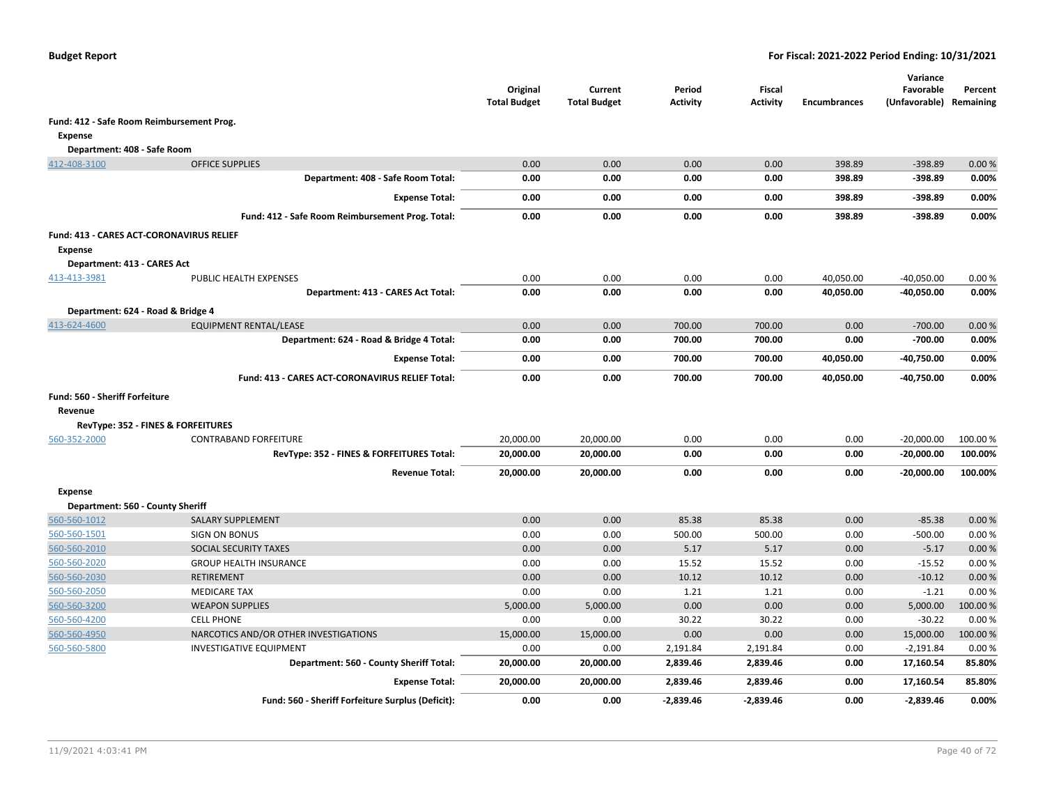|                                           |                                                        | Original<br><b>Total Budget</b> | Current<br><b>Total Budget</b> | Period<br><b>Activity</b> | Fiscal<br><b>Activity</b> | <b>Encumbrances</b> | Variance<br>Favorable<br>(Unfavorable) Remaining | Percent |
|-------------------------------------------|--------------------------------------------------------|---------------------------------|--------------------------------|---------------------------|---------------------------|---------------------|--------------------------------------------------|---------|
| Fund: 412 - Safe Room Reimbursement Prog. |                                                        |                                 |                                |                           |                           |                     |                                                  |         |
| <b>Expense</b>                            |                                                        |                                 |                                |                           |                           |                     |                                                  |         |
| Department: 408 - Safe Room               |                                                        |                                 |                                |                           |                           |                     |                                                  |         |
| 412-408-3100                              | <b>OFFICE SUPPLIES</b>                                 | 0.00                            | 0.00                           | 0.00                      | 0.00                      | 398.89              | $-398.89$                                        | 0.00%   |
|                                           | Department: 408 - Safe Room Total:                     | 0.00                            | 0.00                           | 0.00                      | 0.00                      | 398.89              | $-398.89$                                        | 0.00%   |
|                                           | <b>Expense Total:</b>                                  | 0.00                            | 0.00                           | 0.00                      | 0.00                      | 398.89              | $-398.89$                                        | 0.00%   |
|                                           | Fund: 412 - Safe Room Reimbursement Prog. Total:       | 0.00                            | 0.00                           | 0.00                      | 0.00                      | 398.89              | $-398.89$                                        | 0.00%   |
| Fund: 413 - CARES ACT-CORONAVIRUS RELIEF  |                                                        |                                 |                                |                           |                           |                     |                                                  |         |
| <b>Expense</b>                            |                                                        |                                 |                                |                           |                           |                     |                                                  |         |
| Department: 413 - CARES Act               |                                                        |                                 |                                |                           |                           |                     |                                                  |         |
| 413-413-3981                              | PUBLIC HEALTH EXPENSES                                 | 0.00                            | 0.00                           | 0.00                      | 0.00                      | 40,050.00           | $-40,050.00$                                     | 0.00%   |
|                                           | Department: 413 - CARES Act Total:                     | 0.00                            | 0.00                           | 0.00                      | 0.00                      | 40,050.00           | $-40,050.00$                                     | 0.00%   |
| Department: 624 - Road & Bridge 4         |                                                        |                                 |                                |                           |                           |                     |                                                  |         |
| 413-624-4600                              | EQUIPMENT RENTAL/LEASE                                 | 0.00                            | 0.00                           | 700.00                    | 700.00                    | 0.00                | $-700.00$                                        | 0.00%   |
|                                           | Department: 624 - Road & Bridge 4 Total:               | 0.00                            | 0.00                           | 700.00                    | 700.00                    | 0.00                | $-700.00$                                        | 0.00%   |
|                                           | <b>Expense Total:</b>                                  | 0.00                            | 0.00                           | 700.00                    | 700.00                    | 40,050.00           | -40,750.00                                       | 0.00%   |
|                                           | <b>Fund: 413 - CARES ACT-CORONAVIRUS RELIEF Total:</b> | 0.00                            | 0.00                           | 700.00                    | 700.00                    | 40,050.00           | $-40,750.00$                                     | 0.00%   |
| Fund: 560 - Sheriff Forfeiture            |                                                        |                                 |                                |                           |                           |                     |                                                  |         |
| Revenue                                   |                                                        |                                 |                                |                           |                           |                     |                                                  |         |
|                                           | RevType: 352 - FINES & FORFEITURES                     |                                 |                                |                           |                           |                     |                                                  |         |
| 560-352-2000                              | <b>CONTRABAND FORFEITURE</b>                           | 20,000.00                       | 20,000.00                      | 0.00                      | 0.00                      | 0.00                | $-20,000.00$                                     | 100.00% |
|                                           | RevType: 352 - FINES & FORFEITURES Total:              | 20,000.00                       | 20,000.00                      | 0.00                      | 0.00                      | 0.00                | $-20,000.00$                                     | 100.00% |
|                                           | <b>Revenue Total:</b>                                  | 20,000.00                       | 20,000.00                      | 0.00                      | 0.00                      | 0.00                | $-20,000.00$                                     | 100.00% |
| <b>Expense</b>                            |                                                        |                                 |                                |                           |                           |                     |                                                  |         |
| Department: 560 - County Sheriff          |                                                        |                                 |                                |                           |                           |                     |                                                  |         |
| 560-560-1012                              | <b>SALARY SUPPLEMENT</b>                               | 0.00                            | 0.00                           | 85.38                     | 85.38                     | 0.00                | $-85.38$                                         | 0.00%   |
| 560-560-1501                              | <b>SIGN ON BONUS</b>                                   | 0.00                            | 0.00                           | 500.00                    | 500.00                    | 0.00                | $-500.00$                                        | 0.00%   |
| 560-560-2010                              | SOCIAL SECURITY TAXES                                  | 0.00                            | 0.00                           | 5.17                      | 5.17                      | 0.00                | $-5.17$                                          | 0.00%   |
| 560-560-2020                              | <b>GROUP HEALTH INSURANCE</b>                          | 0.00                            | 0.00                           | 15.52                     | 15.52                     | 0.00                | $-15.52$                                         | 0.00%   |
| 560-560-2030                              | <b>RETIREMENT</b>                                      | 0.00                            | 0.00                           | 10.12                     | 10.12                     | 0.00                | $-10.12$                                         | 0.00%   |
| 560-560-2050                              | <b>MEDICARE TAX</b>                                    | 0.00                            | 0.00                           | 1.21                      | 1.21                      | 0.00                | $-1.21$                                          | 0.00%   |
| 560-560-3200                              | <b>WEAPON SUPPLIES</b>                                 | 5,000.00                        | 5,000.00                       | 0.00                      | 0.00                      | 0.00                | 5,000.00                                         | 100.00% |
| 560-560-4200                              | <b>CELL PHONE</b>                                      | 0.00                            | 0.00                           | 30.22                     | 30.22                     | 0.00                | $-30.22$                                         | 0.00%   |
| 560-560-4950                              | NARCOTICS AND/OR OTHER INVESTIGATIONS                  | 15,000.00                       | 15,000.00                      | 0.00                      | 0.00                      | 0.00                | 15,000.00                                        | 100.00% |
| 560-560-5800                              | <b>INVESTIGATIVE EQUIPMENT</b>                         | 0.00                            | 0.00                           | 2,191.84                  | 2,191.84                  | 0.00                | $-2,191.84$                                      | 0.00%   |
|                                           | Department: 560 - County Sheriff Total:                | 20,000.00                       | 20,000.00                      | 2,839.46                  | 2,839.46                  | 0.00                | 17,160.54                                        | 85.80%  |
|                                           | <b>Expense Total:</b>                                  | 20,000.00                       | 20,000.00                      | 2,839.46                  | 2,839.46                  | 0.00                | 17,160.54                                        | 85.80%  |
|                                           | Fund: 560 - Sheriff Forfeiture Surplus (Deficit):      | 0.00                            | 0.00                           | $-2,839.46$               | $-2,839.46$               | 0.00                | $-2,839.46$                                      | 0.00%   |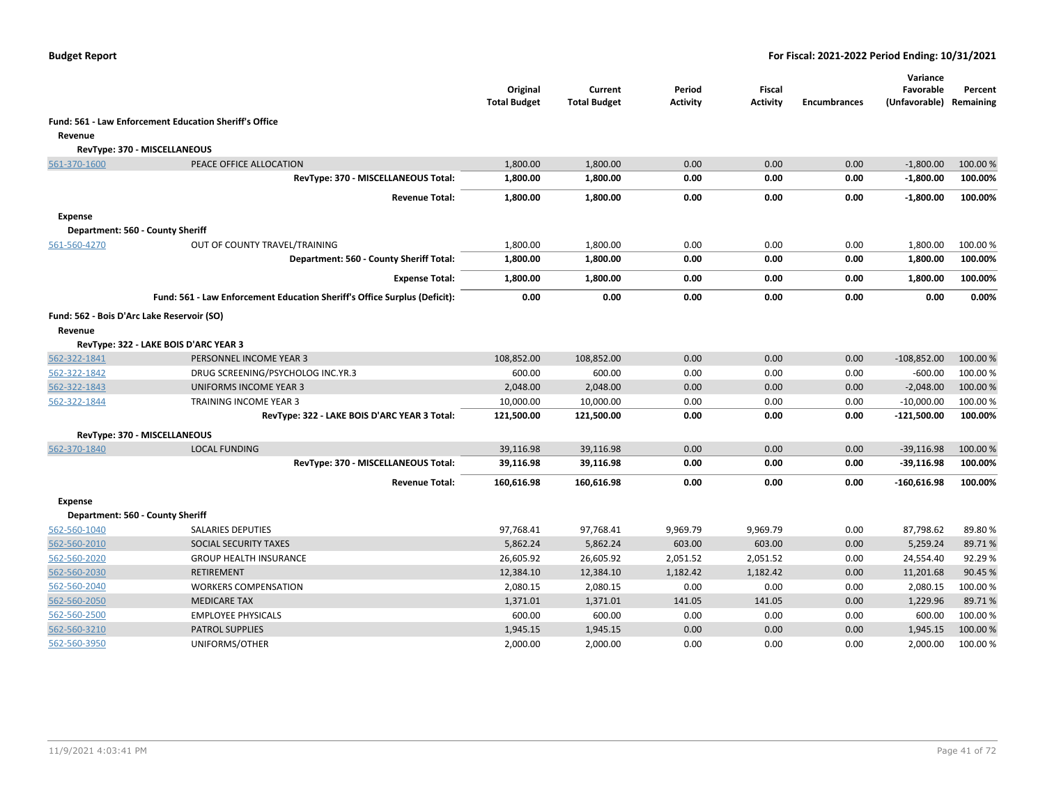|                |                                                                                                                                                                                                                                                                                                                                                                                                                                                                                                                                                                                                                               | Original<br><b>Total Budget</b> | Current<br><b>Total Budget</b> | Period<br>Activity | Fiscal<br><b>Activity</b> | <b>Encumbrances</b> | Variance<br>Favorable<br>(Unfavorable) | Percent<br>Remaining |
|----------------|-------------------------------------------------------------------------------------------------------------------------------------------------------------------------------------------------------------------------------------------------------------------------------------------------------------------------------------------------------------------------------------------------------------------------------------------------------------------------------------------------------------------------------------------------------------------------------------------------------------------------------|---------------------------------|--------------------------------|--------------------|---------------------------|---------------------|----------------------------------------|----------------------|
|                | Fund: 561 - Law Enforcement Education Sheriff's Office                                                                                                                                                                                                                                                                                                                                                                                                                                                                                                                                                                        |                                 |                                |                    |                           |                     |                                        |                      |
| Revenue        |                                                                                                                                                                                                                                                                                                                                                                                                                                                                                                                                                                                                                               |                                 |                                |                    |                           |                     |                                        |                      |
|                | RevType: 370 - MISCELLANEOUS                                                                                                                                                                                                                                                                                                                                                                                                                                                                                                                                                                                                  |                                 |                                |                    |                           |                     |                                        |                      |
| 561-370-1600   | PEACE OFFICE ALLOCATION                                                                                                                                                                                                                                                                                                                                                                                                                                                                                                                                                                                                       | 1,800.00                        | 1,800.00                       | 0.00               | 0.00                      | 0.00                | $-1,800.00$                            | 100.00 %             |
|                | RevType: 370 - MISCELLANEOUS Total:                                                                                                                                                                                                                                                                                                                                                                                                                                                                                                                                                                                           | 1,800.00                        | 1,800.00                       | 0.00               | 0.00                      | 0.00                | $-1,800.00$                            | 100.00%              |
|                | <b>Revenue Total:</b>                                                                                                                                                                                                                                                                                                                                                                                                                                                                                                                                                                                                         | 1,800.00                        | 1,800.00                       | 0.00               | 0.00                      | 0.00                | $-1,800.00$                            | 100.00%              |
| <b>Expense</b> |                                                                                                                                                                                                                                                                                                                                                                                                                                                                                                                                                                                                                               |                                 |                                |                    |                           |                     |                                        |                      |
|                | Department: 560 - County Sheriff                                                                                                                                                                                                                                                                                                                                                                                                                                                                                                                                                                                              |                                 |                                |                    |                           |                     |                                        |                      |
| 561-560-4270   | 0.00<br>OUT OF COUNTY TRAVEL/TRAINING<br>1,800.00<br>1,800.00<br>0.00<br>0.00<br>Department: 560 - County Sheriff Total:<br>1,800.00<br>1,800.00<br>0.00<br>0.00<br>0.00<br>1,800.00<br>1,800.00<br>0.00<br>0.00<br>0.00<br><b>Expense Total:</b><br>0.00<br>0.00<br>Fund: 561 - Law Enforcement Education Sheriff's Office Surplus (Deficit):<br>0.00<br>0.00<br>0.00<br>Fund: 562 - Bois D'Arc Lake Reservoir (SO)<br>RevType: 322 - LAKE BOIS D'ARC YEAR 3<br>PERSONNEL INCOME YEAR 3<br>108,852.00<br>108,852.00<br>0.00<br>0.00<br>0.00<br>600.00<br>0.00<br>DRUG SCREENING/PSYCHOLOG INC.YR.3<br>600.00<br>0.00<br>0.00 | 1,800.00                        | 100.00 %                       |                    |                           |                     |                                        |                      |
|                |                                                                                                                                                                                                                                                                                                                                                                                                                                                                                                                                                                                                                               |                                 |                                |                    |                           |                     | 1,800.00                               | 100.00%              |
|                |                                                                                                                                                                                                                                                                                                                                                                                                                                                                                                                                                                                                                               |                                 |                                |                    |                           |                     | 1,800.00                               | 100.00%              |
|                |                                                                                                                                                                                                                                                                                                                                                                                                                                                                                                                                                                                                                               |                                 |                                |                    |                           |                     | 0.00                                   | 0.00%                |
|                |                                                                                                                                                                                                                                                                                                                                                                                                                                                                                                                                                                                                                               |                                 |                                |                    |                           |                     |                                        |                      |
| Revenue        |                                                                                                                                                                                                                                                                                                                                                                                                                                                                                                                                                                                                                               |                                 |                                |                    |                           |                     |                                        |                      |
|                |                                                                                                                                                                                                                                                                                                                                                                                                                                                                                                                                                                                                                               |                                 |                                |                    |                           |                     |                                        |                      |
| 562-322-1841   |                                                                                                                                                                                                                                                                                                                                                                                                                                                                                                                                                                                                                               |                                 |                                |                    |                           |                     | $-108,852.00$                          | 100.00 %             |
| 562-322-1842   |                                                                                                                                                                                                                                                                                                                                                                                                                                                                                                                                                                                                                               |                                 |                                |                    |                           |                     | $-600.00$                              | 100.00 %             |
| 562-322-1843   | UNIFORMS INCOME YEAR 3                                                                                                                                                                                                                                                                                                                                                                                                                                                                                                                                                                                                        | 2,048.00                        | 2,048.00                       | 0.00               | 0.00                      | 0.00                | $-2,048.00$                            | 100.00 %             |
| 562-322-1844   | TRAINING INCOME YEAR 3                                                                                                                                                                                                                                                                                                                                                                                                                                                                                                                                                                                                        | 10,000.00                       | 10,000.00                      | 0.00               | 0.00                      | 0.00                | $-10,000.00$                           | 100.00 %             |
|                | RevType: 322 - LAKE BOIS D'ARC YEAR 3 Total:                                                                                                                                                                                                                                                                                                                                                                                                                                                                                                                                                                                  | 121,500.00                      | 121,500.00                     | 0.00               | 0.00                      | 0.00                | $-121,500.00$                          | 100.00%              |
|                | RevType: 370 - MISCELLANEOUS                                                                                                                                                                                                                                                                                                                                                                                                                                                                                                                                                                                                  |                                 |                                |                    |                           |                     |                                        |                      |
| 562-370-1840   | <b>LOCAL FUNDING</b>                                                                                                                                                                                                                                                                                                                                                                                                                                                                                                                                                                                                          | 39,116.98                       | 39,116.98                      | 0.00               | 0.00                      | 0.00                | $-39,116.98$                           | 100.00 %             |
|                | RevType: 370 - MISCELLANEOUS Total:                                                                                                                                                                                                                                                                                                                                                                                                                                                                                                                                                                                           | 39,116.98                       | 39,116.98                      | 0.00               | 0.00                      | 0.00                | $-39,116.98$                           | 100.00%              |
|                | <b>Revenue Total:</b>                                                                                                                                                                                                                                                                                                                                                                                                                                                                                                                                                                                                         | 160,616.98                      | 160,616.98                     | 0.00               | 0.00                      | 0.00                | $-160,616.98$                          | 100.00%              |
| <b>Expense</b> |                                                                                                                                                                                                                                                                                                                                                                                                                                                                                                                                                                                                                               |                                 |                                |                    |                           |                     |                                        |                      |
|                | Department: 560 - County Sheriff                                                                                                                                                                                                                                                                                                                                                                                                                                                                                                                                                                                              |                                 |                                |                    |                           |                     |                                        |                      |
| 562-560-1040   | <b>SALARIES DEPUTIES</b>                                                                                                                                                                                                                                                                                                                                                                                                                                                                                                                                                                                                      | 97,768.41                       | 97,768.41                      | 9,969.79           | 9,969.79                  | 0.00                | 87,798.62                              | 89.80%               |
| 562-560-2010   | SOCIAL SECURITY TAXES                                                                                                                                                                                                                                                                                                                                                                                                                                                                                                                                                                                                         | 5,862.24                        | 5,862.24                       | 603.00             | 603.00                    | 0.00                | 5,259.24                               | 89.71%               |
| 562-560-2020   | <b>GROUP HEALTH INSURANCE</b>                                                                                                                                                                                                                                                                                                                                                                                                                                                                                                                                                                                                 | 26,605.92                       | 26,605.92                      | 2,051.52           | 2,051.52                  | 0.00                | 24,554.40                              | 92.29%               |
| 562-560-2030   | <b>RETIREMENT</b>                                                                                                                                                                                                                                                                                                                                                                                                                                                                                                                                                                                                             | 12,384.10                       | 12,384.10                      | 1,182.42           | 1,182.42                  | 0.00                | 11,201.68                              | 90.45 %              |
| 562-560-2040   | <b>WORKERS COMPENSATION</b>                                                                                                                                                                                                                                                                                                                                                                                                                                                                                                                                                                                                   | 2,080.15                        | 2,080.15                       | 0.00               | 0.00                      | 0.00                | 2,080.15                               | 100.00%              |
| 562-560-2050   | <b>MEDICARE TAX</b>                                                                                                                                                                                                                                                                                                                                                                                                                                                                                                                                                                                                           | 1,371.01                        | 1,371.01                       | 141.05             | 141.05                    | 0.00                | 1,229.96                               | 89.71%               |
| 562-560-2500   | <b>EMPLOYEE PHYSICALS</b>                                                                                                                                                                                                                                                                                                                                                                                                                                                                                                                                                                                                     | 600.00                          | 600.00                         | 0.00               | 0.00                      | 0.00                | 600.00                                 | 100.00 %             |
| 562-560-3210   | <b>PATROL SUPPLIES</b>                                                                                                                                                                                                                                                                                                                                                                                                                                                                                                                                                                                                        | 1,945.15                        | 1,945.15                       | 0.00               | 0.00                      | 0.00                | 1,945.15                               | 100.00 %             |
| 562-560-3950   | UNIFORMS/OTHER                                                                                                                                                                                                                                                                                                                                                                                                                                                                                                                                                                                                                | 2,000.00                        | 2,000.00                       | 0.00               | 0.00                      | 0.00                | 2,000.00                               | 100.00 %             |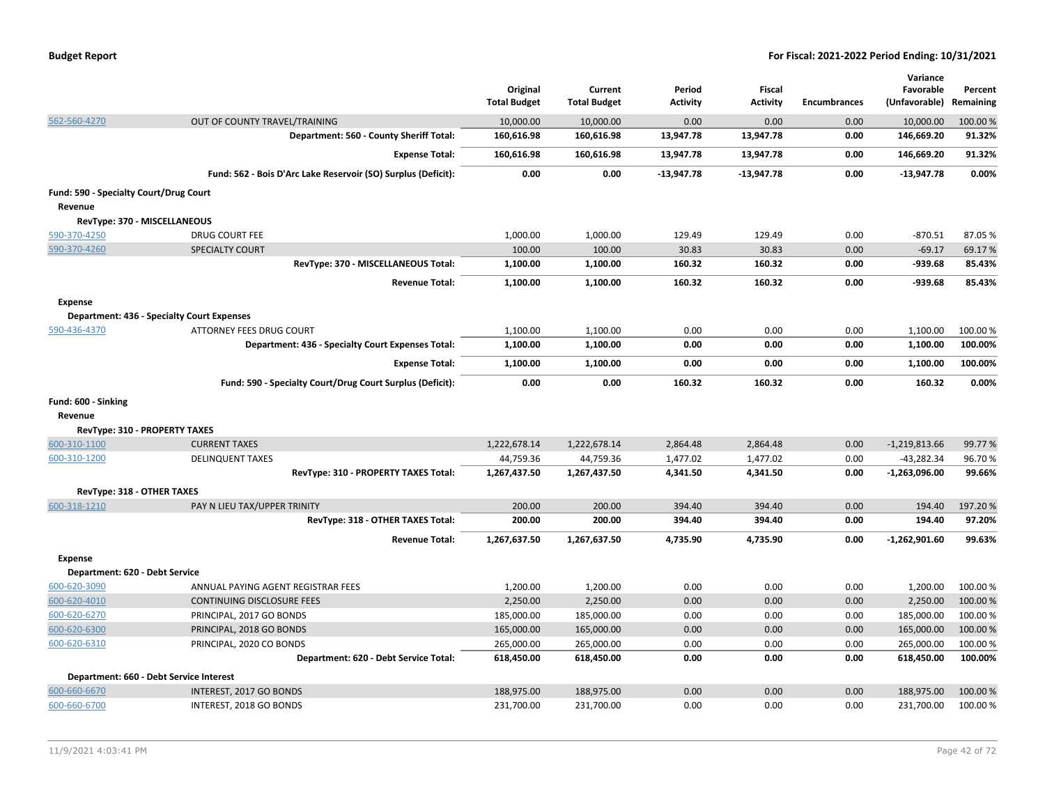|  | <b>Budget Report</b> |
|--|----------------------|
|--|----------------------|

|                                         |                                                               |                     |                     |                 |                 |                     | Variance        |           |
|-----------------------------------------|---------------------------------------------------------------|---------------------|---------------------|-----------------|-----------------|---------------------|-----------------|-----------|
|                                         |                                                               | Original            | Current             | Period          | <b>Fiscal</b>   |                     | Favorable       | Percent   |
|                                         |                                                               | <b>Total Budget</b> | <b>Total Budget</b> | <b>Activity</b> | <b>Activity</b> | <b>Encumbrances</b> | (Unfavorable)   | Remaining |
| 562-560-4270                            | OUT OF COUNTY TRAVEL/TRAINING                                 | 10,000.00           | 10,000.00           | 0.00            | 0.00            | 0.00                | 10,000.00       | 100.00%   |
|                                         | Department: 560 - County Sheriff Total:                       | 160,616.98          | 160,616.98          | 13,947.78       | 13,947.78       | 0.00                | 146,669.20      | 91.32%    |
|                                         | <b>Expense Total:</b>                                         | 160,616.98          | 160,616.98          | 13,947.78       | 13,947.78       | 0.00                | 146,669.20      | 91.32%    |
|                                         | Fund: 562 - Bois D'Arc Lake Reservoir (SO) Surplus (Deficit): | 0.00                | 0.00                | $-13,947.78$    | $-13,947.78$    | 0.00                | $-13,947.78$    | 0.00%     |
| Fund: 590 - Specialty Court/Drug Court  |                                                               |                     |                     |                 |                 |                     |                 |           |
| Revenue                                 |                                                               |                     |                     |                 |                 |                     |                 |           |
| RevType: 370 - MISCELLANEOUS            |                                                               |                     |                     |                 |                 |                     |                 |           |
| 590-370-4250                            | <b>DRUG COURT FEE</b>                                         | 1,000.00            | 1,000.00            | 129.49          | 129.49          | 0.00                | $-870.51$       | 87.05%    |
| 590-370-4260                            | <b>SPECIALTY COURT</b>                                        | 100.00              | 100.00              | 30.83           | 30.83           | 0.00                | $-69.17$        | 69.17%    |
|                                         | RevType: 370 - MISCELLANEOUS Total:                           | 1,100.00            | 1,100.00            | 160.32          | 160.32          | 0.00                | $-939.68$       | 85.43%    |
|                                         | <b>Revenue Total:</b>                                         | 1,100.00            | 1,100.00            | 160.32          | 160.32          | 0.00                | $-939.68$       | 85.43%    |
| <b>Expense</b>                          |                                                               |                     |                     |                 |                 |                     |                 |           |
|                                         | <b>Department: 436 - Specialty Court Expenses</b>             |                     |                     |                 |                 |                     |                 |           |
| 590-436-4370                            | <b>ATTORNEY FEES DRUG COURT</b>                               | 1,100.00            | 1,100.00            | 0.00            | 0.00            | 0.00                | 1,100.00        | 100.00%   |
|                                         | Department: 436 - Specialty Court Expenses Total:             | 1,100.00            | 1,100.00            | 0.00            | 0.00            | 0.00                | 1,100.00        | 100.00%   |
|                                         | <b>Expense Total:</b>                                         | 1,100.00            | 1,100.00            | 0.00            | 0.00            | 0.00                | 1,100.00        | 100.00%   |
|                                         | Fund: 590 - Specialty Court/Drug Court Surplus (Deficit):     | 0.00                | 0.00                | 160.32          | 160.32          | 0.00                | 160.32          | 0.00%     |
| Fund: 600 - Sinking                     |                                                               |                     |                     |                 |                 |                     |                 |           |
| Revenue                                 |                                                               |                     |                     |                 |                 |                     |                 |           |
| RevType: 310 - PROPERTY TAXES           |                                                               |                     |                     |                 |                 |                     |                 |           |
| 600-310-1100                            | <b>CURRENT TAXES</b>                                          | 1,222,678.14        | 1,222,678.14        | 2,864.48        | 2,864.48        | 0.00                | $-1,219,813.66$ | 99.77%    |
| 600-310-1200                            | <b>DELINQUENT TAXES</b>                                       | 44,759.36           | 44,759.36           | 1,477.02        | 1,477.02        | 0.00                | $-43,282.34$    | 96.70%    |
|                                         | RevType: 310 - PROPERTY TAXES Total:                          | 1,267,437.50        | 1,267,437.50        | 4,341.50        | 4,341.50        | 0.00                | $-1,263,096.00$ | 99.66%    |
| RevType: 318 - OTHER TAXES              |                                                               |                     |                     |                 |                 |                     |                 |           |
| 600-318-1210                            | PAY N LIEU TAX/UPPER TRINITY                                  | 200.00              | 200.00              | 394.40          | 394.40          | 0.00                | 194.40          | 197.20%   |
|                                         | RevType: 318 - OTHER TAXES Total:                             | 200.00              | 200.00              | 394.40          | 394.40          | 0.00                | 194.40          | 97.20%    |
|                                         | <b>Revenue Total:</b>                                         | 1,267,637.50        | 1,267,637.50        | 4,735.90        | 4,735.90        | 0.00                | $-1,262,901.60$ | 99.63%    |
| <b>Expense</b>                          |                                                               |                     |                     |                 |                 |                     |                 |           |
| Department: 620 - Debt Service          |                                                               |                     |                     |                 |                 |                     |                 |           |
| 600-620-3090                            | ANNUAL PAYING AGENT REGISTRAR FEES                            | 1,200.00            | 1,200.00            | 0.00            | 0.00            | 0.00                | 1,200.00        | 100.00%   |
| 600-620-4010                            | CONTINUING DISCLOSURE FEES                                    | 2,250.00            | 2,250.00            | 0.00            | 0.00            | 0.00                | 2,250.00        | 100.00%   |
| 600-620-6270                            | PRINCIPAL, 2017 GO BONDS                                      | 185,000.00          | 185,000.00          | 0.00            | 0.00            | 0.00                | 185,000.00      | 100.00 %  |
| 600-620-6300                            | PRINCIPAL, 2018 GO BONDS                                      | 165,000.00          | 165,000.00          | 0.00            | 0.00            | 0.00                | 165,000.00      | 100.00%   |
| 600-620-6310                            | PRINCIPAL, 2020 CO BONDS                                      | 265,000.00          | 265,000.00          | 0.00            | 0.00            | 0.00                | 265,000.00      | 100.00%   |
|                                         | Department: 620 - Debt Service Total:                         | 618,450.00          | 618,450.00          | 0.00            | 0.00            | 0.00                | 618,450.00      | 100.00%   |
| Department: 660 - Debt Service Interest |                                                               |                     |                     |                 |                 |                     |                 |           |
| 600-660-6670                            | INTEREST, 2017 GO BONDS                                       | 188,975.00          | 188,975.00          | 0.00            | 0.00            | 0.00                | 188,975.00      | 100.00%   |
| 600-660-6700                            | INTEREST, 2018 GO BONDS                                       | 231,700.00          | 231,700.00          | 0.00            | 0.00            | 0.00                | 231,700.00      | 100.00 %  |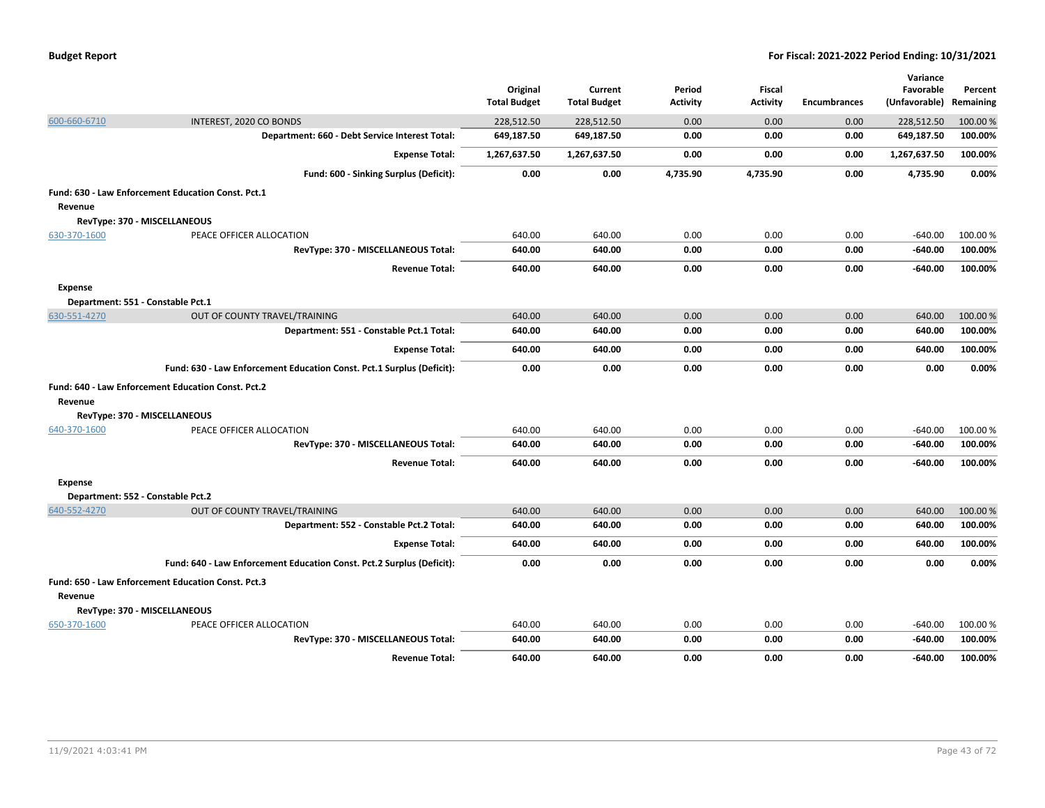| <b>Budget Report</b> |  |
|----------------------|--|
|----------------------|--|

|                |                                                                       |                     |                     |                 |                 |                     | Variance      |           |
|----------------|-----------------------------------------------------------------------|---------------------|---------------------|-----------------|-----------------|---------------------|---------------|-----------|
|                |                                                                       | Original            | Current             | Period          | <b>Fiscal</b>   |                     | Favorable     | Percent   |
|                |                                                                       | <b>Total Budget</b> | <b>Total Budget</b> | <b>Activity</b> | <b>Activity</b> | <b>Encumbrances</b> | (Unfavorable) | Remaining |
| 600-660-6710   | INTEREST, 2020 CO BONDS                                               | 228,512.50          | 228,512.50          | 0.00            | 0.00            | 0.00                | 228,512.50    | 100.00%   |
|                | Department: 660 - Debt Service Interest Total:                        | 649,187.50          | 649,187.50          | 0.00            | 0.00            | 0.00                | 649,187.50    | 100.00%   |
|                | <b>Expense Total:</b>                                                 | 1,267,637.50        | 1,267,637.50        | 0.00            | 0.00            | 0.00                | 1,267,637.50  | 100.00%   |
|                | Fund: 600 - Sinking Surplus (Deficit):                                | 0.00                | 0.00                | 4,735.90        | 4,735.90        | 0.00                | 4,735.90      | 0.00%     |
|                | Fund: 630 - Law Enforcement Education Const. Pct.1                    |                     |                     |                 |                 |                     |               |           |
| Revenue        |                                                                       |                     |                     |                 |                 |                     |               |           |
|                | RevType: 370 - MISCELLANEOUS                                          |                     |                     |                 |                 |                     |               |           |
| 630-370-1600   | PEACE OFFICER ALLOCATION                                              | 640.00              | 640.00              | 0.00            | 0.00            | 0.00                | $-640.00$     | 100.00%   |
|                | RevType: 370 - MISCELLANEOUS Total:                                   | 640.00              | 640.00              | 0.00            | 0.00            | 0.00                | $-640.00$     | 100.00%   |
|                | <b>Revenue Total:</b>                                                 | 640.00              | 640.00              | 0.00            | 0.00            | 0.00                | -640.00       | 100.00%   |
| <b>Expense</b> |                                                                       |                     |                     |                 |                 |                     |               |           |
|                | Department: 551 - Constable Pct.1                                     |                     |                     |                 |                 |                     |               |           |
| 630-551-4270   | OUT OF COUNTY TRAVEL/TRAINING                                         | 640.00              | 640.00              | 0.00            | 0.00            | 0.00                | 640.00        | 100.00%   |
|                | Department: 551 - Constable Pct.1 Total:                              | 640.00              | 640.00              | 0.00            | 0.00            | 0.00                | 640.00        | 100.00%   |
|                | <b>Expense Total:</b>                                                 | 640.00              | 640.00              | 0.00            | 0.00            | 0.00                | 640.00        | 100.00%   |
|                | Fund: 630 - Law Enforcement Education Const. Pct.1 Surplus (Deficit): | 0.00                | 0.00                | 0.00            | 0.00            | 0.00                | 0.00          | 0.00%     |
|                | Fund: 640 - Law Enforcement Education Const. Pct.2                    |                     |                     |                 |                 |                     |               |           |
| Revenue        |                                                                       |                     |                     |                 |                 |                     |               |           |
|                | RevType: 370 - MISCELLANEOUS                                          |                     |                     |                 |                 |                     |               |           |
| 640-370-1600   | PEACE OFFICER ALLOCATION                                              | 640.00              | 640.00              | 0.00            | 0.00            | 0.00                | $-640.00$     | 100.00%   |
|                | RevType: 370 - MISCELLANEOUS Total:                                   | 640.00              | 640.00              | 0.00            | 0.00            | 0.00                | $-640.00$     | 100.00%   |
|                | <b>Revenue Total:</b>                                                 | 640.00              | 640.00              | 0.00            | 0.00            | 0.00                | $-640.00$     | 100.00%   |
| <b>Expense</b> |                                                                       |                     |                     |                 |                 |                     |               |           |
|                | Department: 552 - Constable Pct.2                                     |                     |                     |                 |                 |                     |               |           |
| 640-552-4270   | OUT OF COUNTY TRAVEL/TRAINING                                         | 640.00              | 640.00              | 0.00            | 0.00            | 0.00                | 640.00        | 100.00 %  |
|                | Department: 552 - Constable Pct.2 Total:                              | 640.00              | 640.00              | 0.00            | 0.00            | 0.00                | 640.00        | 100.00%   |
|                | <b>Expense Total:</b>                                                 | 640.00              | 640.00              | 0.00            | 0.00            | 0.00                | 640.00        | 100.00%   |
|                | Fund: 640 - Law Enforcement Education Const. Pct.2 Surplus (Deficit): | 0.00                | 0.00                | 0.00            | 0.00            | 0.00                | 0.00          | 0.00%     |
|                | Fund: 650 - Law Enforcement Education Const. Pct.3                    |                     |                     |                 |                 |                     |               |           |
| Revenue        |                                                                       |                     |                     |                 |                 |                     |               |           |
|                | RevType: 370 - MISCELLANEOUS                                          |                     |                     |                 |                 |                     |               |           |
| 650-370-1600   | PEACE OFFICER ALLOCATION                                              | 640.00              | 640.00              | 0.00            | 0.00            | 0.00                | $-640.00$     | 100.00%   |
|                | RevType: 370 - MISCELLANEOUS Total:                                   | 640.00              | 640.00              | 0.00            | 0.00            | 0.00                | $-640.00$     | 100.00%   |
|                | <b>Revenue Total:</b>                                                 | 640.00              | 640.00              | 0.00            | 0.00            | 0.00                | -640.00       | 100.00%   |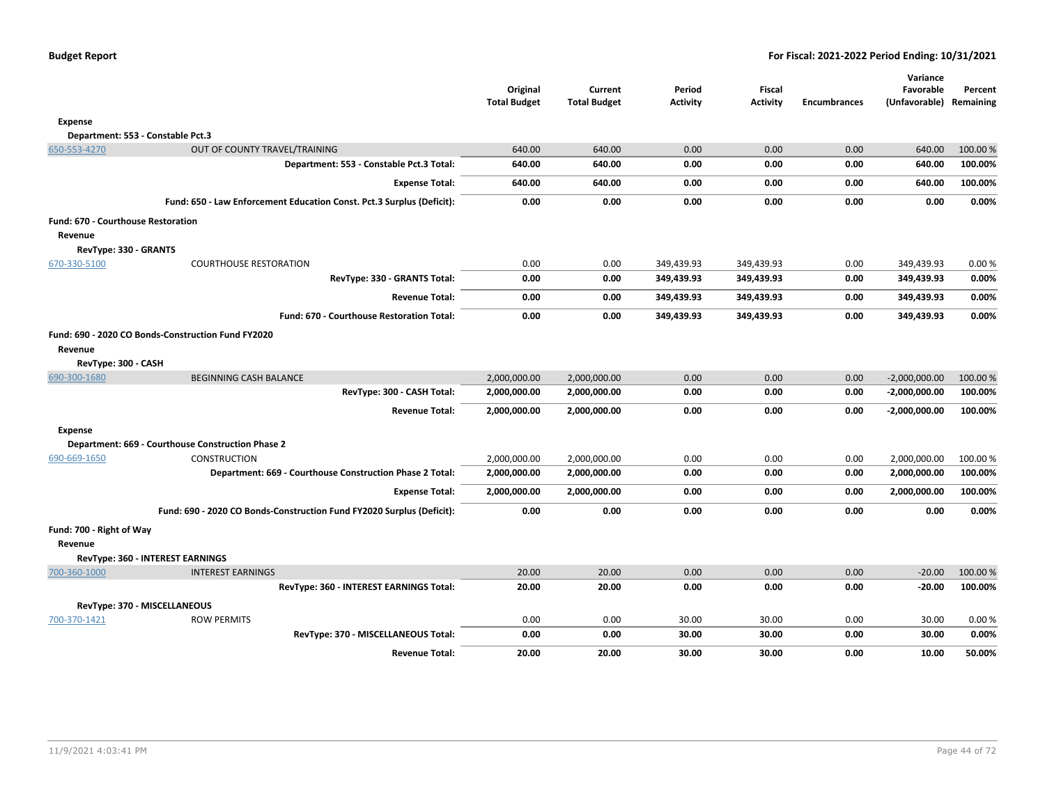|                                           |                                                                       | Original<br><b>Total Budget</b> | Current<br><b>Total Budget</b> | Period<br><b>Activity</b> | <b>Fiscal</b><br>Activity | <b>Encumbrances</b> | Variance<br>Favorable<br>(Unfavorable) | Percent<br>Remaining |
|-------------------------------------------|-----------------------------------------------------------------------|---------------------------------|--------------------------------|---------------------------|---------------------------|---------------------|----------------------------------------|----------------------|
| <b>Expense</b>                            |                                                                       |                                 |                                |                           |                           |                     |                                        |                      |
|                                           | Department: 553 - Constable Pct.3                                     |                                 |                                |                           |                           |                     |                                        |                      |
| 650-553-4270                              | OUT OF COUNTY TRAVEL/TRAINING                                         | 640.00                          | 640.00                         | 0.00                      | 0.00                      | 0.00                | 640.00                                 | 100.00 %             |
|                                           | Department: 553 - Constable Pct.3 Total:                              | 640.00                          | 640.00                         | 0.00                      | 0.00                      | 0.00                | 640.00                                 | 100.00%              |
|                                           | <b>Expense Total:</b>                                                 | 640.00                          | 640.00                         | 0.00                      | 0.00                      | 0.00                | 640.00                                 | 100.00%              |
|                                           | Fund: 650 - Law Enforcement Education Const. Pct.3 Surplus (Deficit): | 0.00                            | 0.00                           | 0.00                      | 0.00                      | 0.00                | 0.00                                   | 0.00%                |
| <b>Fund: 670 - Courthouse Restoration</b> |                                                                       |                                 |                                |                           |                           |                     |                                        |                      |
| Revenue                                   |                                                                       |                                 |                                |                           |                           |                     |                                        |                      |
| RevType: 330 - GRANTS                     |                                                                       |                                 |                                |                           |                           |                     |                                        |                      |
| 670-330-5100                              | <b>COURTHOUSE RESTORATION</b>                                         | 0.00                            | 0.00                           | 349,439.93                | 349,439.93                | 0.00                | 349,439.93                             | 0.00%                |
|                                           | RevType: 330 - GRANTS Total:                                          | 0.00                            | 0.00                           | 349,439.93                | 349,439.93                | 0.00                | 349,439.93                             | 0.00%                |
|                                           | <b>Revenue Total:</b>                                                 | 0.00                            | 0.00                           | 349,439.93                | 349,439.93                | 0.00                | 349,439.93                             | 0.00%                |
|                                           | Fund: 670 - Courthouse Restoration Total:                             | 0.00                            | 0.00                           | 349,439.93                | 349,439.93                | 0.00                | 349,439.93                             | 0.00%                |
|                                           | Fund: 690 - 2020 CO Bonds-Construction Fund FY2020                    |                                 |                                |                           |                           |                     |                                        |                      |
| Revenue                                   |                                                                       |                                 |                                |                           |                           |                     |                                        |                      |
| RevType: 300 - CASH                       |                                                                       |                                 |                                |                           |                           |                     |                                        |                      |
| 690-300-1680                              | BEGINNING CASH BALANCE                                                | 2,000,000.00                    | 2,000,000.00                   | 0.00                      | 0.00                      | 0.00                | $-2,000,000.00$                        | 100.00 %             |
|                                           | RevType: 300 - CASH Total:                                            | 2,000,000.00                    | 2,000,000.00                   | 0.00                      | 0.00                      | 0.00                | $-2,000,000.00$                        | 100.00%              |
|                                           | <b>Revenue Total:</b>                                                 | 2,000,000.00                    | 2,000,000.00                   | 0.00                      | 0.00                      | 0.00                | $-2,000,000.00$                        | 100.00%              |
| <b>Expense</b>                            |                                                                       |                                 |                                |                           |                           |                     |                                        |                      |
|                                           | Department: 669 - Courthouse Construction Phase 2                     |                                 |                                |                           |                           |                     |                                        |                      |
| 690-669-1650                              | <b>CONSTRUCTION</b>                                                   | 2,000,000.00                    | 2,000,000.00                   | 0.00                      | 0.00                      | 0.00                | 2,000,000.00                           | 100.00 %             |
|                                           | Department: 669 - Courthouse Construction Phase 2 Total:              | 2,000,000.00                    | 2,000,000.00                   | 0.00                      | 0.00                      | 0.00                | 2,000,000.00                           | 100.00%              |
|                                           | <b>Expense Total:</b>                                                 | 2,000,000.00                    | 2,000,000.00                   | 0.00                      | 0.00                      | 0.00                | 2,000,000.00                           | 100.00%              |
|                                           | Fund: 690 - 2020 CO Bonds-Construction Fund FY2020 Surplus (Deficit): | 0.00                            | 0.00                           | 0.00                      | 0.00                      | 0.00                | 0.00                                   | 0.00%                |
| Fund: 700 - Right of Way                  |                                                                       |                                 |                                |                           |                           |                     |                                        |                      |
| Revenue                                   |                                                                       |                                 |                                |                           |                           |                     |                                        |                      |
|                                           | RevType: 360 - INTEREST EARNINGS                                      |                                 |                                |                           |                           |                     |                                        |                      |
| 700-360-1000                              | <b>INTEREST EARNINGS</b>                                              | 20.00                           | 20.00                          | 0.00                      | 0.00                      | 0.00                | $-20.00$                               | 100.00 %             |
|                                           | RevType: 360 - INTEREST EARNINGS Total:                               | 20.00                           | 20.00                          | 0.00                      | 0.00                      | 0.00                | $-20.00$                               | 100.00%              |
|                                           | RevType: 370 - MISCELLANEOUS                                          |                                 |                                |                           |                           |                     |                                        |                      |
| 700-370-1421                              | <b>ROW PERMITS</b>                                                    | 0.00                            | 0.00                           | 30.00                     | 30.00                     | 0.00                | 30.00                                  | 0.00%                |
|                                           | RevType: 370 - MISCELLANEOUS Total:                                   | 0.00                            | 0.00                           | 30.00                     | 30.00                     | 0.00                | 30.00                                  | 0.00%                |
|                                           | <b>Revenue Total:</b>                                                 | 20.00                           | 20.00                          | 30.00                     | 30.00                     | 0.00                | 10.00                                  | 50.00%               |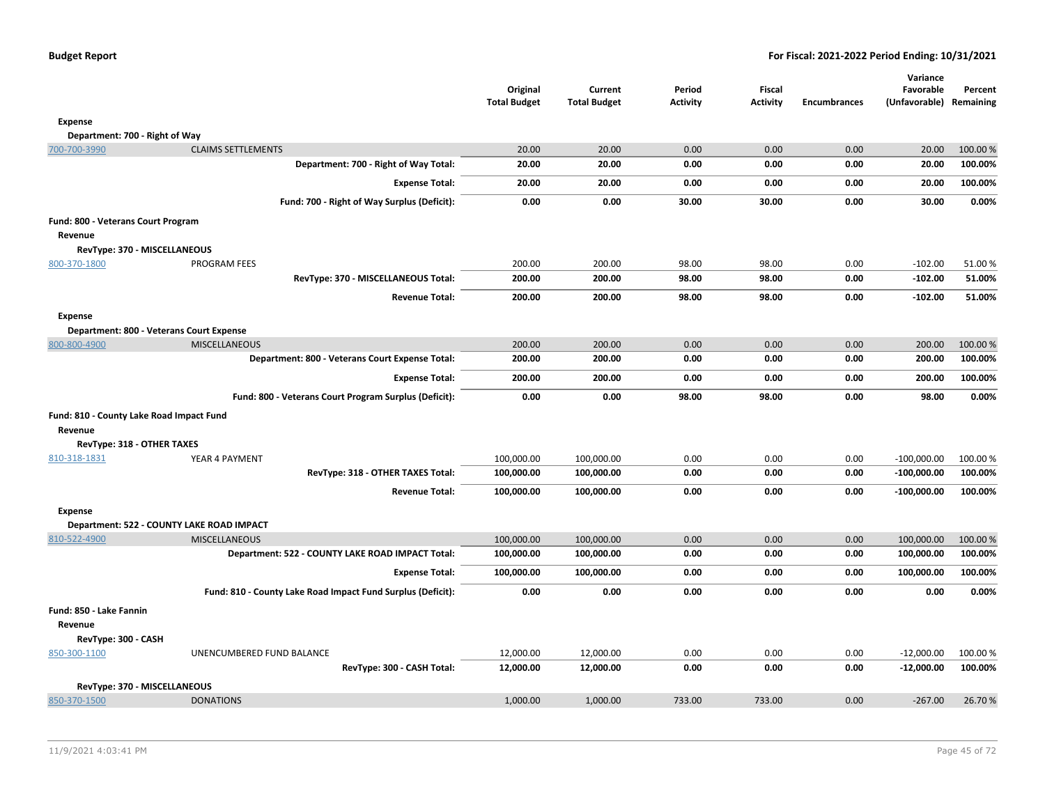|                                           |                           |                                                             |                                 |                                |                           |                           |                     | Variance                   |                      |
|-------------------------------------------|---------------------------|-------------------------------------------------------------|---------------------------------|--------------------------------|---------------------------|---------------------------|---------------------|----------------------------|----------------------|
|                                           |                           |                                                             | Original<br><b>Total Budget</b> | Current<br><b>Total Budget</b> | Period<br><b>Activity</b> | Fiscal<br><b>Activity</b> | <b>Encumbrances</b> | Favorable<br>(Unfavorable) | Percent<br>Remaining |
|                                           |                           |                                                             |                                 |                                |                           |                           |                     |                            |                      |
| Expense                                   |                           |                                                             |                                 |                                |                           |                           |                     |                            |                      |
| Department: 700 - Right of Way            |                           |                                                             |                                 |                                |                           |                           |                     |                            |                      |
| 700-700-3990                              | <b>CLAIMS SETTLEMENTS</b> |                                                             | 20.00<br>20.00                  | 20.00<br>20.00                 | 0.00<br>0.00              | 0.00<br>0.00              | 0.00<br>0.00        | 20.00<br>20.00             | 100.00%<br>100.00%   |
|                                           |                           | Department: 700 - Right of Way Total:                       |                                 |                                |                           |                           |                     |                            |                      |
|                                           |                           | <b>Expense Total:</b>                                       | 20.00                           | 20.00                          | 0.00                      | 0.00                      | 0.00                | 20.00                      | 100.00%              |
|                                           |                           | Fund: 700 - Right of Way Surplus (Deficit):                 | 0.00                            | 0.00                           | 30.00                     | 30.00                     | 0.00                | 30.00                      | 0.00%                |
| Fund: 800 - Veterans Court Program        |                           |                                                             |                                 |                                |                           |                           |                     |                            |                      |
| Revenue                                   |                           |                                                             |                                 |                                |                           |                           |                     |                            |                      |
| RevType: 370 - MISCELLANEOUS              |                           |                                                             |                                 |                                |                           |                           |                     |                            |                      |
| 800-370-1800                              | <b>PROGRAM FEES</b>       |                                                             | 200.00                          | 200.00                         | 98.00                     | 98.00                     | 0.00                | $-102.00$                  | 51.00%               |
|                                           |                           | RevType: 370 - MISCELLANEOUS Total:                         | 200.00                          | 200.00                         | 98.00                     | 98.00                     | 0.00                | $-102.00$                  | 51.00%               |
|                                           |                           | <b>Revenue Total:</b>                                       | 200.00                          | 200.00                         | 98.00                     | 98.00                     | 0.00                | $-102.00$                  | 51.00%               |
| <b>Expense</b>                            |                           |                                                             |                                 |                                |                           |                           |                     |                            |                      |
| Department: 800 - Veterans Court Expense  |                           |                                                             |                                 |                                |                           |                           |                     |                            |                      |
| 800-800-4900                              | <b>MISCELLANEOUS</b>      |                                                             | 200.00                          | 200.00                         | 0.00                      | 0.00                      | 0.00                | 200.00                     | 100.00%              |
|                                           |                           | Department: 800 - Veterans Court Expense Total:             | 200.00                          | 200.00                         | 0.00                      | 0.00                      | 0.00                | 200.00                     | 100.00%              |
|                                           |                           | <b>Expense Total:</b>                                       | 200.00                          | 200.00                         | 0.00                      | 0.00                      | 0.00                | 200.00                     | 100.00%              |
|                                           |                           | Fund: 800 - Veterans Court Program Surplus (Deficit):       | 0.00                            | 0.00                           | 98.00                     | 98.00                     | 0.00                | 98.00                      | 0.00%                |
| Fund: 810 - County Lake Road Impact Fund  |                           |                                                             |                                 |                                |                           |                           |                     |                            |                      |
| Revenue                                   |                           |                                                             |                                 |                                |                           |                           |                     |                            |                      |
| RevType: 318 - OTHER TAXES                |                           |                                                             |                                 |                                |                           |                           |                     |                            |                      |
| 810-318-1831                              | YEAR 4 PAYMENT            |                                                             | 100,000.00                      | 100,000.00                     | 0.00                      | 0.00                      | 0.00                | $-100,000.00$              | 100.00%              |
|                                           |                           | RevType: 318 - OTHER TAXES Total:                           | 100,000.00                      | 100,000.00                     | 0.00                      | 0.00                      | 0.00                | $-100,000.00$              | 100.00%              |
|                                           |                           | <b>Revenue Total:</b>                                       | 100,000.00                      | 100,000.00                     | 0.00                      | 0.00                      | 0.00                | $-100,000.00$              | 100.00%              |
| <b>Expense</b>                            |                           |                                                             |                                 |                                |                           |                           |                     |                            |                      |
| Department: 522 - COUNTY LAKE ROAD IMPACT |                           |                                                             |                                 |                                |                           |                           |                     |                            |                      |
| 810-522-4900                              | <b>MISCELLANEOUS</b>      |                                                             | 100,000.00                      | 100,000.00                     | 0.00                      | 0.00                      | 0.00                | 100,000.00                 | 100.00%              |
|                                           |                           | Department: 522 - COUNTY LAKE ROAD IMPACT Total:            | 100,000.00                      | 100,000.00                     | 0.00                      | 0.00                      | 0.00                | 100,000.00                 | 100.00%              |
|                                           |                           | <b>Expense Total:</b>                                       | 100,000.00                      | 100,000.00                     | 0.00                      | 0.00                      | 0.00                | 100,000.00                 | 100.00%              |
|                                           |                           | Fund: 810 - County Lake Road Impact Fund Surplus (Deficit): | 0.00                            | 0.00                           | 0.00                      | 0.00                      | 0.00                | 0.00                       | 0.00%                |
| Fund: 850 - Lake Fannin                   |                           |                                                             |                                 |                                |                           |                           |                     |                            |                      |
| Revenue                                   |                           |                                                             |                                 |                                |                           |                           |                     |                            |                      |
| RevType: 300 - CASH                       |                           |                                                             |                                 |                                |                           |                           |                     |                            |                      |
| 850-300-1100                              | UNENCUMBERED FUND BALANCE |                                                             | 12,000.00                       | 12,000.00                      | 0.00                      | 0.00                      | 0.00                | $-12,000.00$               | 100.00%              |
|                                           |                           | RevType: 300 - CASH Total:                                  | 12,000.00                       | 12,000.00                      | 0.00                      | 0.00                      | 0.00                | $-12,000.00$               | 100.00%              |
| RevType: 370 - MISCELLANEOUS              |                           |                                                             |                                 |                                |                           |                           |                     |                            |                      |
| 850-370-1500                              | <b>DONATIONS</b>          |                                                             | 1,000.00                        | 1,000.00                       | 733.00                    | 733.00                    | 0.00                | $-267.00$                  | 26.70%               |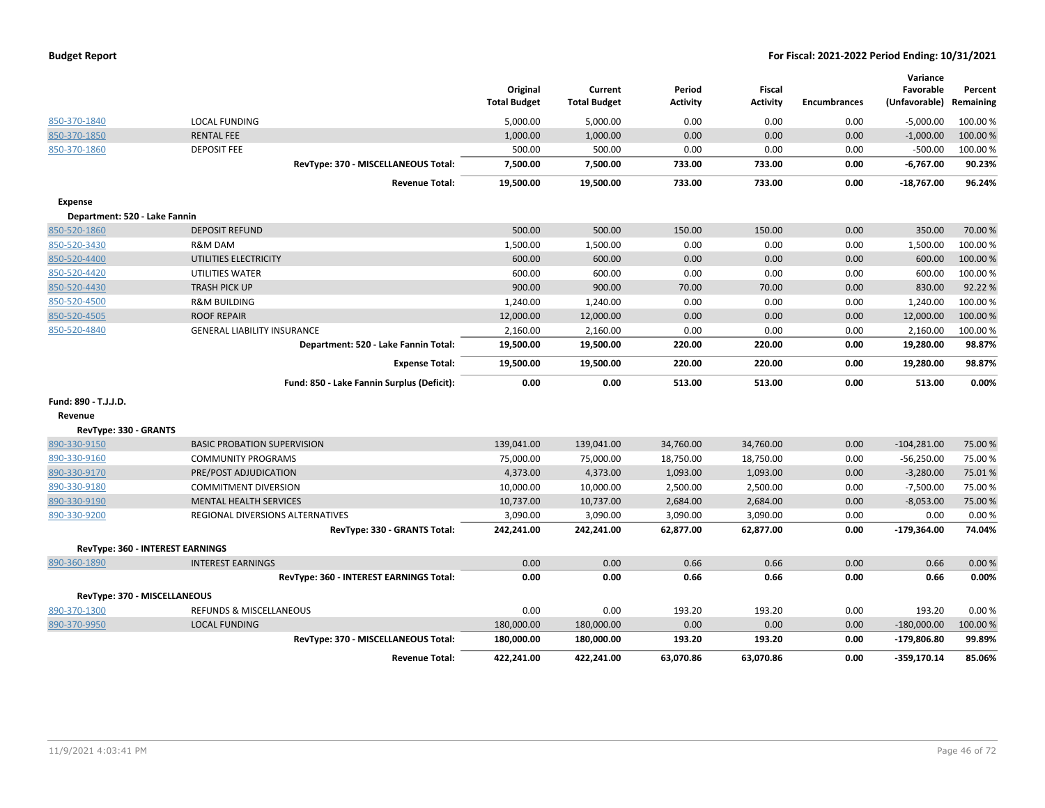| <b>Budget Report</b> |  |
|----------------------|--|
|----------------------|--|

|                                         |                                            | Original            | Current             | Period          | <b>Fiscal</b>   |                     | Variance<br>Favorable | Percent   |
|-----------------------------------------|--------------------------------------------|---------------------|---------------------|-----------------|-----------------|---------------------|-----------------------|-----------|
|                                         |                                            | <b>Total Budget</b> | <b>Total Budget</b> | <b>Activity</b> | <b>Activity</b> | <b>Encumbrances</b> | (Unfavorable)         | Remaining |
| 850-370-1840                            | <b>LOCAL FUNDING</b>                       | 5,000.00            | 5,000.00            | 0.00            | 0.00            | 0.00                | $-5,000.00$           | 100.00 %  |
| 850-370-1850                            | <b>RENTAL FEE</b>                          | 1,000.00            | 1,000.00            | 0.00            | 0.00            | 0.00                | $-1,000.00$           | 100.00%   |
| 850-370-1860                            | <b>DEPOSIT FEE</b>                         | 500.00              | 500.00              | 0.00            | 0.00            | 0.00                | $-500.00$             | 100.00 %  |
|                                         | RevType: 370 - MISCELLANEOUS Total:        | 7,500.00            | 7,500.00            | 733.00          | 733.00          | 0.00                | $-6,767.00$           | 90.23%    |
|                                         | <b>Revenue Total:</b>                      | 19,500.00           | 19,500.00           | 733.00          | 733.00          | 0.00                | $-18,767.00$          | 96.24%    |
| <b>Expense</b>                          |                                            |                     |                     |                 |                 |                     |                       |           |
| Department: 520 - Lake Fannin           |                                            |                     |                     |                 |                 |                     |                       |           |
| 850-520-1860                            | <b>DEPOSIT REFUND</b>                      | 500.00              | 500.00              | 150.00          | 150.00          | 0.00                | 350.00                | 70.00 %   |
| 850-520-3430                            | R&M DAM                                    | 1,500.00            | 1,500.00            | 0.00            | 0.00            | 0.00                | 1,500.00              | 100.00 %  |
| 850-520-4400                            | UTILITIES ELECTRICITY                      | 600.00              | 600.00              | 0.00            | 0.00            | 0.00                | 600.00                | 100.00 %  |
| 850-520-4420                            | UTILITIES WATER                            | 600.00              | 600.00              | 0.00            | 0.00            | 0.00                | 600.00                | 100.00 %  |
| 850-520-4430                            | <b>TRASH PICK UP</b>                       | 900.00              | 900.00              | 70.00           | 70.00           | 0.00                | 830.00                | 92.22%    |
| 850-520-4500                            | <b>R&amp;M BUILDING</b>                    | 1,240.00            | 1,240.00            | 0.00            | 0.00            | 0.00                | 1,240.00              | 100.00 %  |
| 850-520-4505                            | <b>ROOF REPAIR</b>                         | 12,000.00           | 12,000.00           | 0.00            | 0.00            | 0.00                | 12,000.00             | 100.00%   |
| 850-520-4840                            | <b>GENERAL LIABILITY INSURANCE</b>         | 2,160.00            | 2,160.00            | 0.00            | 0.00            | 0.00                | 2,160.00              | 100.00 %  |
|                                         | Department: 520 - Lake Fannin Total:       | 19,500.00           | 19,500.00           | 220.00          | 220.00          | 0.00                | 19,280.00             | 98.87%    |
|                                         | <b>Expense Total:</b>                      | 19,500.00           | 19,500.00           | 220.00          | 220.00          | 0.00                | 19,280.00             | 98.87%    |
|                                         | Fund: 850 - Lake Fannin Surplus (Deficit): | 0.00                | 0.00                | 513.00          | 513.00          | 0.00                | 513.00                | 0.00%     |
| Fund: 890 - T.J.J.D.                    |                                            |                     |                     |                 |                 |                     |                       |           |
| Revenue                                 |                                            |                     |                     |                 |                 |                     |                       |           |
| RevType: 330 - GRANTS                   |                                            |                     |                     |                 |                 |                     |                       |           |
| 890-330-9150                            | <b>BASIC PROBATION SUPERVISION</b>         | 139,041.00          | 139,041.00          | 34,760.00       | 34,760.00       | 0.00                | $-104,281.00$         | 75.00 %   |
| 890-330-9160                            | <b>COMMUNITY PROGRAMS</b>                  | 75,000.00           | 75,000.00           | 18,750.00       | 18,750.00       | 0.00                | $-56,250.00$          | 75.00 %   |
| 890-330-9170                            | PRE/POST ADJUDICATION                      | 4,373.00            | 4,373.00            | 1,093.00        | 1,093.00        | 0.00                | $-3,280.00$           | 75.01%    |
| 890-330-9180                            | <b>COMMITMENT DIVERSION</b>                | 10,000.00           | 10,000.00           | 2,500.00        | 2,500.00        | 0.00                | $-7,500.00$           | 75.00 %   |
| 890-330-9190                            | <b>MENTAL HEALTH SERVICES</b>              | 10,737.00           | 10,737.00           | 2,684.00        | 2,684.00        | 0.00                | $-8,053.00$           | 75.00 %   |
| 890-330-9200                            | REGIONAL DIVERSIONS ALTERNATIVES           | 3,090.00            | 3,090.00            | 3,090.00        | 3,090.00        | 0.00                | 0.00                  | 0.00%     |
|                                         | RevType: 330 - GRANTS Total:               | 242,241.00          | 242,241.00          | 62,877.00       | 62,877.00       | 0.00                | $-179,364.00$         | 74.04%    |
| <b>RevType: 360 - INTEREST EARNINGS</b> |                                            |                     |                     |                 |                 |                     |                       |           |
| 890-360-1890                            | <b>INTEREST EARNINGS</b>                   | 0.00                | 0.00                | 0.66            | 0.66            | 0.00                | 0.66                  | 0.00%     |
|                                         | RevType: 360 - INTEREST EARNINGS Total:    | 0.00                | 0.00                | 0.66            | 0.66            | 0.00                | 0.66                  | 0.00%     |
| RevType: 370 - MISCELLANEOUS            |                                            |                     |                     |                 |                 |                     |                       |           |
| 890-370-1300                            | REFUNDS & MISCELLANEOUS                    | 0.00                | 0.00                | 193.20          | 193.20          | 0.00                | 193.20                | 0.00%     |
| 890-370-9950                            | <b>LOCAL FUNDING</b>                       | 180,000.00          | 180,000.00          | 0.00            | 0.00            | 0.00                | $-180,000.00$         | 100.00 %  |
|                                         | RevType: 370 - MISCELLANEOUS Total:        | 180,000.00          | 180,000.00          | 193.20          | 193.20          | 0.00                | $-179,806.80$         | 99.89%    |
|                                         | <b>Revenue Total:</b>                      | 422.241.00          | 422.241.00          | 63,070.86       | 63.070.86       | 0.00                | $-359.170.14$         | 85.06%    |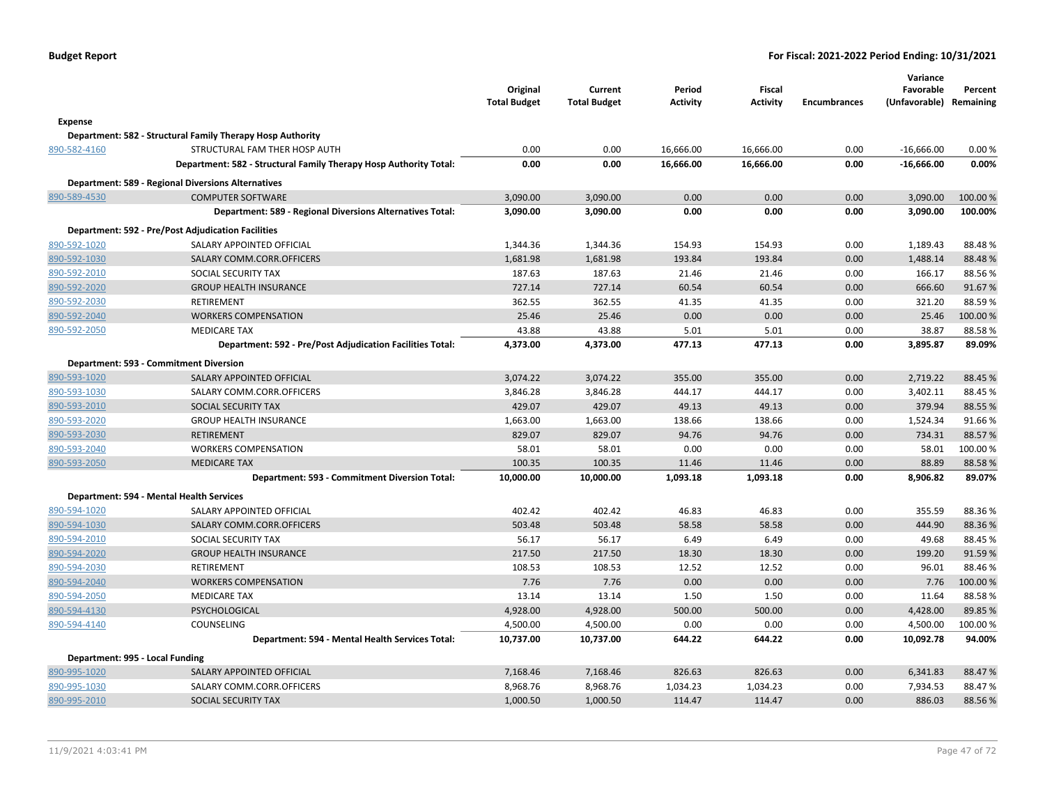| <b>Budget Report</b> |  |
|----------------------|--|
|----------------------|--|

|                                 |                                                                   | Original<br><b>Total Budget</b> | Current<br><b>Total Budget</b> | Period<br><b>Activity</b> | <b>Fiscal</b><br><b>Activity</b> | <b>Encumbrances</b> | Variance<br>Favorable<br>(Unfavorable) Remaining | Percent  |
|---------------------------------|-------------------------------------------------------------------|---------------------------------|--------------------------------|---------------------------|----------------------------------|---------------------|--------------------------------------------------|----------|
| <b>Expense</b>                  |                                                                   |                                 |                                |                           |                                  |                     |                                                  |          |
|                                 | Department: 582 - Structural Family Therapy Hosp Authority        |                                 |                                |                           |                                  |                     |                                                  |          |
| 890-582-4160                    | STRUCTURAL FAM THER HOSP AUTH                                     | 0.00                            | 0.00                           | 16,666.00                 | 16,666.00                        | 0.00                | $-16,666.00$                                     | 0.00%    |
|                                 | Department: 582 - Structural Family Therapy Hosp Authority Total: | 0.00                            | 0.00                           | 16,666.00                 | 16,666.00                        | 0.00                | $-16,666.00$                                     | 0.00%    |
|                                 | <b>Department: 589 - Regional Diversions Alternatives</b>         |                                 |                                |                           |                                  |                     |                                                  |          |
| 890-589-4530                    | <b>COMPUTER SOFTWARE</b>                                          | 3,090.00                        | 3,090.00                       | 0.00                      | 0.00                             | 0.00                | 3,090.00                                         | 100.00%  |
|                                 | Department: 589 - Regional Diversions Alternatives Total:         | 3,090.00                        | 3,090.00                       | 0.00                      | 0.00                             | 0.00                | 3,090.00                                         | 100.00%  |
|                                 | <b>Department: 592 - Pre/Post Adjudication Facilities</b>         |                                 |                                |                           |                                  |                     |                                                  |          |
| 890-592-1020                    | SALARY APPOINTED OFFICIAL                                         | 1,344.36                        | 1,344.36                       | 154.93                    | 154.93                           | 0.00                | 1,189.43                                         | 88.48%   |
| 890-592-1030                    | SALARY COMM.CORR.OFFICERS                                         | 1,681.98                        | 1,681.98                       | 193.84                    | 193.84                           | 0.00                | 1,488.14                                         | 88.48%   |
| 890-592-2010                    | SOCIAL SECURITY TAX                                               | 187.63                          | 187.63                         | 21.46                     | 21.46                            | 0.00                | 166.17                                           | 88.56%   |
| 890-592-2020                    | <b>GROUP HEALTH INSURANCE</b>                                     | 727.14                          | 727.14                         | 60.54                     | 60.54                            | 0.00                | 666.60                                           | 91.67%   |
| 890-592-2030                    | <b>RETIREMENT</b>                                                 | 362.55                          | 362.55                         | 41.35                     | 41.35                            | 0.00                | 321.20                                           | 88.59%   |
| 890-592-2040                    | <b>WORKERS COMPENSATION</b>                                       | 25.46                           | 25.46                          | 0.00                      | 0.00                             | 0.00                | 25.46                                            | 100.00%  |
| 890-592-2050                    | <b>MEDICARE TAX</b>                                               | 43.88                           | 43.88                          | 5.01                      | 5.01                             | 0.00                | 38.87                                            | 88.58%   |
|                                 | Department: 592 - Pre/Post Adjudication Facilities Total:         | 4,373.00                        | 4,373.00                       | 477.13                    | 477.13                           | 0.00                | 3,895.87                                         | 89.09%   |
|                                 | Department: 593 - Commitment Diversion                            |                                 |                                |                           |                                  |                     |                                                  |          |
| 890-593-1020                    | SALARY APPOINTED OFFICIAL                                         | 3,074.22                        | 3,074.22                       | 355.00                    | 355.00                           | 0.00                | 2,719.22                                         | 88.45 %  |
| 890-593-1030                    | SALARY COMM.CORR.OFFICERS                                         | 3,846.28                        | 3,846.28                       | 444.17                    | 444.17                           | 0.00                | 3,402.11                                         | 88.45 %  |
| 890-593-2010                    | SOCIAL SECURITY TAX                                               | 429.07                          | 429.07                         | 49.13                     | 49.13                            | 0.00                | 379.94                                           | 88.55 %  |
| 890-593-2020                    | <b>GROUP HEALTH INSURANCE</b>                                     | 1,663.00                        | 1,663.00                       | 138.66                    | 138.66                           | 0.00                | 1,524.34                                         | 91.66%   |
| 890-593-2030                    | <b>RETIREMENT</b>                                                 | 829.07                          | 829.07                         | 94.76                     | 94.76                            | 0.00                | 734.31                                           | 88.57%   |
| 890-593-2040                    | <b>WORKERS COMPENSATION</b>                                       | 58.01                           | 58.01                          | 0.00                      | 0.00                             | 0.00                | 58.01                                            | 100.00%  |
| 890-593-2050                    | <b>MEDICARE TAX</b>                                               | 100.35                          | 100.35                         | 11.46                     | 11.46                            | 0.00                | 88.89                                            | 88.58%   |
|                                 | Department: 593 - Commitment Diversion Total:                     | 10,000.00                       | 10,000.00                      | 1,093.18                  | 1,093.18                         | 0.00                | 8,906.82                                         | 89.07%   |
|                                 | Department: 594 - Mental Health Services                          |                                 |                                |                           |                                  |                     |                                                  |          |
| 890-594-1020                    | SALARY APPOINTED OFFICIAL                                         | 402.42                          | 402.42                         | 46.83                     | 46.83                            | 0.00                | 355.59                                           | 88.36%   |
| 890-594-1030                    | SALARY COMM.CORR.OFFICERS                                         | 503.48                          | 503.48                         | 58.58                     | 58.58                            | 0.00                | 444.90                                           | 88.36%   |
| 890-594-2010                    | SOCIAL SECURITY TAX                                               | 56.17                           | 56.17                          | 6.49                      | 6.49                             | 0.00                | 49.68                                            | 88.45 %  |
| 890-594-2020                    | <b>GROUP HEALTH INSURANCE</b>                                     | 217.50                          | 217.50                         | 18.30                     | 18.30                            | 0.00                | 199.20                                           | 91.59%   |
| 890-594-2030                    | RETIREMENT                                                        | 108.53                          | 108.53                         | 12.52                     | 12.52                            | 0.00                | 96.01                                            | 88.46%   |
| 890-594-2040                    | <b>WORKERS COMPENSATION</b>                                       | 7.76                            | 7.76                           | 0.00                      | 0.00                             | 0.00                | 7.76                                             | 100.00 % |
| 890-594-2050                    | <b>MEDICARE TAX</b>                                               | 13.14                           | 13.14                          | 1.50                      | 1.50                             | 0.00                | 11.64                                            | 88.58%   |
| 890-594-4130                    | PSYCHOLOGICAL                                                     | 4,928.00                        | 4,928.00                       | 500.00                    | 500.00                           | 0.00                | 4,428.00                                         | 89.85%   |
| 890-594-4140                    | COUNSELING                                                        | 4,500.00                        | 4,500.00                       | 0.00                      | 0.00                             | 0.00                | 4,500.00                                         | 100.00%  |
|                                 | Department: 594 - Mental Health Services Total:                   | 10,737.00                       | 10,737.00                      | 644.22                    | 644.22                           | 0.00                | 10,092.78                                        | 94.00%   |
| Department: 995 - Local Funding |                                                                   |                                 |                                |                           |                                  |                     |                                                  |          |
| 890-995-1020                    | SALARY APPOINTED OFFICIAL                                         | 7,168.46                        | 7,168.46                       | 826.63                    | 826.63                           | 0.00                | 6,341.83                                         | 88.47%   |
| 890-995-1030                    | SALARY COMM.CORR.OFFICERS                                         | 8,968.76                        | 8,968.76                       | 1,034.23                  | 1,034.23                         | 0.00                | 7,934.53                                         | 88.47%   |
| 890-995-2010                    | <b>SOCIAL SECURITY TAX</b>                                        | 1,000.50                        | 1,000.50                       | 114.47                    | 114.47                           | 0.00                | 886.03                                           | 88.56%   |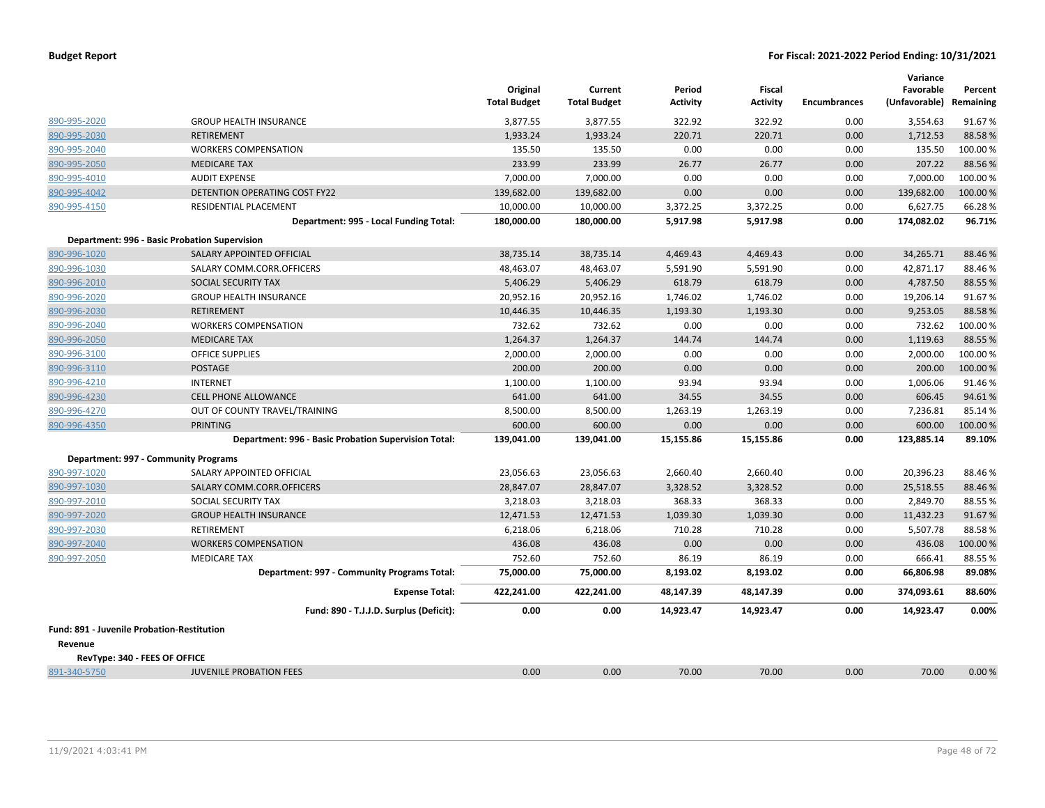|                                            |                                                      | Original<br><b>Total Budget</b> | Current<br><b>Total Budget</b> | Period<br><b>Activity</b> | <b>Fiscal</b><br><b>Activity</b> | <b>Encumbrances</b> | Variance<br>Favorable<br>(Unfavorable) | Percent<br>Remaining |
|--------------------------------------------|------------------------------------------------------|---------------------------------|--------------------------------|---------------------------|----------------------------------|---------------------|----------------------------------------|----------------------|
| 890-995-2020                               | <b>GROUP HEALTH INSURANCE</b>                        | 3,877.55                        | 3,877.55                       | 322.92                    | 322.92                           | 0.00                | 3,554.63                               | 91.67%               |
| 890-995-2030                               | <b>RETIREMENT</b>                                    | 1,933.24                        | 1,933.24                       | 220.71                    | 220.71                           | 0.00                | 1,712.53                               | 88.58%               |
| 890-995-2040                               | <b>WORKERS COMPENSATION</b>                          | 135.50                          | 135.50                         | 0.00                      | 0.00                             | 0.00                | 135.50                                 | 100.00%              |
| 890-995-2050                               | <b>MEDICARE TAX</b>                                  | 233.99                          | 233.99                         | 26.77                     | 26.77                            | 0.00                | 207.22                                 | 88.56%               |
| 890-995-4010                               | <b>AUDIT EXPENSE</b>                                 | 7,000.00                        | 7,000.00                       | 0.00                      | 0.00                             | 0.00                | 7,000.00                               | 100.00 %             |
| 890-995-4042                               | <b>DETENTION OPERATING COST FY22</b>                 | 139,682.00                      | 139,682.00                     | 0.00                      | 0.00                             | 0.00                | 139,682.00                             | 100.00%              |
| 890-995-4150                               | RESIDENTIAL PLACEMENT                                | 10,000.00                       | 10,000.00                      | 3,372.25                  | 3,372.25                         | 0.00                | 6,627.75                               | 66.28%               |
|                                            | Department: 995 - Local Funding Total:               | 180,000.00                      | 180,000.00                     | 5,917.98                  | 5,917.98                         | 0.00                | 174,082.02                             | 96.71%               |
|                                            | <b>Department: 996 - Basic Probation Supervision</b> |                                 |                                |                           |                                  |                     |                                        |                      |
| 890-996-1020                               | SALARY APPOINTED OFFICIAL                            | 38,735.14                       | 38,735.14                      | 4,469.43                  | 4,469.43                         | 0.00                | 34,265.71                              | 88.46%               |
| 890-996-1030                               | SALARY COMM.CORR.OFFICERS                            | 48,463.07                       | 48,463.07                      | 5,591.90                  | 5,591.90                         | 0.00                | 42,871.17                              | 88.46%               |
| 890-996-2010                               | SOCIAL SECURITY TAX                                  | 5,406.29                        | 5,406.29                       | 618.79                    | 618.79                           | 0.00                | 4,787.50                               | 88.55 %              |
| 890-996-2020                               | <b>GROUP HEALTH INSURANCE</b>                        | 20,952.16                       | 20,952.16                      | 1,746.02                  | 1,746.02                         | 0.00                | 19,206.14                              | 91.67%               |
| 890-996-2030                               | RETIREMENT                                           | 10,446.35                       | 10,446.35                      | 1,193.30                  | 1,193.30                         | 0.00                | 9,253.05                               | 88.58%               |
| 890-996-2040                               | <b>WORKERS COMPENSATION</b>                          | 732.62                          | 732.62                         | 0.00                      | 0.00                             | 0.00                | 732.62                                 | 100.00%              |
| 890-996-2050                               | <b>MEDICARE TAX</b>                                  | 1,264.37                        | 1,264.37                       | 144.74                    | 144.74                           | 0.00                | 1,119.63                               | 88.55%               |
| 890-996-3100                               | <b>OFFICE SUPPLIES</b>                               | 2,000.00                        | 2,000.00                       | 0.00                      | 0.00                             | 0.00                | 2,000.00                               | 100.00%              |
| 890-996-3110                               | <b>POSTAGE</b>                                       | 200.00                          | 200.00                         | 0.00                      | 0.00                             | 0.00                | 200.00                                 | 100.00 %             |
| 890-996-4210                               | <b>INTERNET</b>                                      | 1,100.00                        | 1,100.00                       | 93.94                     | 93.94                            | 0.00                | 1,006.06                               | 91.46%               |
| 890-996-4230                               | <b>CELL PHONE ALLOWANCE</b>                          | 641.00                          | 641.00                         | 34.55                     | 34.55                            | 0.00                | 606.45                                 | 94.61%               |
| 890-996-4270                               | OUT OF COUNTY TRAVEL/TRAINING                        | 8,500.00                        | 8,500.00                       | 1,263.19                  | 1,263.19                         | 0.00                | 7,236.81                               | 85.14%               |
| 890-996-4350                               | <b>PRINTING</b>                                      | 600.00                          | 600.00                         | 0.00                      | 0.00                             | 0.00                | 600.00                                 | 100.00%              |
|                                            | Department: 996 - Basic Probation Supervision Total: | 139,041.00                      | 139,041.00                     | 15,155.86                 | 15,155.86                        | 0.00                | 123,885.14                             | 89.10%               |
|                                            | Department: 997 - Community Programs                 |                                 |                                |                           |                                  |                     |                                        |                      |
| 890-997-1020                               | SALARY APPOINTED OFFICIAL                            | 23,056.63                       | 23,056.63                      | 2,660.40                  | 2,660.40                         | 0.00                | 20,396.23                              | 88.46%               |
| 890-997-1030                               | SALARY COMM.CORR.OFFICERS                            | 28,847.07                       | 28,847.07                      | 3,328.52                  | 3,328.52                         | 0.00                | 25,518.55                              | 88.46%               |
| 890-997-2010                               | SOCIAL SECURITY TAX                                  | 3,218.03                        | 3,218.03                       | 368.33                    | 368.33                           | 0.00                | 2,849.70                               | 88.55%               |
| 890-997-2020                               | <b>GROUP HEALTH INSURANCE</b>                        | 12,471.53                       | 12,471.53                      | 1,039.30                  | 1,039.30                         | 0.00                | 11,432.23                              | 91.67%               |
| 890-997-2030                               | <b>RETIREMENT</b>                                    | 6,218.06                        | 6,218.06                       | 710.28                    | 710.28                           | 0.00                | 5,507.78                               | 88.58%               |
| 890-997-2040                               | <b>WORKERS COMPENSATION</b>                          | 436.08                          | 436.08                         | 0.00                      | 0.00                             | 0.00                | 436.08                                 | 100.00%              |
| 890-997-2050                               | <b>MEDICARE TAX</b>                                  | 752.60                          | 752.60                         | 86.19                     | 86.19                            | 0.00                | 666.41                                 | 88.55%               |
|                                            | Department: 997 - Community Programs Total:          | 75,000.00                       | 75,000.00                      | 8,193.02                  | 8,193.02                         | 0.00                | 66,806.98                              | 89.08%               |
|                                            | <b>Expense Total:</b>                                | 422,241.00                      | 422,241.00                     | 48,147.39                 | 48,147.39                        | 0.00                | 374,093.61                             | 88.60%               |
|                                            | Fund: 890 - T.J.J.D. Surplus (Deficit):              | 0.00                            | 0.00                           | 14,923.47                 | 14,923.47                        | 0.00                | 14,923.47                              | 0.00%                |
| Fund: 891 - Juvenile Probation-Restitution |                                                      |                                 |                                |                           |                                  |                     |                                        |                      |
| Revenue                                    |                                                      |                                 |                                |                           |                                  |                     |                                        |                      |
| RevType: 340 - FEES OF OFFICE              |                                                      |                                 |                                |                           |                                  |                     |                                        |                      |
| 891-340-5750                               | <b>JUVENILE PROBATION FEES</b>                       | 0.00                            | 0.00                           | 70.00                     | 70.00                            | 0.00                | 70.00                                  | 0.00%                |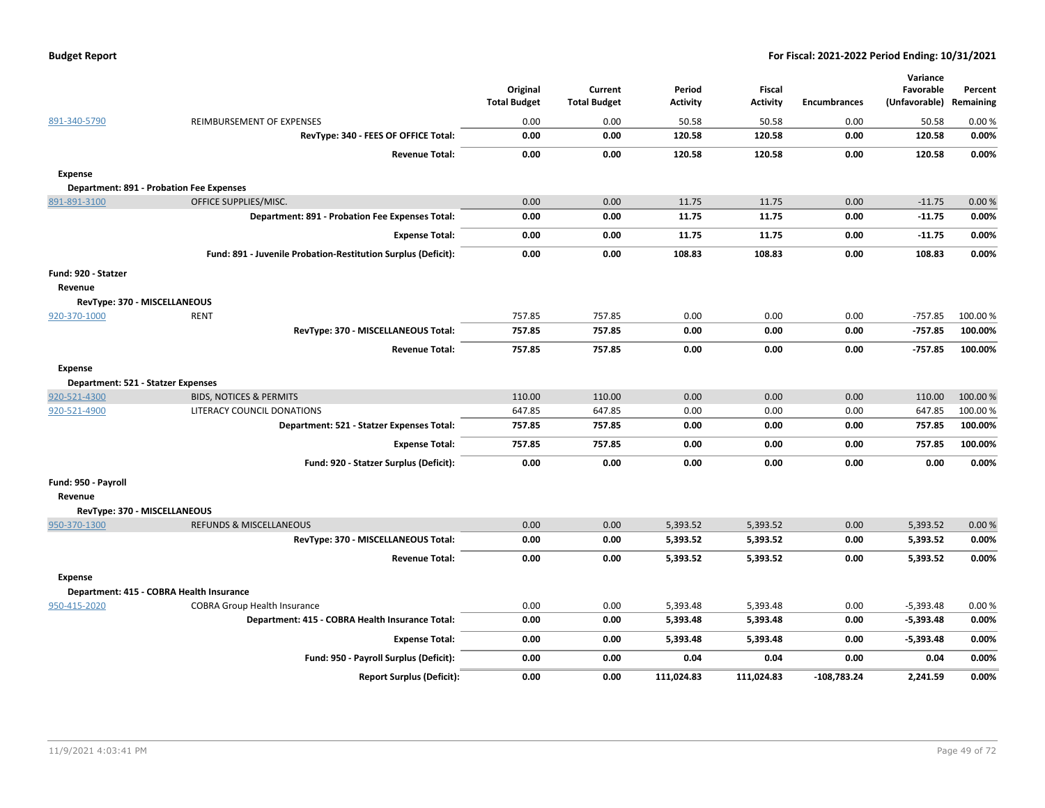|  | <b>Budget Report</b> |
|--|----------------------|
|--|----------------------|

|                                    |                                                               | Original<br><b>Total Budget</b> | Current<br><b>Total Budget</b> | Period<br>Activity | Fiscal<br><b>Activity</b> | <b>Encumbrances</b> | Variance<br>Favorable<br>(Unfavorable) Remaining | Percent  |
|------------------------------------|---------------------------------------------------------------|---------------------------------|--------------------------------|--------------------|---------------------------|---------------------|--------------------------------------------------|----------|
| 891-340-5790                       | REIMBURSEMENT OF EXPENSES                                     | 0.00                            | 0.00                           | 50.58              | 50.58                     | 0.00                | 50.58                                            | 0.00%    |
|                                    | RevType: 340 - FEES OF OFFICE Total:                          | 0.00                            | 0.00                           | 120.58             | 120.58                    | 0.00                | 120.58                                           | 0.00%    |
|                                    | <b>Revenue Total:</b>                                         | 0.00                            | 0.00                           | 120.58             | 120.58                    | 0.00                | 120.58                                           | 0.00%    |
| <b>Expense</b>                     |                                                               |                                 |                                |                    |                           |                     |                                                  |          |
|                                    | Department: 891 - Probation Fee Expenses                      |                                 |                                |                    |                           |                     |                                                  |          |
| 891-891-3100                       | OFFICE SUPPLIES/MISC.                                         | 0.00                            | 0.00                           | 11.75              | 11.75                     | 0.00                | $-11.75$                                         | 0.00%    |
|                                    | <b>Department: 891 - Probation Fee Expenses Total:</b>        | 0.00                            | 0.00                           | 11.75              | 11.75                     | 0.00                | $-11.75$                                         | 0.00%    |
|                                    | <b>Expense Total:</b>                                         | 0.00                            | 0.00                           | 11.75              | 11.75                     | 0.00                | $-11.75$                                         | 0.00%    |
|                                    | Fund: 891 - Juvenile Probation-Restitution Surplus (Deficit): | 0.00                            | 0.00                           | 108.83             | 108.83                    | 0.00                | 108.83                                           | 0.00%    |
| Fund: 920 - Statzer                |                                                               |                                 |                                |                    |                           |                     |                                                  |          |
| Revenue                            |                                                               |                                 |                                |                    |                           |                     |                                                  |          |
| RevType: 370 - MISCELLANEOUS       |                                                               |                                 |                                |                    |                           |                     |                                                  |          |
| 920-370-1000                       | <b>RENT</b>                                                   | 757.85                          | 757.85                         | 0.00               | 0.00                      | 0.00                | $-757.85$                                        | 100.00%  |
|                                    | RevType: 370 - MISCELLANEOUS Total:                           | 757.85                          | 757.85                         | 0.00               | 0.00                      | 0.00                | $-757.85$                                        | 100.00%  |
|                                    | <b>Revenue Total:</b>                                         | 757.85                          | 757.85                         | 0.00               | 0.00                      | 0.00                | $-757.85$                                        | 100.00%  |
| <b>Expense</b>                     |                                                               |                                 |                                |                    |                           |                     |                                                  |          |
| Department: 521 - Statzer Expenses |                                                               |                                 |                                |                    |                           |                     |                                                  |          |
| 920-521-4300                       | <b>BIDS, NOTICES &amp; PERMITS</b>                            | 110.00                          | 110.00                         | 0.00               | 0.00                      | 0.00                | 110.00                                           | 100.00%  |
| 920-521-4900                       | LITERACY COUNCIL DONATIONS                                    | 647.85                          | 647.85                         | 0.00               | 0.00                      | 0.00                | 647.85                                           | 100.00 % |
|                                    | Department: 521 - Statzer Expenses Total:                     | 757.85                          | 757.85                         | 0.00               | 0.00                      | 0.00                | 757.85                                           | 100.00%  |
|                                    | <b>Expense Total:</b>                                         | 757.85                          | 757.85                         | 0.00               | 0.00                      | 0.00                | 757.85                                           | 100.00%  |
|                                    | Fund: 920 - Statzer Surplus (Deficit):                        | 0.00                            | 0.00                           | 0.00               | 0.00                      | 0.00                | 0.00                                             | 0.00%    |
| Fund: 950 - Payroll<br>Revenue     |                                                               |                                 |                                |                    |                           |                     |                                                  |          |
| RevType: 370 - MISCELLANEOUS       |                                                               |                                 |                                |                    |                           |                     |                                                  |          |
| 950-370-1300                       | <b>REFUNDS &amp; MISCELLANEOUS</b>                            | 0.00                            | 0.00                           | 5,393.52           | 5,393.52                  | 0.00                | 5,393.52                                         | 0.00%    |
|                                    | RevType: 370 - MISCELLANEOUS Total:                           | 0.00                            | 0.00                           | 5,393.52           | 5,393.52                  | 0.00                | 5,393.52                                         | 0.00%    |
|                                    | <b>Revenue Total:</b>                                         | 0.00                            | 0.00                           | 5,393.52           | 5,393.52                  | 0.00                | 5,393.52                                         | 0.00%    |
| <b>Expense</b>                     |                                                               |                                 |                                |                    |                           |                     |                                                  |          |
|                                    | Department: 415 - COBRA Health Insurance                      |                                 |                                |                    |                           |                     |                                                  |          |
| 950-415-2020                       | <b>COBRA Group Health Insurance</b>                           | 0.00                            | 0.00                           | 5,393.48           | 5,393.48                  | 0.00                | $-5,393.48$                                      | 0.00%    |
|                                    | Department: 415 - COBRA Health Insurance Total:               | 0.00                            | 0.00                           | 5,393.48           | 5,393.48                  | 0.00                | $-5,393.48$                                      | 0.00%    |
|                                    | <b>Expense Total:</b>                                         | 0.00                            | 0.00                           | 5,393.48           | 5,393.48                  | 0.00                | $-5,393.48$                                      | 0.00%    |
|                                    | Fund: 950 - Payroll Surplus (Deficit):                        | 0.00                            | 0.00                           | 0.04               | 0.04                      | 0.00                | 0.04                                             | 0.00%    |
|                                    | <b>Report Surplus (Deficit):</b>                              | 0.00                            | 0.00                           | 111,024.83         | 111,024.83                | -108.783.24         | 2,241.59                                         | 0.00%    |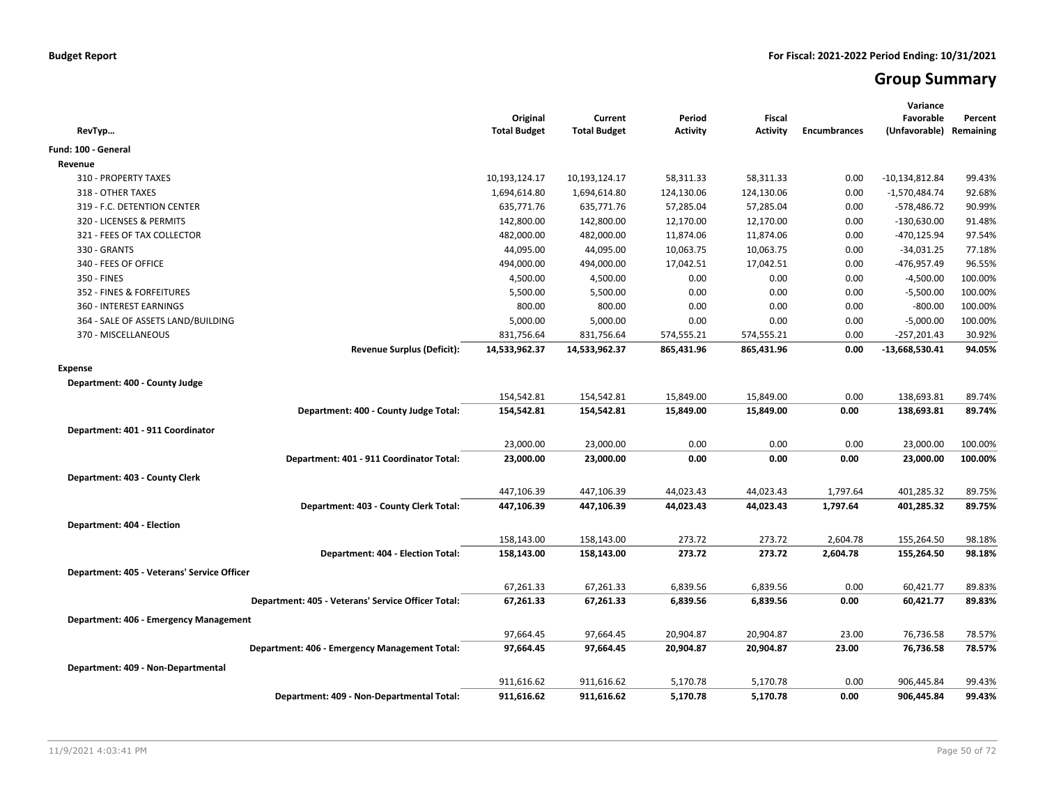# **Group Summary**

| RevTyp                                             | Original<br><b>Total Budget</b> | Current<br><b>Total Budget</b> | Period<br><b>Activity</b> | <b>Fiscal</b><br><b>Activity</b> | <b>Encumbrances</b> | Variance<br>Favorable<br>(Unfavorable) | Percent<br>Remaining |
|----------------------------------------------------|---------------------------------|--------------------------------|---------------------------|----------------------------------|---------------------|----------------------------------------|----------------------|
| Fund: 100 - General                                |                                 |                                |                           |                                  |                     |                                        |                      |
| Revenue                                            |                                 |                                |                           |                                  |                     |                                        |                      |
| 310 - PROPERTY TAXES                               | 10,193,124.17                   | 10,193,124.17                  | 58,311.33                 | 58,311.33                        | 0.00                | $-10,134,812.84$                       | 99.43%               |
| 318 - OTHER TAXES                                  | 1,694,614.80                    | 1,694,614.80                   | 124,130.06                | 124,130.06                       | 0.00                | $-1,570,484.74$                        | 92.68%               |
| 319 - F.C. DETENTION CENTER                        | 635,771.76                      | 635,771.76                     | 57,285.04                 | 57,285.04                        | 0.00                | -578,486.72                            | 90.99%               |
| 320 - LICENSES & PERMITS                           | 142,800.00                      | 142,800.00                     | 12,170.00                 | 12,170.00                        | 0.00                | $-130,630.00$                          | 91.48%               |
| 321 - FEES OF TAX COLLECTOR                        | 482,000.00                      | 482,000.00                     | 11,874.06                 | 11,874.06                        | 0.00                | -470,125.94                            | 97.54%               |
| 330 - GRANTS                                       | 44,095.00                       | 44,095.00                      | 10,063.75                 | 10,063.75                        | 0.00                | $-34,031.25$                           | 77.18%               |
| 340 - FEES OF OFFICE                               | 494,000.00                      | 494,000.00                     | 17,042.51                 | 17,042.51                        | 0.00                | -476,957.49                            | 96.55%               |
| 350 - FINES                                        | 4,500.00                        | 4,500.00                       | 0.00                      | 0.00                             | 0.00                | $-4,500.00$                            | 100.00%              |
| 352 - FINES & FORFEITURES                          | 5,500.00                        | 5,500.00                       | 0.00                      | 0.00                             | 0.00                | $-5,500.00$                            | 100.00%              |
| 360 - INTEREST EARNINGS                            | 800.00                          | 800.00                         | 0.00                      | 0.00                             | 0.00                | $-800.00$                              | 100.00%              |
| 364 - SALE OF ASSETS LAND/BUILDING                 | 5,000.00                        | 5,000.00                       | 0.00                      | 0.00                             | 0.00                | $-5,000.00$                            | 100.00%              |
| 370 - MISCELLANEOUS                                | 831,756.64                      | 831,756.64                     | 574,555.21                | 574,555.21                       | 0.00                | $-257,201.43$                          | 30.92%               |
| <b>Revenue Surplus (Deficit):</b>                  | 14,533,962.37                   | 14,533,962.37                  | 865,431.96                | 865,431.96                       | 0.00                | $-13,668,530.41$                       | 94.05%               |
| <b>Expense</b>                                     |                                 |                                |                           |                                  |                     |                                        |                      |
| Department: 400 - County Judge                     |                                 |                                |                           |                                  |                     |                                        |                      |
|                                                    | 154,542.81                      | 154,542.81                     | 15,849.00                 | 15,849.00                        | 0.00                | 138,693.81                             | 89.74%               |
| Department: 400 - County Judge Total:              | 154,542.81                      | 154,542.81                     | 15,849.00                 | 15,849.00                        | 0.00                | 138,693.81                             | 89.74%               |
| Department: 401 - 911 Coordinator                  |                                 |                                |                           |                                  |                     |                                        |                      |
|                                                    | 23,000.00                       | 23,000.00                      | 0.00                      | 0.00                             | 0.00                | 23,000.00                              | 100.00%              |
| Department: 401 - 911 Coordinator Total:           | 23,000.00                       | 23,000.00                      | 0.00                      | 0.00                             | 0.00                | 23,000.00                              | 100.00%              |
|                                                    |                                 |                                |                           |                                  |                     |                                        |                      |
| Department: 403 - County Clerk                     |                                 |                                |                           |                                  |                     |                                        |                      |
|                                                    | 447,106.39                      | 447,106.39                     | 44,023.43                 | 44,023.43                        | 1,797.64            | 401,285.32                             | 89.75%               |
| Department: 403 - County Clerk Total:              | 447,106.39                      | 447,106.39                     | 44,023.43                 | 44,023.43                        | 1,797.64            | 401,285.32                             | 89.75%               |
| Department: 404 - Election                         |                                 |                                |                           |                                  |                     |                                        |                      |
|                                                    | 158,143.00                      | 158,143.00                     | 273.72                    | 273.72                           | 2,604.78            | 155,264.50                             | 98.18%               |
| Department: 404 - Election Total:                  | 158,143.00                      | 158,143.00                     | 273.72                    | 273.72                           | 2,604.78            | 155,264.50                             | 98.18%               |
| Department: 405 - Veterans' Service Officer        |                                 |                                |                           |                                  |                     |                                        |                      |
|                                                    | 67,261.33                       | 67,261.33                      | 6,839.56                  | 6,839.56                         | 0.00                | 60,421.77                              | 89.83%               |
| Department: 405 - Veterans' Service Officer Total: | 67,261.33                       | 67,261.33                      | 6,839.56                  | 6,839.56                         | 0.00                | 60,421.77                              | 89.83%               |
|                                                    |                                 |                                |                           |                                  |                     |                                        |                      |
| Department: 406 - Emergency Management             |                                 |                                |                           |                                  |                     |                                        |                      |
|                                                    | 97,664.45                       | 97,664.45                      | 20,904.87                 | 20,904.87                        | 23.00               | 76,736.58                              | 78.57%               |
| Department: 406 - Emergency Management Total:      | 97,664.45                       | 97,664.45                      | 20,904.87                 | 20,904.87                        | 23.00               | 76,736.58                              | 78.57%               |
| Department: 409 - Non-Departmental                 |                                 |                                |                           |                                  |                     |                                        |                      |
|                                                    | 911,616.62                      | 911,616.62                     | 5,170.78                  | 5,170.78                         | 0.00                | 906,445.84                             | 99.43%               |
| Department: 409 - Non-Departmental Total:          | 911,616.62                      | 911,616.62                     | 5,170.78                  | 5,170.78                         | 0.00                | 906,445.84                             | 99.43%               |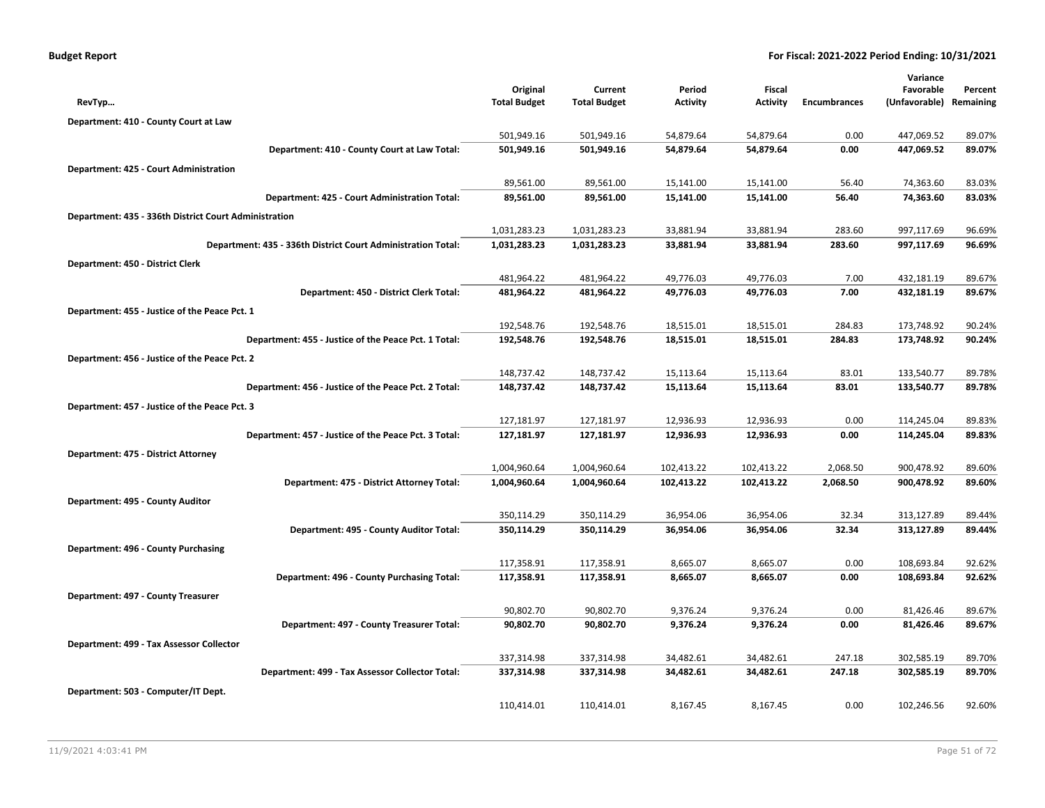| Budget Report |
|---------------|
|---------------|

|                                                              |                     |                     |                 |                 |                     | Variance      |           |
|--------------------------------------------------------------|---------------------|---------------------|-----------------|-----------------|---------------------|---------------|-----------|
|                                                              | Original            | Current             | Period          | Fiscal          |                     | Favorable     | Percent   |
| RevTyp                                                       | <b>Total Budget</b> | <b>Total Budget</b> | <b>Activity</b> | <b>Activity</b> | <b>Encumbrances</b> | (Unfavorable) | Remaining |
| Department: 410 - County Court at Law                        |                     |                     |                 |                 |                     |               |           |
|                                                              | 501,949.16          | 501,949.16          | 54,879.64       | 54,879.64       | 0.00                | 447,069.52    | 89.07%    |
| Department: 410 - County Court at Law Total:                 | 501,949.16          | 501,949.16          | 54,879.64       | 54,879.64       | 0.00                | 447,069.52    | 89.07%    |
| Department: 425 - Court Administration                       |                     |                     |                 |                 |                     |               |           |
|                                                              | 89,561.00           | 89,561.00           | 15,141.00       | 15,141.00       | 56.40               | 74,363.60     | 83.03%    |
| Department: 425 - Court Administration Total:                | 89,561.00           | 89,561.00           | 15,141.00       | 15,141.00       | 56.40               | 74,363.60     | 83.03%    |
| Department: 435 - 336th District Court Administration        |                     |                     |                 |                 |                     |               |           |
|                                                              | 1,031,283.23        | 1,031,283.23        | 33,881.94       | 33,881.94       | 283.60              | 997,117.69    | 96.69%    |
| Department: 435 - 336th District Court Administration Total: | 1,031,283.23        | 1,031,283.23        | 33,881.94       | 33,881.94       | 283.60              | 997,117.69    | 96.69%    |
| Department: 450 - District Clerk                             |                     |                     |                 |                 |                     |               |           |
|                                                              | 481,964.22          | 481,964.22          | 49,776.03       | 49,776.03       | 7.00                | 432,181.19    | 89.67%    |
| Department: 450 - District Clerk Total:                      | 481,964.22          | 481,964.22          | 49,776.03       | 49,776.03       | 7.00                | 432,181.19    | 89.67%    |
| Department: 455 - Justice of the Peace Pct. 1                |                     |                     |                 |                 |                     |               |           |
|                                                              | 192,548.76          | 192,548.76          | 18,515.01       | 18,515.01       | 284.83              | 173,748.92    | 90.24%    |
| Department: 455 - Justice of the Peace Pct. 1 Total:         | 192,548.76          | 192,548.76          | 18,515.01       | 18,515.01       | 284.83              | 173,748.92    | 90.24%    |
| Department: 456 - Justice of the Peace Pct. 2                |                     |                     |                 |                 |                     |               |           |
|                                                              | 148,737.42          | 148,737.42          | 15,113.64       | 15,113.64       | 83.01               | 133,540.77    | 89.78%    |
| Department: 456 - Justice of the Peace Pct. 2 Total:         | 148,737.42          | 148,737.42          | 15,113.64       | 15,113.64       | 83.01               | 133,540.77    | 89.78%    |
| Department: 457 - Justice of the Peace Pct. 3                |                     |                     |                 |                 |                     |               |           |
|                                                              | 127,181.97          | 127,181.97          | 12,936.93       | 12,936.93       | 0.00                | 114,245.04    | 89.83%    |
| Department: 457 - Justice of the Peace Pct. 3 Total:         | 127,181.97          | 127,181.97          | 12,936.93       | 12,936.93       | 0.00                | 114,245.04    | 89.83%    |
| Department: 475 - District Attorney                          |                     |                     |                 |                 |                     |               |           |
|                                                              | 1,004,960.64        | 1,004,960.64        | 102,413.22      | 102,413.22      | 2,068.50            | 900,478.92    | 89.60%    |
| Department: 475 - District Attorney Total:                   | 1,004,960.64        | 1,004,960.64        | 102,413.22      | 102,413.22      | 2,068.50            | 900,478.92    | 89.60%    |
| Department: 495 - County Auditor                             |                     |                     |                 |                 |                     |               |           |
|                                                              | 350,114.29          | 350,114.29          | 36,954.06       | 36,954.06       | 32.34               | 313,127.89    | 89.44%    |
| Department: 495 - County Auditor Total:                      | 350,114.29          | 350,114.29          | 36,954.06       | 36,954.06       | 32.34               | 313,127.89    | 89.44%    |
| Department: 496 - County Purchasing                          |                     |                     |                 |                 |                     |               |           |
|                                                              | 117,358.91          | 117,358.91          | 8,665.07        | 8,665.07        | 0.00                | 108,693.84    | 92.62%    |
| Department: 496 - County Purchasing Total:                   | 117,358.91          | 117,358.91          | 8,665.07        | 8,665.07        | 0.00                | 108,693.84    | 92.62%    |
| Department: 497 - County Treasurer                           |                     |                     |                 |                 |                     |               |           |
|                                                              | 90,802.70           | 90,802.70           | 9,376.24        | 9,376.24        | 0.00                | 81,426.46     | 89.67%    |
| Department: 497 - County Treasurer Total:                    | 90,802.70           | 90,802.70           | 9,376.24        | 9,376.24        | 0.00                | 81,426.46     | 89.67%    |
| Department: 499 - Tax Assessor Collector                     |                     |                     |                 |                 |                     |               |           |
|                                                              | 337,314.98          | 337,314.98          | 34,482.61       | 34,482.61       | 247.18              | 302,585.19    | 89.70%    |
| Department: 499 - Tax Assessor Collector Total:              | 337,314.98          | 337,314.98          | 34,482.61       | 34,482.61       | 247.18              | 302,585.19    | 89.70%    |
| Department: 503 - Computer/IT Dept.                          |                     |                     |                 |                 |                     |               |           |
|                                                              | 110,414.01          | 110,414.01          | 8,167.45        | 8,167.45        | 0.00                | 102,246.56    | 92.60%    |
|                                                              |                     |                     |                 |                 |                     |               |           |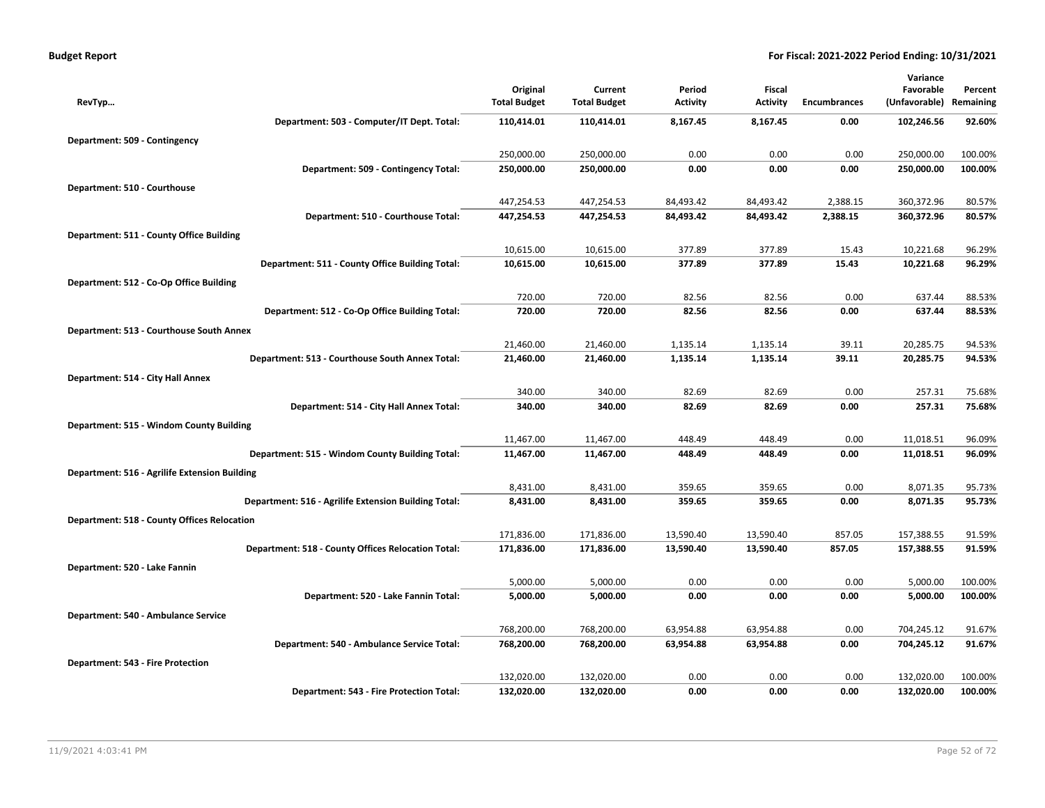| Department: 503 - Computer/IT Dept. Total:<br>110,414.01<br>110,414.01<br>8,167.45<br>8,167.45<br>102,246.56<br>92.60%<br>0.00<br>Department: 509 - Contingency<br>250,000.00<br>250,000.00<br>0.00<br>0.00<br>0.00<br>250,000.00<br>100.00%<br>250,000.00<br>0.00<br>0.00<br>0.00<br>250,000.00<br>100.00%<br>Department: 509 - Contingency Total:<br>250,000.00<br>Department: 510 - Courthouse<br>447,254.53<br>447,254.53<br>84,493.42<br>84,493.42<br>2,388.15<br>360,372.96<br>80.57%<br>447,254.53<br>84,493.42<br>360,372.96<br>80.57%<br>Department: 510 - Courthouse Total:<br>447,254.53<br>84,493.42<br>2,388.15<br>Department: 511 - County Office Building<br>377.89<br>377.89<br>10,615.00<br>10,615.00<br>15.43<br>10,221.68<br>96.29%<br>Department: 511 - County Office Building Total:<br>10,615.00<br>10,615.00<br>377.89<br>377.89<br>15.43<br>10,221.68<br>96.29%<br>Department: 512 - Co-Op Office Building<br>720.00<br>720.00<br>0.00<br>637.44<br>82.56<br>82.56<br>88.53%<br>Department: 512 - Co-Op Office Building Total:<br>720.00<br>720.00<br>82.56<br>82.56<br>0.00<br>637.44<br>88.53%<br>Department: 513 - Courthouse South Annex<br>21,460.00<br>21,460.00<br>1,135.14<br>1,135.14<br>39.11<br>20,285.75<br>94.53%<br>Department: 513 - Courthouse South Annex Total:<br>21,460.00<br>21,460.00<br>1,135.14<br>1,135.14<br>39.11<br>20,285.75<br>94.53%<br>Department: 514 - City Hall Annex<br>340.00<br>340.00<br>82.69<br>82.69<br>0.00<br>257.31<br>75.68%<br>257.31<br>Department: 514 - City Hall Annex Total:<br>340.00<br>340.00<br>82.69<br>82.69<br>0.00<br>75.68%<br>Department: 515 - Windom County Building<br>11,467.00<br>11,467.00<br>448.49<br>448.49<br>0.00<br>11,018.51<br>96.09%<br>Department: 515 - Windom County Building Total:<br>11,467.00<br>11,467.00<br>448.49<br>448.49<br>0.00<br>11,018.51<br>96.09%<br>Department: 516 - Agrilife Extension Building<br>8,431.00<br>8,431.00<br>359.65<br>359.65<br>0.00<br>8,071.35<br>95.73%<br>Department: 516 - Agrilife Extension Building Total:<br>8,431.00<br>8,431.00<br>359.65<br>359.65<br>0.00<br>8,071.35<br>95.73%<br><b>Department: 518 - County Offices Relocation</b><br>171,836.00<br>13,590.40<br>13,590.40<br>857.05<br>157,388.55<br>91.59%<br>171,836.00<br>13,590.40<br>13,590.40<br>857.05<br>157,388.55<br>91.59%<br>Department: 518 - County Offices Relocation Total:<br>171,836.00<br>171,836.00<br>Department: 520 - Lake Fannin<br>0.00<br>5,000.00<br>5,000.00<br>5,000.00<br>0.00<br>0.00<br>100.00%<br>Department: 520 - Lake Fannin Total:<br>5,000.00<br>0.00<br>0.00<br>0.00<br>5,000.00<br>100.00%<br>5,000.00<br>Department: 540 - Ambulance Service<br>768,200.00<br>768,200.00<br>63,954.88<br>63,954.88<br>0.00<br>704,245.12<br>91.67%<br>Department: 540 - Ambulance Service Total:<br>768,200.00<br>768,200.00<br>63,954.88<br>63,954.88<br>0.00<br>704,245.12<br>91.67%<br>Department: 543 - Fire Protection<br>132,020.00<br>132,020.00<br>0.00<br>0.00<br>0.00<br>132,020.00<br>100.00%<br>Department: 543 - Fire Protection Total:<br>132,020.00<br>132,020.00<br>0.00<br>0.00<br>0.00<br>132,020.00<br>100.00% | RevTyp | Original<br><b>Total Budget</b> | Current<br><b>Total Budget</b> | Period<br><b>Activity</b> | <b>Fiscal</b><br><b>Activity</b> | <b>Encumbrances</b> | Variance<br>Favorable<br>(Unfavorable) Remaining | Percent |
|-----------------------------------------------------------------------------------------------------------------------------------------------------------------------------------------------------------------------------------------------------------------------------------------------------------------------------------------------------------------------------------------------------------------------------------------------------------------------------------------------------------------------------------------------------------------------------------------------------------------------------------------------------------------------------------------------------------------------------------------------------------------------------------------------------------------------------------------------------------------------------------------------------------------------------------------------------------------------------------------------------------------------------------------------------------------------------------------------------------------------------------------------------------------------------------------------------------------------------------------------------------------------------------------------------------------------------------------------------------------------------------------------------------------------------------------------------------------------------------------------------------------------------------------------------------------------------------------------------------------------------------------------------------------------------------------------------------------------------------------------------------------------------------------------------------------------------------------------------------------------------------------------------------------------------------------------------------------------------------------------------------------------------------------------------------------------------------------------------------------------------------------------------------------------------------------------------------------------------------------------------------------------------------------------------------------------------------------------------------------------------------------------------------------------------------------------------------------------------------------------------------------------------------------------------------------------------------------------------------------------------------------------------------------------------------------------------------------------------------------------------------------------------------------------------------------------------------------------------------------------------------------------------------------------------------------------------------------------------------------------------------------------------------------------------------------------------------------------------------------------------------------------------------------------|--------|---------------------------------|--------------------------------|---------------------------|----------------------------------|---------------------|--------------------------------------------------|---------|
|                                                                                                                                                                                                                                                                                                                                                                                                                                                                                                                                                                                                                                                                                                                                                                                                                                                                                                                                                                                                                                                                                                                                                                                                                                                                                                                                                                                                                                                                                                                                                                                                                                                                                                                                                                                                                                                                                                                                                                                                                                                                                                                                                                                                                                                                                                                                                                                                                                                                                                                                                                                                                                                                                                                                                                                                                                                                                                                                                                                                                                                                                                                                                                       |        |                                 |                                |                           |                                  |                     |                                                  |         |
|                                                                                                                                                                                                                                                                                                                                                                                                                                                                                                                                                                                                                                                                                                                                                                                                                                                                                                                                                                                                                                                                                                                                                                                                                                                                                                                                                                                                                                                                                                                                                                                                                                                                                                                                                                                                                                                                                                                                                                                                                                                                                                                                                                                                                                                                                                                                                                                                                                                                                                                                                                                                                                                                                                                                                                                                                                                                                                                                                                                                                                                                                                                                                                       |        |                                 |                                |                           |                                  |                     |                                                  |         |
|                                                                                                                                                                                                                                                                                                                                                                                                                                                                                                                                                                                                                                                                                                                                                                                                                                                                                                                                                                                                                                                                                                                                                                                                                                                                                                                                                                                                                                                                                                                                                                                                                                                                                                                                                                                                                                                                                                                                                                                                                                                                                                                                                                                                                                                                                                                                                                                                                                                                                                                                                                                                                                                                                                                                                                                                                                                                                                                                                                                                                                                                                                                                                                       |        |                                 |                                |                           |                                  |                     |                                                  |         |
|                                                                                                                                                                                                                                                                                                                                                                                                                                                                                                                                                                                                                                                                                                                                                                                                                                                                                                                                                                                                                                                                                                                                                                                                                                                                                                                                                                                                                                                                                                                                                                                                                                                                                                                                                                                                                                                                                                                                                                                                                                                                                                                                                                                                                                                                                                                                                                                                                                                                                                                                                                                                                                                                                                                                                                                                                                                                                                                                                                                                                                                                                                                                                                       |        |                                 |                                |                           |                                  |                     |                                                  |         |
|                                                                                                                                                                                                                                                                                                                                                                                                                                                                                                                                                                                                                                                                                                                                                                                                                                                                                                                                                                                                                                                                                                                                                                                                                                                                                                                                                                                                                                                                                                                                                                                                                                                                                                                                                                                                                                                                                                                                                                                                                                                                                                                                                                                                                                                                                                                                                                                                                                                                                                                                                                                                                                                                                                                                                                                                                                                                                                                                                                                                                                                                                                                                                                       |        |                                 |                                |                           |                                  |                     |                                                  |         |
|                                                                                                                                                                                                                                                                                                                                                                                                                                                                                                                                                                                                                                                                                                                                                                                                                                                                                                                                                                                                                                                                                                                                                                                                                                                                                                                                                                                                                                                                                                                                                                                                                                                                                                                                                                                                                                                                                                                                                                                                                                                                                                                                                                                                                                                                                                                                                                                                                                                                                                                                                                                                                                                                                                                                                                                                                                                                                                                                                                                                                                                                                                                                                                       |        |                                 |                                |                           |                                  |                     |                                                  |         |
|                                                                                                                                                                                                                                                                                                                                                                                                                                                                                                                                                                                                                                                                                                                                                                                                                                                                                                                                                                                                                                                                                                                                                                                                                                                                                                                                                                                                                                                                                                                                                                                                                                                                                                                                                                                                                                                                                                                                                                                                                                                                                                                                                                                                                                                                                                                                                                                                                                                                                                                                                                                                                                                                                                                                                                                                                                                                                                                                                                                                                                                                                                                                                                       |        |                                 |                                |                           |                                  |                     |                                                  |         |
|                                                                                                                                                                                                                                                                                                                                                                                                                                                                                                                                                                                                                                                                                                                                                                                                                                                                                                                                                                                                                                                                                                                                                                                                                                                                                                                                                                                                                                                                                                                                                                                                                                                                                                                                                                                                                                                                                                                                                                                                                                                                                                                                                                                                                                                                                                                                                                                                                                                                                                                                                                                                                                                                                                                                                                                                                                                                                                                                                                                                                                                                                                                                                                       |        |                                 |                                |                           |                                  |                     |                                                  |         |
|                                                                                                                                                                                                                                                                                                                                                                                                                                                                                                                                                                                                                                                                                                                                                                                                                                                                                                                                                                                                                                                                                                                                                                                                                                                                                                                                                                                                                                                                                                                                                                                                                                                                                                                                                                                                                                                                                                                                                                                                                                                                                                                                                                                                                                                                                                                                                                                                                                                                                                                                                                                                                                                                                                                                                                                                                                                                                                                                                                                                                                                                                                                                                                       |        |                                 |                                |                           |                                  |                     |                                                  |         |
|                                                                                                                                                                                                                                                                                                                                                                                                                                                                                                                                                                                                                                                                                                                                                                                                                                                                                                                                                                                                                                                                                                                                                                                                                                                                                                                                                                                                                                                                                                                                                                                                                                                                                                                                                                                                                                                                                                                                                                                                                                                                                                                                                                                                                                                                                                                                                                                                                                                                                                                                                                                                                                                                                                                                                                                                                                                                                                                                                                                                                                                                                                                                                                       |        |                                 |                                |                           |                                  |                     |                                                  |         |
|                                                                                                                                                                                                                                                                                                                                                                                                                                                                                                                                                                                                                                                                                                                                                                                                                                                                                                                                                                                                                                                                                                                                                                                                                                                                                                                                                                                                                                                                                                                                                                                                                                                                                                                                                                                                                                                                                                                                                                                                                                                                                                                                                                                                                                                                                                                                                                                                                                                                                                                                                                                                                                                                                                                                                                                                                                                                                                                                                                                                                                                                                                                                                                       |        |                                 |                                |                           |                                  |                     |                                                  |         |
|                                                                                                                                                                                                                                                                                                                                                                                                                                                                                                                                                                                                                                                                                                                                                                                                                                                                                                                                                                                                                                                                                                                                                                                                                                                                                                                                                                                                                                                                                                                                                                                                                                                                                                                                                                                                                                                                                                                                                                                                                                                                                                                                                                                                                                                                                                                                                                                                                                                                                                                                                                                                                                                                                                                                                                                                                                                                                                                                                                                                                                                                                                                                                                       |        |                                 |                                |                           |                                  |                     |                                                  |         |
|                                                                                                                                                                                                                                                                                                                                                                                                                                                                                                                                                                                                                                                                                                                                                                                                                                                                                                                                                                                                                                                                                                                                                                                                                                                                                                                                                                                                                                                                                                                                                                                                                                                                                                                                                                                                                                                                                                                                                                                                                                                                                                                                                                                                                                                                                                                                                                                                                                                                                                                                                                                                                                                                                                                                                                                                                                                                                                                                                                                                                                                                                                                                                                       |        |                                 |                                |                           |                                  |                     |                                                  |         |
|                                                                                                                                                                                                                                                                                                                                                                                                                                                                                                                                                                                                                                                                                                                                                                                                                                                                                                                                                                                                                                                                                                                                                                                                                                                                                                                                                                                                                                                                                                                                                                                                                                                                                                                                                                                                                                                                                                                                                                                                                                                                                                                                                                                                                                                                                                                                                                                                                                                                                                                                                                                                                                                                                                                                                                                                                                                                                                                                                                                                                                                                                                                                                                       |        |                                 |                                |                           |                                  |                     |                                                  |         |
|                                                                                                                                                                                                                                                                                                                                                                                                                                                                                                                                                                                                                                                                                                                                                                                                                                                                                                                                                                                                                                                                                                                                                                                                                                                                                                                                                                                                                                                                                                                                                                                                                                                                                                                                                                                                                                                                                                                                                                                                                                                                                                                                                                                                                                                                                                                                                                                                                                                                                                                                                                                                                                                                                                                                                                                                                                                                                                                                                                                                                                                                                                                                                                       |        |                                 |                                |                           |                                  |                     |                                                  |         |
|                                                                                                                                                                                                                                                                                                                                                                                                                                                                                                                                                                                                                                                                                                                                                                                                                                                                                                                                                                                                                                                                                                                                                                                                                                                                                                                                                                                                                                                                                                                                                                                                                                                                                                                                                                                                                                                                                                                                                                                                                                                                                                                                                                                                                                                                                                                                                                                                                                                                                                                                                                                                                                                                                                                                                                                                                                                                                                                                                                                                                                                                                                                                                                       |        |                                 |                                |                           |                                  |                     |                                                  |         |
|                                                                                                                                                                                                                                                                                                                                                                                                                                                                                                                                                                                                                                                                                                                                                                                                                                                                                                                                                                                                                                                                                                                                                                                                                                                                                                                                                                                                                                                                                                                                                                                                                                                                                                                                                                                                                                                                                                                                                                                                                                                                                                                                                                                                                                                                                                                                                                                                                                                                                                                                                                                                                                                                                                                                                                                                                                                                                                                                                                                                                                                                                                                                                                       |        |                                 |                                |                           |                                  |                     |                                                  |         |
|                                                                                                                                                                                                                                                                                                                                                                                                                                                                                                                                                                                                                                                                                                                                                                                                                                                                                                                                                                                                                                                                                                                                                                                                                                                                                                                                                                                                                                                                                                                                                                                                                                                                                                                                                                                                                                                                                                                                                                                                                                                                                                                                                                                                                                                                                                                                                                                                                                                                                                                                                                                                                                                                                                                                                                                                                                                                                                                                                                                                                                                                                                                                                                       |        |                                 |                                |                           |                                  |                     |                                                  |         |
|                                                                                                                                                                                                                                                                                                                                                                                                                                                                                                                                                                                                                                                                                                                                                                                                                                                                                                                                                                                                                                                                                                                                                                                                                                                                                                                                                                                                                                                                                                                                                                                                                                                                                                                                                                                                                                                                                                                                                                                                                                                                                                                                                                                                                                                                                                                                                                                                                                                                                                                                                                                                                                                                                                                                                                                                                                                                                                                                                                                                                                                                                                                                                                       |        |                                 |                                |                           |                                  |                     |                                                  |         |
|                                                                                                                                                                                                                                                                                                                                                                                                                                                                                                                                                                                                                                                                                                                                                                                                                                                                                                                                                                                                                                                                                                                                                                                                                                                                                                                                                                                                                                                                                                                                                                                                                                                                                                                                                                                                                                                                                                                                                                                                                                                                                                                                                                                                                                                                                                                                                                                                                                                                                                                                                                                                                                                                                                                                                                                                                                                                                                                                                                                                                                                                                                                                                                       |        |                                 |                                |                           |                                  |                     |                                                  |         |
|                                                                                                                                                                                                                                                                                                                                                                                                                                                                                                                                                                                                                                                                                                                                                                                                                                                                                                                                                                                                                                                                                                                                                                                                                                                                                                                                                                                                                                                                                                                                                                                                                                                                                                                                                                                                                                                                                                                                                                                                                                                                                                                                                                                                                                                                                                                                                                                                                                                                                                                                                                                                                                                                                                                                                                                                                                                                                                                                                                                                                                                                                                                                                                       |        |                                 |                                |                           |                                  |                     |                                                  |         |
|                                                                                                                                                                                                                                                                                                                                                                                                                                                                                                                                                                                                                                                                                                                                                                                                                                                                                                                                                                                                                                                                                                                                                                                                                                                                                                                                                                                                                                                                                                                                                                                                                                                                                                                                                                                                                                                                                                                                                                                                                                                                                                                                                                                                                                                                                                                                                                                                                                                                                                                                                                                                                                                                                                                                                                                                                                                                                                                                                                                                                                                                                                                                                                       |        |                                 |                                |                           |                                  |                     |                                                  |         |
|                                                                                                                                                                                                                                                                                                                                                                                                                                                                                                                                                                                                                                                                                                                                                                                                                                                                                                                                                                                                                                                                                                                                                                                                                                                                                                                                                                                                                                                                                                                                                                                                                                                                                                                                                                                                                                                                                                                                                                                                                                                                                                                                                                                                                                                                                                                                                                                                                                                                                                                                                                                                                                                                                                                                                                                                                                                                                                                                                                                                                                                                                                                                                                       |        |                                 |                                |                           |                                  |                     |                                                  |         |
|                                                                                                                                                                                                                                                                                                                                                                                                                                                                                                                                                                                                                                                                                                                                                                                                                                                                                                                                                                                                                                                                                                                                                                                                                                                                                                                                                                                                                                                                                                                                                                                                                                                                                                                                                                                                                                                                                                                                                                                                                                                                                                                                                                                                                                                                                                                                                                                                                                                                                                                                                                                                                                                                                                                                                                                                                                                                                                                                                                                                                                                                                                                                                                       |        |                                 |                                |                           |                                  |                     |                                                  |         |
|                                                                                                                                                                                                                                                                                                                                                                                                                                                                                                                                                                                                                                                                                                                                                                                                                                                                                                                                                                                                                                                                                                                                                                                                                                                                                                                                                                                                                                                                                                                                                                                                                                                                                                                                                                                                                                                                                                                                                                                                                                                                                                                                                                                                                                                                                                                                                                                                                                                                                                                                                                                                                                                                                                                                                                                                                                                                                                                                                                                                                                                                                                                                                                       |        |                                 |                                |                           |                                  |                     |                                                  |         |
|                                                                                                                                                                                                                                                                                                                                                                                                                                                                                                                                                                                                                                                                                                                                                                                                                                                                                                                                                                                                                                                                                                                                                                                                                                                                                                                                                                                                                                                                                                                                                                                                                                                                                                                                                                                                                                                                                                                                                                                                                                                                                                                                                                                                                                                                                                                                                                                                                                                                                                                                                                                                                                                                                                                                                                                                                                                                                                                                                                                                                                                                                                                                                                       |        |                                 |                                |                           |                                  |                     |                                                  |         |
|                                                                                                                                                                                                                                                                                                                                                                                                                                                                                                                                                                                                                                                                                                                                                                                                                                                                                                                                                                                                                                                                                                                                                                                                                                                                                                                                                                                                                                                                                                                                                                                                                                                                                                                                                                                                                                                                                                                                                                                                                                                                                                                                                                                                                                                                                                                                                                                                                                                                                                                                                                                                                                                                                                                                                                                                                                                                                                                                                                                                                                                                                                                                                                       |        |                                 |                                |                           |                                  |                     |                                                  |         |
|                                                                                                                                                                                                                                                                                                                                                                                                                                                                                                                                                                                                                                                                                                                                                                                                                                                                                                                                                                                                                                                                                                                                                                                                                                                                                                                                                                                                                                                                                                                                                                                                                                                                                                                                                                                                                                                                                                                                                                                                                                                                                                                                                                                                                                                                                                                                                                                                                                                                                                                                                                                                                                                                                                                                                                                                                                                                                                                                                                                                                                                                                                                                                                       |        |                                 |                                |                           |                                  |                     |                                                  |         |
|                                                                                                                                                                                                                                                                                                                                                                                                                                                                                                                                                                                                                                                                                                                                                                                                                                                                                                                                                                                                                                                                                                                                                                                                                                                                                                                                                                                                                                                                                                                                                                                                                                                                                                                                                                                                                                                                                                                                                                                                                                                                                                                                                                                                                                                                                                                                                                                                                                                                                                                                                                                                                                                                                                                                                                                                                                                                                                                                                                                                                                                                                                                                                                       |        |                                 |                                |                           |                                  |                     |                                                  |         |
|                                                                                                                                                                                                                                                                                                                                                                                                                                                                                                                                                                                                                                                                                                                                                                                                                                                                                                                                                                                                                                                                                                                                                                                                                                                                                                                                                                                                                                                                                                                                                                                                                                                                                                                                                                                                                                                                                                                                                                                                                                                                                                                                                                                                                                                                                                                                                                                                                                                                                                                                                                                                                                                                                                                                                                                                                                                                                                                                                                                                                                                                                                                                                                       |        |                                 |                                |                           |                                  |                     |                                                  |         |
|                                                                                                                                                                                                                                                                                                                                                                                                                                                                                                                                                                                                                                                                                                                                                                                                                                                                                                                                                                                                                                                                                                                                                                                                                                                                                                                                                                                                                                                                                                                                                                                                                                                                                                                                                                                                                                                                                                                                                                                                                                                                                                                                                                                                                                                                                                                                                                                                                                                                                                                                                                                                                                                                                                                                                                                                                                                                                                                                                                                                                                                                                                                                                                       |        |                                 |                                |                           |                                  |                     |                                                  |         |
|                                                                                                                                                                                                                                                                                                                                                                                                                                                                                                                                                                                                                                                                                                                                                                                                                                                                                                                                                                                                                                                                                                                                                                                                                                                                                                                                                                                                                                                                                                                                                                                                                                                                                                                                                                                                                                                                                                                                                                                                                                                                                                                                                                                                                                                                                                                                                                                                                                                                                                                                                                                                                                                                                                                                                                                                                                                                                                                                                                                                                                                                                                                                                                       |        |                                 |                                |                           |                                  |                     |                                                  |         |
|                                                                                                                                                                                                                                                                                                                                                                                                                                                                                                                                                                                                                                                                                                                                                                                                                                                                                                                                                                                                                                                                                                                                                                                                                                                                                                                                                                                                                                                                                                                                                                                                                                                                                                                                                                                                                                                                                                                                                                                                                                                                                                                                                                                                                                                                                                                                                                                                                                                                                                                                                                                                                                                                                                                                                                                                                                                                                                                                                                                                                                                                                                                                                                       |        |                                 |                                |                           |                                  |                     |                                                  |         |
|                                                                                                                                                                                                                                                                                                                                                                                                                                                                                                                                                                                                                                                                                                                                                                                                                                                                                                                                                                                                                                                                                                                                                                                                                                                                                                                                                                                                                                                                                                                                                                                                                                                                                                                                                                                                                                                                                                                                                                                                                                                                                                                                                                                                                                                                                                                                                                                                                                                                                                                                                                                                                                                                                                                                                                                                                                                                                                                                                                                                                                                                                                                                                                       |        |                                 |                                |                           |                                  |                     |                                                  |         |
|                                                                                                                                                                                                                                                                                                                                                                                                                                                                                                                                                                                                                                                                                                                                                                                                                                                                                                                                                                                                                                                                                                                                                                                                                                                                                                                                                                                                                                                                                                                                                                                                                                                                                                                                                                                                                                                                                                                                                                                                                                                                                                                                                                                                                                                                                                                                                                                                                                                                                                                                                                                                                                                                                                                                                                                                                                                                                                                                                                                                                                                                                                                                                                       |        |                                 |                                |                           |                                  |                     |                                                  |         |
|                                                                                                                                                                                                                                                                                                                                                                                                                                                                                                                                                                                                                                                                                                                                                                                                                                                                                                                                                                                                                                                                                                                                                                                                                                                                                                                                                                                                                                                                                                                                                                                                                                                                                                                                                                                                                                                                                                                                                                                                                                                                                                                                                                                                                                                                                                                                                                                                                                                                                                                                                                                                                                                                                                                                                                                                                                                                                                                                                                                                                                                                                                                                                                       |        |                                 |                                |                           |                                  |                     |                                                  |         |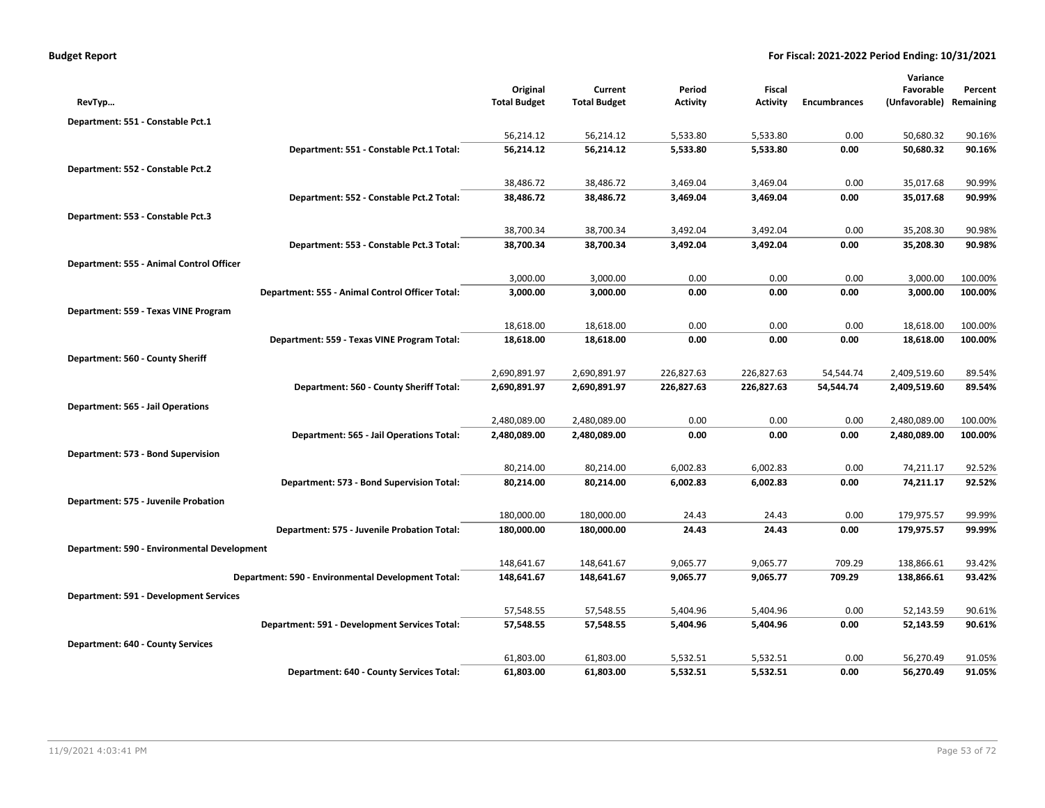| <b>Budget Report</b> |  |  |  |  |
|----------------------|--|--|--|--|
|----------------------|--|--|--|--|

|                                             |                                                    |                     |                     |                 |                 |                     | Variance      |                  |
|---------------------------------------------|----------------------------------------------------|---------------------|---------------------|-----------------|-----------------|---------------------|---------------|------------------|
|                                             |                                                    | Original            | Current             | Period          | Fiscal          |                     | Favorable     | Percent          |
| RevTyp                                      |                                                    | <b>Total Budget</b> | <b>Total Budget</b> | <b>Activity</b> | <b>Activity</b> | <b>Encumbrances</b> | (Unfavorable) | Remaining        |
| Department: 551 - Constable Pct.1           |                                                    |                     |                     |                 |                 |                     |               |                  |
|                                             |                                                    | 56,214.12           | 56,214.12           | 5,533.80        | 5,533.80        | 0.00                | 50,680.32     | 90.16%           |
|                                             | Department: 551 - Constable Pct.1 Total:           | 56,214.12           | 56,214.12           | 5,533.80        | 5,533.80        | 0.00                | 50,680.32     | 90.16%           |
| Department: 552 - Constable Pct.2           |                                                    |                     |                     |                 |                 |                     |               |                  |
|                                             |                                                    | 38,486.72           | 38,486.72           | 3,469.04        | 3,469.04        | 0.00                | 35,017.68     | 90.99%           |
|                                             | Department: 552 - Constable Pct.2 Total:           | 38,486.72           | 38,486.72           | 3,469.04        | 3,469.04        | 0.00                | 35,017.68     | 90.99%           |
| Department: 553 - Constable Pct.3           |                                                    |                     |                     |                 |                 |                     |               |                  |
|                                             |                                                    | 38,700.34           | 38,700.34           | 3,492.04        | 3,492.04        | 0.00                | 35,208.30     | 90.98%           |
|                                             | Department: 553 - Constable Pct.3 Total:           | 38,700.34           | 38,700.34           | 3,492.04        | 3,492.04        | 0.00                | 35,208.30     | 90.98%           |
| Department: 555 - Animal Control Officer    |                                                    |                     |                     |                 |                 |                     |               |                  |
|                                             |                                                    | 3,000.00            | 3,000.00            | 0.00            | 0.00            | 0.00                | 3,000.00      | 100.00%          |
|                                             | Department: 555 - Animal Control Officer Total:    | 3,000.00            | 3,000.00            | 0.00            | 0.00            | 0.00                | 3,000.00      | 100.00%          |
| Department: 559 - Texas VINE Program        |                                                    |                     |                     |                 |                 |                     |               |                  |
|                                             |                                                    | 18,618.00           | 18,618.00           | 0.00            | 0.00            | 0.00                | 18,618.00     | 100.00%          |
|                                             | Department: 559 - Texas VINE Program Total:        | 18,618.00           | 18,618.00           | 0.00            | 0.00            | 0.00                | 18,618.00     | 100.00%          |
| Department: 560 - County Sheriff            |                                                    |                     |                     |                 |                 |                     |               |                  |
|                                             |                                                    | 2,690,891.97        | 2,690,891.97        | 226,827.63      | 226,827.63      | 54,544.74           | 2,409,519.60  | 89.54%           |
|                                             | Department: 560 - County Sheriff Total:            | 2,690,891.97        | 2,690,891.97        | 226,827.63      | 226,827.63      | 54,544.74           | 2,409,519.60  | 89.54%           |
|                                             |                                                    |                     |                     |                 |                 |                     |               |                  |
| Department: 565 - Jail Operations           |                                                    | 2,480,089.00        | 2,480,089.00        | 0.00            | 0.00            | 0.00                | 2,480,089.00  | 100.00%          |
|                                             | Department: 565 - Jail Operations Total:           | 2,480,089.00        | 2,480,089.00        | 0.00            | 0.00            | 0.00                | 2,480,089.00  | 100.00%          |
|                                             |                                                    |                     |                     |                 |                 |                     |               |                  |
| Department: 573 - Bond Supervision          |                                                    |                     |                     |                 |                 |                     |               |                  |
|                                             |                                                    | 80,214.00           | 80,214.00           | 6,002.83        | 6,002.83        | 0.00                | 74,211.17     | 92.52%<br>92.52% |
|                                             | Department: 573 - Bond Supervision Total:          | 80,214.00           | 80,214.00           | 6,002.83        | 6,002.83        | 0.00                | 74,211.17     |                  |
| Department: 575 - Juvenile Probation        |                                                    |                     |                     |                 |                 |                     |               |                  |
|                                             |                                                    | 180,000.00          | 180,000.00          | 24.43           | 24.43           | 0.00                | 179,975.57    | 99.99%           |
|                                             | Department: 575 - Juvenile Probation Total:        | 180,000.00          | 180,000.00          | 24.43           | 24.43           | 0.00                | 179,975.57    | 99.99%           |
| Department: 590 - Environmental Development |                                                    |                     |                     |                 |                 |                     |               |                  |
|                                             |                                                    | 148,641.67          | 148,641.67          | 9,065.77        | 9,065.77        | 709.29              | 138,866.61    | 93.42%           |
|                                             | Department: 590 - Environmental Development Total: | 148,641.67          | 148,641.67          | 9,065.77        | 9,065.77        | 709.29              | 138,866.61    | 93.42%           |
| Department: 591 - Development Services      |                                                    |                     |                     |                 |                 |                     |               |                  |
|                                             |                                                    | 57,548.55           | 57,548.55           | 5,404.96        | 5,404.96        | 0.00                | 52,143.59     | 90.61%           |
|                                             | Department: 591 - Development Services Total:      | 57,548.55           | 57,548.55           | 5,404.96        | 5,404.96        | 0.00                | 52,143.59     | 90.61%           |
| Department: 640 - County Services           |                                                    |                     |                     |                 |                 |                     |               |                  |
|                                             |                                                    | 61,803.00           | 61,803.00           | 5,532.51        | 5,532.51        | 0.00                | 56,270.49     | 91.05%           |
|                                             | Department: 640 - County Services Total:           | 61,803.00           | 61,803.00           | 5,532.51        | 5,532.51        | 0.00                | 56,270.49     | 91.05%           |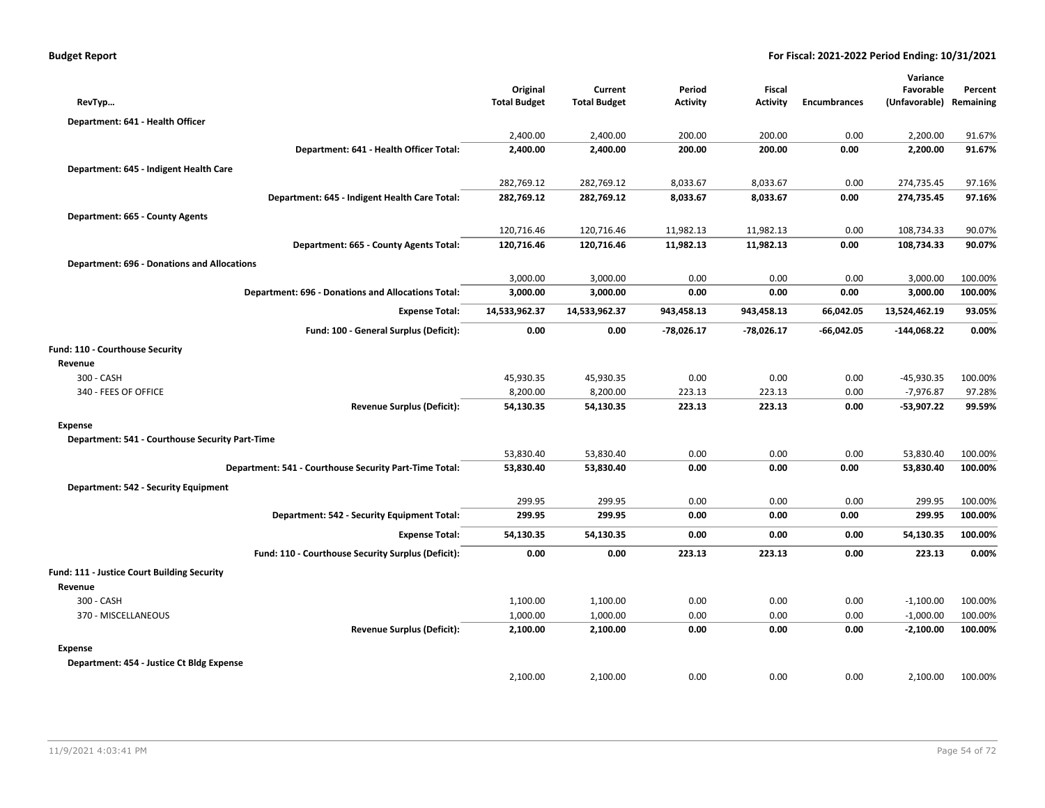| RevTyp                                                    |                                                    | Original<br><b>Total Budget</b> | Current<br><b>Total Budget</b> | Period<br><b>Activity</b> | Fiscal<br><b>Activity</b> | <b>Encumbrances</b> | Variance<br>Favorable<br>(Unfavorable) | Percent<br>Remaining |
|-----------------------------------------------------------|----------------------------------------------------|---------------------------------|--------------------------------|---------------------------|---------------------------|---------------------|----------------------------------------|----------------------|
| Department: 641 - Health Officer                          |                                                    |                                 |                                |                           |                           |                     |                                        |                      |
|                                                           |                                                    | 2,400.00                        | 2,400.00                       | 200.00                    | 200.00                    | 0.00                | 2,200.00                               | 91.67%               |
|                                                           | Department: 641 - Health Officer Total:            | 2,400.00                        | 2,400.00                       | 200.00                    | 200.00                    | 0.00                | 2,200.00                               | 91.67%               |
| Department: 645 - Indigent Health Care                    |                                                    |                                 |                                |                           |                           |                     |                                        |                      |
|                                                           |                                                    | 282,769.12                      | 282,769.12                     | 8,033.67                  | 8,033.67                  | 0.00                | 274,735.45                             | 97.16%               |
|                                                           | Department: 645 - Indigent Health Care Total:      | 282,769.12                      | 282,769.12                     | 8,033.67                  | 8,033.67                  | 0.00                | 274,735.45                             | 97.16%               |
| Department: 665 - County Agents                           |                                                    |                                 |                                |                           |                           |                     |                                        |                      |
|                                                           |                                                    | 120,716.46                      | 120,716.46                     | 11,982.13                 | 11,982.13                 | 0.00                | 108,734.33                             | 90.07%               |
|                                                           | Department: 665 - County Agents Total:             | 120,716.46                      | 120,716.46                     | 11,982.13                 | 11,982.13                 | 0.00                | 108,734.33                             | 90.07%               |
| <b>Department: 696 - Donations and Allocations</b>        |                                                    |                                 |                                |                           |                           |                     |                                        |                      |
|                                                           |                                                    | 3,000.00                        | 3,000.00                       | 0.00                      | 0.00                      | 0.00                | 3,000.00                               | 100.00%              |
| <b>Department: 696 - Donations and Allocations Total:</b> |                                                    | 3,000.00                        | 3,000.00                       | 0.00                      | 0.00                      | 0.00                | 3,000.00                               | 100.00%              |
|                                                           | <b>Expense Total:</b>                              | 14,533,962.37                   | 14,533,962.37                  | 943,458.13                | 943,458.13                | 66,042.05           | 13,524,462.19                          | 93.05%               |
|                                                           | Fund: 100 - General Surplus (Deficit):             | 0.00                            | 0.00                           | $-78,026.17$              | $-78,026.17$              | $-66,042.05$        | $-144,068.22$                          | 0.00%                |
| Fund: 110 - Courthouse Security                           |                                                    |                                 |                                |                           |                           |                     |                                        |                      |
| Revenue                                                   |                                                    |                                 |                                |                           |                           |                     |                                        |                      |
| 300 - CASH                                                |                                                    | 45,930.35                       | 45,930.35                      | 0.00                      | 0.00                      | 0.00                | $-45,930.35$                           | 100.00%              |
| 340 - FEES OF OFFICE                                      |                                                    | 8,200.00                        | 8,200.00                       | 223.13                    | 223.13                    | 0.00                | $-7,976.87$                            | 97.28%               |
|                                                           | <b>Revenue Surplus (Deficit):</b>                  | 54,130.35                       | 54,130.35                      | 223.13                    | 223.13                    | 0.00                | -53,907.22                             | 99.59%               |
| <b>Expense</b>                                            |                                                    |                                 |                                |                           |                           |                     |                                        |                      |
| Department: 541 - Courthouse Security Part-Time           |                                                    |                                 |                                |                           |                           |                     |                                        |                      |
|                                                           |                                                    | 53,830.40                       | 53,830.40                      | 0.00                      | 0.00                      | 0.00                | 53,830.40                              | 100.00%              |
| Department: 541 - Courthouse Security Part-Time Total:    |                                                    | 53,830.40                       | 53,830.40                      | 0.00                      | 0.00                      | 0.00                | 53,830.40                              | 100.00%              |
| Department: 542 - Security Equipment                      |                                                    |                                 |                                |                           |                           |                     |                                        |                      |
|                                                           |                                                    | 299.95                          | 299.95                         | 0.00                      | 0.00                      | 0.00                | 299.95                                 | 100.00%              |
|                                                           | Department: 542 - Security Equipment Total:        | 299.95                          | 299.95                         | 0.00                      | 0.00                      | 0.00                | 299.95                                 | 100.00%              |
|                                                           | <b>Expense Total:</b>                              | 54,130.35                       | 54,130.35                      | 0.00                      | 0.00                      | 0.00                | 54,130.35                              | 100.00%              |
|                                                           | Fund: 110 - Courthouse Security Surplus (Deficit): | 0.00                            | 0.00                           | 223.13                    | 223.13                    | 0.00                | 223.13                                 | 0.00%                |
| Fund: 111 - Justice Court Building Security               |                                                    |                                 |                                |                           |                           |                     |                                        |                      |
| Revenue                                                   |                                                    |                                 |                                |                           |                           |                     |                                        |                      |
| 300 - CASH                                                |                                                    | 1,100.00                        | 1,100.00                       | 0.00                      | 0.00                      | 0.00                | $-1,100.00$                            | 100.00%              |
| 370 - MISCELLANEOUS                                       |                                                    | 1,000.00                        | 1,000.00                       | 0.00                      | 0.00                      | 0.00                | $-1,000.00$                            | 100.00%              |
|                                                           | <b>Revenue Surplus (Deficit):</b>                  | 2,100.00                        | 2,100.00                       | 0.00                      | 0.00                      | 0.00                | $-2,100.00$                            | 100.00%              |
| <b>Expense</b>                                            |                                                    |                                 |                                |                           |                           |                     |                                        |                      |
| Department: 454 - Justice Ct Bldg Expense                 |                                                    |                                 |                                |                           |                           |                     |                                        |                      |
|                                                           |                                                    | 2,100.00                        | 2,100.00                       | 0.00                      | 0.00                      | 0.00                | 2,100.00                               | 100.00%              |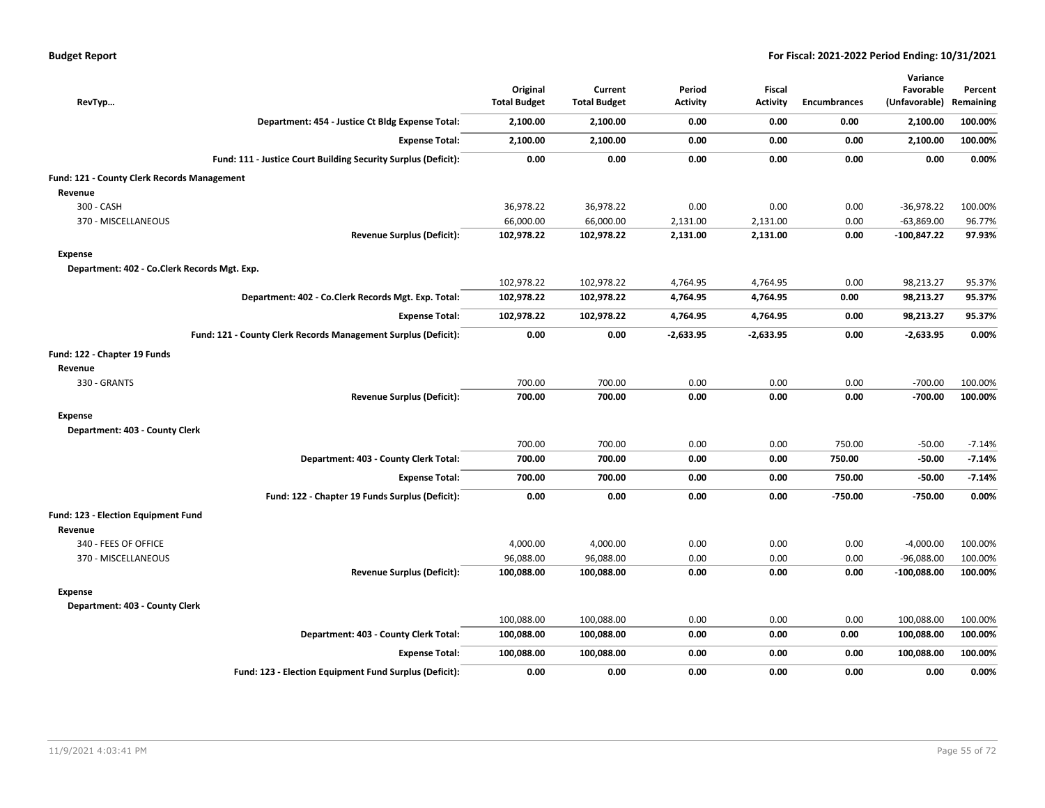| RevTyp                                       |                                                                | Original<br><b>Total Budget</b> | Current<br><b>Total Budget</b> | Period<br><b>Activity</b> | Fiscal<br><b>Activity</b> | <b>Encumbrances</b> | Variance<br>Favorable<br>(Unfavorable) | Percent<br>Remaining |
|----------------------------------------------|----------------------------------------------------------------|---------------------------------|--------------------------------|---------------------------|---------------------------|---------------------|----------------------------------------|----------------------|
|                                              | Department: 454 - Justice Ct Bldg Expense Total:               | 2,100.00                        | 2,100.00                       | 0.00                      | 0.00                      | 0.00                | 2,100.00                               | 100.00%              |
|                                              | <b>Expense Total:</b>                                          | 2,100.00                        | 2,100.00                       | 0.00                      | 0.00                      | 0.00                | 2,100.00                               | 100.00%              |
|                                              | Fund: 111 - Justice Court Building Security Surplus (Deficit): | 0.00                            | 0.00                           | 0.00                      | 0.00                      | 0.00                | 0.00                                   | 0.00%                |
| Fund: 121 - County Clerk Records Management  |                                                                |                                 |                                |                           |                           |                     |                                        |                      |
| Revenue                                      |                                                                |                                 |                                |                           |                           |                     |                                        |                      |
| 300 - CASH                                   |                                                                | 36,978.22                       | 36,978.22                      | 0.00                      | 0.00                      | 0.00                | $-36,978.22$                           | 100.00%              |
| 370 - MISCELLANEOUS                          |                                                                | 66,000.00                       | 66,000.00                      | 2,131.00                  | 2,131.00                  | 0.00                | $-63,869.00$                           | 96.77%               |
|                                              | <b>Revenue Surplus (Deficit):</b>                              | 102,978.22                      | 102,978.22                     | 2,131.00                  | 2,131.00                  | 0.00                | -100,847.22                            | 97.93%               |
| Expense                                      |                                                                |                                 |                                |                           |                           |                     |                                        |                      |
| Department: 402 - Co.Clerk Records Mgt. Exp. |                                                                |                                 |                                |                           |                           |                     |                                        |                      |
|                                              |                                                                | 102,978.22                      | 102,978.22                     | 4,764.95                  | 4,764.95                  | 0.00                | 98,213.27                              | 95.37%               |
|                                              | Department: 402 - Co.Clerk Records Mgt. Exp. Total:            | 102,978.22                      | 102,978.22                     | 4,764.95                  | 4,764.95                  | 0.00                | 98,213.27                              | 95.37%               |
|                                              | <b>Expense Total:</b>                                          | 102,978.22                      | 102,978.22                     | 4,764.95                  | 4,764.95                  | 0.00                | 98,213.27                              | 95.37%               |
|                                              | Fund: 121 - County Clerk Records Management Surplus (Deficit): | 0.00                            | 0.00                           | $-2,633.95$               | $-2,633.95$               | 0.00                | $-2,633.95$                            | 0.00%                |
| Fund: 122 - Chapter 19 Funds                 |                                                                |                                 |                                |                           |                           |                     |                                        |                      |
| Revenue                                      |                                                                |                                 |                                |                           |                           |                     |                                        |                      |
| 330 - GRANTS                                 |                                                                | 700.00                          | 700.00                         | 0.00                      | 0.00                      | 0.00                | $-700.00$                              | 100.00%              |
|                                              | <b>Revenue Surplus (Deficit):</b>                              | 700.00                          | 700.00                         | 0.00                      | 0.00                      | 0.00                | $-700.00$                              | 100.00%              |
| Expense                                      |                                                                |                                 |                                |                           |                           |                     |                                        |                      |
| Department: 403 - County Clerk               |                                                                |                                 |                                |                           |                           |                     |                                        |                      |
|                                              |                                                                | 700.00                          | 700.00                         | 0.00                      | 0.00                      | 750.00              | $-50.00$                               | $-7.14%$             |
|                                              | Department: 403 - County Clerk Total:                          | 700.00                          | 700.00                         | 0.00                      | 0.00                      | 750.00              | $-50.00$                               | $-7.14%$             |
|                                              | <b>Expense Total:</b>                                          | 700.00                          | 700.00                         | 0.00                      | 0.00                      | 750.00              | $-50.00$                               | $-7.14%$             |
|                                              | Fund: 122 - Chapter 19 Funds Surplus (Deficit):                | 0.00                            | 0.00                           | 0.00                      | 0.00                      | -750.00             | $-750.00$                              | 0.00%                |
| Fund: 123 - Election Equipment Fund          |                                                                |                                 |                                |                           |                           |                     |                                        |                      |
| Revenue                                      |                                                                |                                 |                                |                           |                           |                     |                                        |                      |
| 340 - FEES OF OFFICE                         |                                                                | 4,000.00                        | 4,000.00                       | 0.00                      | 0.00                      | 0.00                | $-4,000.00$                            | 100.00%              |
| 370 - MISCELLANEOUS                          |                                                                | 96,088.00                       | 96,088.00                      | 0.00                      | 0.00                      | 0.00                | $-96,088.00$                           | 100.00%              |
|                                              | <b>Revenue Surplus (Deficit):</b>                              | 100,088.00                      | 100,088.00                     | 0.00                      | 0.00                      | 0.00                | $-100,088.00$                          | 100.00%              |
| Expense                                      |                                                                |                                 |                                |                           |                           |                     |                                        |                      |
| Department: 403 - County Clerk               |                                                                |                                 |                                |                           |                           |                     |                                        |                      |
|                                              |                                                                | 100,088.00                      | 100,088.00                     | 0.00                      | 0.00                      | 0.00                | 100,088.00                             | 100.00%              |
|                                              | Department: 403 - County Clerk Total:                          | 100,088.00                      | 100,088.00                     | 0.00                      | 0.00                      | 0.00                | 100,088.00                             | 100.00%              |
|                                              | <b>Expense Total:</b>                                          | 100,088.00                      | 100,088.00                     | 0.00                      | 0.00                      | 0.00                | 100,088.00                             | 100.00%              |
|                                              | Fund: 123 - Election Equipment Fund Surplus (Deficit):         | 0.00                            | 0.00                           | 0.00                      | 0.00                      | 0.00                | 0.00                                   | 0.00%                |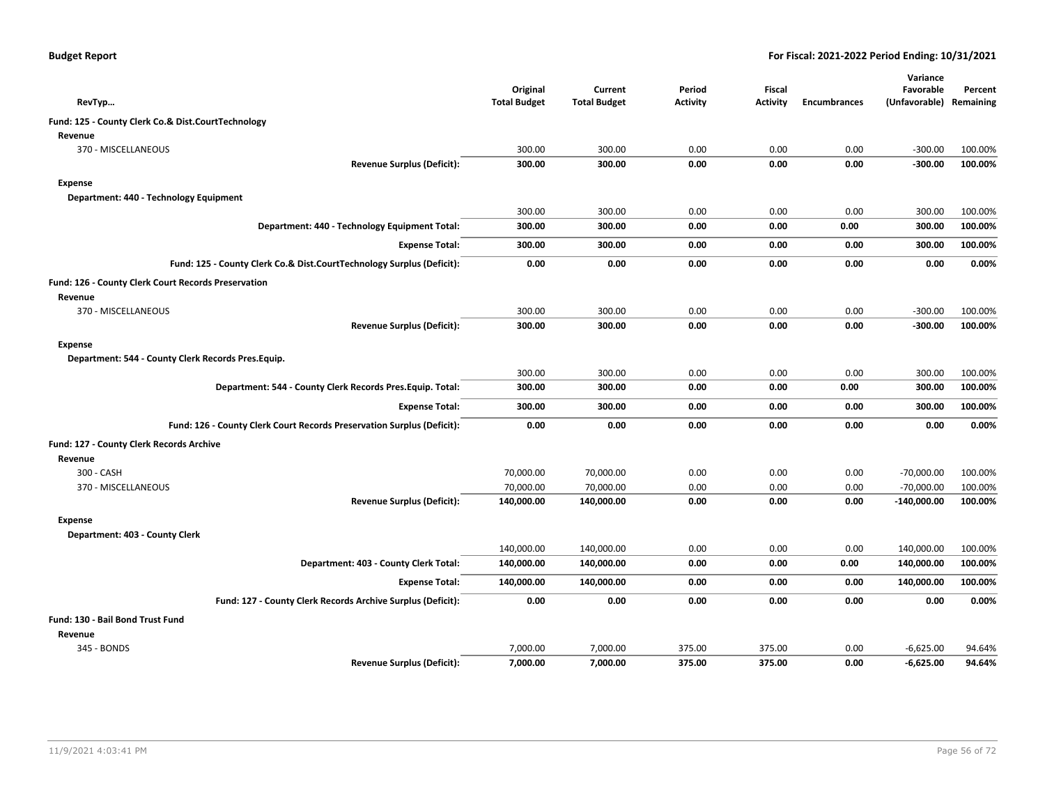|  |  |  | <b>Budget Report</b> |
|--|--|--|----------------------|
|--|--|--|----------------------|

|                                                     |                                                                        |                     |                     |                 |                 |                     | Variance      |           |
|-----------------------------------------------------|------------------------------------------------------------------------|---------------------|---------------------|-----------------|-----------------|---------------------|---------------|-----------|
|                                                     |                                                                        | Original            | Current             | Period          | Fiscal          |                     | Favorable     | Percent   |
| RevTyp                                              |                                                                        | <b>Total Budget</b> | <b>Total Budget</b> | <b>Activity</b> | <b>Activity</b> | <b>Encumbrances</b> | (Unfavorable) | Remaining |
| Fund: 125 - County Clerk Co.& Dist.CourtTechnology  |                                                                        |                     |                     |                 |                 |                     |               |           |
| Revenue                                             |                                                                        |                     |                     |                 |                 |                     |               |           |
| 370 - MISCELLANEOUS                                 |                                                                        | 300.00              | 300.00              | 0.00            | 0.00            | 0.00                | $-300.00$     | 100.00%   |
|                                                     | <b>Revenue Surplus (Deficit):</b>                                      | 300.00              | 300.00              | 0.00            | 0.00            | 0.00                | $-300.00$     | 100.00%   |
| <b>Expense</b>                                      |                                                                        |                     |                     |                 |                 |                     |               |           |
| Department: 440 - Technology Equipment              |                                                                        |                     |                     |                 |                 |                     |               |           |
|                                                     |                                                                        | 300.00              | 300.00              | 0.00            | 0.00            | 0.00                | 300.00        | 100.00%   |
|                                                     | Department: 440 - Technology Equipment Total:                          | 300.00              | 300.00              | 0.00            | 0.00            | 0.00                | 300.00        | 100.00%   |
|                                                     | <b>Expense Total:</b>                                                  | 300.00              | 300.00              | 0.00            | 0.00            | 0.00                | 300.00        | 100.00%   |
|                                                     | Fund: 125 - County Clerk Co.& Dist.CourtTechnology Surplus (Deficit):  | 0.00                | 0.00                | 0.00            | 0.00            | 0.00                | 0.00          | 0.00%     |
| Fund: 126 - County Clerk Court Records Preservation |                                                                        |                     |                     |                 |                 |                     |               |           |
| Revenue                                             |                                                                        |                     |                     |                 |                 |                     |               |           |
| 370 - MISCELLANEOUS                                 |                                                                        | 300.00              | 300.00              | 0.00            | 0.00            | 0.00                | $-300.00$     | 100.00%   |
|                                                     | <b>Revenue Surplus (Deficit):</b>                                      | 300.00              | 300.00              | 0.00            | 0.00            | 0.00                | $-300.00$     | 100.00%   |
| <b>Expense</b>                                      |                                                                        |                     |                     |                 |                 |                     |               |           |
| Department: 544 - County Clerk Records Pres. Equip. |                                                                        |                     |                     |                 |                 |                     |               |           |
|                                                     |                                                                        | 300.00              | 300.00              | 0.00            | 0.00            | 0.00                | 300.00        | 100.00%   |
|                                                     | Department: 544 - County Clerk Records Pres. Equip. Total:             | 300.00              | 300.00              | 0.00            | 0.00            | 0.00                | 300.00        | 100.00%   |
|                                                     | <b>Expense Total:</b>                                                  | 300.00              | 300.00              | 0.00            | 0.00            | 0.00                | 300.00        | 100.00%   |
|                                                     | Fund: 126 - County Clerk Court Records Preservation Surplus (Deficit): | 0.00                | 0.00                | 0.00            | 0.00            | 0.00                | 0.00          | 0.00%     |
| Fund: 127 - County Clerk Records Archive            |                                                                        |                     |                     |                 |                 |                     |               |           |
| Revenue                                             |                                                                        |                     |                     |                 |                 |                     |               |           |
| 300 - CASH                                          |                                                                        | 70,000.00           | 70,000.00           | 0.00            | 0.00            | 0.00                | $-70,000.00$  | 100.00%   |
| 370 - MISCELLANEOUS                                 |                                                                        | 70,000.00           | 70,000.00           | 0.00            | 0.00            | 0.00                | $-70,000.00$  | 100.00%   |
|                                                     | <b>Revenue Surplus (Deficit):</b>                                      | 140,000.00          | 140,000.00          | 0.00            | 0.00            | 0.00                | $-140,000.00$ | 100.00%   |
| <b>Expense</b>                                      |                                                                        |                     |                     |                 |                 |                     |               |           |
| Department: 403 - County Clerk                      |                                                                        |                     |                     |                 |                 |                     |               |           |
|                                                     |                                                                        | 140,000.00          | 140,000.00          | 0.00            | 0.00            | 0.00                | 140,000.00    | 100.00%   |
|                                                     | Department: 403 - County Clerk Total:                                  | 140,000.00          | 140,000.00          | 0.00            | 0.00            | 0.00                | 140,000.00    | 100.00%   |
|                                                     | <b>Expense Total:</b>                                                  | 140,000.00          | 140,000.00          | 0.00            | 0.00            | 0.00                | 140,000.00    | 100.00%   |
|                                                     | Fund: 127 - County Clerk Records Archive Surplus (Deficit):            | 0.00                | 0.00                | 0.00            | 0.00            | 0.00                | 0.00          | 0.00%     |
| Fund: 130 - Bail Bond Trust Fund                    |                                                                        |                     |                     |                 |                 |                     |               |           |
| Revenue                                             |                                                                        |                     |                     |                 |                 |                     |               |           |
| 345 - BONDS                                         |                                                                        | 7,000.00            | 7,000.00            | 375.00          | 375.00          | 0.00                | $-6,625.00$   | 94.64%    |
|                                                     | <b>Revenue Surplus (Deficit):</b>                                      | 7,000.00            | 7.000.00            | 375.00          | 375.00          | 0.00                | $-6,625.00$   | 94.64%    |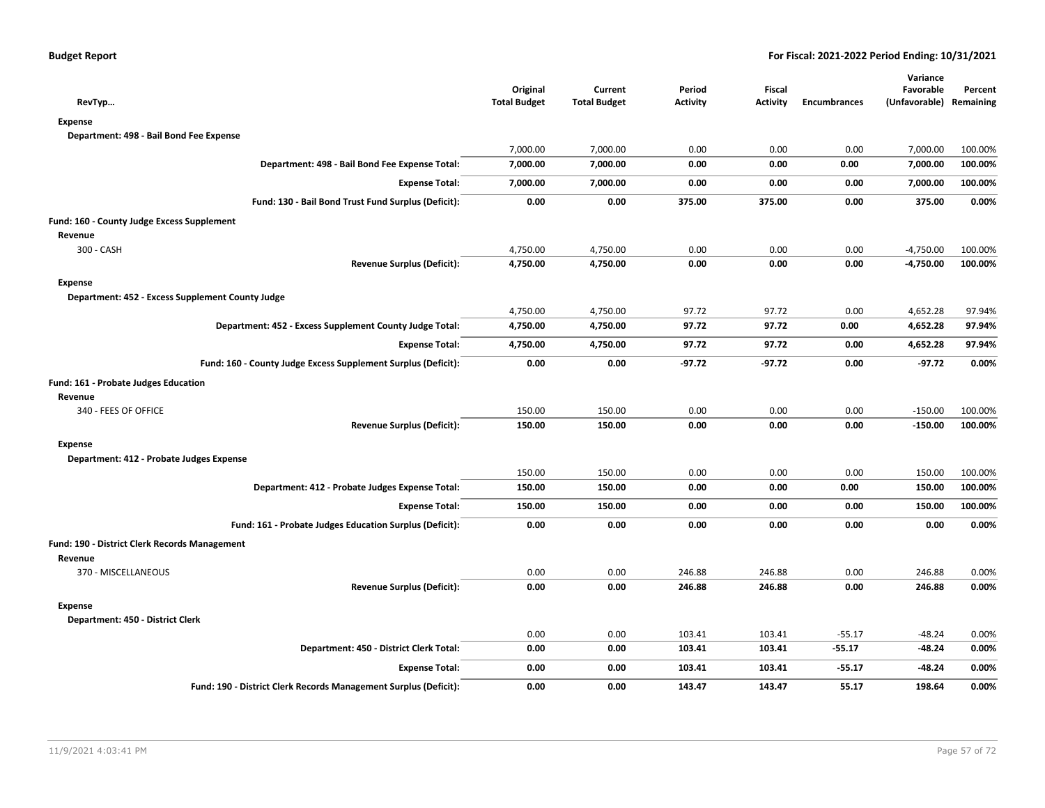| RevTyp                                                           | Original<br><b>Total Budget</b> | Current<br><b>Total Budget</b> | Period<br><b>Activity</b> | <b>Fiscal</b><br><b>Activity</b> | <b>Encumbrances</b> | Variance<br>Favorable<br>(Unfavorable) Remaining | Percent |
|------------------------------------------------------------------|---------------------------------|--------------------------------|---------------------------|----------------------------------|---------------------|--------------------------------------------------|---------|
| <b>Expense</b>                                                   |                                 |                                |                           |                                  |                     |                                                  |         |
| Department: 498 - Bail Bond Fee Expense                          |                                 |                                |                           |                                  |                     |                                                  |         |
|                                                                  | 7,000.00                        | 7,000.00                       | 0.00                      | 0.00                             | 0.00                | 7,000.00                                         | 100.00% |
| Department: 498 - Bail Bond Fee Expense Total:                   | 7,000.00                        | 7,000.00                       | 0.00                      | 0.00                             | 0.00                | 7,000.00                                         | 100.00% |
| <b>Expense Total:</b>                                            | 7,000.00                        | 7,000.00                       | 0.00                      | 0.00                             | 0.00                | 7,000.00                                         | 100.00% |
| Fund: 130 - Bail Bond Trust Fund Surplus (Deficit):              | 0.00                            | 0.00                           | 375.00                    | 375.00                           | 0.00                | 375.00                                           | 0.00%   |
| Fund: 160 - County Judge Excess Supplement                       |                                 |                                |                           |                                  |                     |                                                  |         |
| Revenue                                                          |                                 |                                |                           |                                  |                     |                                                  |         |
| 300 - CASH                                                       | 4,750.00                        | 4,750.00                       | 0.00                      | 0.00                             | 0.00                | $-4,750.00$                                      | 100.00% |
| <b>Revenue Surplus (Deficit):</b>                                | 4,750.00                        | 4,750.00                       | 0.00                      | 0.00                             | 0.00                | $-4,750.00$                                      | 100.00% |
| <b>Expense</b>                                                   |                                 |                                |                           |                                  |                     |                                                  |         |
| Department: 452 - Excess Supplement County Judge                 |                                 |                                |                           |                                  |                     |                                                  |         |
|                                                                  | 4,750.00                        | 4,750.00                       | 97.72                     | 97.72                            | 0.00                | 4,652.28                                         | 97.94%  |
| Department: 452 - Excess Supplement County Judge Total:          | 4,750.00                        | 4,750.00                       | 97.72                     | 97.72                            | 0.00                | 4,652.28                                         | 97.94%  |
| <b>Expense Total:</b>                                            | 4,750.00                        | 4,750.00                       | 97.72                     | 97.72                            | 0.00                | 4,652.28                                         | 97.94%  |
| Fund: 160 - County Judge Excess Supplement Surplus (Deficit):    | 0.00                            | 0.00                           | $-97.72$                  | $-97.72$                         | 0.00                | $-97.72$                                         | 0.00%   |
| Fund: 161 - Probate Judges Education                             |                                 |                                |                           |                                  |                     |                                                  |         |
| Revenue                                                          |                                 |                                |                           |                                  |                     |                                                  |         |
| 340 - FEES OF OFFICE                                             | 150.00                          | 150.00                         | 0.00                      | 0.00                             | 0.00                | $-150.00$                                        | 100.00% |
| <b>Revenue Surplus (Deficit):</b>                                | 150.00                          | 150.00                         | 0.00                      | 0.00                             | 0.00                | $-150.00$                                        | 100.00% |
| <b>Expense</b>                                                   |                                 |                                |                           |                                  |                     |                                                  |         |
| Department: 412 - Probate Judges Expense                         |                                 |                                |                           |                                  |                     |                                                  |         |
|                                                                  | 150.00                          | 150.00                         | 0.00                      | 0.00                             | 0.00                | 150.00                                           | 100.00% |
| Department: 412 - Probate Judges Expense Total:                  | 150.00                          | 150.00                         | 0.00                      | 0.00                             | 0.00                | 150.00                                           | 100.00% |
| <b>Expense Total:</b>                                            | 150.00                          | 150.00                         | 0.00                      | 0.00                             | 0.00                | 150.00                                           | 100.00% |
| Fund: 161 - Probate Judges Education Surplus (Deficit):          | 0.00                            | 0.00                           | 0.00                      | 0.00                             | 0.00                | 0.00                                             | 0.00%   |
| Fund: 190 - District Clerk Records Management                    |                                 |                                |                           |                                  |                     |                                                  |         |
| Revenue                                                          |                                 |                                |                           |                                  |                     |                                                  |         |
| 370 - MISCELLANEOUS                                              | 0.00                            | 0.00                           | 246.88                    | 246.88                           | 0.00                | 246.88                                           | 0.00%   |
| <b>Revenue Surplus (Deficit):</b>                                | 0.00                            | 0.00                           | 246.88                    | 246.88                           | 0.00                | 246.88                                           | 0.00%   |
| <b>Expense</b>                                                   |                                 |                                |                           |                                  |                     |                                                  |         |
| Department: 450 - District Clerk                                 |                                 |                                |                           |                                  |                     |                                                  |         |
|                                                                  | 0.00                            | 0.00                           | 103.41                    | 103.41                           | $-55.17$            | $-48.24$                                         | 0.00%   |
| Department: 450 - District Clerk Total:                          | 0.00                            | 0.00                           | 103.41                    | 103.41                           | $-55.17$            | -48.24                                           | 0.00%   |
| <b>Expense Total:</b>                                            | 0.00                            | 0.00                           | 103.41                    | 103.41                           | $-55.17$            | -48.24                                           | 0.00%   |
| Fund: 190 - District Clerk Records Management Surplus (Deficit): | 0.00                            | 0.00                           | 143.47                    | 143.47                           | 55.17               | 198.64                                           | 0.00%   |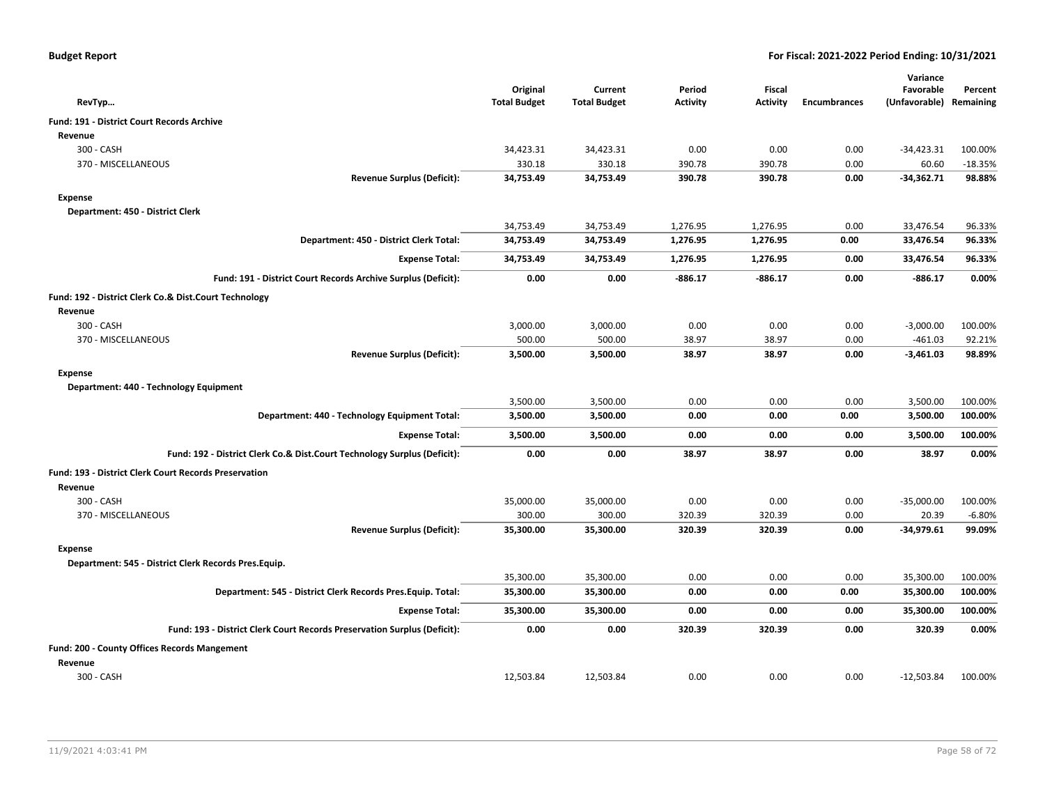| <b>Budget Report</b> |  |
|----------------------|--|
|----------------------|--|

|                                                                          |                                 |                                |                           |                           |                     | Variance                   |                      |
|--------------------------------------------------------------------------|---------------------------------|--------------------------------|---------------------------|---------------------------|---------------------|----------------------------|----------------------|
| RevTyp                                                                   | Original<br><b>Total Budget</b> | Current<br><b>Total Budget</b> | Period<br><b>Activity</b> | <b>Fiscal</b><br>Activity | <b>Encumbrances</b> | Favorable<br>(Unfavorable) | Percent<br>Remaining |
| Fund: 191 - District Court Records Archive                               |                                 |                                |                           |                           |                     |                            |                      |
| Revenue                                                                  |                                 |                                |                           |                           |                     |                            |                      |
| 300 - CASH                                                               | 34,423.31                       | 34,423.31                      | 0.00                      | 0.00                      | 0.00                | $-34,423.31$               | 100.00%              |
| 370 - MISCELLANEOUS                                                      | 330.18                          | 330.18                         | 390.78                    | 390.78                    | 0.00                | 60.60                      | $-18.35%$            |
| <b>Revenue Surplus (Deficit):</b>                                        | 34,753.49                       | 34,753.49                      | 390.78                    | 390.78                    | 0.00                | $-34,362.71$               | 98.88%               |
| <b>Expense</b>                                                           |                                 |                                |                           |                           |                     |                            |                      |
| Department: 450 - District Clerk                                         |                                 |                                |                           |                           |                     |                            |                      |
|                                                                          | 34,753.49                       | 34,753.49                      | 1,276.95                  | 1,276.95                  | 0.00                | 33,476.54                  | 96.33%               |
| Department: 450 - District Clerk Total:                                  | 34,753.49                       | 34,753.49                      | 1,276.95                  | 1,276.95                  | 0.00                | 33,476.54                  | 96.33%               |
| <b>Expense Total:</b>                                                    | 34,753.49                       | 34,753.49                      | 1,276.95                  | 1,276.95                  | 0.00                | 33,476.54                  | 96.33%               |
| Fund: 191 - District Court Records Archive Surplus (Deficit):            | 0.00                            | 0.00                           | $-886.17$                 | $-886.17$                 | 0.00                | $-886.17$                  | 0.00%                |
| Fund: 192 - District Clerk Co.& Dist.Court Technology                    |                                 |                                |                           |                           |                     |                            |                      |
| Revenue                                                                  |                                 |                                |                           |                           |                     |                            |                      |
| 300 - CASH                                                               | 3,000.00                        | 3,000.00                       | 0.00                      | 0.00                      | 0.00                | $-3,000.00$                | 100.00%              |
| 370 - MISCELLANEOUS                                                      | 500.00                          | 500.00                         | 38.97                     | 38.97                     | 0.00                | $-461.03$                  | 92.21%               |
| <b>Revenue Surplus (Deficit):</b>                                        | 3,500.00                        | 3,500.00                       | 38.97                     | 38.97                     | 0.00                | -3,461.03                  | 98.89%               |
| <b>Expense</b>                                                           |                                 |                                |                           |                           |                     |                            |                      |
| Department: 440 - Technology Equipment                                   |                                 |                                |                           |                           |                     |                            |                      |
|                                                                          | 3,500.00                        | 3,500.00                       | 0.00                      | 0.00                      | 0.00                | 3,500.00                   | 100.00%              |
| Department: 440 - Technology Equipment Total:                            | 3,500.00                        | 3,500.00                       | 0.00                      | 0.00                      | 0.00                | 3,500.00                   | 100.00%              |
| <b>Expense Total:</b>                                                    | 3,500.00                        | 3,500.00                       | 0.00                      | 0.00                      | 0.00                | 3,500.00                   | 100.00%              |
| Fund: 192 - District Clerk Co.& Dist.Court Technology Surplus (Deficit): | 0.00                            | 0.00                           | 38.97                     | 38.97                     | 0.00                | 38.97                      | 0.00%                |
| Fund: 193 - District Clerk Court Records Preservation                    |                                 |                                |                           |                           |                     |                            |                      |
| Revenue                                                                  |                                 |                                |                           |                           |                     |                            |                      |
| 300 - CASH                                                               | 35,000.00                       | 35,000.00                      | 0.00                      | 0.00                      | 0.00                | $-35,000.00$               | 100.00%              |
| 370 - MISCELLANEOUS                                                      | 300.00                          | 300.00                         | 320.39                    | 320.39                    | 0.00                | 20.39                      | $-6.80%$             |
| <b>Revenue Surplus (Deficit):</b>                                        | 35,300.00                       | 35,300.00                      | 320.39                    | 320.39                    | 0.00                | $-34,979.61$               | 99.09%               |
| Expense                                                                  |                                 |                                |                           |                           |                     |                            |                      |
| Department: 545 - District Clerk Records Pres.Equip.                     |                                 |                                |                           |                           |                     |                            |                      |
|                                                                          | 35,300.00                       | 35,300.00                      | 0.00                      | 0.00                      | 0.00                | 35,300.00                  | 100.00%              |
| Department: 545 - District Clerk Records Pres. Equip. Total:             | 35,300.00                       | 35,300.00                      | 0.00                      | 0.00                      | 0.00                | 35,300.00                  | 100.00%              |
| <b>Expense Total:</b>                                                    | 35,300.00                       | 35,300.00                      | 0.00                      | 0.00                      | 0.00                | 35,300.00                  | 100.00%              |
| Fund: 193 - District Clerk Court Records Preservation Surplus (Deficit): | 0.00                            | 0.00                           | 320.39                    | 320.39                    | 0.00                | 320.39                     | 0.00%                |
| <b>Fund: 200 - County Offices Records Mangement</b>                      |                                 |                                |                           |                           |                     |                            |                      |
| Revenue                                                                  |                                 |                                |                           |                           |                     |                            |                      |
| 300 - CASH                                                               | 12,503.84                       | 12,503.84                      | 0.00                      | 0.00                      | 0.00                | $-12,503.84$               | 100.00%              |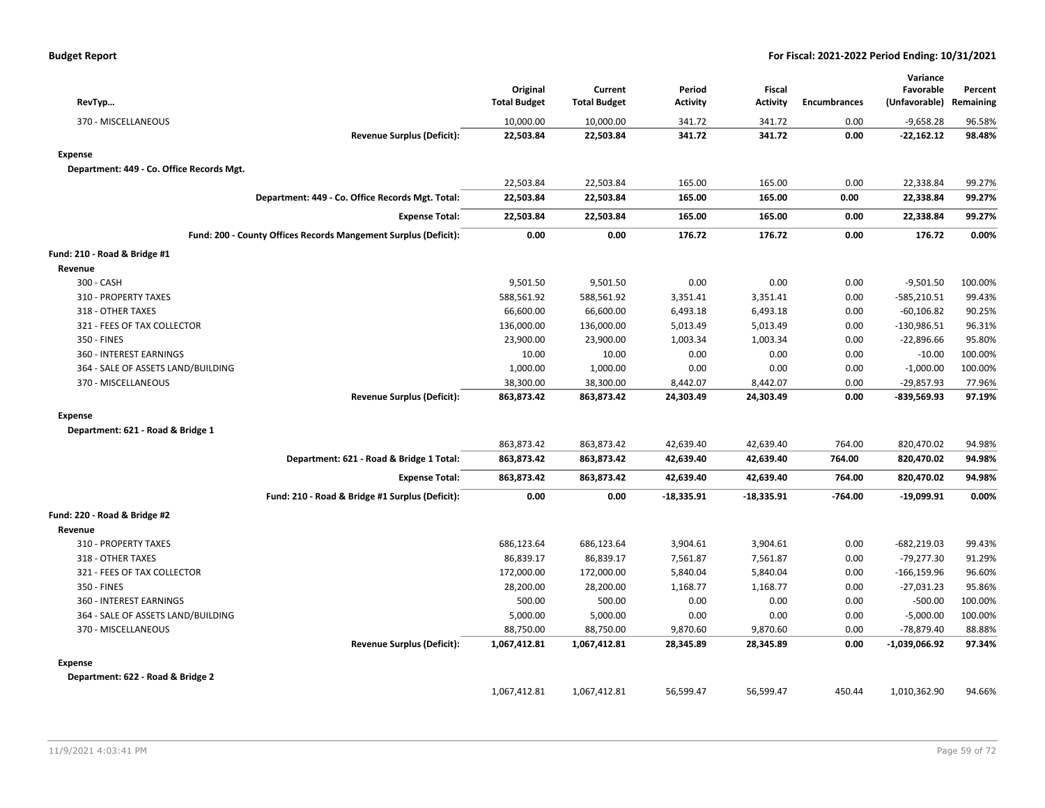| RevTyp                                                          | Original<br><b>Total Budget</b> | Current<br><b>Total Budget</b> | Period<br>Activity | Fiscal<br><b>Activity</b> | <b>Encumbrances</b> | Variance<br>Favorable<br>(Unfavorable) Remaining | Percent |
|-----------------------------------------------------------------|---------------------------------|--------------------------------|--------------------|---------------------------|---------------------|--------------------------------------------------|---------|
| 370 - MISCELLANEOUS                                             | 10,000.00                       | 10,000.00                      | 341.72             | 341.72                    | 0.00                | $-9,658.28$                                      | 96.58%  |
| <b>Revenue Surplus (Deficit):</b>                               | 22,503.84                       | 22,503.84                      | 341.72             | 341.72                    | 0.00                | $-22,162.12$                                     | 98.48%  |
| <b>Expense</b>                                                  |                                 |                                |                    |                           |                     |                                                  |         |
| Department: 449 - Co. Office Records Mgt.                       |                                 |                                |                    |                           |                     |                                                  |         |
|                                                                 | 22,503.84                       | 22,503.84                      | 165.00             | 165.00                    | 0.00                | 22,338.84                                        | 99.27%  |
| Department: 449 - Co. Office Records Mgt. Total:                | 22,503.84                       | 22,503.84                      | 165.00             | 165.00                    | 0.00                | 22,338.84                                        | 99.27%  |
| <b>Expense Total:</b>                                           | 22,503.84                       | 22,503.84                      | 165.00             | 165.00                    | 0.00                | 22,338.84                                        | 99.27%  |
| Fund: 200 - County Offices Records Mangement Surplus (Deficit): | 0.00                            | 0.00                           | 176.72             | 176.72                    | 0.00                | 176.72                                           | 0.00%   |
| Fund: 210 - Road & Bridge #1                                    |                                 |                                |                    |                           |                     |                                                  |         |
| Revenue                                                         |                                 |                                |                    |                           |                     |                                                  |         |
| 300 - CASH                                                      | 9,501.50                        | 9,501.50                       | 0.00               | 0.00                      | 0.00                | $-9,501.50$                                      | 100.00% |
| 310 - PROPERTY TAXES                                            | 588,561.92                      | 588,561.92                     | 3,351.41           | 3,351.41                  | 0.00                | $-585,210.51$                                    | 99.43%  |
| 318 - OTHER TAXES                                               | 66,600.00                       | 66,600.00                      | 6,493.18           | 6,493.18                  | 0.00                | $-60, 106.82$                                    | 90.25%  |
| 321 - FEES OF TAX COLLECTOR                                     | 136,000.00                      | 136,000.00                     | 5,013.49           | 5,013.49                  | 0.00                | $-130,986.51$                                    | 96.31%  |
| 350 - FINES                                                     | 23,900.00                       | 23,900.00                      | 1,003.34           | 1,003.34                  | 0.00                | $-22,896.66$                                     | 95.80%  |
| 360 - INTEREST EARNINGS                                         | 10.00                           | 10.00                          | 0.00               | 0.00                      | 0.00                | $-10.00$                                         | 100.00% |
| 364 - SALE OF ASSETS LAND/BUILDING                              | 1,000.00                        | 1,000.00                       | 0.00               | 0.00                      | 0.00                | $-1,000.00$                                      | 100.00% |
| 370 - MISCELLANEOUS                                             | 38,300.00                       | 38,300.00                      | 8,442.07           | 8,442.07                  | 0.00                | $-29,857.93$                                     | 77.96%  |
| <b>Revenue Surplus (Deficit):</b>                               | 863,873.42                      | 863,873.42                     | 24,303.49          | 24,303.49                 | 0.00                | $-839,569.93$                                    | 97.19%  |
| <b>Expense</b>                                                  |                                 |                                |                    |                           |                     |                                                  |         |
| Department: 621 - Road & Bridge 1                               |                                 |                                |                    |                           |                     |                                                  |         |
|                                                                 | 863,873.42                      | 863,873.42                     | 42,639.40          | 42,639.40                 | 764.00              | 820,470.02                                       | 94.98%  |
| Department: 621 - Road & Bridge 1 Total:                        | 863,873.42                      | 863,873.42                     | 42,639.40          | 42,639.40                 | 764.00              | 820,470.02                                       | 94.98%  |
| <b>Expense Total:</b>                                           | 863,873.42                      | 863,873.42                     | 42,639.40          | 42,639.40                 | 764.00              | 820,470.02                                       | 94.98%  |
| Fund: 210 - Road & Bridge #1 Surplus (Deficit):                 | 0.00                            | 0.00                           | $-18,335.91$       | $-18,335.91$              | $-764.00$           | $-19,099.91$                                     | 0.00%   |
| Fund: 220 - Road & Bridge #2                                    |                                 |                                |                    |                           |                     |                                                  |         |
| Revenue                                                         |                                 |                                |                    |                           |                     |                                                  |         |
| 310 - PROPERTY TAXES                                            | 686,123.64                      | 686,123.64                     | 3,904.61           | 3,904.61                  | 0.00                | $-682,219.03$                                    | 99.43%  |
| 318 - OTHER TAXES                                               | 86,839.17                       | 86,839.17                      | 7,561.87           | 7,561.87                  | 0.00                | $-79,277.30$                                     | 91.29%  |
| 321 - FEES OF TAX COLLECTOR                                     | 172,000.00                      | 172,000.00                     | 5,840.04           | 5,840.04                  | 0.00                | $-166, 159.96$                                   | 96.60%  |
| 350 - FINES                                                     | 28,200.00                       | 28,200.00                      | 1,168.77           | 1,168.77                  | 0.00                | $-27,031.23$                                     | 95.86%  |
| 360 - INTEREST EARNINGS                                         | 500.00                          | 500.00                         | 0.00               | 0.00                      | 0.00                | $-500.00$                                        | 100.00% |
| 364 - SALE OF ASSETS LAND/BUILDING                              | 5,000.00                        | 5,000.00                       | 0.00               | 0.00                      | 0.00                | $-5,000.00$                                      | 100.00% |
| 370 - MISCELLANEOUS                                             | 88,750.00                       | 88,750.00                      | 9,870.60           | 9,870.60                  | 0.00                | $-78,879.40$                                     | 88.88%  |
| <b>Revenue Surplus (Deficit):</b>                               | 1,067,412.81                    | 1,067,412.81                   | 28,345.89          | 28,345.89                 | 0.00                | -1,039,066.92                                    | 97.34%  |
| <b>Expense</b>                                                  |                                 |                                |                    |                           |                     |                                                  |         |
| Department: 622 - Road & Bridge 2                               |                                 |                                |                    |                           |                     |                                                  |         |
|                                                                 | 1,067,412.81                    | 1,067,412.81                   | 56,599.47          | 56,599.47                 | 450.44              | 1,010,362.90                                     | 94.66%  |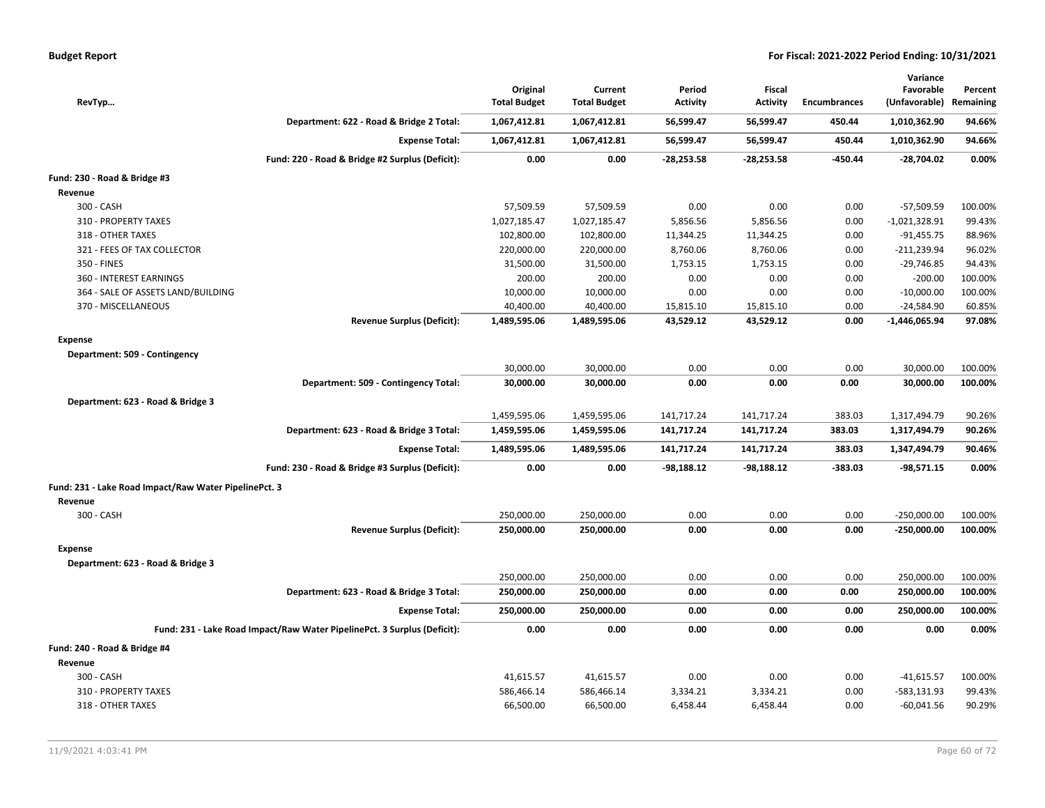| Budget Report |  |  |
|---------------|--|--|
|               |  |  |

| RevTyp                                                |                                                                          | Original<br><b>Total Budget</b> | Current<br><b>Total Budget</b> | Period<br><b>Activity</b> | Fiscal<br><b>Activity</b> | <b>Encumbrances</b> | Variance<br>Favorable<br>(Unfavorable) | Percent<br>Remaining |
|-------------------------------------------------------|--------------------------------------------------------------------------|---------------------------------|--------------------------------|---------------------------|---------------------------|---------------------|----------------------------------------|----------------------|
|                                                       | Department: 622 - Road & Bridge 2 Total:                                 | 1,067,412.81                    | 1,067,412.81                   | 56,599.47                 | 56,599.47                 | 450.44              | 1,010,362.90                           | 94.66%               |
|                                                       | <b>Expense Total:</b>                                                    | 1,067,412.81                    | 1,067,412.81                   | 56,599.47                 | 56,599.47                 | 450.44              | 1,010,362.90                           | 94.66%               |
|                                                       | Fund: 220 - Road & Bridge #2 Surplus (Deficit):                          | 0.00                            | 0.00                           | $-28,253.58$              | $-28,253.58$              | -450.44             | $-28,704.02$                           | 0.00%                |
| Fund: 230 - Road & Bridge #3                          |                                                                          |                                 |                                |                           |                           |                     |                                        |                      |
| Revenue                                               |                                                                          |                                 |                                |                           |                           |                     |                                        |                      |
| 300 - CASH                                            |                                                                          | 57,509.59                       | 57,509.59                      | 0.00                      | 0.00                      | 0.00                | -57,509.59                             | 100.00%              |
| 310 - PROPERTY TAXES                                  |                                                                          | 1,027,185.47                    | 1,027,185.47                   | 5,856.56                  | 5,856.56                  | 0.00                | $-1,021,328.91$                        | 99.43%               |
| 318 - OTHER TAXES                                     |                                                                          | 102,800.00                      | 102,800.00                     | 11,344.25                 | 11,344.25                 | 0.00                | $-91,455.75$                           | 88.96%               |
| 321 - FEES OF TAX COLLECTOR                           |                                                                          | 220,000.00                      | 220,000.00                     | 8,760.06                  | 8,760.06                  | 0.00                | $-211,239.94$                          | 96.02%               |
| 350 - FINES                                           |                                                                          | 31,500.00                       | 31,500.00                      | 1,753.15                  | 1,753.15                  | 0.00                | $-29,746.85$                           | 94.43%               |
| 360 - INTEREST EARNINGS                               |                                                                          | 200.00                          | 200.00                         | 0.00                      | 0.00                      | 0.00                | $-200.00$                              | 100.00%              |
| 364 - SALE OF ASSETS LAND/BUILDING                    |                                                                          | 10,000.00                       | 10,000.00                      | 0.00                      | 0.00                      | 0.00                | $-10,000.00$                           | 100.00%              |
| 370 - MISCELLANEOUS                                   |                                                                          | 40,400.00                       | 40,400.00                      | 15,815.10                 | 15,815.10                 | 0.00                | $-24,584.90$                           | 60.85%               |
|                                                       | Revenue Surplus (Deficit):                                               | 1,489,595.06                    | 1,489,595.06                   | 43,529.12                 | 43,529.12                 | 0.00                | -1,446,065.94                          | 97.08%               |
| <b>Expense</b>                                        |                                                                          |                                 |                                |                           |                           |                     |                                        |                      |
| Department: 509 - Contingency                         |                                                                          |                                 |                                |                           |                           |                     |                                        |                      |
|                                                       |                                                                          | 30,000.00                       | 30,000.00                      | 0.00                      | 0.00                      | 0.00                | 30,000.00                              | 100.00%              |
|                                                       | Department: 509 - Contingency Total:                                     | 30,000.00                       | 30,000.00                      | 0.00                      | 0.00                      | 0.00                | 30,000.00                              | 100.00%              |
| Department: 623 - Road & Bridge 3                     |                                                                          |                                 |                                |                           |                           |                     |                                        |                      |
|                                                       |                                                                          | 1,459,595.06                    | 1,459,595.06                   | 141,717.24                | 141,717.24                | 383.03              | 1,317,494.79                           | 90.26%               |
|                                                       | Department: 623 - Road & Bridge 3 Total:                                 | 1,459,595.06                    | 1,459,595.06                   | 141,717.24                | 141,717.24                | 383.03              | 1,317,494.79                           | 90.26%               |
|                                                       | <b>Expense Total:</b>                                                    | 1,489,595.06                    | 1,489,595.06                   | 141,717.24                | 141,717.24                | 383.03              | 1,347,494.79                           | 90.46%               |
|                                                       | Fund: 230 - Road & Bridge #3 Surplus (Deficit):                          | 0.00                            | 0.00                           | $-98,188.12$              | $-98,188.12$              | $-383.03$           | $-98,571.15$                           | 0.00%                |
| Fund: 231 - Lake Road Impact/Raw Water PipelinePct. 3 |                                                                          |                                 |                                |                           |                           |                     |                                        |                      |
| Revenue                                               |                                                                          |                                 |                                |                           |                           |                     |                                        |                      |
| 300 - CASH                                            |                                                                          | 250,000.00                      | 250,000.00                     | 0.00                      | 0.00                      | 0.00                | $-250,000.00$                          | 100.00%              |
|                                                       | <b>Revenue Surplus (Deficit):</b>                                        | 250,000.00                      | 250,000.00                     | 0.00                      | 0.00                      | 0.00                | $-250,000.00$                          | 100.00%              |
| <b>Expense</b>                                        |                                                                          |                                 |                                |                           |                           |                     |                                        |                      |
| Department: 623 - Road & Bridge 3                     |                                                                          |                                 |                                |                           |                           |                     |                                        |                      |
|                                                       |                                                                          | 250,000.00                      | 250,000.00                     | 0.00                      | 0.00                      | 0.00                | 250,000.00                             | 100.00%              |
|                                                       | Department: 623 - Road & Bridge 3 Total:                                 | 250,000.00                      | 250,000.00                     | 0.00                      | 0.00                      | 0.00                | 250,000.00                             | 100.00%              |
|                                                       | <b>Expense Total:</b>                                                    | 250,000.00                      | 250,000.00                     | 0.00                      | 0.00                      | 0.00                | 250,000.00                             | 100.00%              |
|                                                       | Fund: 231 - Lake Road Impact/Raw Water PipelinePct. 3 Surplus (Deficit): | 0.00                            | 0.00                           | 0.00                      | 0.00                      | 0.00                | 0.00                                   | 0.00%                |
|                                                       |                                                                          |                                 |                                |                           |                           |                     |                                        |                      |
| Fund: 240 - Road & Bridge #4<br>Revenue               |                                                                          |                                 |                                |                           |                           |                     |                                        |                      |
| 300 - CASH                                            |                                                                          | 41,615.57                       | 41,615.57                      | 0.00                      | 0.00                      | 0.00                | $-41,615.57$                           | 100.00%              |
| 310 - PROPERTY TAXES                                  |                                                                          | 586,466.14                      | 586,466.14                     | 3,334.21                  | 3,334.21                  | 0.00                | $-583,131.93$                          | 99.43%               |
|                                                       |                                                                          |                                 |                                |                           |                           |                     |                                        |                      |
| 318 - OTHER TAXES                                     |                                                                          | 66,500.00                       | 66,500.00                      | 6,458.44                  | 6,458.44                  | 0.00                | $-60,041.56$                           | 90.29%               |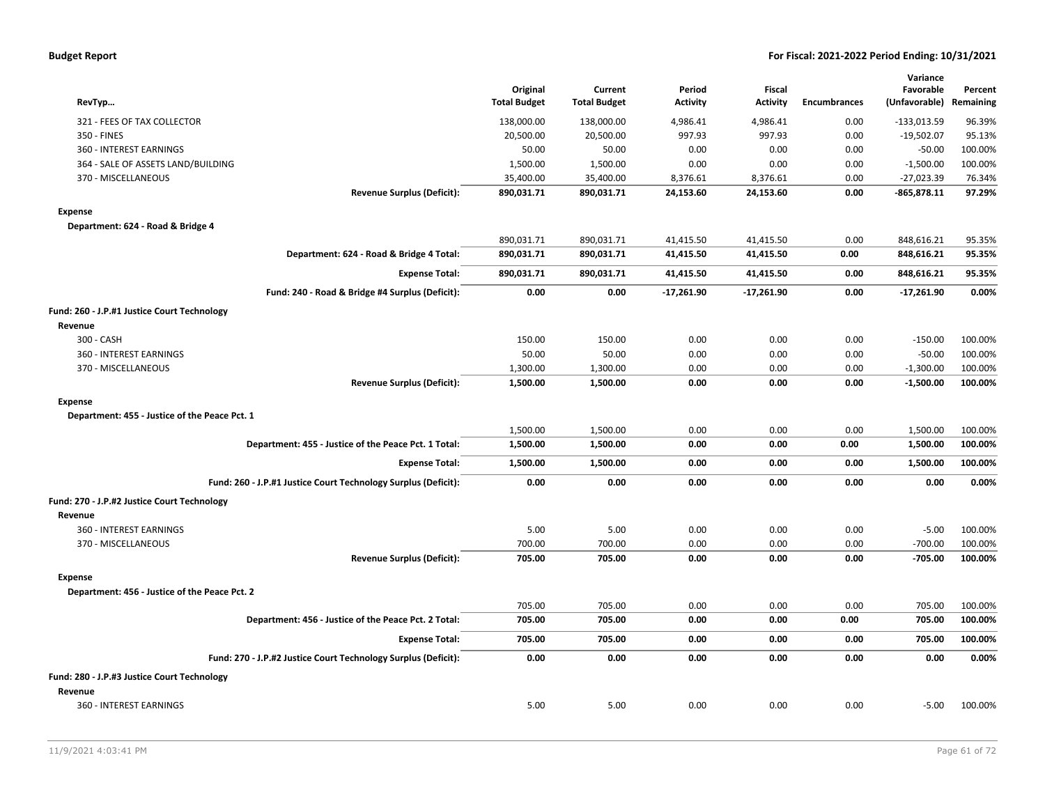|  | <b>Budget Report</b> |
|--|----------------------|
|--|----------------------|

| RevTyp                                                         | Original<br><b>Total Budget</b> | Current<br><b>Total Budget</b> | Period<br><b>Activity</b> | <b>Fiscal</b><br><b>Activity</b> | <b>Encumbrances</b> | Variance<br>Favorable<br>(Unfavorable) | Percent<br>Remaining |
|----------------------------------------------------------------|---------------------------------|--------------------------------|---------------------------|----------------------------------|---------------------|----------------------------------------|----------------------|
| 321 - FEES OF TAX COLLECTOR                                    | 138,000.00                      | 138,000.00                     | 4,986.41                  | 4,986.41                         | 0.00                | $-133,013.59$                          | 96.39%               |
| 350 - FINES                                                    | 20,500.00                       | 20,500.00                      | 997.93                    | 997.93                           | 0.00                | $-19,502.07$                           | 95.13%               |
| 360 - INTEREST EARNINGS                                        | 50.00                           | 50.00                          | 0.00                      | 0.00                             | 0.00                | $-50.00$                               | 100.00%              |
| 364 - SALE OF ASSETS LAND/BUILDING                             | 1,500.00                        | 1,500.00                       | 0.00                      | 0.00                             | 0.00                | $-1,500.00$                            | 100.00%              |
| 370 - MISCELLANEOUS                                            | 35,400.00                       | 35,400.00                      | 8,376.61                  | 8,376.61                         | 0.00                | $-27,023.39$                           | 76.34%               |
| <b>Revenue Surplus (Deficit):</b>                              | 890,031.71                      | 890,031.71                     | 24,153.60                 | 24,153.60                        | 0.00                | $-865,878.11$                          | 97.29%               |
| <b>Expense</b>                                                 |                                 |                                |                           |                                  |                     |                                        |                      |
| Department: 624 - Road & Bridge 4                              |                                 |                                |                           |                                  |                     |                                        |                      |
|                                                                | 890,031.71                      | 890,031.71                     | 41,415.50                 | 41,415.50                        | 0.00                | 848,616.21                             | 95.35%               |
| Department: 624 - Road & Bridge 4 Total:                       | 890,031.71                      | 890,031.71                     | 41,415.50                 | 41,415.50                        | 0.00                | 848,616.21                             | 95.35%               |
| <b>Expense Total:</b>                                          | 890,031.71                      | 890,031.71                     | 41,415.50                 | 41,415.50                        | 0.00                | 848,616.21                             | 95.35%               |
| Fund: 240 - Road & Bridge #4 Surplus (Deficit):                | 0.00                            | 0.00                           | $-17,261.90$              | $-17,261.90$                     | 0.00                | $-17,261.90$                           | 0.00%                |
| Fund: 260 - J.P.#1 Justice Court Technology                    |                                 |                                |                           |                                  |                     |                                        |                      |
| Revenue                                                        |                                 |                                |                           |                                  |                     |                                        |                      |
| 300 - CASH                                                     | 150.00                          | 150.00                         | 0.00                      | 0.00                             | 0.00                | $-150.00$                              | 100.00%              |
| 360 - INTEREST EARNINGS                                        | 50.00                           | 50.00                          | 0.00                      | 0.00                             | 0.00                | $-50.00$                               | 100.00%              |
| 370 - MISCELLANEOUS                                            | 1,300.00                        | 1,300.00                       | 0.00                      | 0.00                             | 0.00                | $-1,300.00$                            | 100.00%              |
| <b>Revenue Surplus (Deficit):</b>                              | 1,500.00                        | 1,500.00                       | 0.00                      | 0.00                             | 0.00                | $-1,500.00$                            | 100.00%              |
| <b>Expense</b>                                                 |                                 |                                |                           |                                  |                     |                                        |                      |
| Department: 455 - Justice of the Peace Pct. 1                  |                                 |                                |                           |                                  |                     |                                        |                      |
|                                                                | 1,500.00                        | 1,500.00                       | 0.00                      | 0.00                             | 0.00                | 1,500.00                               | 100.00%              |
| Department: 455 - Justice of the Peace Pct. 1 Total:           | 1,500.00                        | 1,500.00                       | 0.00                      | 0.00                             | 0.00                | 1,500.00                               | 100.00%              |
| <b>Expense Total:</b>                                          | 1,500.00                        | 1,500.00                       | 0.00                      | 0.00                             | 0.00                | 1,500.00                               | 100.00%              |
| Fund: 260 - J.P.#1 Justice Court Technology Surplus (Deficit): | 0.00                            | 0.00                           | 0.00                      | 0.00                             | 0.00                | 0.00                                   | 0.00%                |
| Fund: 270 - J.P.#2 Justice Court Technology                    |                                 |                                |                           |                                  |                     |                                        |                      |
| Revenue                                                        |                                 |                                |                           |                                  |                     |                                        |                      |
| 360 - INTEREST EARNINGS                                        | 5.00                            | 5.00                           | 0.00                      | 0.00                             | 0.00                | $-5.00$                                | 100.00%              |
| 370 - MISCELLANEOUS                                            | 700.00                          | 700.00                         | 0.00                      | 0.00                             | 0.00                | $-700.00$                              | 100.00%              |
| <b>Revenue Surplus (Deficit):</b>                              | 705.00                          | 705.00                         | 0.00                      | 0.00                             | 0.00                | $-705.00$                              | 100.00%              |
| <b>Expense</b>                                                 |                                 |                                |                           |                                  |                     |                                        |                      |
| Department: 456 - Justice of the Peace Pct. 2                  |                                 |                                |                           |                                  |                     |                                        |                      |
|                                                                | 705.00                          | 705.00                         | 0.00                      | 0.00                             | 0.00                | 705.00                                 | 100.00%              |
| Department: 456 - Justice of the Peace Pct. 2 Total:           | 705.00                          | 705.00                         | 0.00                      | 0.00                             | 0.00                | 705.00                                 | 100.00%              |
| <b>Expense Total:</b>                                          | 705.00                          | 705.00                         | 0.00                      | 0.00                             | 0.00                | 705.00                                 | 100.00%              |
| Fund: 270 - J.P.#2 Justice Court Technology Surplus (Deficit): | 0.00                            | 0.00                           | 0.00                      | 0.00                             | 0.00                | 0.00                                   | 0.00%                |
| Fund: 280 - J.P.#3 Justice Court Technology                    |                                 |                                |                           |                                  |                     |                                        |                      |
| Revenue                                                        |                                 |                                |                           |                                  |                     |                                        |                      |
| 360 - INTEREST EARNINGS                                        | 5.00                            | 5.00                           | 0.00                      | 0.00                             | 0.00                | $-5.00$                                | 100.00%              |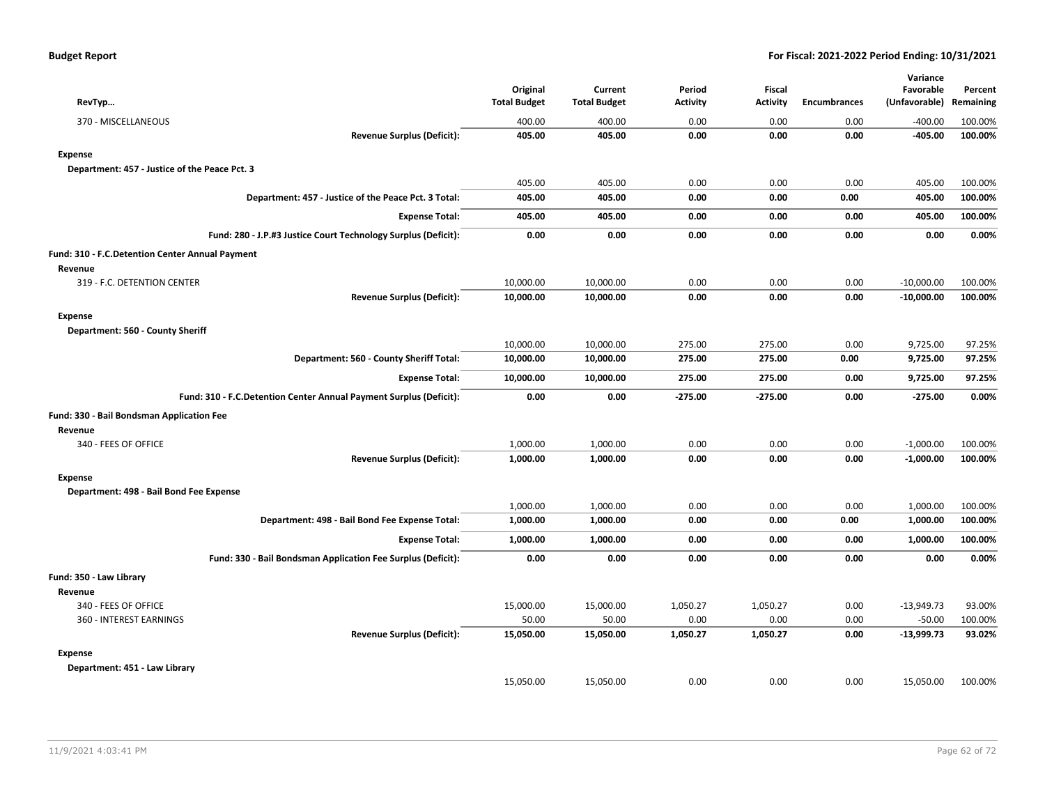| RevTyp                                                             | Original<br><b>Total Budget</b> | Current<br><b>Total Budget</b> | Period<br><b>Activity</b> | Fiscal<br><b>Activity</b> | <b>Encumbrances</b> | Variance<br>Favorable<br>(Unfavorable) | Percent<br>Remaining |
|--------------------------------------------------------------------|---------------------------------|--------------------------------|---------------------------|---------------------------|---------------------|----------------------------------------|----------------------|
| 370 - MISCELLANEOUS                                                | 400.00                          | 400.00                         | 0.00                      | 0.00                      | 0.00                | $-400.00$                              | 100.00%              |
| <b>Revenue Surplus (Deficit):</b>                                  | 405.00                          | 405.00                         | 0.00                      | 0.00                      | 0.00                | -405.00                                | 100.00%              |
| <b>Expense</b>                                                     |                                 |                                |                           |                           |                     |                                        |                      |
| Department: 457 - Justice of the Peace Pct. 3                      |                                 |                                |                           |                           |                     |                                        |                      |
|                                                                    | 405.00                          | 405.00                         | 0.00                      | 0.00                      | 0.00                | 405.00                                 | 100.00%              |
| Department: 457 - Justice of the Peace Pct. 3 Total:               | 405.00                          | 405.00                         | 0.00                      | 0.00                      | 0.00                | 405.00                                 | 100.00%              |
| <b>Expense Total:</b>                                              | 405.00                          | 405.00                         | 0.00                      | 0.00                      | 0.00                | 405.00                                 | 100.00%              |
| Fund: 280 - J.P.#3 Justice Court Technology Surplus (Deficit):     | 0.00                            | 0.00                           | 0.00                      | 0.00                      | 0.00                | 0.00                                   | 0.00%                |
| Fund: 310 - F.C.Detention Center Annual Payment                    |                                 |                                |                           |                           |                     |                                        |                      |
| Revenue                                                            |                                 |                                |                           |                           |                     |                                        |                      |
| 319 - F.C. DETENTION CENTER                                        | 10,000.00                       | 10,000.00                      | 0.00                      | 0.00                      | 0.00                | $-10,000.00$                           | 100.00%              |
| <b>Revenue Surplus (Deficit):</b>                                  | 10,000.00                       | 10,000.00                      | 0.00                      | 0.00                      | 0.00                | $-10,000.00$                           | 100.00%              |
| <b>Expense</b><br>Department: 560 - County Sheriff                 |                                 |                                |                           |                           |                     |                                        |                      |
|                                                                    | 10,000.00                       | 10,000.00                      | 275.00                    | 275.00                    | 0.00                | 9,725.00                               | 97.25%               |
| Department: 560 - County Sheriff Total:                            | 10,000.00                       | 10,000.00                      | 275.00                    | 275.00                    | 0.00                | 9,725.00                               | 97.25%               |
| <b>Expense Total:</b>                                              | 10,000.00                       | 10,000.00                      | 275.00                    | 275.00                    | 0.00                | 9,725.00                               | 97.25%               |
| Fund: 310 - F.C.Detention Center Annual Payment Surplus (Deficit): | 0.00                            | 0.00                           | $-275.00$                 | $-275.00$                 | 0.00                | $-275.00$                              | 0.00%                |
| Fund: 330 - Bail Bondsman Application Fee                          |                                 |                                |                           |                           |                     |                                        |                      |
| Revenue                                                            |                                 |                                |                           |                           |                     |                                        |                      |
| 340 - FEES OF OFFICE                                               | 1,000.00                        | 1,000.00                       | 0.00                      | 0.00                      | 0.00                | $-1,000.00$                            | 100.00%              |
| Revenue Surplus (Deficit):                                         | 1,000.00                        | 1,000.00                       | 0.00                      | 0.00                      | 0.00                | $-1,000.00$                            | 100.00%              |
| <b>Expense</b>                                                     |                                 |                                |                           |                           |                     |                                        |                      |
| Department: 498 - Bail Bond Fee Expense                            |                                 |                                |                           |                           |                     |                                        |                      |
|                                                                    | 1,000.00                        | 1,000.00                       | 0.00                      | 0.00                      | 0.00                | 1,000.00                               | 100.00%              |
| Department: 498 - Bail Bond Fee Expense Total:                     | 1,000.00                        | 1,000.00                       | 0.00                      | 0.00                      | 0.00                | 1,000.00                               | 100.00%              |
| <b>Expense Total:</b>                                              | 1,000.00                        | 1,000.00                       | 0.00                      | 0.00                      | 0.00                | 1,000.00                               | 100.00%              |
| Fund: 330 - Bail Bondsman Application Fee Surplus (Deficit):       | 0.00                            | 0.00                           | 0.00                      | 0.00                      | 0.00                | 0.00                                   | 0.00%                |
| Fund: 350 - Law Library                                            |                                 |                                |                           |                           |                     |                                        |                      |
| Revenue                                                            |                                 |                                |                           |                           |                     |                                        |                      |
| 340 - FEES OF OFFICE                                               | 15,000.00                       | 15,000.00                      | 1,050.27                  | 1,050.27                  | 0.00                | $-13,949.73$                           | 93.00%               |
| 360 - INTEREST EARNINGS                                            | 50.00                           | 50.00                          | 0.00                      | 0.00                      | 0.00                | $-50.00$                               | 100.00%              |
| <b>Revenue Surplus (Deficit):</b>                                  | 15,050.00                       | 15,050.00                      | 1,050.27                  | 1,050.27                  | 0.00                | $-13,999.73$                           | 93.02%               |
| <b>Expense</b>                                                     |                                 |                                |                           |                           |                     |                                        |                      |
| Department: 451 - Law Library                                      |                                 |                                |                           |                           |                     |                                        |                      |
|                                                                    | 15.050.00                       | 15,050.00                      | 0.00                      | 0.00                      | 0.00                | 15,050.00                              | 100.00%              |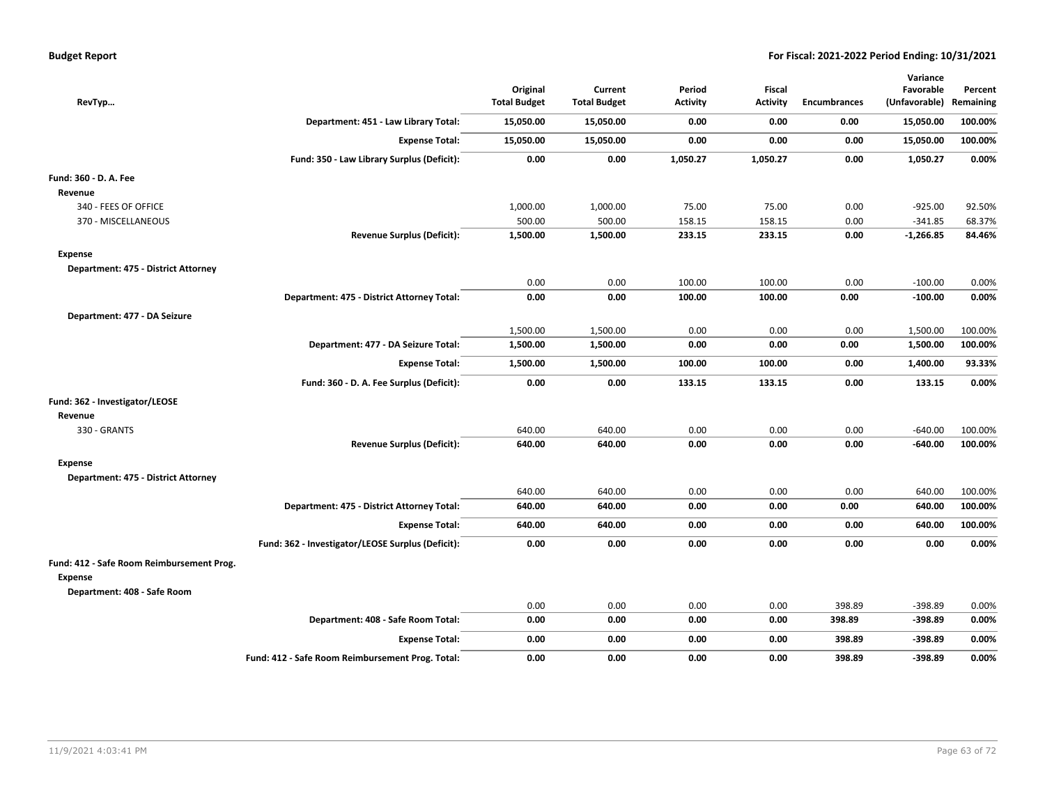| <b>Budget Report</b> |
|----------------------|
|----------------------|

| RevTyp                                                                              |                                                   | Original<br><b>Total Budget</b> | Current<br><b>Total Budget</b> | Period<br><b>Activity</b> | Fiscal<br><b>Activity</b> | <b>Encumbrances</b> | Variance<br>Favorable<br>(Unfavorable) | Percent<br>Remaining |
|-------------------------------------------------------------------------------------|---------------------------------------------------|---------------------------------|--------------------------------|---------------------------|---------------------------|---------------------|----------------------------------------|----------------------|
|                                                                                     | Department: 451 - Law Library Total:              | 15,050.00                       | 15,050.00                      | 0.00                      | 0.00                      | 0.00                | 15,050.00                              | 100.00%              |
|                                                                                     | <b>Expense Total:</b>                             | 15,050.00                       | 15,050.00                      | 0.00                      | 0.00                      | 0.00                | 15,050.00                              | 100.00%              |
|                                                                                     | Fund: 350 - Law Library Surplus (Deficit):        | 0.00                            | 0.00                           | 1,050.27                  | 1,050.27                  | 0.00                | 1,050.27                               | 0.00%                |
| Fund: 360 - D. A. Fee<br>Revenue                                                    |                                                   |                                 |                                |                           |                           |                     |                                        |                      |
| 340 - FEES OF OFFICE                                                                |                                                   | 1,000.00                        | 1,000.00                       | 75.00                     | 75.00                     | 0.00                | $-925.00$                              | 92.50%               |
| 370 - MISCELLANEOUS                                                                 |                                                   | 500.00                          | 500.00                         | 158.15                    | 158.15                    | 0.00                | $-341.85$                              | 68.37%               |
|                                                                                     | <b>Revenue Surplus (Deficit):</b>                 | 1,500.00                        | 1,500.00                       | 233.15                    | 233.15                    | 0.00                | $-1,266.85$                            | 84.46%               |
| Expense<br>Department: 475 - District Attorney                                      |                                                   |                                 |                                |                           |                           |                     |                                        |                      |
|                                                                                     |                                                   | 0.00                            | 0.00                           | 100.00                    | 100.00                    | 0.00                | $-100.00$                              | 0.00%                |
|                                                                                     | Department: 475 - District Attorney Total:        | 0.00                            | 0.00                           | 100.00                    | 100.00                    | 0.00                | $-100.00$                              | 0.00%                |
| Department: 477 - DA Seizure                                                        |                                                   |                                 |                                |                           |                           |                     |                                        |                      |
|                                                                                     |                                                   | 1,500.00                        | 1,500.00                       | 0.00                      | 0.00                      | 0.00                | 1,500.00                               | 100.00%              |
|                                                                                     | Department: 477 - DA Seizure Total:               | 1,500.00                        | 1,500.00                       | 0.00                      | 0.00                      | 0.00                | 1,500.00                               | 100.00%              |
|                                                                                     | <b>Expense Total:</b>                             | 1,500.00                        | 1,500.00                       | 100.00                    | 100.00                    | 0.00                | 1,400.00                               | 93.33%               |
|                                                                                     | Fund: 360 - D. A. Fee Surplus (Deficit):          | 0.00                            | 0.00                           | 133.15                    | 133.15                    | 0.00                | 133.15                                 | 0.00%                |
| Fund: 362 - Investigator/LEOSE<br>Revenue                                           |                                                   |                                 |                                |                           |                           |                     |                                        |                      |
| 330 - GRANTS                                                                        |                                                   | 640.00                          | 640.00                         | 0.00                      | 0.00                      | 0.00                | $-640.00$                              | 100.00%              |
|                                                                                     | <b>Revenue Surplus (Deficit):</b>                 | 640.00                          | 640.00                         | 0.00                      | 0.00                      | 0.00                | $-640.00$                              | 100.00%              |
| Expense<br>Department: 475 - District Attorney                                      |                                                   |                                 |                                |                           |                           |                     |                                        |                      |
|                                                                                     |                                                   | 640.00                          | 640.00                         | 0.00                      | 0.00                      | 0.00                | 640.00                                 | 100.00%              |
|                                                                                     | Department: 475 - District Attorney Total:        | 640.00                          | 640.00                         | 0.00                      | 0.00                      | 0.00                | 640.00                                 | 100.00%              |
|                                                                                     | <b>Expense Total:</b>                             | 640.00                          | 640.00                         | 0.00                      | 0.00                      | 0.00                | 640.00                                 | 100.00%              |
|                                                                                     | Fund: 362 - Investigator/LEOSE Surplus (Deficit): | 0.00                            | 0.00                           | 0.00                      | 0.00                      | 0.00                | 0.00                                   | 0.00%                |
| Fund: 412 - Safe Room Reimbursement Prog.<br>Expense<br>Department: 408 - Safe Room |                                                   |                                 |                                |                           |                           |                     |                                        |                      |
|                                                                                     |                                                   | 0.00                            | 0.00                           | 0.00                      | 0.00                      | 398.89              | -398.89                                | 0.00%                |
|                                                                                     | Department: 408 - Safe Room Total:                | 0.00                            | 0.00                           | 0.00                      | 0.00                      | 398.89              | $-398.89$                              | 0.00%                |
|                                                                                     | <b>Expense Total:</b>                             | 0.00                            | 0.00                           | 0.00                      | 0.00                      | 398.89              | $-398.89$                              | 0.00%                |
|                                                                                     | Fund: 412 - Safe Room Reimbursement Prog. Total:  | 0.00                            | 0.00                           | 0.00                      | 0.00                      | 398.89              | $-398.89$                              | 0.00%                |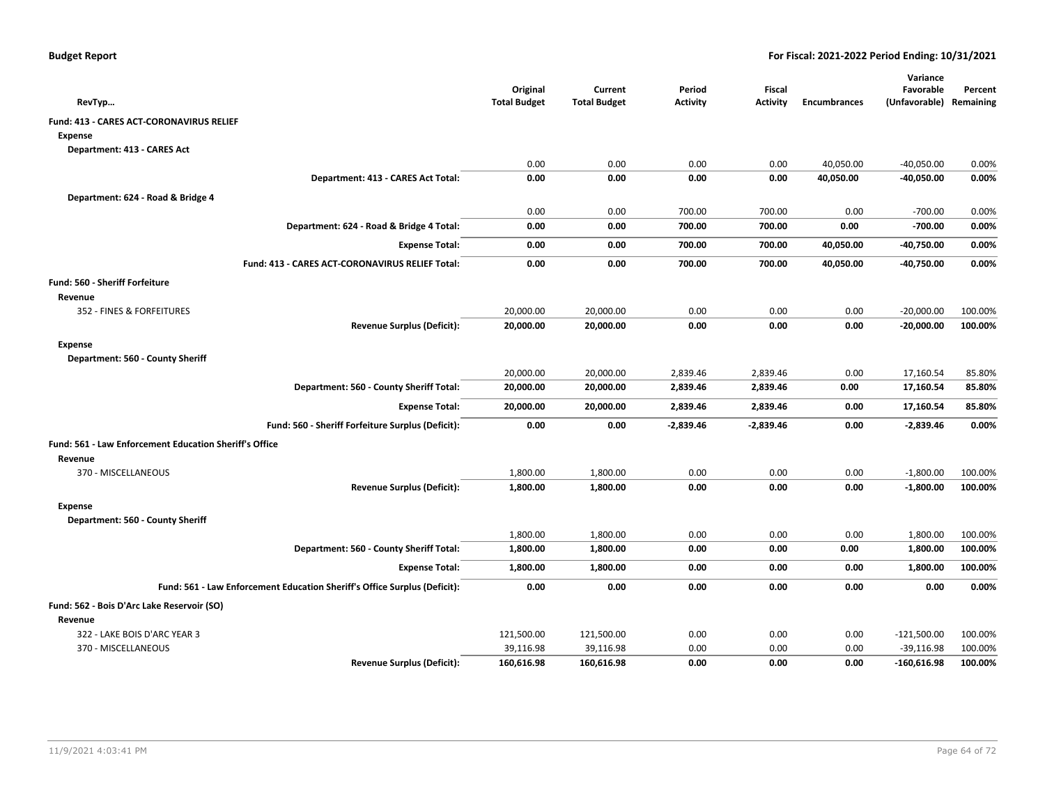|                                                                           | Original            | Current             | Period          | <b>Fiscal</b>   |                     | Variance<br>Favorable   | Percent |
|---------------------------------------------------------------------------|---------------------|---------------------|-----------------|-----------------|---------------------|-------------------------|---------|
| RevTyp                                                                    | <b>Total Budget</b> | <b>Total Budget</b> | <b>Activity</b> | <b>Activity</b> | <b>Encumbrances</b> | (Unfavorable) Remaining |         |
| Fund: 413 - CARES ACT-CORONAVIRUS RELIEF                                  |                     |                     |                 |                 |                     |                         |         |
| <b>Expense</b>                                                            |                     |                     |                 |                 |                     |                         |         |
| Department: 413 - CARES Act                                               |                     |                     |                 |                 |                     |                         |         |
|                                                                           | 0.00                | 0.00                | 0.00            | 0.00            | 40,050.00           | $-40,050.00$            | 0.00%   |
| Department: 413 - CARES Act Total:                                        | 0.00                | 0.00                | 0.00            | 0.00            | 40,050.00           | -40,050.00              | 0.00%   |
| Department: 624 - Road & Bridge 4                                         |                     |                     |                 |                 |                     |                         |         |
|                                                                           | 0.00                | 0.00                | 700.00          | 700.00          | 0.00                | $-700.00$               | 0.00%   |
| Department: 624 - Road & Bridge 4 Total:                                  | 0.00                | 0.00                | 700.00          | 700.00          | 0.00                | $-700.00$               | 0.00%   |
| <b>Expense Total:</b>                                                     | 0.00                | 0.00                | 700.00          | 700.00          | 40,050.00           | -40,750.00              | 0.00%   |
| Fund: 413 - CARES ACT-CORONAVIRUS RELIEF Total:                           | 0.00                | 0.00                | 700.00          | 700.00          | 40,050.00           | $-40,750.00$            | 0.00%   |
| Fund: 560 - Sheriff Forfeiture                                            |                     |                     |                 |                 |                     |                         |         |
| Revenue                                                                   |                     |                     |                 |                 |                     |                         |         |
| 352 - FINES & FORFEITURES                                                 | 20,000.00           | 20,000.00           | 0.00            | 0.00            | 0.00                | $-20,000.00$            | 100.00% |
| <b>Revenue Surplus (Deficit):</b>                                         | 20,000.00           | 20,000.00           | 0.00            | 0.00            | 0.00                | $-20,000.00$            | 100.00% |
| <b>Expense</b>                                                            |                     |                     |                 |                 |                     |                         |         |
| Department: 560 - County Sheriff                                          |                     |                     |                 |                 |                     |                         |         |
|                                                                           | 20,000.00           | 20,000.00           | 2,839.46        | 2,839.46        | 0.00                | 17,160.54               | 85.80%  |
| Department: 560 - County Sheriff Total:                                   | 20,000.00           | 20,000.00           | 2,839.46        | 2,839.46        | 0.00                | 17,160.54               | 85.80%  |
| <b>Expense Total:</b>                                                     | 20,000.00           | 20,000.00           | 2,839.46        | 2,839.46        | 0.00                | 17,160.54               | 85.80%  |
| Fund: 560 - Sheriff Forfeiture Surplus (Deficit):                         | 0.00                | 0.00                | $-2,839.46$     | $-2,839.46$     | 0.00                | $-2,839.46$             | 0.00%   |
| Fund: 561 - Law Enforcement Education Sheriff's Office                    |                     |                     |                 |                 |                     |                         |         |
| Revenue                                                                   |                     |                     |                 |                 |                     |                         |         |
| 370 - MISCELLANEOUS                                                       | 1,800.00            | 1,800.00            | 0.00            | 0.00            | 0.00                | $-1,800.00$             | 100.00% |
| <b>Revenue Surplus (Deficit):</b>                                         | 1,800.00            | 1,800.00            | 0.00            | 0.00            | 0.00                | $-1,800.00$             | 100.00% |
| <b>Expense</b>                                                            |                     |                     |                 |                 |                     |                         |         |
| Department: 560 - County Sheriff                                          |                     |                     |                 |                 |                     |                         |         |
|                                                                           | 1,800.00            | 1,800.00            | 0.00            | 0.00            | 0.00                | 1,800.00                | 100.00% |
| Department: 560 - County Sheriff Total:                                   | 1,800.00            | 1,800.00            | 0.00            | 0.00            | 0.00                | 1,800.00                | 100.00% |
| <b>Expense Total:</b>                                                     | 1,800.00            | 1,800.00            | 0.00            | 0.00            | 0.00                | 1,800.00                | 100.00% |
| Fund: 561 - Law Enforcement Education Sheriff's Office Surplus (Deficit): | 0.00                | 0.00                | 0.00            | 0.00            | 0.00                | 0.00                    | 0.00%   |
| Fund: 562 - Bois D'Arc Lake Reservoir (SO)                                |                     |                     |                 |                 |                     |                         |         |
| Revenue                                                                   |                     |                     |                 |                 |                     |                         |         |
| 322 - LAKE BOIS D'ARC YEAR 3                                              | 121,500.00          | 121,500.00          | 0.00            | 0.00            | 0.00                | $-121,500.00$           | 100.00% |
| 370 - MISCELLANEOUS                                                       | 39,116.98           | 39,116.98           | 0.00            | 0.00            | 0.00                | $-39,116.98$            | 100.00% |
| <b>Revenue Surplus (Deficit):</b>                                         | 160,616.98          | 160,616.98          | 0.00            | 0.00            | 0.00                | $-160,616.98$           | 100.00% |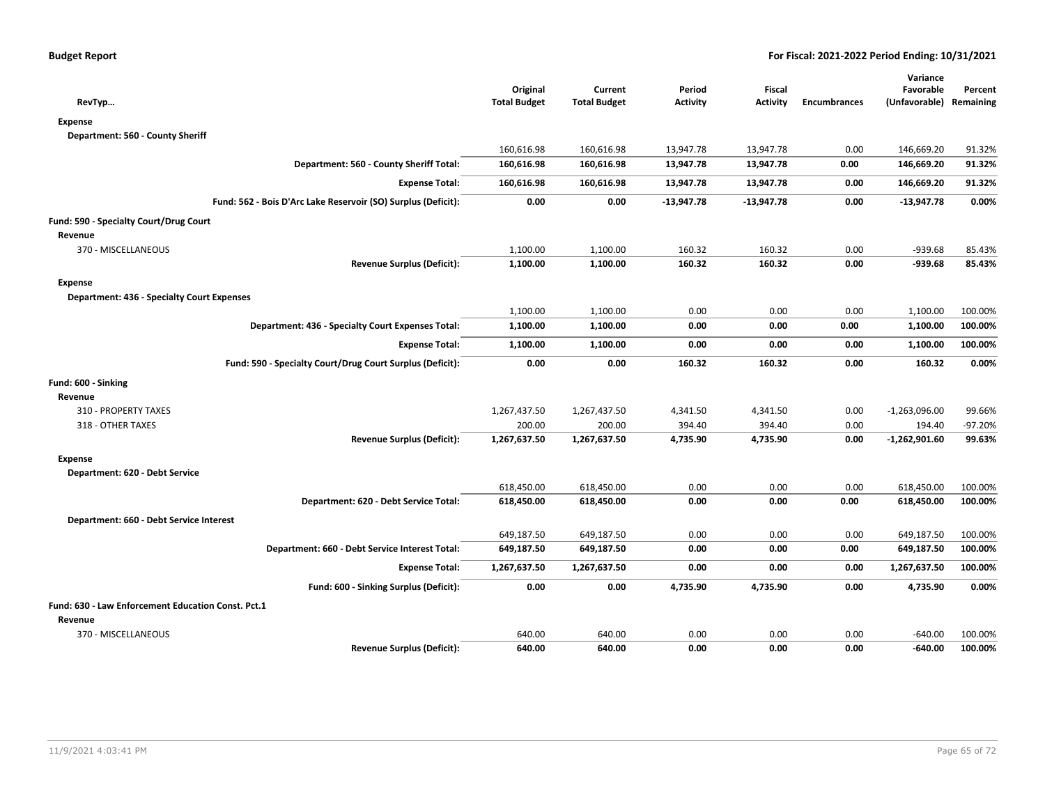|                                                               |                                 |                                |                           |                                  |                     | Variance                             |           |
|---------------------------------------------------------------|---------------------------------|--------------------------------|---------------------------|----------------------------------|---------------------|--------------------------------------|-----------|
| RevTyp                                                        | Original<br><b>Total Budget</b> | Current<br><b>Total Budget</b> | Period<br><b>Activity</b> | <b>Fiscal</b><br><b>Activity</b> | <b>Encumbrances</b> | Favorable<br>(Unfavorable) Remaining | Percent   |
| <b>Expense</b>                                                |                                 |                                |                           |                                  |                     |                                      |           |
| Department: 560 - County Sheriff                              |                                 |                                |                           |                                  |                     |                                      |           |
|                                                               | 160,616.98                      | 160,616.98                     | 13,947.78                 | 13,947.78                        | 0.00                | 146,669.20                           | 91.32%    |
| Department: 560 - County Sheriff Total:                       | 160,616.98                      | 160,616.98                     | 13,947.78                 | 13,947.78                        | 0.00                | 146,669.20                           | 91.32%    |
| <b>Expense Total:</b>                                         | 160,616.98                      | 160,616.98                     | 13,947.78                 | 13,947.78                        | 0.00                | 146,669.20                           | 91.32%    |
| Fund: 562 - Bois D'Arc Lake Reservoir (SO) Surplus (Deficit): | 0.00                            | 0.00                           | $-13,947.78$              | $-13,947.78$                     | 0.00                | $-13,947.78$                         | 0.00%     |
| Fund: 590 - Specialty Court/Drug Court                        |                                 |                                |                           |                                  |                     |                                      |           |
| Revenue                                                       |                                 |                                |                           |                                  |                     |                                      |           |
| 370 - MISCELLANEOUS                                           | 1,100.00                        | 1,100.00                       | 160.32                    | 160.32                           | 0.00                | $-939.68$                            | 85.43%    |
| <b>Revenue Surplus (Deficit):</b>                             | 1,100.00                        | 1,100.00                       | 160.32                    | 160.32                           | 0.00                | $-939.68$                            | 85.43%    |
| <b>Expense</b>                                                |                                 |                                |                           |                                  |                     |                                      |           |
| <b>Department: 436 - Specialty Court Expenses</b>             |                                 |                                |                           |                                  |                     |                                      |           |
|                                                               | 1,100.00                        | 1,100.00                       | 0.00                      | 0.00                             | 0.00                | 1,100.00                             | 100.00%   |
| Department: 436 - Specialty Court Expenses Total:             | 1,100.00                        | 1,100.00                       | 0.00                      | 0.00                             | 0.00                | 1,100.00                             | 100.00%   |
| <b>Expense Total:</b>                                         | 1,100.00                        | 1,100.00                       | 0.00                      | 0.00                             | 0.00                | 1,100.00                             | 100.00%   |
| Fund: 590 - Specialty Court/Drug Court Surplus (Deficit):     | 0.00                            | 0.00                           | 160.32                    | 160.32                           | 0.00                | 160.32                               | 0.00%     |
| Fund: 600 - Sinking                                           |                                 |                                |                           |                                  |                     |                                      |           |
| Revenue                                                       |                                 |                                |                           |                                  |                     |                                      |           |
| 310 - PROPERTY TAXES                                          | 1,267,437.50                    | 1,267,437.50                   | 4,341.50                  | 4,341.50                         | 0.00                | $-1,263,096.00$                      | 99.66%    |
| 318 - OTHER TAXES                                             | 200.00                          | 200.00                         | 394.40                    | 394.40                           | 0.00                | 194.40                               | $-97.20%$ |
| <b>Revenue Surplus (Deficit):</b>                             | 1,267,637.50                    | 1,267,637.50                   | 4,735.90                  | 4,735.90                         | 0.00                | $-1,262,901.60$                      | 99.63%    |
| <b>Expense</b>                                                |                                 |                                |                           |                                  |                     |                                      |           |
| Department: 620 - Debt Service                                |                                 |                                |                           |                                  |                     |                                      |           |
|                                                               | 618,450.00                      | 618,450.00                     | 0.00                      | 0.00                             | 0.00                | 618,450.00                           | 100.00%   |
| Department: 620 - Debt Service Total:                         | 618,450.00                      | 618,450.00                     | 0.00                      | 0.00                             | 0.00                | 618,450.00                           | 100.00%   |
| Department: 660 - Debt Service Interest                       |                                 |                                |                           |                                  |                     |                                      |           |
|                                                               | 649,187.50                      | 649,187.50                     | 0.00                      | 0.00                             | 0.00                | 649,187.50                           | 100.00%   |
| Department: 660 - Debt Service Interest Total:                | 649,187.50                      | 649,187.50                     | 0.00                      | 0.00                             | 0.00                | 649,187.50                           | 100.00%   |
| <b>Expense Total:</b>                                         | 1,267,637.50                    | 1,267,637.50                   | 0.00                      | 0.00                             | 0.00                | 1,267,637.50                         | 100.00%   |
| Fund: 600 - Sinking Surplus (Deficit):                        | 0.00                            | 0.00                           | 4,735.90                  | 4,735.90                         | 0.00                | 4,735.90                             | 0.00%     |
| Fund: 630 - Law Enforcement Education Const. Pct.1            |                                 |                                |                           |                                  |                     |                                      |           |
| Revenue                                                       |                                 |                                |                           |                                  |                     |                                      |           |
| 370 - MISCELLANEOUS                                           | 640.00                          | 640.00                         | 0.00                      | 0.00                             | 0.00                | $-640.00$                            | 100.00%   |
| <b>Revenue Surplus (Deficit):</b>                             | 640.00                          | 640.00                         | 0.00                      | 0.00                             | 0.00                | -640.00                              | 100.00%   |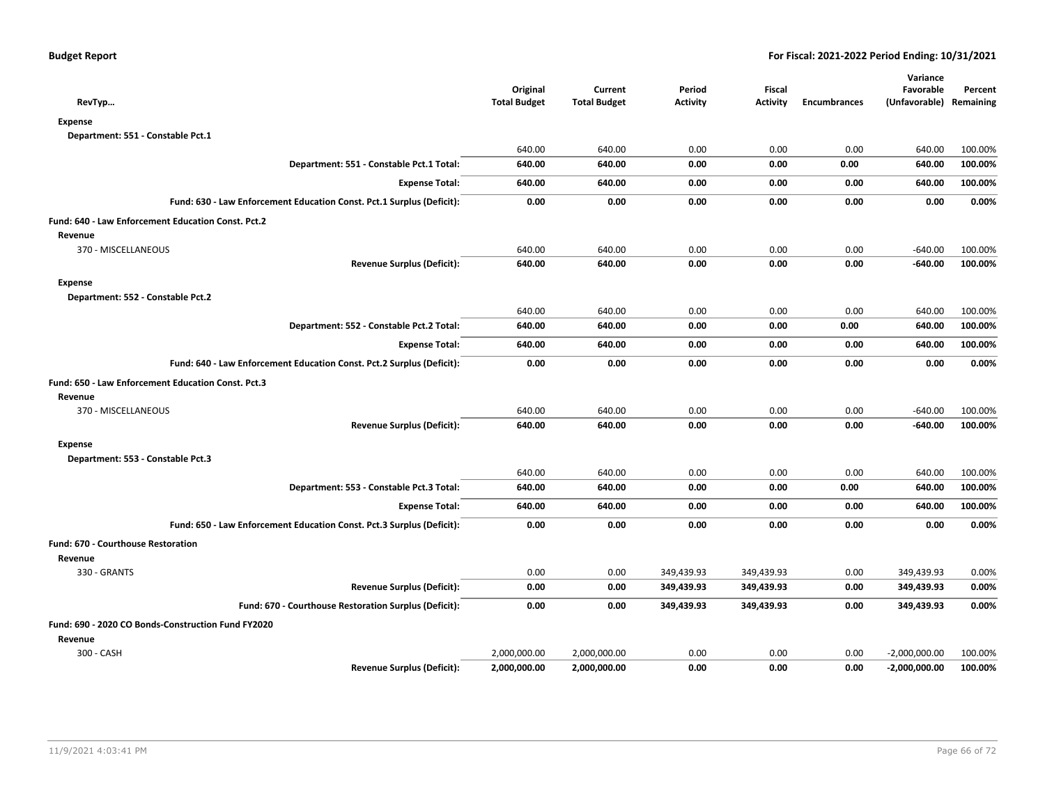| RevTyp                                                                | Original<br><b>Total Budget</b> | Current<br><b>Total Budget</b> | Period<br><b>Activity</b> | <b>Fiscal</b><br><b>Activity</b> | <b>Encumbrances</b> | Variance<br>Favorable<br>(Unfavorable) | Percent<br>Remaining |
|-----------------------------------------------------------------------|---------------------------------|--------------------------------|---------------------------|----------------------------------|---------------------|----------------------------------------|----------------------|
| Expense                                                               |                                 |                                |                           |                                  |                     |                                        |                      |
| Department: 551 - Constable Pct.1                                     |                                 |                                |                           |                                  |                     |                                        |                      |
|                                                                       | 640.00                          | 640.00                         | 0.00                      | 0.00                             | 0.00                | 640.00                                 | 100.00%              |
| Department: 551 - Constable Pct.1 Total:                              | 640.00                          | 640.00                         | 0.00                      | 0.00                             | 0.00                | 640.00                                 | 100.00%              |
| <b>Expense Total:</b>                                                 | 640.00                          | 640.00                         | 0.00                      | 0.00                             | 0.00                | 640.00                                 | 100.00%              |
| Fund: 630 - Law Enforcement Education Const. Pct.1 Surplus (Deficit): | 0.00                            | 0.00                           | 0.00                      | 0.00                             | 0.00                | 0.00                                   | 0.00%                |
| Fund: 640 - Law Enforcement Education Const. Pct.2                    |                                 |                                |                           |                                  |                     |                                        |                      |
| Revenue                                                               |                                 |                                |                           |                                  |                     |                                        |                      |
| 370 - MISCELLANEOUS                                                   | 640.00                          | 640.00                         | 0.00                      | 0.00                             | 0.00                | $-640.00$                              | 100.00%              |
| <b>Revenue Surplus (Deficit):</b>                                     | 640.00                          | 640.00                         | 0.00                      | 0.00                             | 0.00                | $-640.00$                              | 100.00%              |
| <b>Expense</b>                                                        |                                 |                                |                           |                                  |                     |                                        |                      |
| Department: 552 - Constable Pct.2                                     |                                 |                                |                           |                                  |                     |                                        |                      |
|                                                                       | 640.00                          | 640.00                         | 0.00                      | 0.00                             | 0.00                | 640.00                                 | 100.00%              |
| Department: 552 - Constable Pct.2 Total:                              | 640.00                          | 640.00                         | 0.00                      | 0.00                             | 0.00                | 640.00                                 | 100.00%              |
| <b>Expense Total:</b>                                                 | 640.00                          | 640.00                         | 0.00                      | 0.00                             | 0.00                | 640.00                                 | 100.00%              |
| Fund: 640 - Law Enforcement Education Const. Pct.2 Surplus (Deficit): | 0.00                            | 0.00                           | 0.00                      | 0.00                             | 0.00                | 0.00                                   | 0.00%                |
| Fund: 650 - Law Enforcement Education Const. Pct.3                    |                                 |                                |                           |                                  |                     |                                        |                      |
| Revenue                                                               |                                 |                                |                           |                                  |                     |                                        |                      |
| 370 - MISCELLANEOUS                                                   | 640.00                          | 640.00                         | 0.00                      | 0.00                             | 0.00                | $-640.00$                              | 100.00%              |
| <b>Revenue Surplus (Deficit):</b>                                     | 640.00                          | 640.00                         | 0.00                      | 0.00                             | 0.00                | -640.00                                | 100.00%              |
| <b>Expense</b>                                                        |                                 |                                |                           |                                  |                     |                                        |                      |
| Department: 553 - Constable Pct.3                                     |                                 |                                |                           |                                  |                     |                                        |                      |
|                                                                       | 640.00                          | 640.00                         | 0.00                      | 0.00                             | 0.00                | 640.00                                 | 100.00%              |
| Department: 553 - Constable Pct.3 Total:                              | 640.00                          | 640.00                         | 0.00                      | 0.00                             | 0.00                | 640.00                                 | 100.00%              |
| <b>Expense Total:</b>                                                 | 640.00                          | 640.00                         | 0.00                      | 0.00                             | 0.00                | 640.00                                 | 100.00%              |
| Fund: 650 - Law Enforcement Education Const. Pct.3 Surplus (Deficit): | 0.00                            | 0.00                           | 0.00                      | 0.00                             | 0.00                | 0.00                                   | 0.00%                |
| Fund: 670 - Courthouse Restoration                                    |                                 |                                |                           |                                  |                     |                                        |                      |
| Revenue                                                               |                                 |                                |                           |                                  |                     |                                        |                      |
| 330 - GRANTS                                                          | 0.00                            | 0.00                           | 349,439.93                | 349,439.93                       | 0.00                | 349,439.93                             | 0.00%                |
| <b>Revenue Surplus (Deficit):</b>                                     | 0.00                            | 0.00                           | 349,439.93                | 349,439.93                       | 0.00                | 349,439.93                             | 0.00%                |
| Fund: 670 - Courthouse Restoration Surplus (Deficit):                 | 0.00                            | 0.00                           | 349,439.93                | 349,439.93                       | 0.00                | 349,439.93                             | 0.00%                |
| Fund: 690 - 2020 CO Bonds-Construction Fund FY2020                    |                                 |                                |                           |                                  |                     |                                        |                      |
| Revenue                                                               |                                 |                                |                           |                                  |                     |                                        |                      |
| 300 - CASH                                                            | 2,000,000.00                    | 2,000,000.00                   | 0.00                      | 0.00                             | 0.00                | $-2,000,000.00$                        | 100.00%              |
| <b>Revenue Surplus (Deficit):</b>                                     | 2,000,000.00                    | 2,000,000.00                   | 0.00                      | 0.00                             | 0.00                | $-2,000,000.00$                        | 100.00%              |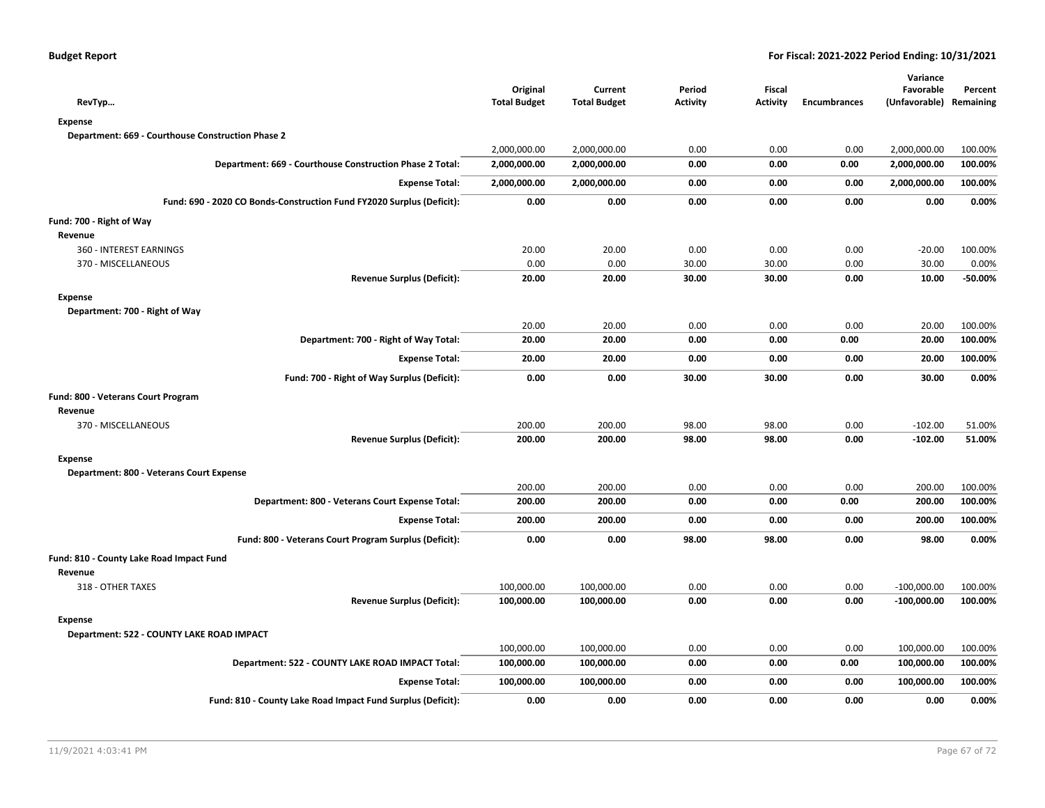| RevTyp                                                                | Original<br><b>Total Budget</b> | Current<br><b>Total Budget</b> | Period<br>Activity | Fiscal<br><b>Activity</b> | Encumbrances | Variance<br>Favorable<br>(Unfavorable) Remaining | Percent |
|-----------------------------------------------------------------------|---------------------------------|--------------------------------|--------------------|---------------------------|--------------|--------------------------------------------------|---------|
| <b>Expense</b>                                                        |                                 |                                |                    |                           |              |                                                  |         |
| Department: 669 - Courthouse Construction Phase 2                     |                                 |                                |                    |                           |              |                                                  |         |
|                                                                       | 2,000,000.00                    | 2,000,000.00                   | 0.00               | 0.00                      | 0.00         | 2,000,000.00                                     | 100.00% |
| Department: 669 - Courthouse Construction Phase 2 Total:              | 2,000,000.00                    | 2,000,000.00                   | 0.00               | 0.00                      | 0.00         | 2,000,000.00                                     | 100.00% |
| <b>Expense Total:</b>                                                 | 2,000,000.00                    | 2,000,000.00                   | 0.00               | 0.00                      | 0.00         | 2,000,000.00                                     | 100.00% |
| Fund: 690 - 2020 CO Bonds-Construction Fund FY2020 Surplus (Deficit): | 0.00                            | 0.00                           | 0.00               | 0.00                      | 0.00         | 0.00                                             | 0.00%   |
| Fund: 700 - Right of Way                                              |                                 |                                |                    |                           |              |                                                  |         |
| Revenue                                                               |                                 |                                |                    |                           |              |                                                  |         |
| 360 - INTEREST EARNINGS                                               | 20.00                           | 20.00                          | 0.00               | 0.00                      | 0.00         | $-20.00$                                         | 100.00% |
| 370 - MISCELLANEOUS                                                   | 0.00                            | 0.00                           | 30.00              | 30.00                     | 0.00         | 30.00                                            | 0.00%   |
| <b>Revenue Surplus (Deficit):</b>                                     | 20.00                           | 20.00                          | 30.00              | 30.00                     | 0.00         | 10.00                                            | -50.00% |
| <b>Expense</b>                                                        |                                 |                                |                    |                           |              |                                                  |         |
| Department: 700 - Right of Way                                        |                                 |                                |                    |                           |              |                                                  |         |
|                                                                       | 20.00                           | 20.00                          | 0.00               | 0.00                      | 0.00         | 20.00                                            | 100.00% |
| Department: 700 - Right of Way Total:                                 | 20.00                           | 20.00                          | 0.00               | 0.00                      | 0.00         | 20.00                                            | 100.00% |
| <b>Expense Total:</b>                                                 | 20.00                           | 20.00                          | 0.00               | 0.00                      | 0.00         | 20.00                                            | 100.00% |
| Fund: 700 - Right of Way Surplus (Deficit):                           | 0.00                            | 0.00                           | 30.00              | 30.00                     | 0.00         | 30.00                                            | 0.00%   |
| Fund: 800 - Veterans Court Program                                    |                                 |                                |                    |                           |              |                                                  |         |
| Revenue                                                               |                                 |                                |                    |                           |              |                                                  |         |
| 370 - MISCELLANEOUS                                                   | 200.00                          | 200.00                         | 98.00              | 98.00                     | 0.00         | $-102.00$                                        | 51.00%  |
| <b>Revenue Surplus (Deficit):</b>                                     | 200.00                          | 200.00                         | 98.00              | 98.00                     | 0.00         | $-102.00$                                        | 51.00%  |
| <b>Expense</b>                                                        |                                 |                                |                    |                           |              |                                                  |         |
| Department: 800 - Veterans Court Expense                              |                                 |                                |                    |                           |              |                                                  |         |
|                                                                       | 200.00                          | 200.00                         | 0.00               | 0.00                      | 0.00         | 200.00                                           | 100.00% |
| Department: 800 - Veterans Court Expense Total:                       | 200.00                          | 200.00                         | 0.00               | 0.00                      | 0.00         | 200.00                                           | 100.00% |
| <b>Expense Total:</b>                                                 | 200.00                          | 200.00                         | 0.00               | 0.00                      | 0.00         | 200.00                                           | 100.00% |
| Fund: 800 - Veterans Court Program Surplus (Deficit):                 | 0.00                            | 0.00                           | 98.00              | 98.00                     | 0.00         | 98.00                                            | 0.00%   |
| Fund: 810 - County Lake Road Impact Fund                              |                                 |                                |                    |                           |              |                                                  |         |
| Revenue                                                               |                                 |                                |                    |                           |              |                                                  |         |
| 318 - OTHER TAXES                                                     | 100,000.00                      | 100,000.00                     | 0.00               | 0.00                      | 0.00         | $-100,000.00$                                    | 100.00% |
| <b>Revenue Surplus (Deficit):</b>                                     | 100,000.00                      | 100,000.00                     | 0.00               | 0.00                      | 0.00         | $-100,000.00$                                    | 100.00% |
| <b>Expense</b>                                                        |                                 |                                |                    |                           |              |                                                  |         |
| Department: 522 - COUNTY LAKE ROAD IMPACT                             |                                 |                                |                    |                           |              |                                                  |         |
|                                                                       | 100,000.00                      | 100,000.00                     | 0.00               | 0.00                      | 0.00         | 100,000.00                                       | 100.00% |
| Department: 522 - COUNTY LAKE ROAD IMPACT Total:                      | 100,000.00                      | 100,000.00                     | 0.00               | 0.00                      | 0.00         | 100,000.00                                       | 100.00% |
| <b>Expense Total:</b>                                                 | 100,000.00                      | 100,000.00                     | 0.00               | 0.00                      | 0.00         | 100,000.00                                       | 100.00% |
| Fund: 810 - County Lake Road Impact Fund Surplus (Deficit):           | 0.00                            | 0.00                           | 0.00               | 0.00                      | 0.00         | 0.00                                             | 0.00%   |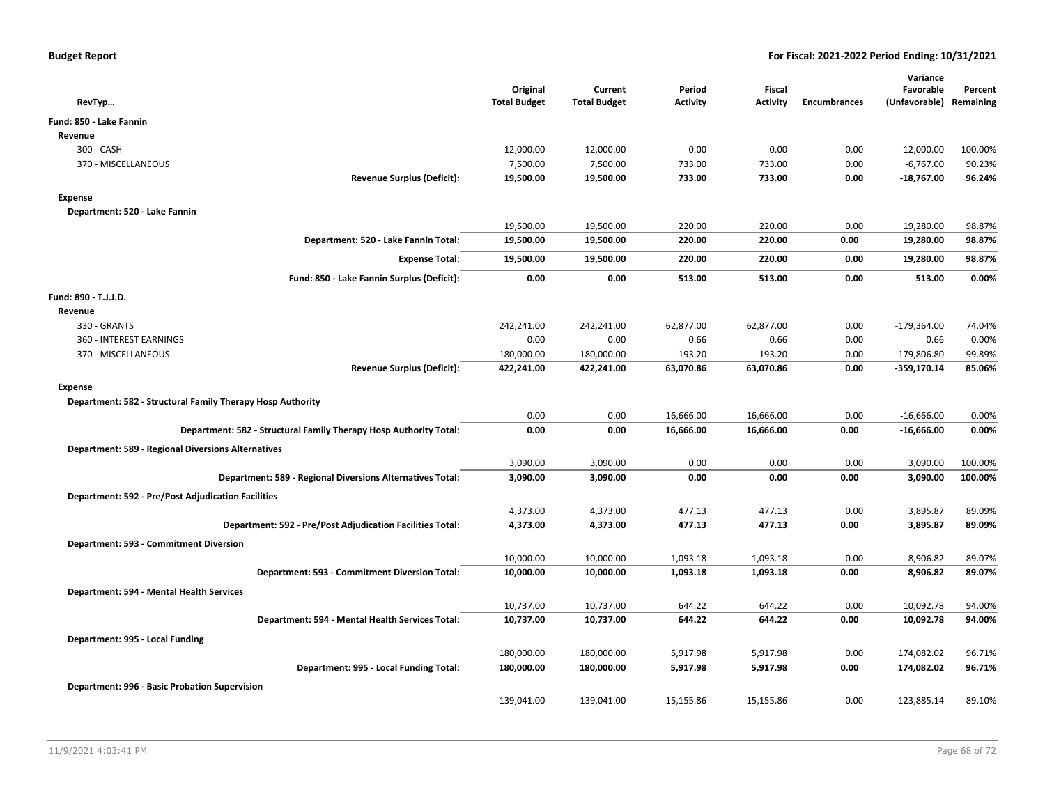| RevTyp                                                            | Original<br><b>Total Budget</b> | Current<br><b>Total Budget</b> | Period<br><b>Activity</b> | <b>Fiscal</b><br><b>Activity</b> | <b>Encumbrances</b> | Variance<br>Favorable<br>(Unfavorable) Remaining | Percent |
|-------------------------------------------------------------------|---------------------------------|--------------------------------|---------------------------|----------------------------------|---------------------|--------------------------------------------------|---------|
| Fund: 850 - Lake Fannin                                           |                                 |                                |                           |                                  |                     |                                                  |         |
| Revenue                                                           |                                 |                                |                           |                                  |                     |                                                  |         |
| 300 - CASH                                                        | 12,000.00                       | 12,000.00                      | 0.00                      | 0.00                             | 0.00                | $-12,000.00$                                     | 100.00% |
| 370 - MISCELLANEOUS                                               | 7,500.00                        | 7,500.00                       | 733.00                    | 733.00                           | 0.00                | $-6,767.00$                                      | 90.23%  |
| <b>Revenue Surplus (Deficit):</b>                                 | 19,500.00                       | 19,500.00                      | 733.00                    | 733.00                           | 0.00                | $-18,767.00$                                     | 96.24%  |
| <b>Expense</b>                                                    |                                 |                                |                           |                                  |                     |                                                  |         |
| Department: 520 - Lake Fannin                                     |                                 |                                |                           |                                  |                     |                                                  |         |
|                                                                   | 19,500.00                       | 19,500.00                      | 220.00                    | 220.00                           | 0.00                | 19,280.00                                        | 98.87%  |
| Department: 520 - Lake Fannin Total:                              | 19,500.00                       | 19,500.00                      | 220.00                    | 220.00                           | 0.00                | 19,280.00                                        | 98.87%  |
| <b>Expense Total:</b>                                             | 19,500.00                       | 19,500.00                      | 220.00                    | 220.00                           | 0.00                | 19,280.00                                        | 98.87%  |
| Fund: 850 - Lake Fannin Surplus (Deficit):                        | 0.00                            | 0.00                           | 513.00                    | 513.00                           | 0.00                | 513.00                                           | 0.00%   |
| Fund: 890 - T.J.J.D.                                              |                                 |                                |                           |                                  |                     |                                                  |         |
| Revenue                                                           |                                 |                                |                           |                                  |                     |                                                  |         |
| 330 - GRANTS                                                      | 242,241.00                      | 242,241.00                     | 62,877.00                 | 62,877.00                        | 0.00                | $-179,364.00$                                    | 74.04%  |
| 360 - INTEREST EARNINGS                                           | 0.00                            | 0.00                           | 0.66                      | 0.66                             | 0.00                | 0.66                                             | 0.00%   |
| 370 - MISCELLANEOUS                                               | 180,000.00                      | 180,000.00                     | 193.20                    | 193.20                           | 0.00                | $-179,806.80$                                    | 99.89%  |
| <b>Revenue Surplus (Deficit):</b>                                 | 422,241.00                      | 422,241.00                     | 63,070.86                 | 63,070.86                        | 0.00                | $-359,170.14$                                    | 85.06%  |
| <b>Expense</b>                                                    |                                 |                                |                           |                                  |                     |                                                  |         |
| Department: 582 - Structural Family Therapy Hosp Authority        |                                 |                                |                           |                                  |                     |                                                  |         |
|                                                                   | 0.00                            | 0.00                           | 16,666.00                 | 16,666.00                        | 0.00                | $-16,666.00$                                     | 0.00%   |
| Department: 582 - Structural Family Therapy Hosp Authority Total: | 0.00                            | 0.00                           | 16,666.00                 | 16,666.00                        | 0.00                | $-16,666.00$                                     | 0.00%   |
| <b>Department: 589 - Regional Diversions Alternatives</b>         |                                 |                                |                           |                                  |                     |                                                  |         |
|                                                                   | 3,090.00                        | 3,090.00                       | 0.00                      | 0.00                             | 0.00                | 3,090.00                                         | 100.00% |
| Department: 589 - Regional Diversions Alternatives Total:         | 3,090.00                        | 3,090.00                       | 0.00                      | 0.00                             | 0.00                | 3,090.00                                         | 100.00% |
| <b>Department: 592 - Pre/Post Adjudication Facilities</b>         |                                 |                                |                           |                                  |                     |                                                  |         |
|                                                                   | 4,373.00                        | 4,373.00                       | 477.13                    | 477.13                           | 0.00                | 3,895.87                                         | 89.09%  |
| Department: 592 - Pre/Post Adjudication Facilities Total:         | 4,373.00                        | 4,373.00                       | 477.13                    | 477.13                           | 0.00                | 3,895.87                                         | 89.09%  |
| Department: 593 - Commitment Diversion                            |                                 |                                |                           |                                  |                     |                                                  |         |
|                                                                   | 10,000.00                       | 10,000.00                      | 1,093.18                  | 1,093.18                         | 0.00                | 8,906.82                                         | 89.07%  |
| Department: 593 - Commitment Diversion Total:                     | 10,000.00                       | 10,000.00                      | 1,093.18                  | 1,093.18                         | 0.00                | 8,906.82                                         | 89.07%  |
| Department: 594 - Mental Health Services                          |                                 |                                |                           |                                  |                     |                                                  |         |
|                                                                   | 10,737.00                       | 10,737.00                      | 644.22                    | 644.22                           | 0.00                | 10,092.78                                        | 94.00%  |
| Department: 594 - Mental Health Services Total:                   | 10,737.00                       | 10,737.00                      | 644.22                    | 644.22                           | 0.00                | 10,092.78                                        | 94.00%  |
| Department: 995 - Local Funding                                   |                                 |                                |                           |                                  |                     |                                                  |         |
|                                                                   | 180,000.00                      | 180,000.00                     | 5,917.98                  | 5,917.98                         | 0.00                | 174,082.02                                       | 96.71%  |
| Department: 995 - Local Funding Total:                            | 180,000.00                      | 180,000.00                     | 5,917.98                  | 5,917.98                         | 0.00                | 174,082.02                                       | 96.71%  |
| Department: 996 - Basic Probation Supervision                     |                                 |                                |                           |                                  |                     |                                                  |         |
|                                                                   | 139,041.00                      | 139,041.00                     | 15,155.86                 | 15,155.86                        | 0.00                | 123,885.14                                       | 89.10%  |
|                                                                   |                                 |                                |                           |                                  |                     |                                                  |         |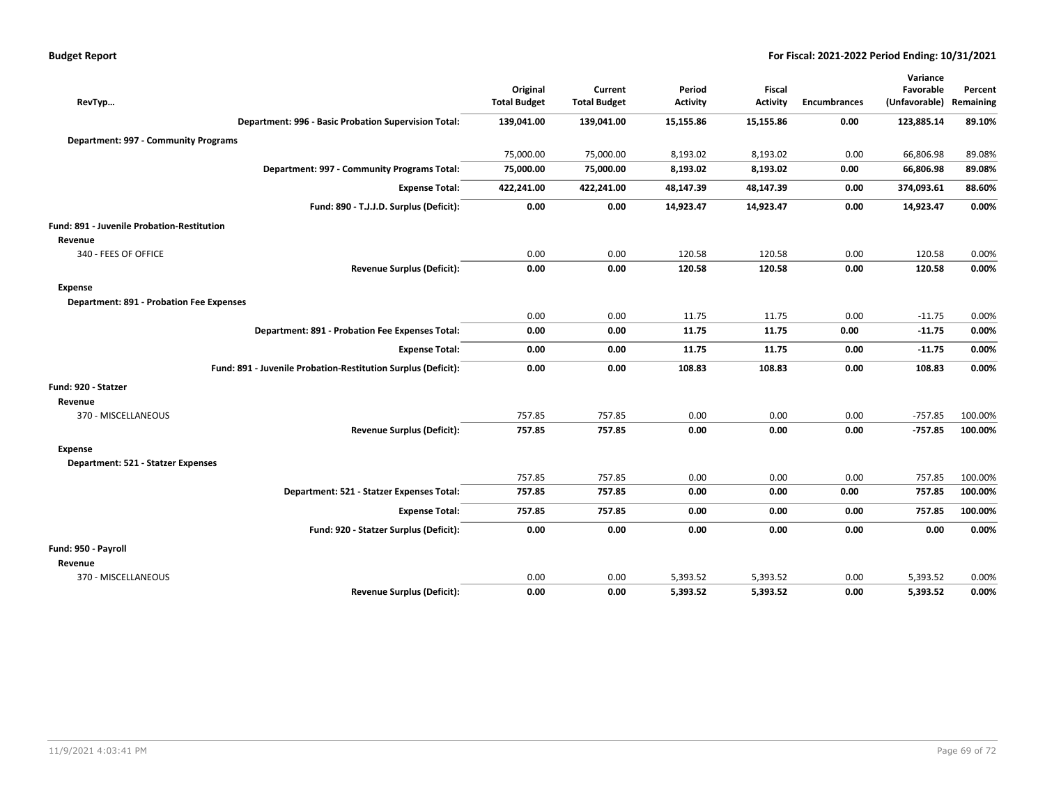| <b>Budget Report</b> |  |  |  |  |
|----------------------|--|--|--|--|
|----------------------|--|--|--|--|

| RevTyp                                                       |                                                               | Original<br><b>Total Budget</b> | Current<br><b>Total Budget</b> | Period<br><b>Activity</b> | Fiscal<br><b>Activity</b> | <b>Encumbrances</b> | Variance<br>Favorable<br>(Unfavorable) | Percent<br>Remaining |
|--------------------------------------------------------------|---------------------------------------------------------------|---------------------------------|--------------------------------|---------------------------|---------------------------|---------------------|----------------------------------------|----------------------|
|                                                              | Department: 996 - Basic Probation Supervision Total:          | 139,041.00                      | 139,041.00                     | 15,155.86                 | 15,155.86                 | 0.00                | 123,885.14                             | 89.10%               |
| Department: 997 - Community Programs                         |                                                               |                                 |                                |                           |                           |                     |                                        |                      |
|                                                              |                                                               | 75,000.00                       | 75,000.00                      | 8,193.02                  | 8,193.02                  | 0.00                | 66,806.98                              | 89.08%               |
|                                                              | Department: 997 - Community Programs Total:                   | 75,000.00                       | 75,000.00                      | 8,193.02                  | 8,193.02                  | 0.00                | 66,806.98                              | 89.08%               |
|                                                              | <b>Expense Total:</b>                                         | 422,241.00                      | 422,241.00                     | 48,147.39                 | 48,147.39                 | 0.00                | 374,093.61                             | 88.60%               |
|                                                              | Fund: 890 - T.J.J.D. Surplus (Deficit):                       | 0.00                            | 0.00                           | 14,923.47                 | 14,923.47                 | 0.00                | 14,923.47                              | 0.00%                |
| <b>Fund: 891 - Juvenile Probation-Restitution</b><br>Revenue |                                                               |                                 |                                |                           |                           |                     |                                        |                      |
| 340 - FEES OF OFFICE                                         |                                                               | 0.00                            | 0.00                           | 120.58                    | 120.58                    | 0.00                | 120.58                                 | 0.00%                |
|                                                              | <b>Revenue Surplus (Deficit):</b>                             | 0.00                            | 0.00                           | 120.58                    | 120.58                    | 0.00                | 120.58                                 | 0.00%                |
| <b>Expense</b>                                               |                                                               |                                 |                                |                           |                           |                     |                                        |                      |
| Department: 891 - Probation Fee Expenses                     |                                                               |                                 |                                |                           |                           |                     |                                        |                      |
|                                                              |                                                               | 0.00                            | 0.00                           | 11.75                     | 11.75                     | 0.00                | $-11.75$                               | 0.00%                |
|                                                              | Department: 891 - Probation Fee Expenses Total:               | 0.00                            | 0.00                           | 11.75                     | 11.75                     | 0.00                | $-11.75$                               | 0.00%                |
|                                                              | <b>Expense Total:</b>                                         | 0.00                            | 0.00                           | 11.75                     | 11.75                     | 0.00                | $-11.75$                               | 0.00%                |
|                                                              | Fund: 891 - Juvenile Probation-Restitution Surplus (Deficit): | 0.00                            | 0.00                           | 108.83                    | 108.83                    | 0.00                | 108.83                                 | 0.00%                |
| Fund: 920 - Statzer                                          |                                                               |                                 |                                |                           |                           |                     |                                        |                      |
| Revenue                                                      |                                                               |                                 |                                |                           |                           |                     |                                        |                      |
| 370 - MISCELLANEOUS                                          |                                                               | 757.85                          | 757.85                         | 0.00                      | 0.00                      | 0.00                | $-757.85$                              | 100.00%              |
|                                                              | <b>Revenue Surplus (Deficit):</b>                             | 757.85                          | 757.85                         | 0.00                      | 0.00                      | 0.00                | $-757.85$                              | 100.00%              |
| <b>Expense</b>                                               |                                                               |                                 |                                |                           |                           |                     |                                        |                      |
| Department: 521 - Statzer Expenses                           |                                                               |                                 |                                |                           |                           |                     |                                        |                      |
|                                                              |                                                               | 757.85                          | 757.85                         | 0.00                      | 0.00                      | 0.00                | 757.85                                 | 100.00%              |
|                                                              | Department: 521 - Statzer Expenses Total:                     | 757.85                          | 757.85                         | 0.00                      | 0.00                      | 0.00                | 757.85                                 | 100.00%              |
|                                                              | <b>Expense Total:</b>                                         | 757.85                          | 757.85                         | 0.00                      | 0.00                      | 0.00                | 757.85                                 | 100.00%              |
|                                                              | Fund: 920 - Statzer Surplus (Deficit):                        | 0.00                            | 0.00                           | 0.00                      | 0.00                      | 0.00                | 0.00                                   | 0.00%                |
| Fund: 950 - Payroll                                          |                                                               |                                 |                                |                           |                           |                     |                                        |                      |
| Revenue                                                      |                                                               |                                 |                                |                           |                           |                     |                                        |                      |
| 370 - MISCELLANEOUS                                          |                                                               | 0.00                            | 0.00                           | 5,393.52                  | 5,393.52                  | 0.00                | 5,393.52                               | 0.00%                |
|                                                              | <b>Revenue Surplus (Deficit):</b>                             | 0.00                            | 0.00                           | 5,393.52                  | 5,393.52                  | 0.00                | 5,393.52                               | 0.00%                |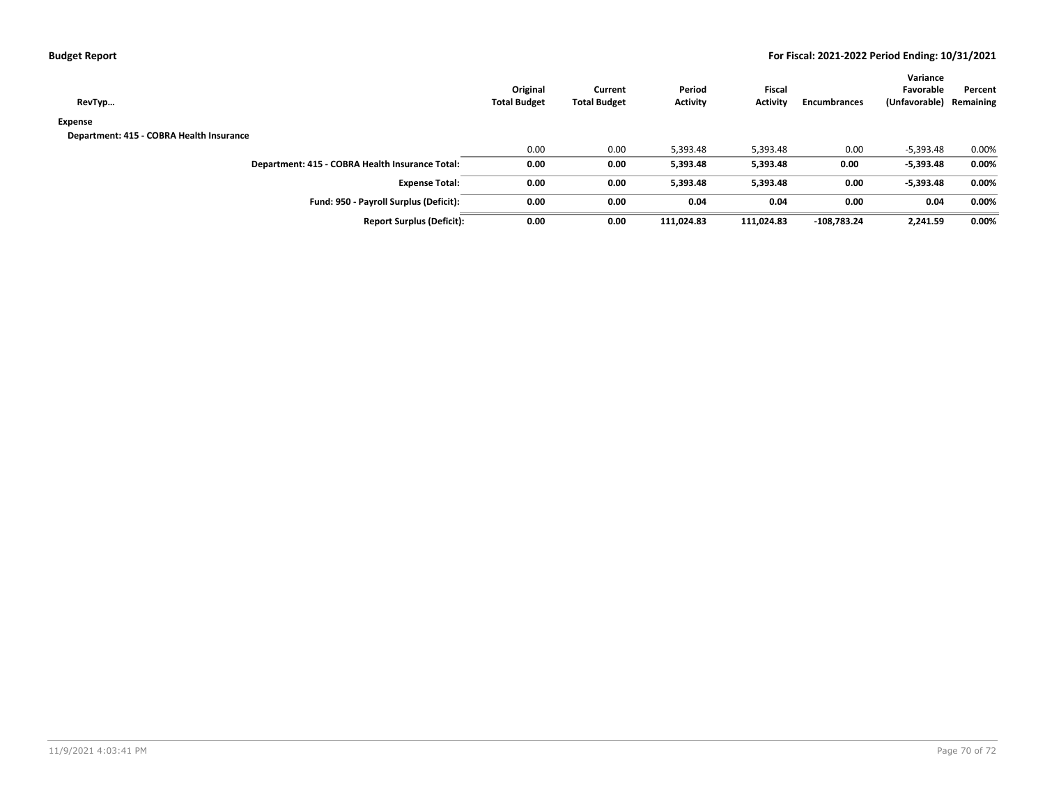|  | <b>Budget Report</b> |
|--|----------------------|
|--|----------------------|

| RevTyp                                          | Original<br><b>Total Budget</b> | Current<br><b>Total Budget</b> | Period<br><b>Activity</b> | <b>Fiscal</b><br>Activity | <b>Encumbrances</b> | Variance<br>Favorable<br>(Unfavorable) | Percent<br>Remaining |
|-------------------------------------------------|---------------------------------|--------------------------------|---------------------------|---------------------------|---------------------|----------------------------------------|----------------------|
| Expense                                         |                                 |                                |                           |                           |                     |                                        |                      |
| Department: 415 - COBRA Health Insurance        |                                 |                                |                           |                           |                     |                                        |                      |
|                                                 | 0.00                            | 0.00                           | 5,393.48                  | 5,393.48                  | 0.00                | $-5,393.48$                            | 0.00%                |
| Department: 415 - COBRA Health Insurance Total: | 0.00                            | 0.00                           | 5,393.48                  | 5,393.48                  | 0.00                | $-5,393.48$                            | 0.00%                |
| <b>Expense Total:</b>                           | 0.00                            | 0.00                           | 5.393.48                  | 5,393.48                  | 0.00                | $-5,393.48$                            | 0.00%                |
| Fund: 950 - Payroll Surplus (Deficit):          | 0.00                            | 0.00                           | 0.04                      | 0.04                      | 0.00                | 0.04                                   | 0.00%                |
| <b>Report Surplus (Deficit):</b>                | 0.00                            | 0.00                           | 111,024.83                | 111,024.83                | $-108,783.24$       | 2,241.59                               | 0.00%                |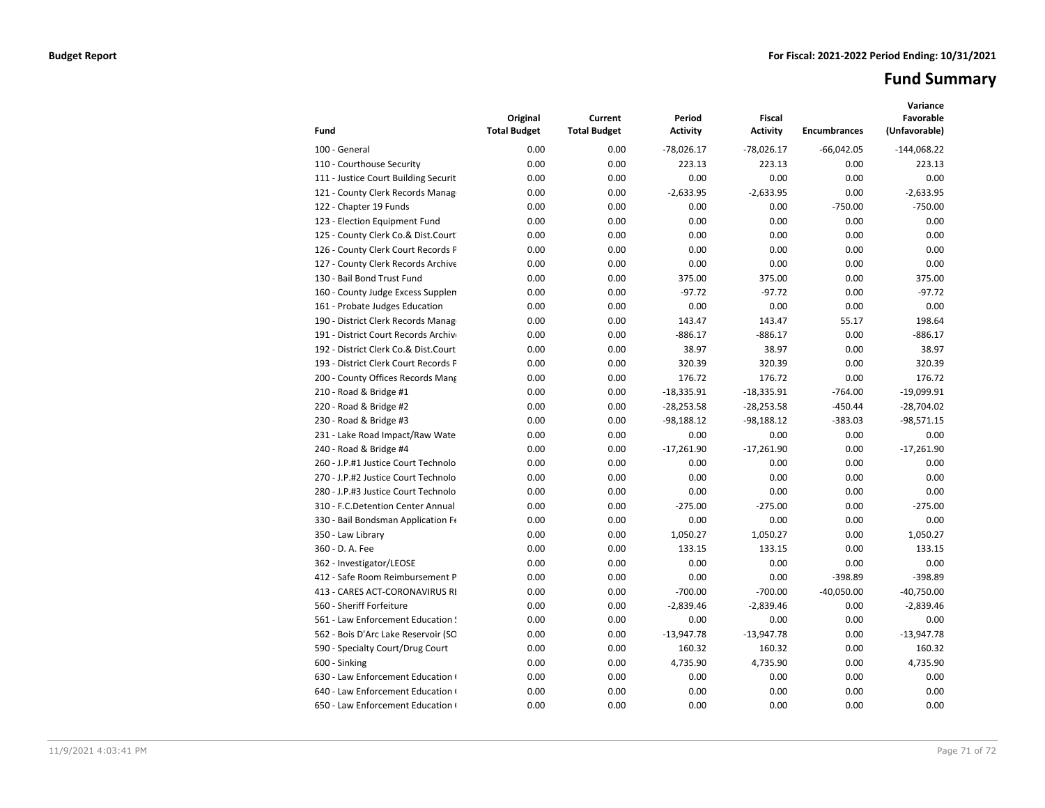# **Fund Summary**

| Fund                                 | Original<br><b>Total Budget</b> | Current<br><b>Total Budget</b> | Period<br>Activity | <b>Fiscal</b><br><b>Activity</b> | <b>Encumbrances</b> | Variance<br>Favorable<br>(Unfavorable) |
|--------------------------------------|---------------------------------|--------------------------------|--------------------|----------------------------------|---------------------|----------------------------------------|
| 100 - General                        | 0.00                            | 0.00                           | $-78,026.17$       | $-78,026.17$                     | $-66,042.05$        | $-144,068.22$                          |
| 110 - Courthouse Security            | 0.00                            | 0.00                           | 223.13             | 223.13                           | 0.00                | 223.13                                 |
| 111 - Justice Court Building Securit | 0.00                            | 0.00                           | 0.00               | 0.00                             | 0.00                | 0.00                                   |
| 121 - County Clerk Records Manag     | 0.00                            | 0.00                           | $-2,633.95$        | $-2,633.95$                      | 0.00                | $-2,633.95$                            |
| 122 - Chapter 19 Funds               | 0.00                            | 0.00                           | 0.00               | 0.00                             | $-750.00$           | $-750.00$                              |
| 123 - Election Equipment Fund        | 0.00                            | 0.00                           | 0.00               | 0.00                             | 0.00                | 0.00                                   |
| 125 - County Clerk Co.& Dist.Court   | 0.00                            | 0.00                           | 0.00               | 0.00                             | 0.00                | 0.00                                   |
| 126 - County Clerk Court Records P   | 0.00                            | 0.00                           | 0.00               | 0.00                             | 0.00                | 0.00                                   |
| 127 - County Clerk Records Archive   | 0.00                            | 0.00                           | 0.00               | 0.00                             | 0.00                | 0.00                                   |
| 130 - Bail Bond Trust Fund           | 0.00                            | 0.00                           | 375.00             | 375.00                           | 0.00                | 375.00                                 |
| 160 - County Judge Excess Supplen    | 0.00                            | 0.00                           | $-97.72$           | $-97.72$                         | 0.00                | $-97.72$                               |
| 161 - Probate Judges Education       | 0.00                            | 0.00                           | 0.00               | 0.00                             | 0.00                | 0.00                                   |
| 190 - District Clerk Records Manag   | 0.00                            | 0.00                           | 143.47             | 143.47                           | 55.17               | 198.64                                 |
| 191 - District Court Records Archive | 0.00                            | 0.00                           | $-886.17$          | $-886.17$                        | 0.00                | $-886.17$                              |
| 192 - District Clerk Co.& Dist.Court | 0.00                            | 0.00                           | 38.97              | 38.97                            | 0.00                | 38.97                                  |
| 193 - District Clerk Court Records P | 0.00                            | 0.00                           | 320.39             | 320.39                           | 0.00                | 320.39                                 |
| 200 - County Offices Records Mang    | 0.00                            | 0.00                           | 176.72             | 176.72                           | 0.00                | 176.72                                 |
| 210 - Road & Bridge #1               | 0.00                            | 0.00                           | $-18,335.91$       | $-18,335.91$                     | $-764.00$           | $-19,099.91$                           |
| 220 - Road & Bridge #2               | 0.00                            | 0.00                           | $-28,253.58$       | $-28,253.58$                     | $-450.44$           | $-28,704.02$                           |
| 230 - Road & Bridge #3               | 0.00                            | 0.00                           | $-98,188.12$       | $-98,188.12$                     | $-383.03$           | $-98,571.15$                           |
| 231 - Lake Road Impact/Raw Wate      | 0.00                            | 0.00                           | 0.00               | 0.00                             | 0.00                | 0.00                                   |
| 240 - Road & Bridge #4               | 0.00                            | 0.00                           | $-17,261.90$       | $-17,261.90$                     | 0.00                | $-17,261.90$                           |
| 260 - J.P.#1 Justice Court Technolo  | 0.00                            | 0.00                           | 0.00               | 0.00                             | 0.00                | 0.00                                   |
| 270 - J.P.#2 Justice Court Technolo  | 0.00                            | 0.00                           | 0.00               | 0.00                             | 0.00                | 0.00                                   |
| 280 - J.P.#3 Justice Court Technolo  | 0.00                            | 0.00                           | 0.00               | 0.00                             | 0.00                | 0.00                                   |
| 310 - F.C.Detention Center Annual    | 0.00                            | 0.00                           | $-275.00$          | $-275.00$                        | 0.00                | $-275.00$                              |
| 330 - Bail Bondsman Application Fe   | 0.00                            | 0.00                           | 0.00               | 0.00                             | 0.00                | 0.00                                   |
| 350 - Law Library                    | 0.00                            | 0.00                           | 1,050.27           | 1,050.27                         | 0.00                | 1,050.27                               |
| 360 - D. A. Fee                      | 0.00                            | 0.00                           | 133.15             | 133.15                           | 0.00                | 133.15                                 |
| 362 - Investigator/LEOSE             | 0.00                            | 0.00                           | 0.00               | 0.00                             | 0.00                | 0.00                                   |
| 412 - Safe Room Reimbursement P      | 0.00                            | 0.00                           | 0.00               | 0.00                             | $-398.89$           | $-398.89$                              |
| 413 - CARES ACT-CORONAVIRUS RI       | 0.00                            | 0.00                           | $-700.00$          | $-700.00$                        | $-40,050.00$        | $-40,750.00$                           |
| 560 - Sheriff Forfeiture             | 0.00                            | 0.00                           | $-2,839.46$        | $-2,839.46$                      | 0.00                | $-2,839.46$                            |
| 561 - Law Enforcement Education !    | 0.00                            | 0.00                           | 0.00               | 0.00                             | 0.00                | 0.00                                   |
| 562 - Bois D'Arc Lake Reservoir (SO  | 0.00                            | 0.00                           | $-13,947.78$       | $-13,947.78$                     | 0.00                | $-13,947.78$                           |
| 590 - Specialty Court/Drug Court     | 0.00                            | 0.00                           | 160.32             | 160.32                           | 0.00                | 160.32                                 |
| 600 - Sinking                        | 0.00                            | 0.00                           | 4,735.90           | 4,735.90                         | 0.00                | 4,735.90                               |
| 630 - Law Enforcement Education (    | 0.00                            | 0.00                           | 0.00               | 0.00                             | 0.00                | 0.00                                   |
| 640 - Law Enforcement Education (    | 0.00                            | 0.00                           | 0.00               | 0.00                             | 0.00                | 0.00                                   |
| 650 - Law Enforcement Education (    | 0.00                            | 0.00                           | 0.00               | 0.00                             | 0.00                | 0.00                                   |